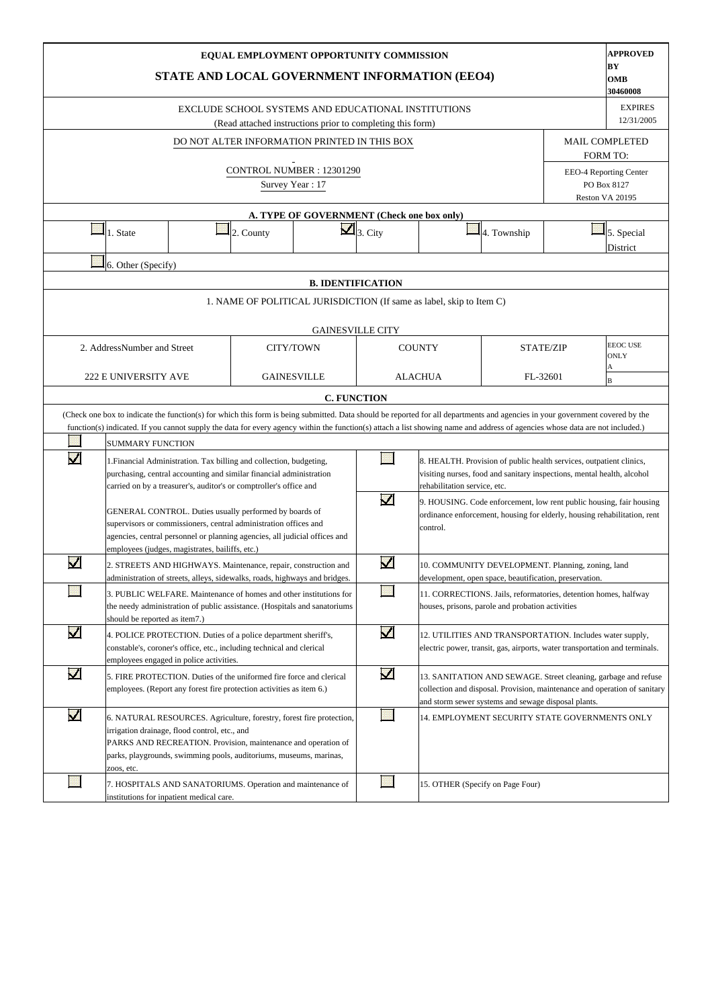|                       |                                                                                                                                                                                                                                                                                                                                                                                                                                                                         | STATE AND LOCAL GOVERNMENT INFORMATION (EEO4)                                                                                                                                                                                                                |                 | EQUAL EMPLOYMENT OPPORTUNITY COMMISSION                                                                           |                          |                                  |                                                                                                                                                                                                    |  | <b>APPROVED</b><br>BY<br>OMB<br>30460008                 |  |  |  |  |  |  |
|-----------------------|-------------------------------------------------------------------------------------------------------------------------------------------------------------------------------------------------------------------------------------------------------------------------------------------------------------------------------------------------------------------------------------------------------------------------------------------------------------------------|--------------------------------------------------------------------------------------------------------------------------------------------------------------------------------------------------------------------------------------------------------------|-----------------|-------------------------------------------------------------------------------------------------------------------|--------------------------|----------------------------------|----------------------------------------------------------------------------------------------------------------------------------------------------------------------------------------------------|--|----------------------------------------------------------|--|--|--|--|--|--|
|                       |                                                                                                                                                                                                                                                                                                                                                                                                                                                                         |                                                                                                                                                                                                                                                              |                 | EXCLUDE SCHOOL SYSTEMS AND EDUCATIONAL INSTITUTIONS<br>(Read attached instructions prior to completing this form) |                          |                                  |                                                                                                                                                                                                    |  | <b>EXPIRES</b><br>12/31/2005                             |  |  |  |  |  |  |
|                       |                                                                                                                                                                                                                                                                                                                                                                                                                                                                         |                                                                                                                                                                                                                                                              |                 | DO NOT ALTER INFORMATION PRINTED IN THIS BOX                                                                      |                          |                                  |                                                                                                                                                                                                    |  | <b>MAIL COMPLETED</b>                                    |  |  |  |  |  |  |
|                       |                                                                                                                                                                                                                                                                                                                                                                                                                                                                         |                                                                                                                                                                                                                                                              | Survey Year: 17 | CONTROL NUMBER: 12301290                                                                                          |                          |                                  |                                                                                                                                                                                                    |  | <b>FORM TO:</b><br>EEO-4 Reporting Center<br>PO Box 8127 |  |  |  |  |  |  |
|                       |                                                                                                                                                                                                                                                                                                                                                                                                                                                                         |                                                                                                                                                                                                                                                              |                 |                                                                                                                   |                          |                                  |                                                                                                                                                                                                    |  | Reston VA 20195                                          |  |  |  |  |  |  |
|                       |                                                                                                                                                                                                                                                                                                                                                                                                                                                                         |                                                                                                                                                                                                                                                              |                 | A. TYPE OF GOVERNMENT (Check one box only)                                                                        |                          |                                  |                                                                                                                                                                                                    |  |                                                          |  |  |  |  |  |  |
|                       | 1. State                                                                                                                                                                                                                                                                                                                                                                                                                                                                |                                                                                                                                                                                                                                                              | 2. County       |                                                                                                                   | $\mathbf{Z}$ 3. City     |                                  | 4. Township                                                                                                                                                                                        |  | 5. Special<br>District                                   |  |  |  |  |  |  |
|                       | 6. Other (Specify)                                                                                                                                                                                                                                                                                                                                                                                                                                                      |                                                                                                                                                                                                                                                              |                 |                                                                                                                   |                          |                                  |                                                                                                                                                                                                    |  |                                                          |  |  |  |  |  |  |
|                       |                                                                                                                                                                                                                                                                                                                                                                                                                                                                         |                                                                                                                                                                                                                                                              |                 |                                                                                                                   | <b>B. IDENTIFICATION</b> |                                  |                                                                                                                                                                                                    |  |                                                          |  |  |  |  |  |  |
|                       | 1. NAME OF POLITICAL JURISDICTION (If same as label, skip to Item C)<br><b>GAINESVILLE CITY</b>                                                                                                                                                                                                                                                                                                                                                                         |                                                                                                                                                                                                                                                              |                 |                                                                                                                   |                          |                                  |                                                                                                                                                                                                    |  |                                                          |  |  |  |  |  |  |
|                       | <b>EEOC USE</b><br>2. AddressNumber and Street<br>CITY/TOWN<br><b>COUNTY</b><br><b>STATE/ZIP</b>                                                                                                                                                                                                                                                                                                                                                                        |                                                                                                                                                                                                                                                              |                 |                                                                                                                   |                          |                                  |                                                                                                                                                                                                    |  |                                                          |  |  |  |  |  |  |
|                       |                                                                                                                                                                                                                                                                                                                                                                                                                                                                         |                                                                                                                                                                                                                                                              |                 |                                                                                                                   |                          |                                  | <b>ONLY</b>                                                                                                                                                                                        |  |                                                          |  |  |  |  |  |  |
|                       |                                                                                                                                                                                                                                                                                                                                                                                                                                                                         |                                                                                                                                                                                                                                                              |                 |                                                                                                                   |                          |                                  |                                                                                                                                                                                                    |  | Α<br>B                                                   |  |  |  |  |  |  |
|                       |                                                                                                                                                                                                                                                                                                                                                                                                                                                                         |                                                                                                                                                                                                                                                              |                 |                                                                                                                   |                          |                                  |                                                                                                                                                                                                    |  |                                                          |  |  |  |  |  |  |
|                       | <b>222 E UNIVERSITY AVE</b><br><b>GAINESVILLE</b><br><b>ALACHUA</b><br>FL-32601<br><b>C. FUNCTION</b><br>(Check one box to indicate the function(s) for which this form is being submitted. Data should be reported for all departments and agencies in your government covered by the<br>function(s) indicated. If you cannot supply the data for every agency within the function(s) attach a list showing name and address of agencies whose data are not included.) |                                                                                                                                                                                                                                                              |                 |                                                                                                                   |                          |                                  |                                                                                                                                                                                                    |  |                                                          |  |  |  |  |  |  |
|                       |                                                                                                                                                                                                                                                                                                                                                                                                                                                                         |                                                                                                                                                                                                                                                              |                 |                                                                                                                   |                          |                                  |                                                                                                                                                                                                    |  |                                                          |  |  |  |  |  |  |
| $\blacktriangledown$  | <b>SUMMARY FUNCTION</b>                                                                                                                                                                                                                                                                                                                                                                                                                                                 | 1. Financial Administration. Tax billing and collection, budgeting,                                                                                                                                                                                          |                 |                                                                                                                   |                          |                                  | 8. HEALTH. Provision of public health services, outpatient clinics,                                                                                                                                |  |                                                          |  |  |  |  |  |  |
|                       |                                                                                                                                                                                                                                                                                                                                                                                                                                                                         | purchasing, central accounting and similar financial administration<br>carried on by a treasurer's, auditor's or comptroller's office and                                                                                                                    |                 |                                                                                                                   |                          | rehabilitation service, etc.     | visiting nurses, food and sanitary inspections, mental health, alcohol                                                                                                                             |  |                                                          |  |  |  |  |  |  |
|                       |                                                                                                                                                                                                                                                                                                                                                                                                                                                                         | GENERAL CONTROL. Duties usually performed by boards of<br>supervisors or commissioners, central administration offices and<br>agencies, central personnel or planning agencies, all judicial offices and<br>employees (judges, magistrates, bailiffs, etc.)  |                 |                                                                                                                   | $\blacktriangledown$     | control.                         | 9. HOUSING. Code enforcement, low rent public housing, fair housing<br>ordinance enforcement, housing for elderly, housing rehabilitation, rent                                                    |  |                                                          |  |  |  |  |  |  |
| $\blacktriangleright$ |                                                                                                                                                                                                                                                                                                                                                                                                                                                                         | 2. STREETS AND HIGHWAYS. Maintenance, repair, construction and<br>administration of streets, alleys, sidewalks, roads, highways and bridges.                                                                                                                 |                 |                                                                                                                   | $\overline{\mathbf{v}}$  |                                  | 10. COMMUNITY DEVELOPMENT. Planning, zoning, land<br>development, open space, beautification, preservation.                                                                                        |  |                                                          |  |  |  |  |  |  |
|                       | should be reported as item7.)                                                                                                                                                                                                                                                                                                                                                                                                                                           | 3. PUBLIC WELFARE. Maintenance of homes and other institutions for<br>the needy administration of public assistance. (Hospitals and sanatoriums                                                                                                              |                 |                                                                                                                   |                          |                                  | 11. CORRECTIONS. Jails, reformatories, detention homes, halfway<br>houses, prisons, parole and probation activities                                                                                |  |                                                          |  |  |  |  |  |  |
| $\blacktriangledown$  |                                                                                                                                                                                                                                                                                                                                                                                                                                                                         | 4. POLICE PROTECTION. Duties of a police department sheriff's,<br>constable's, coroner's office, etc., including technical and clerical<br>employees engaged in police activities.                                                                           |                 |                                                                                                                   | $\blacktriangledown$     |                                  | 12. UTILITIES AND TRANSPORTATION. Includes water supply,<br>electric power, transit, gas, airports, water transportation and terminals.                                                            |  |                                                          |  |  |  |  |  |  |
| $\blacktriangledown$  |                                                                                                                                                                                                                                                                                                                                                                                                                                                                         | 5. FIRE PROTECTION. Duties of the uniformed fire force and clerical<br>employees. (Report any forest fire protection activities as item 6.)                                                                                                                  |                 |                                                                                                                   | $\blacktriangledown$     |                                  | 13. SANITATION AND SEWAGE. Street cleaning, garbage and refuse<br>collection and disposal. Provision, maintenance and operation of sanitary<br>and storm sewer systems and sewage disposal plants. |  |                                                          |  |  |  |  |  |  |
| $\blacktriangledown$  | zoos, etc.                                                                                                                                                                                                                                                                                                                                                                                                                                                              | 6. NATURAL RESOURCES. Agriculture, forestry, forest fire protection,<br>irrigation drainage, flood control, etc., and<br>PARKS AND RECREATION. Provision, maintenance and operation of<br>parks, playgrounds, swimming pools, auditoriums, museums, marinas, |                 |                                                                                                                   |                          |                                  | 14. EMPLOYMENT SECURITY STATE GOVERNMENTS ONLY                                                                                                                                                     |  |                                                          |  |  |  |  |  |  |
|                       |                                                                                                                                                                                                                                                                                                                                                                                                                                                                         | 7. HOSPITALS AND SANATORIUMS. Operation and maintenance of<br>institutions for inpatient medical care.                                                                                                                                                       |                 |                                                                                                                   |                          | 15. OTHER (Specify on Page Four) |                                                                                                                                                                                                    |  |                                                          |  |  |  |  |  |  |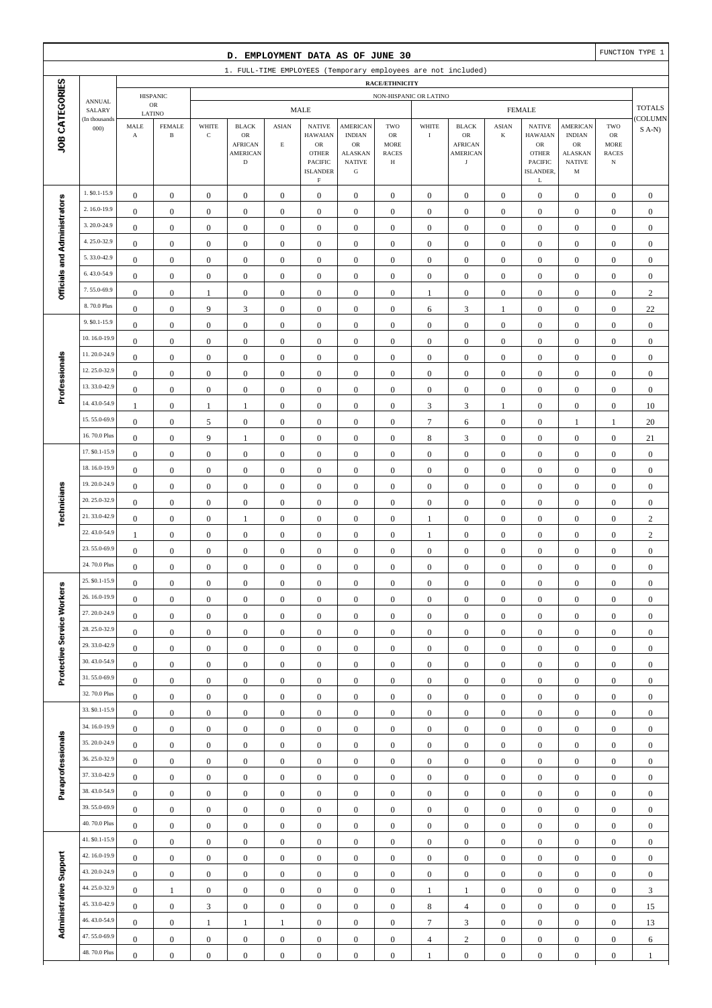|                              |                              |                                               |                                         |                                      | D. EMPLOYMENT DATA AS OF JUNE 30                                               |                                |                                                                                                                   |                                                                                                 |                                                                 |                                      |                                                                               |                                      |                                                                                                             |                                                                                                  |                                                          | FUNCTION TYPE 1                      |
|------------------------------|------------------------------|-----------------------------------------------|-----------------------------------------|--------------------------------------|--------------------------------------------------------------------------------|--------------------------------|-------------------------------------------------------------------------------------------------------------------|-------------------------------------------------------------------------------------------------|-----------------------------------------------------------------|--------------------------------------|-------------------------------------------------------------------------------|--------------------------------------|-------------------------------------------------------------------------------------------------------------|--------------------------------------------------------------------------------------------------|----------------------------------------------------------|--------------------------------------|
|                              |                              |                                               |                                         |                                      |                                                                                |                                |                                                                                                                   |                                                                                                 |                                                                 |                                      | 1. FULL-TIME EMPLOYEES (Temporary employees are not included)                 |                                      |                                                                                                             |                                                                                                  |                                                          |                                      |
|                              |                              |                                               |                                         |                                      |                                                                                |                                |                                                                                                                   |                                                                                                 | RACE/ETHNICITY                                                  |                                      |                                                                               |                                      |                                                                                                             |                                                                                                  |                                                          |                                      |
|                              | <b>ANNUAL</b><br>SALARY      |                                               | <b>HISPANIC</b><br>${\sf OR}$           |                                      |                                                                                |                                | <b>MALE</b>                                                                                                       |                                                                                                 | NON-HISPANIC OR LATINO                                          |                                      |                                                                               |                                      | <b>FEMALE</b>                                                                                               |                                                                                                  |                                                          | <b>TOTALS</b>                        |
| JOB CATEGORIES               | (In thousands<br>000         | $\operatorname{\mathsf{MALE}}$<br>$\mathbf A$ | LATINO<br><b>FEMALE</b><br>$\, {\bf B}$ | WHITE<br>$\mathbf C$                 | <b>BLACK</b><br>${\sf OR}$<br><b>AFRICAN</b><br><b>AMERICAN</b><br>$\mathbf D$ | <b>ASIAN</b><br>$\mathbf E$    | <b>NATIVE</b><br><b>HAWAIAN</b><br>${\sf OR}$<br><b>OTHER</b><br><b>PACIFIC</b><br><b>ISLANDER</b><br>$\mathbf F$ | <b>AMERICAN</b><br><b>INDIAN</b><br>$_{\rm OR}$<br><b>ALASKAN</b><br><b>NATIVE</b><br>${\bf G}$ | TWO<br>$_{\rm OR}$<br><b>MORE</b><br><b>RACES</b><br>$_{\rm H}$ | WHITE<br>$\rm I$                     | <b>BLACK</b><br>${\sf OR}$<br><b>AFRICAN</b><br><b>AMERICAN</b><br>$_{\rm J}$ | <b>ASIAN</b><br>$\bf K$              | <b>NATIVE</b><br><b>HAWAIAN</b><br>${\sf OR}$<br><b>OTHER</b><br><b>PACIFIC</b><br>ISLANDER,<br>$\mathbf L$ | <b>AMERICAN</b><br><b>INDIAN</b><br>${\rm OR}$<br><b>ALASKAN</b><br><b>NATIVE</b><br>$\mathbf M$ | TWO<br>$_{\rm OR}$<br>MORE<br><b>RACES</b><br>$_{\rm N}$ | <b>COLUMN</b><br>$S$ A-N)            |
|                              | 1. \$0.1-15.9                | $\boldsymbol{0}$                              | $\boldsymbol{0}$                        | $\boldsymbol{0}$                     | $\boldsymbol{0}$                                                               | $\boldsymbol{0}$               | $\mathbf{0}$                                                                                                      | $\boldsymbol{0}$                                                                                | $\boldsymbol{0}$                                                | $\boldsymbol{0}$                     | $\boldsymbol{0}$                                                              | $\boldsymbol{0}$                     | $\boldsymbol{0}$                                                                                            | $\boldsymbol{0}$                                                                                 | $\boldsymbol{0}$                                         | $\boldsymbol{0}$                     |
|                              | 2.16.0-19.9                  | $\boldsymbol{0}$                              | $\boldsymbol{0}$                        | $\boldsymbol{0}$                     | $\boldsymbol{0}$                                                               | $\boldsymbol{0}$               | $\boldsymbol{0}$                                                                                                  | $\boldsymbol{0}$                                                                                | $\boldsymbol{0}$                                                | $\boldsymbol{0}$                     | $\boldsymbol{0}$                                                              | $\boldsymbol{0}$                     | $\boldsymbol{0}$                                                                                            | $\boldsymbol{0}$                                                                                 | $\boldsymbol{0}$                                         | $\boldsymbol{0}$                     |
|                              | 3.20.0-24.9                  | $\boldsymbol{0}$                              | $\boldsymbol{0}$                        | $\boldsymbol{0}$                     | $\boldsymbol{0}$                                                               | $\boldsymbol{0}$               | $\mathbf{0}$                                                                                                      | $\boldsymbol{0}$                                                                                | $\boldsymbol{0}$                                                | $\boldsymbol{0}$                     | $\boldsymbol{0}$                                                              | $\boldsymbol{0}$                     | $\boldsymbol{0}$                                                                                            | $\boldsymbol{0}$                                                                                 | $\boldsymbol{0}$                                         | $\boldsymbol{0}$                     |
|                              | 4.25.0-32.9                  | $\boldsymbol{0}$                              | $\boldsymbol{0}$                        | $\boldsymbol{0}$                     | $\boldsymbol{0}$                                                               | $\boldsymbol{0}$               | $\boldsymbol{0}$                                                                                                  | $\boldsymbol{0}$                                                                                | $\boldsymbol{0}$                                                | $\boldsymbol{0}$                     | $\boldsymbol{0}$                                                              | $\boldsymbol{0}$                     | $\boldsymbol{0}$                                                                                            | $\boldsymbol{0}$                                                                                 | $\boldsymbol{0}$                                         | $\boldsymbol{0}$                     |
| Officials and Administrators | 5.33.0-42.9                  | $\boldsymbol{0}$                              | $\boldsymbol{0}$                        | $\boldsymbol{0}$                     | $\boldsymbol{0}$                                                               | $\boldsymbol{0}$               | $\boldsymbol{0}$                                                                                                  | $\boldsymbol{0}$                                                                                | $\boldsymbol{0}$                                                | $\boldsymbol{0}$                     | $\boldsymbol{0}$                                                              | $\boldsymbol{0}$                     | $\boldsymbol{0}$                                                                                            | $\boldsymbol{0}$                                                                                 | $\boldsymbol{0}$                                         | $\boldsymbol{0}$                     |
|                              | 6.43.0-54.9                  | $\boldsymbol{0}$                              | $\boldsymbol{0}$                        | $\boldsymbol{0}$                     | $\boldsymbol{0}$                                                               | $\boldsymbol{0}$               | $\boldsymbol{0}$                                                                                                  | $\boldsymbol{0}$                                                                                | $\boldsymbol{0}$                                                | $\boldsymbol{0}$                     | $\boldsymbol{0}$                                                              | $\boldsymbol{0}$                     | $\boldsymbol{0}$                                                                                            | $\boldsymbol{0}$                                                                                 | $\boldsymbol{0}$                                         | $\boldsymbol{0}$                     |
|                              | 7.55.0-69.9                  | $\boldsymbol{0}$                              | $\boldsymbol{0}$                        | $\mathbf{1}$                         | $\boldsymbol{0}$                                                               | $\boldsymbol{0}$               | $\boldsymbol{0}$                                                                                                  | $\boldsymbol{0}$                                                                                | $\boldsymbol{0}$                                                | $\mathbf{1}$                         | $\boldsymbol{0}$                                                              | $\boldsymbol{0}$                     | $\boldsymbol{0}$                                                                                            | $\boldsymbol{0}$                                                                                 | $\boldsymbol{0}$                                         | $\sqrt{2}$                           |
|                              | 8.70.0 Plus                  | $\boldsymbol{0}$                              | $\boldsymbol{0}$                        | 9                                    | $\mathfrak{Z}$                                                                 | $\boldsymbol{0}$               | $\boldsymbol{0}$                                                                                                  | $\boldsymbol{0}$                                                                                | $\boldsymbol{0}$                                                | 6                                    | $\sqrt{3}$                                                                    | 1                                    | $\boldsymbol{0}$                                                                                            | $\boldsymbol{0}$                                                                                 | $\boldsymbol{0}$                                         | 22                                   |
|                              | 9. \$0.1-15.9                | $\boldsymbol{0}$                              | $\boldsymbol{0}$                        | $\boldsymbol{0}$                     | $\boldsymbol{0}$                                                               | $\boldsymbol{0}$               | $\boldsymbol{0}$                                                                                                  | $\boldsymbol{0}$                                                                                | $\boldsymbol{0}$                                                | $\boldsymbol{0}$                     | $\boldsymbol{0}$                                                              | $\boldsymbol{0}$                     | $\boldsymbol{0}$                                                                                            | $\boldsymbol{0}$                                                                                 | $\boldsymbol{0}$                                         | $\boldsymbol{0}$                     |
|                              | 10.16.0-19.9                 | $\boldsymbol{0}$                              | $\boldsymbol{0}$                        | $\boldsymbol{0}$                     | $\boldsymbol{0}$                                                               | $\boldsymbol{0}$               | $\boldsymbol{0}$                                                                                                  | $\boldsymbol{0}$                                                                                | $\boldsymbol{0}$                                                | $\boldsymbol{0}$                     | $\boldsymbol{0}$                                                              | $\boldsymbol{0}$                     | $\boldsymbol{0}$                                                                                            | $\boldsymbol{0}$                                                                                 | $\boldsymbol{0}$                                         | $\boldsymbol{0}$                     |
|                              | 11.20.0-24.9                 | $\boldsymbol{0}$                              | $\boldsymbol{0}$                        | $\boldsymbol{0}$                     | $\boldsymbol{0}$                                                               | $\mathbf{0}$                   | $\boldsymbol{0}$                                                                                                  | $\boldsymbol{0}$                                                                                | $\boldsymbol{0}$                                                | $\boldsymbol{0}$                     | $\boldsymbol{0}$                                                              | $\boldsymbol{0}$                     | $\boldsymbol{0}$                                                                                            | $\boldsymbol{0}$                                                                                 | $\boldsymbol{0}$                                         | $\boldsymbol{0}$                     |
| Professionals                | 12.25.0-32.9                 | $\boldsymbol{0}$                              | $\boldsymbol{0}$                        | $\boldsymbol{0}$                     | $\boldsymbol{0}$                                                               | $\boldsymbol{0}$               | $\boldsymbol{0}$                                                                                                  | $\boldsymbol{0}$                                                                                | $\boldsymbol{0}$                                                | $\boldsymbol{0}$                     | $\boldsymbol{0}$                                                              | $\boldsymbol{0}$                     | $\boldsymbol{0}$                                                                                            | $\boldsymbol{0}$                                                                                 | $\boldsymbol{0}$                                         | $\boldsymbol{0}$                     |
|                              | 13.33.0-42.9                 | $\boldsymbol{0}$                              | $\boldsymbol{0}$                        | $\boldsymbol{0}$                     | $\boldsymbol{0}$                                                               | $\boldsymbol{0}$               | $\mathbf{0}$                                                                                                      | $\boldsymbol{0}$                                                                                | $\boldsymbol{0}$                                                | $\boldsymbol{0}$                     | $\boldsymbol{0}$                                                              | $\boldsymbol{0}$                     | $\boldsymbol{0}$                                                                                            | $\boldsymbol{0}$                                                                                 | $\boldsymbol{0}$                                         | $\boldsymbol{0}$                     |
|                              | 14.43.0-54.9                 | $\mathbf{1}$                                  | $\boldsymbol{0}$                        | $\mathbf{1}$                         | $\mathbf{1}$                                                                   | $\boldsymbol{0}$               | $\boldsymbol{0}$                                                                                                  | $\boldsymbol{0}$                                                                                | $\boldsymbol{0}$                                                | $\sqrt{3}$                           | $\mathfrak{Z}$                                                                | $\mathbf{1}$                         | $\boldsymbol{0}$                                                                                            | $\boldsymbol{0}$                                                                                 | $\boldsymbol{0}$                                         | 10                                   |
|                              | 15.55.0-69.9                 | $\boldsymbol{0}$                              | $\boldsymbol{0}$                        | 5                                    | $\boldsymbol{0}$                                                               | $\mathbf{0}$                   | $\mathbf{0}$                                                                                                      | $\boldsymbol{0}$                                                                                | $\boldsymbol{0}$                                                | $\boldsymbol{7}$                     | 6                                                                             | $\boldsymbol{0}$                     | $\boldsymbol{0}$                                                                                            | $\mathbf{1}$                                                                                     | $\mathbf{1}$                                             | 20                                   |
|                              | 16.70.0 Plus                 | $\boldsymbol{0}$                              | $\boldsymbol{0}$                        | 9                                    | $\mathbf{1}$                                                                   | $\boldsymbol{0}$               | $\boldsymbol{0}$                                                                                                  | $\boldsymbol{0}$                                                                                | $\boldsymbol{0}$                                                | 8                                    | $\sqrt{3}$                                                                    | $\boldsymbol{0}$                     | $\boldsymbol{0}$                                                                                            | $\boldsymbol{0}$                                                                                 | $\boldsymbol{0}$                                         | 21                                   |
|                              | 17. \$0.1-15.9               | $\boldsymbol{0}$                              | $\boldsymbol{0}$                        | $\boldsymbol{0}$                     | $\boldsymbol{0}$                                                               | $\boldsymbol{0}$               | $\boldsymbol{0}$                                                                                                  | $\boldsymbol{0}$                                                                                | $\boldsymbol{0}$                                                | $\boldsymbol{0}$                     | $\boldsymbol{0}$                                                              | $\boldsymbol{0}$                     | $\boldsymbol{0}$                                                                                            | $\boldsymbol{0}$                                                                                 | $\boldsymbol{0}$                                         | $\boldsymbol{0}$                     |
|                              | 18.16.0-19.9                 | $\boldsymbol{0}$                              | $\boldsymbol{0}$                        | $\boldsymbol{0}$                     | $\boldsymbol{0}$                                                               | $\boldsymbol{0}$               | $\boldsymbol{0}$                                                                                                  | $\boldsymbol{0}$                                                                                | $\boldsymbol{0}$                                                | $\boldsymbol{0}$                     | $\boldsymbol{0}$                                                              | $\boldsymbol{0}$                     | $\boldsymbol{0}$                                                                                            | $\boldsymbol{0}$                                                                                 | $\boldsymbol{0}$                                         | $\boldsymbol{0}$                     |
|                              | 19.20.0-24.9                 | $\boldsymbol{0}$                              | $\boldsymbol{0}$                        | $\boldsymbol{0}$                     | $\boldsymbol{0}$                                                               | $\boldsymbol{0}$               | $\mathbf{0}$                                                                                                      | $\boldsymbol{0}$                                                                                | $\boldsymbol{0}$                                                | $\boldsymbol{0}$                     | $\boldsymbol{0}$                                                              | $\boldsymbol{0}$                     | $\boldsymbol{0}$                                                                                            | $\boldsymbol{0}$                                                                                 | $\boldsymbol{0}$                                         | $\boldsymbol{0}$                     |
| Technicians                  | 20.25.0-32.9                 | $\boldsymbol{0}$                              | $\boldsymbol{0}$                        | $\boldsymbol{0}$                     | $\boldsymbol{0}$                                                               | $\mathbf{0}$                   | $\mathbf{0}$                                                                                                      | $\boldsymbol{0}$                                                                                | $\boldsymbol{0}$                                                | $\boldsymbol{0}$                     | $\boldsymbol{0}$                                                              | $\boldsymbol{0}$                     | $\boldsymbol{0}$                                                                                            | $\boldsymbol{0}$                                                                                 | $\boldsymbol{0}$                                         | $\boldsymbol{0}$                     |
|                              | 21.33.0-42.9                 | $\boldsymbol{0}$                              | $\boldsymbol{0}$                        | $\boldsymbol{0}$                     | 1                                                                              | $\boldsymbol{0}$               | $\boldsymbol{0}$                                                                                                  | $\boldsymbol{0}$                                                                                | $\boldsymbol{0}$                                                | 1                                    | $\boldsymbol{0}$                                                              | $\boldsymbol{0}$                     | $\boldsymbol{0}$                                                                                            | $\boldsymbol{0}$                                                                                 | $\boldsymbol{0}$                                         | $\boldsymbol{2}$                     |
|                              | 22.43.0-54.9                 | $\mathbf{1}$                                  | $\boldsymbol{0}$                        | $\boldsymbol{0}$                     | $\boldsymbol{0}$                                                               | $\boldsymbol{0}$               | $\boldsymbol{0}$                                                                                                  | $\boldsymbol{0}$                                                                                | $\boldsymbol{0}$                                                | $\mathbf{1}$                         | $\boldsymbol{0}$                                                              | $\boldsymbol{0}$                     | $\boldsymbol{0}$                                                                                            | $\boldsymbol{0}$                                                                                 | $\boldsymbol{0}$                                         | $\sqrt{2}$                           |
|                              | 23.55.0-69.9<br>24.70.0 Plus | $\boldsymbol{0}$                              | $\boldsymbol{0}$                        | $\boldsymbol{0}$                     | $\boldsymbol{0}$                                                               | $\boldsymbol{0}$               | $\mathbf{0}$                                                                                                      | $\boldsymbol{0}$                                                                                | $\boldsymbol{0}$                                                | $\boldsymbol{0}$                     | $\boldsymbol{0}$                                                              | $\boldsymbol{0}$                     | $\boldsymbol{0}$                                                                                            | $\boldsymbol{0}$                                                                                 | $\boldsymbol{0}$                                         | $\boldsymbol{0}$                     |
|                              | 25. \$0.1-15.9               | $\boldsymbol{0}$                              | $\boldsymbol{0}$                        | $\boldsymbol{0}$                     | $\boldsymbol{0}$                                                               | $\boldsymbol{0}$               | $\boldsymbol{0}$                                                                                                  | $\boldsymbol{0}$                                                                                | $\boldsymbol{0}$                                                | $\boldsymbol{0}$                     | $\boldsymbol{0}$                                                              | $\boldsymbol{0}$                     | $\boldsymbol{0}$                                                                                            | $\boldsymbol{0}$                                                                                 | $\boldsymbol{0}$                                         | $\boldsymbol{0}$                     |
| Protective Service Workers   | 26.16.0-19.9                 | $\boldsymbol{0}$                              | $\bf{0}$                                | $\boldsymbol{0}$                     | $\boldsymbol{0}$                                                               | $\boldsymbol{0}$               | $\boldsymbol{0}$                                                                                                  | $\boldsymbol{0}$                                                                                | $\boldsymbol{0}$                                                | 0                                    | $\boldsymbol{0}$                                                              | $\boldsymbol{0}$                     | $\boldsymbol{0}$                                                                                            | 0                                                                                                | $\boldsymbol{0}$                                         | $\boldsymbol{0}$                     |
|                              | 27.20.0-24.9                 | $\boldsymbol{0}$                              | $\boldsymbol{0}$                        | $\boldsymbol{0}$                     | $\boldsymbol{0}$                                                               | $\boldsymbol{0}$               | $\boldsymbol{0}$                                                                                                  | $\boldsymbol{0}$                                                                                | $\boldsymbol{0}$                                                | $\boldsymbol{0}$                     | $\boldsymbol{0}$                                                              | $\boldsymbol{0}$                     | $\boldsymbol{0}$                                                                                            | $\boldsymbol{0}$                                                                                 | $\boldsymbol{0}$                                         | $\boldsymbol{0}$                     |
|                              | 28.25.0-32.9                 | $\boldsymbol{0}$<br>$\boldsymbol{0}$          | $\boldsymbol{0}$<br>$\boldsymbol{0}$    | $\boldsymbol{0}$<br>$\boldsymbol{0}$ | $\boldsymbol{0}$<br>$\boldsymbol{0}$                                           | $\overline{0}$<br>$\mathbf{0}$ | $\boldsymbol{0}$<br>$\boldsymbol{0}$                                                                              | $\boldsymbol{0}$<br>$\boldsymbol{0}$                                                            | $\boldsymbol{0}$<br>$\boldsymbol{0}$                            | $\boldsymbol{0}$<br>$\boldsymbol{0}$ | $\boldsymbol{0}$<br>$\boldsymbol{0}$                                          | $\boldsymbol{0}$<br>$\boldsymbol{0}$ | $\boldsymbol{0}$<br>$\boldsymbol{0}$                                                                        | $\boldsymbol{0}$<br>$\boldsymbol{0}$                                                             | $\boldsymbol{0}$<br>$\boldsymbol{0}$                     | $\boldsymbol{0}$<br>$\boldsymbol{0}$ |
|                              | 29.33.0-42.9                 | $\boldsymbol{0}$                              | $\boldsymbol{0}$                        | $\boldsymbol{0}$                     | $\boldsymbol{0}$                                                               | $\boldsymbol{0}$               | $\boldsymbol{0}$                                                                                                  | $\boldsymbol{0}$                                                                                | $\boldsymbol{0}$                                                | $\boldsymbol{0}$                     | $\boldsymbol{0}$                                                              | $\boldsymbol{0}$                     | $\boldsymbol{0}$                                                                                            | $\boldsymbol{0}$                                                                                 | $\boldsymbol{0}$                                         | $\boldsymbol{0}$                     |
|                              | 30.43.0-54.9                 | $\boldsymbol{0}$                              | $\boldsymbol{0}$                        | $\boldsymbol{0}$                     | $\boldsymbol{0}$                                                               | $\boldsymbol{0}$               | $\boldsymbol{0}$                                                                                                  | $\boldsymbol{0}$                                                                                | $\boldsymbol{0}$                                                | $\boldsymbol{0}$                     | $\boldsymbol{0}$                                                              | $\boldsymbol{0}$                     | $\boldsymbol{0}$                                                                                            | $\boldsymbol{0}$                                                                                 | $\boldsymbol{0}$                                         | $\boldsymbol{0}$                     |
|                              | 31.55.0-69.9                 | $\boldsymbol{0}$                              | $\boldsymbol{0}$                        | $\boldsymbol{0}$                     | $\boldsymbol{0}$                                                               | $\boldsymbol{0}$               | $\boldsymbol{0}$                                                                                                  | $\boldsymbol{0}$                                                                                | $\boldsymbol{0}$                                                | $\boldsymbol{0}$                     | $\boldsymbol{0}$                                                              | $\boldsymbol{0}$                     | $\boldsymbol{0}$                                                                                            | $\boldsymbol{0}$                                                                                 | $\boldsymbol{0}$                                         | $\boldsymbol{0}$                     |
|                              | 32.70.0 Plus                 | $\boldsymbol{0}$                              | $\boldsymbol{0}$                        | $\boldsymbol{0}$                     | $\boldsymbol{0}$                                                               | $\boldsymbol{0}$               | $\boldsymbol{0}$                                                                                                  | $\boldsymbol{0}$                                                                                | $\boldsymbol{0}$                                                | $\boldsymbol{0}$                     | $\boldsymbol{0}$                                                              | $\boldsymbol{0}$                     | $\boldsymbol{0}$                                                                                            | $\boldsymbol{0}$                                                                                 | $\boldsymbol{0}$                                         | $\boldsymbol{0}$                     |
|                              | 33. \$0.1-15.9               | $\boldsymbol{0}$                              | $\boldsymbol{0}$                        | $\boldsymbol{0}$                     | $\boldsymbol{0}$                                                               | $\boldsymbol{0}$               | $\boldsymbol{0}$                                                                                                  | $\boldsymbol{0}$                                                                                | $\boldsymbol{0}$                                                | $\boldsymbol{0}$                     | $\boldsymbol{0}$                                                              | $\boldsymbol{0}$                     | $\boldsymbol{0}$                                                                                            | $\boldsymbol{0}$                                                                                 | $\boldsymbol{0}$                                         | $\boldsymbol{0}$                     |
|                              | 34.16.0-19.9                 | $\boldsymbol{0}$                              | $\boldsymbol{0}$                        | $\boldsymbol{0}$                     | $\boldsymbol{0}$                                                               | $\boldsymbol{0}$               | $\boldsymbol{0}$                                                                                                  | $\boldsymbol{0}$                                                                                | $\boldsymbol{0}$                                                | $\boldsymbol{0}$                     | $\boldsymbol{0}$                                                              | $\boldsymbol{0}$                     | $\boldsymbol{0}$                                                                                            | $\boldsymbol{0}$                                                                                 | $\boldsymbol{0}$                                         | $\boldsymbol{0}$                     |
| Paraprofessionals            | 35.20.0-24.9                 | $\boldsymbol{0}$                              | $\boldsymbol{0}$                        | $\boldsymbol{0}$                     | $\boldsymbol{0}$                                                               | $\boldsymbol{0}$               | $\boldsymbol{0}$                                                                                                  | $\boldsymbol{0}$                                                                                | $\boldsymbol{0}$                                                | $\boldsymbol{0}$                     | $\boldsymbol{0}$                                                              | $\boldsymbol{0}$                     | $\boldsymbol{0}$                                                                                            | $\boldsymbol{0}$                                                                                 | $\boldsymbol{0}$                                         | $\boldsymbol{0}$                     |
|                              | 36.25.0-32.9                 | $\boldsymbol{0}$                              | $\boldsymbol{0}$                        | $\boldsymbol{0}$                     | $\boldsymbol{0}$                                                               | $\mathbf{0}$                   | $\boldsymbol{0}$                                                                                                  | $\boldsymbol{0}$                                                                                | $\boldsymbol{0}$                                                | $\boldsymbol{0}$                     | $\boldsymbol{0}$                                                              | $\boldsymbol{0}$                     | $\boldsymbol{0}$                                                                                            | $\boldsymbol{0}$                                                                                 | $\boldsymbol{0}$                                         | $\boldsymbol{0}$                     |
|                              | 37.33.0-42.9                 | $\boldsymbol{0}$                              | $\boldsymbol{0}$                        | $\boldsymbol{0}$                     | $\boldsymbol{0}$                                                               | $\boldsymbol{0}$               | $\mathbf{0}$                                                                                                      | $\boldsymbol{0}$                                                                                | $\boldsymbol{0}$                                                | $\boldsymbol{0}$                     | $\boldsymbol{0}$                                                              | $\boldsymbol{0}$                     | $\boldsymbol{0}$                                                                                            | $\boldsymbol{0}$                                                                                 | $\boldsymbol{0}$                                         | $\boldsymbol{0}$                     |
|                              | 38.43.0-54.9                 | $\boldsymbol{0}$                              | $\boldsymbol{0}$                        | $\boldsymbol{0}$                     | $\boldsymbol{0}$                                                               | $\boldsymbol{0}$               | $\boldsymbol{0}$                                                                                                  | $\boldsymbol{0}$                                                                                | $\boldsymbol{0}$                                                | $\boldsymbol{0}$                     | $\boldsymbol{0}$                                                              | $\boldsymbol{0}$                     | $\boldsymbol{0}$                                                                                            | $\boldsymbol{0}$                                                                                 | $\boldsymbol{0}$                                         | $\boldsymbol{0}$                     |
|                              | 39.55.0-69.9                 | $\boldsymbol{0}$                              | $\boldsymbol{0}$                        | $\boldsymbol{0}$                     | $\boldsymbol{0}$                                                               | $\boldsymbol{0}$               | $\boldsymbol{0}$                                                                                                  | $\boldsymbol{0}$                                                                                | $\boldsymbol{0}$                                                | $\boldsymbol{0}$                     | $\boldsymbol{0}$                                                              | $\boldsymbol{0}$                     | $\boldsymbol{0}$                                                                                            | $\boldsymbol{0}$                                                                                 | $\boldsymbol{0}$                                         | $\boldsymbol{0}$                     |
|                              | 40.70.0 Plus                 | $\boldsymbol{0}$                              | $\boldsymbol{0}$                        | $\boldsymbol{0}$                     | $\boldsymbol{0}$                                                               | $\boldsymbol{0}$               | $\boldsymbol{0}$                                                                                                  | $\boldsymbol{0}$                                                                                | $\boldsymbol{0}$                                                | $\boldsymbol{0}$                     | $\boldsymbol{0}$                                                              | $\boldsymbol{0}$                     | $\boldsymbol{0}$                                                                                            | $\boldsymbol{0}$                                                                                 | $\boldsymbol{0}$                                         | $\boldsymbol{0}$                     |
|                              | 41. \$0.1-15.9               | $\boldsymbol{0}$                              | $\boldsymbol{0}$                        | $\boldsymbol{0}$                     | $\boldsymbol{0}$                                                               | $\boldsymbol{0}$               | $\boldsymbol{0}$                                                                                                  | $\boldsymbol{0}$                                                                                | $\boldsymbol{0}$                                                | $\boldsymbol{0}$                     | $\boldsymbol{0}$                                                              | $\boldsymbol{0}$                     | $\boldsymbol{0}$                                                                                            | $\boldsymbol{0}$                                                                                 | $\boldsymbol{0}$                                         | $\boldsymbol{0}$                     |
|                              | 42.16.0-19.9                 | $\boldsymbol{0}$                              | $\boldsymbol{0}$                        | $\boldsymbol{0}$                     | $\boldsymbol{0}$                                                               | $\boldsymbol{0}$               | $\boldsymbol{0}$                                                                                                  | $\boldsymbol{0}$                                                                                | $\boldsymbol{0}$                                                | $\boldsymbol{0}$                     | $\boldsymbol{0}$                                                              | $\boldsymbol{0}$                     | $\boldsymbol{0}$                                                                                            | $\boldsymbol{0}$                                                                                 | $\boldsymbol{0}$                                         | $\boldsymbol{0}$                     |
|                              | 43.20.0-24.9                 | $\boldsymbol{0}$                              | $\boldsymbol{0}$                        | $\boldsymbol{0}$                     | $\boldsymbol{0}$                                                               | $\mathbf{0}$                   | $\boldsymbol{0}$                                                                                                  | $\boldsymbol{0}$                                                                                | $\boldsymbol{0}$                                                | $\boldsymbol{0}$                     | $\boldsymbol{0}$                                                              | $\boldsymbol{0}$                     | $\boldsymbol{0}$                                                                                            | $\boldsymbol{0}$                                                                                 | $\boldsymbol{0}$                                         | $\boldsymbol{0}$                     |
|                              | 44.25.0-32.9                 | $\boldsymbol{0}$                              | $\mathbf{1}$                            | $\boldsymbol{0}$                     | $\boldsymbol{0}$                                                               | $\mathbf{0}$                   | $\boldsymbol{0}$                                                                                                  | $\boldsymbol{0}$                                                                                | $\boldsymbol{0}$                                                | $\,1$                                | $\mathbf{1}$                                                                  | $\boldsymbol{0}$                     | $\boldsymbol{0}$                                                                                            | $\boldsymbol{0}$                                                                                 | $\boldsymbol{0}$                                         | 3                                    |
|                              | 45.33.0-42.9                 | $\boldsymbol{0}$                              | $\boldsymbol{0}$                        | 3                                    | $\boldsymbol{0}$                                                               | $\boldsymbol{0}$               | $\boldsymbol{0}$                                                                                                  | $\boldsymbol{0}$                                                                                | $\boldsymbol{0}$                                                | $\,8\,$                              | $\overline{4}$                                                                | $\boldsymbol{0}$                     | $\boldsymbol{0}$                                                                                            | $\boldsymbol{0}$                                                                                 | $\boldsymbol{0}$                                         | 15                                   |
| Administrative Support       | 46.43.0-54.9                 | $\boldsymbol{0}$                              | $\boldsymbol{0}$                        | $\mathbf{1}$                         | $\mathbf{1}$                                                                   | $\mathbf{1}$                   | $\boldsymbol{0}$                                                                                                  | $\boldsymbol{0}$                                                                                | $\boldsymbol{0}$                                                | $\boldsymbol{7}$                     | 3                                                                             | $\boldsymbol{0}$                     | $\boldsymbol{0}$                                                                                            | $\boldsymbol{0}$                                                                                 | $\boldsymbol{0}$                                         | 13                                   |
|                              | 47.55.0-69.9                 | $\boldsymbol{0}$                              | $\boldsymbol{0}$                        | $\boldsymbol{0}$                     | $\boldsymbol{0}$                                                               | $\boldsymbol{0}$               | $\boldsymbol{0}$                                                                                                  | $\boldsymbol{0}$                                                                                | $\boldsymbol{0}$                                                | $\overline{4}$                       | $\sqrt{2}$                                                                    | $\boldsymbol{0}$                     | $\boldsymbol{0}$                                                                                            | $\boldsymbol{0}$                                                                                 | $\boldsymbol{0}$                                         | 6                                    |
|                              | 48.70.0 Plus                 | $\boldsymbol{0}$                              | $\boldsymbol{0}$                        | $\boldsymbol{0}$                     | $\boldsymbol{0}$                                                               | $\boldsymbol{0}$               | $\boldsymbol{0}$                                                                                                  | $\boldsymbol{0}$                                                                                | $\boldsymbol{0}$                                                | $\,1\,$                              | $\boldsymbol{0}$                                                              | $\boldsymbol{0}$                     | $\boldsymbol{0}$                                                                                            | $\boldsymbol{0}$                                                                                 | $\boldsymbol{0}$                                         | $\mathbf{1}$                         |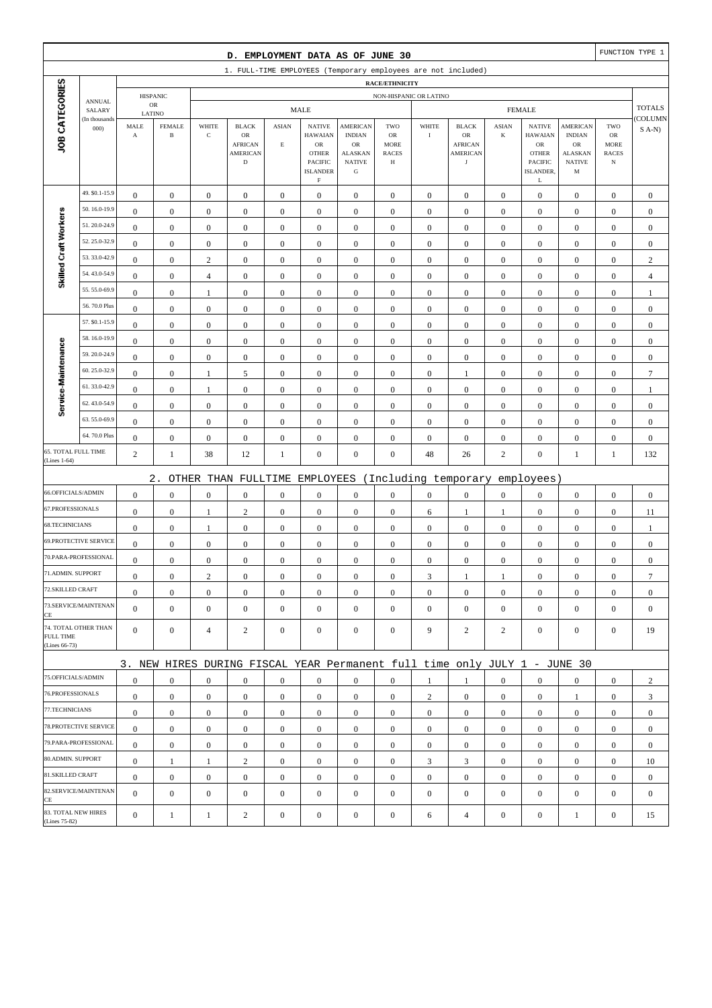|                                   |                              |                               |                               |                      | D. EMPLOYMENT DATA AS OF JUNE 30                                                |                                         |                                                                                     |                                                                                        |                                                                 |                  |                                                                       |                         |                                                                                              |                                                                         |                                                         | FUNCTION TYPE 1  |
|-----------------------------------|------------------------------|-------------------------------|-------------------------------|----------------------|---------------------------------------------------------------------------------|-----------------------------------------|-------------------------------------------------------------------------------------|----------------------------------------------------------------------------------------|-----------------------------------------------------------------|------------------|-----------------------------------------------------------------------|-------------------------|----------------------------------------------------------------------------------------------|-------------------------------------------------------------------------|---------------------------------------------------------|------------------|
|                                   |                              |                               |                               |                      | 1. FULL-TIME EMPLOYEES (Temporary employees are not included)                   |                                         |                                                                                     |                                                                                        |                                                                 |                  |                                                                       |                         |                                                                                              |                                                                         |                                                         |                  |
|                                   |                              |                               |                               |                      |                                                                                 |                                         |                                                                                     |                                                                                        | <b>RACE/ETHNICITY</b>                                           |                  |                                                                       |                         |                                                                                              |                                                                         |                                                         |                  |
|                                   | <b>ANNUAL</b>                |                               | <b>HISPANIC</b><br>${\sf OR}$ |                      |                                                                                 |                                         | <b>MALE</b>                                                                         |                                                                                        | NON-HISPANIC OR LATINO                                          |                  |                                                                       |                         | <b>FEMALE</b>                                                                                |                                                                         |                                                         | <b>TOTALS</b>    |
|                                   | SALARY<br>(In thousands      | LATINO                        |                               |                      |                                                                                 |                                         |                                                                                     |                                                                                        |                                                                 |                  |                                                                       |                         |                                                                                              |                                                                         |                                                         | COLUMN           |
| JOB CATEGORIES                    | 000                          | MALE<br>$\boldsymbol{\rm{A}}$ | <b>FEMALE</b><br>$\, {\bf B}$ | WHITE<br>$\mathbf C$ | <b>BLACK</b><br>$_{\rm OR}$<br><b>AFRICAN</b><br><b>AMERICAN</b><br>$\mathbf D$ | <b>ASIAN</b><br>$\mathop{\hbox{\bf E}}$ | <b>NATIVE</b><br><b>HAWAIAN</b><br>OR<br><b>OTHER</b><br>PACIFIC<br><b>ISLANDER</b> | <b>AMERICAN</b><br><b>INDIAN</b><br>OR<br><b>ALASKAN</b><br><b>NATIVE</b><br>${\bf G}$ | TWO<br><b>OR</b><br><b>MORE</b><br><b>RACES</b><br>$\, {\rm H}$ | WHITE<br>$\rm I$ | <b>BLACK</b><br>OR<br><b>AFRICAN</b><br><b>AMERICAN</b><br>$_{\rm J}$ | <b>ASIAN</b><br>$\bf K$ | <b>NATIVE</b><br><b>HAWAIAN</b><br>${\rm OR}$<br><b>OTHER</b><br><b>PACIFIC</b><br>ISLANDER, | <b>AMERICAN</b><br><b>INDIAN</b><br>OR<br>ALASKAN<br><b>NATIVE</b><br>M | TWO<br>${\rm OR}$<br>MORE<br><b>RACES</b><br>$_{\rm N}$ | $S$ A-N)         |
|                                   | 49. \$0.1-15.9               | $\boldsymbol{0}$              | $\mathbf{0}$                  | $\boldsymbol{0}$     | $\boldsymbol{0}$                                                                | $\boldsymbol{0}$                        | $\rm F$<br>$\boldsymbol{0}$                                                         | $\boldsymbol{0}$                                                                       | $\boldsymbol{0}$                                                | $\boldsymbol{0}$ | $\boldsymbol{0}$                                                      | $\mathbf{0}$            | L<br>$\mathbf{0}$                                                                            | $\boldsymbol{0}$                                                        | $\boldsymbol{0}$                                        | $\boldsymbol{0}$ |
|                                   | 50.16.0-19.9                 | $\mathbf{0}$                  | $\boldsymbol{0}$              | $\boldsymbol{0}$     | $\boldsymbol{0}$                                                                | $\boldsymbol{0}$                        | $\boldsymbol{0}$                                                                    | $\boldsymbol{0}$                                                                       | $\boldsymbol{0}$                                                | $\boldsymbol{0}$ | $\boldsymbol{0}$                                                      | $\boldsymbol{0}$        | $\boldsymbol{0}$                                                                             | $\boldsymbol{0}$                                                        | $\boldsymbol{0}$                                        | $\mathbf{0}$     |
| Skilled Craft Workers             | 51.20.0-24.9                 | $\mathbf{0}$                  | $\boldsymbol{0}$              | $\boldsymbol{0}$     | $\boldsymbol{0}$                                                                | $\mathbf{0}$                            | $\boldsymbol{0}$                                                                    | $\mathbf{0}$                                                                           | $\mathbf{0}$                                                    | $\boldsymbol{0}$ | $\boldsymbol{0}$                                                      | $\boldsymbol{0}$        | $\boldsymbol{0}$                                                                             | $\boldsymbol{0}$                                                        | $\boldsymbol{0}$                                        | $\mathbf{0}$     |
|                                   | 52.25.0-32.9                 | $\bf{0}$                      | $\boldsymbol{0}$              | $\boldsymbol{0}$     | $\boldsymbol{0}$                                                                | $\boldsymbol{0}$                        | $\boldsymbol{0}$                                                                    | $\boldsymbol{0}$                                                                       | $\boldsymbol{0}$                                                | $\boldsymbol{0}$ | $\boldsymbol{0}$                                                      | $\boldsymbol{0}$        | $\boldsymbol{0}$                                                                             | $\boldsymbol{0}$                                                        | $\boldsymbol{0}$                                        | $\boldsymbol{0}$ |
|                                   | 53.33.0-42.9                 | $\boldsymbol{0}$              | $\boldsymbol{0}$              | $\sqrt{2}$           | $\boldsymbol{0}$                                                                | $\boldsymbol{0}$                        | $\mathbf{0}$                                                                        | $\boldsymbol{0}$                                                                       | $\boldsymbol{0}$                                                | $\boldsymbol{0}$ | $\boldsymbol{0}$                                                      | $\boldsymbol{0}$        | $\boldsymbol{0}$                                                                             | $\boldsymbol{0}$                                                        | $\boldsymbol{0}$                                        | $\sqrt{2}$       |
|                                   | 54.43.0-54.9                 | $\boldsymbol{0}$              | $\boldsymbol{0}$              | $\overline{4}$       | $\boldsymbol{0}$                                                                | $\boldsymbol{0}$                        | $\boldsymbol{0}$                                                                    | $\boldsymbol{0}$                                                                       | $\boldsymbol{0}$                                                | $\boldsymbol{0}$ | $\boldsymbol{0}$                                                      | $\boldsymbol{0}$        | $\boldsymbol{0}$                                                                             | $\boldsymbol{0}$                                                        | $\boldsymbol{0}$                                        | $\overline{4}$   |
|                                   | 55.55.0-69.9                 | $\mathbf{0}$                  | $\boldsymbol{0}$              | 1                    | $\boldsymbol{0}$                                                                | $\mathbf{0}$                            | $\boldsymbol{0}$                                                                    | $\mathbf{0}$                                                                           | $\boldsymbol{0}$                                                | $\boldsymbol{0}$ | $\boldsymbol{0}$                                                      | $\boldsymbol{0}$        | $\boldsymbol{0}$                                                                             | $\boldsymbol{0}$                                                        | $\boldsymbol{0}$                                        | $\mathbf{1}$     |
|                                   | 56.70.0 Plus                 | $\boldsymbol{0}$              | $\boldsymbol{0}$              | $\boldsymbol{0}$     | $\boldsymbol{0}$                                                                | $\boldsymbol{0}$                        | $\boldsymbol{0}$                                                                    | $\boldsymbol{0}$                                                                       | $\boldsymbol{0}$                                                | $\boldsymbol{0}$ | $\boldsymbol{0}$                                                      | $\boldsymbol{0}$        | $\boldsymbol{0}$                                                                             | $\boldsymbol{0}$                                                        | $\boldsymbol{0}$                                        | $\boldsymbol{0}$ |
|                                   | 57. \$0.1-15.9               | $\boldsymbol{0}$              | $\boldsymbol{0}$              | $\boldsymbol{0}$     | $\boldsymbol{0}$                                                                | $\boldsymbol{0}$                        | $\mathbf{0}$                                                                        | $\mathbf{0}$                                                                           | $\boldsymbol{0}$                                                | $\boldsymbol{0}$ | $\boldsymbol{0}$                                                      | $\boldsymbol{0}$        | $\boldsymbol{0}$                                                                             | $\boldsymbol{0}$                                                        | $\boldsymbol{0}$                                        | $\boldsymbol{0}$ |
|                                   | 58.16.0-19.9                 | $\boldsymbol{0}$              | $\boldsymbol{0}$              | $\boldsymbol{0}$     | $\boldsymbol{0}$                                                                | $\boldsymbol{0}$                        | $\boldsymbol{0}$                                                                    | $\boldsymbol{0}$                                                                       | $\boldsymbol{0}$                                                | $\boldsymbol{0}$ | $\boldsymbol{0}$                                                      | $\boldsymbol{0}$        | $\boldsymbol{0}$                                                                             | $\boldsymbol{0}$                                                        | $\boldsymbol{0}$                                        | $\boldsymbol{0}$ |
|                                   | 59.20.0-24.9                 | $\mathbf{0}$                  | $\mathbf{0}$                  | $\boldsymbol{0}$     | $\boldsymbol{0}$                                                                | $\mathbf{0}$                            | $\boldsymbol{0}$                                                                    | $\mathbf{0}$                                                                           | $\mathbf{0}$                                                    | $\boldsymbol{0}$ | $\boldsymbol{0}$                                                      | $\boldsymbol{0}$        | $\boldsymbol{0}$                                                                             | $\boldsymbol{0}$                                                        | $\boldsymbol{0}$                                        | $\mathbf{0}$     |
|                                   | 60.25.0-32.9                 | $\boldsymbol{0}$              | $\boldsymbol{0}$              | 1                    | 5                                                                               | $\boldsymbol{0}$                        | $\boldsymbol{0}$                                                                    | $\boldsymbol{0}$                                                                       | $\boldsymbol{0}$                                                | $\boldsymbol{0}$ | $\mathbf{1}$                                                          | $\boldsymbol{0}$        | $\boldsymbol{0}$                                                                             | $\boldsymbol{0}$                                                        | $\boldsymbol{0}$                                        | $\boldsymbol{7}$ |
| Service-Maintenance               | 61.33.0-42.9                 | $\boldsymbol{0}$              | $\boldsymbol{0}$              | $\mathbf{1}$         | $\boldsymbol{0}$                                                                | $\boldsymbol{0}$                        | $\boldsymbol{0}$                                                                    | $\boldsymbol{0}$                                                                       | $\boldsymbol{0}$                                                | $\boldsymbol{0}$ | $\boldsymbol{0}$                                                      | $\boldsymbol{0}$        | $\boldsymbol{0}$                                                                             | $\boldsymbol{0}$                                                        | $\boldsymbol{0}$                                        | 1                |
|                                   | 62.43.0-54.9                 | $\bf{0}$                      | $\boldsymbol{0}$              | $\boldsymbol{0}$     | $\boldsymbol{0}$                                                                | $\boldsymbol{0}$                        | $\boldsymbol{0}$                                                                    | $\boldsymbol{0}$                                                                       | $\boldsymbol{0}$                                                | $\boldsymbol{0}$ | $\boldsymbol{0}$                                                      | $\boldsymbol{0}$        | $\boldsymbol{0}$                                                                             | $\boldsymbol{0}$                                                        | $\boldsymbol{0}$                                        | $\boldsymbol{0}$ |
|                                   | 63.55.0-69.9                 | $\boldsymbol{0}$              | $\boldsymbol{0}$              | $\boldsymbol{0}$     | $\boldsymbol{0}$                                                                | $\boldsymbol{0}$                        | $\boldsymbol{0}$                                                                    | $\mathbf{0}$                                                                           | $\boldsymbol{0}$                                                | $\boldsymbol{0}$ | $\boldsymbol{0}$                                                      | $\boldsymbol{0}$        | $\boldsymbol{0}$                                                                             | $\boldsymbol{0}$                                                        | $\boldsymbol{0}$                                        | $\mathbf{0}$     |
|                                   | 64.70.0 Plus                 | $\boldsymbol{0}$              | $\boldsymbol{0}$              | $\boldsymbol{0}$     | $\boldsymbol{0}$                                                                | $\boldsymbol{0}$                        | $\boldsymbol{0}$                                                                    | $\boldsymbol{0}$                                                                       | $\boldsymbol{0}$                                                | $\boldsymbol{0}$ | $\boldsymbol{0}$                                                      | $\boldsymbol{0}$        | $\boldsymbol{0}$                                                                             | $\boldsymbol{0}$                                                        | $\boldsymbol{0}$                                        | $\mathbf{0}$     |
| 65. TOTAL FULL TIME               |                              | $\overline{c}$                | $\mathbf{1}$                  | 38                   | 12                                                                              | $\mathbf{1}$                            | $\boldsymbol{0}$                                                                    | $\boldsymbol{0}$                                                                       | $\boldsymbol{0}$                                                | 48               | 26                                                                    | $\sqrt{2}$              | $\boldsymbol{0}$                                                                             | $\mathbf{1}$                                                            | $\mathbf{1}$                                            | 132              |
| (Lines 1-64)                      |                              |                               |                               |                      |                                                                                 |                                         |                                                                                     |                                                                                        |                                                                 |                  |                                                                       |                         |                                                                                              |                                                                         |                                                         |                  |
|                                   |                              |                               | $2$ .                         |                      | OTHER THAN FULLTIME                                                             |                                         | EMPLOYEES                                                                           |                                                                                        |                                                                 |                  | (Including temporary                                                  |                         | employees)                                                                                   |                                                                         |                                                         |                  |
| 66.OFFICIALS/ADMIN                |                              | $\mathbf{0}$                  | $\boldsymbol{0}$              | $\boldsymbol{0}$     | $\boldsymbol{0}$                                                                | $\boldsymbol{0}$                        | $\boldsymbol{0}$                                                                    | $\boldsymbol{0}$                                                                       | $\boldsymbol{0}$                                                | $\boldsymbol{0}$ | $\boldsymbol{0}$                                                      | $\boldsymbol{0}$        | $\boldsymbol{0}$                                                                             | $\boldsymbol{0}$                                                        | $\boldsymbol{0}$                                        | $\boldsymbol{0}$ |
| 67.PROFESSIONALS                  |                              | $\boldsymbol{0}$              | $\boldsymbol{0}$              | $\mathbf{1}$         | $\sqrt{2}$                                                                      | $\boldsymbol{0}$                        | $\boldsymbol{0}$                                                                    | $\mathbf{0}$                                                                           | $\boldsymbol{0}$                                                | 6                | 1                                                                     | 1                       | $\boldsymbol{0}$                                                                             | $\boldsymbol{0}$                                                        | $\boldsymbol{0}$                                        | 11               |
| 68.TECHNICIANS                    |                              | $\boldsymbol{0}$              | $\boldsymbol{0}$              | 1                    | $\boldsymbol{0}$                                                                | $\boldsymbol{0}$                        | $\boldsymbol{0}$                                                                    | $\boldsymbol{0}$                                                                       | $\boldsymbol{0}$                                                | $\boldsymbol{0}$ | $\boldsymbol{0}$                                                      | $\boldsymbol{0}$        | $\boldsymbol{0}$                                                                             | $\boldsymbol{0}$                                                        | $\boldsymbol{0}$                                        | $\mathbf{1}$     |
|                                   | <b>69.PROTECTIVE SERVICE</b> | $\boldsymbol{0}$              | $\boldsymbol{0}$              | $\boldsymbol{0}$     | $\boldsymbol{0}$                                                                | $\boldsymbol{0}$                        | $\boldsymbol{0}$                                                                    | $\mathbf{0}$                                                                           | $\mathbf{0}$                                                    | $\boldsymbol{0}$ | $\boldsymbol{0}$                                                      | $\mathbf{0}$            | $\mathbf{0}$                                                                                 | $\boldsymbol{0}$                                                        | $\boldsymbol{0}$                                        | $\mathbf{0}$     |
|                                   | 70.PARA-PROFESSIONAL         | $\boldsymbol{0}$              | $\boldsymbol{0}$              | $\boldsymbol{0}$     | $\boldsymbol{0}$                                                                | $\boldsymbol{0}$                        | $\boldsymbol{0}$                                                                    | $\mathbf{0}$                                                                           | $\mathbf{0}$                                                    | $\boldsymbol{0}$ | $\boldsymbol{0}$                                                      | $\boldsymbol{0}$        | $\boldsymbol{0}$                                                                             | $\boldsymbol{0}$                                                        | $\boldsymbol{0}$                                        | $\mathbf{0}$     |
| 71.ADMIN. SUPPORT                 |                              | $\boldsymbol{0}$              | $\boldsymbol{0}$              | $\overline{c}$       | $\Omega$                                                                        | $\mathbf{0}$                            | $\boldsymbol{0}$                                                                    | $\boldsymbol{0}$                                                                       | $\Omega$                                                        | 3                | 1                                                                     | 1                       | $\boldsymbol{0}$                                                                             | $\theta$                                                                | $\boldsymbol{0}$                                        | $\overline{7}$   |
| 72.SKILLED CRAFT                  |                              | $\mathbf{0}$                  | $\boldsymbol{0}$              | $\boldsymbol{0}$     | $\mathbf{0}$                                                                    | $\boldsymbol{0}$                        | $\boldsymbol{0}$                                                                    | $\boldsymbol{0}$                                                                       | $\boldsymbol{0}$                                                | $\mathbf{0}$     | $\mathbf{0}$                                                          | $\mathbf{0}$            | $\mathbf{0}$                                                                                 | $\overline{0}$                                                          | $\mathbf{0}$                                            | $\mathbf{0}$     |
| CE                                | 73.SERVICE/MAINTENAN         | $\overline{0}$                | $\mathbf{0}$                  | $\boldsymbol{0}$     | $\boldsymbol{0}$                                                                | $\mathbf{0}$                            | $\mathbf{0}$                                                                        | $\mathbf{0}$                                                                           | $\mathbf{0}$                                                    | $\boldsymbol{0}$ | $\boldsymbol{0}$                                                      | $\mathbf{0}$            | $\mathbf{0}$                                                                                 | $\overline{0}$                                                          | $\mathbf{0}$                                            | $\mathbf{0}$     |
| <b>FULL TIME</b><br>(Lines 66-73) | 74. TOTAL OTHER THAN         | $\overline{0}$                | $\mathbf{0}$                  | $\overline{4}$       | $\overline{c}$                                                                  | $\mathbf{0}$                            | $\mathbf{0}$                                                                        | $\boldsymbol{0}$                                                                       | $\overline{0}$                                                  | 9                | $\overline{2}$                                                        | $\overline{c}$          | $\mathbf{0}$                                                                                 | $\overline{0}$                                                          | $\mathbf{0}$                                            | 19               |
|                                   |                              |                               |                               |                      | 3. NEW HIRES DURING FISCAL YEAR Permanent full time only JULY 1 - JUNE 30       |                                         |                                                                                     |                                                                                        |                                                                 |                  |                                                                       |                         |                                                                                              |                                                                         |                                                         |                  |
| 75.OFFICIALS/ADMIN                |                              | $\boldsymbol{0}$              | $\mathbf{0}$                  | $\boldsymbol{0}$     | $\mathbf{0}$                                                                    | $\mathbf{0}$                            | $\mathbf{0}$                                                                        | $\mathbf{0}$                                                                           | $\boldsymbol{0}$                                                | 1                | $\mathbf{1}$                                                          | $\mathbf{0}$            | $\mathbf{0}$                                                                                 | $\boldsymbol{0}$                                                        | $\mathbf{0}$                                            | 2                |
| 76.PROFESSIONALS                  |                              | $\mathbf{0}$                  | $\boldsymbol{0}$              | $\boldsymbol{0}$     | $\mathbf{0}$                                                                    | $\mathbf{0}$                            | $\mathbf{0}$                                                                        | $\boldsymbol{0}$                                                                       | $\boldsymbol{0}$                                                | $\overline{c}$   | $\mathbf{0}$                                                          | $\mathbf{0}$            | $\mathbf{0}$                                                                                 | $\mathbf{1}$                                                            | $\boldsymbol{0}$                                        | 3                |
| 77.TECHNICIANS                    |                              | $\boldsymbol{0}$              | $\boldsymbol{0}$              | $\boldsymbol{0}$     | $\boldsymbol{0}$                                                                | $\boldsymbol{0}$                        | $\boldsymbol{0}$                                                                    | $\boldsymbol{0}$                                                                       | $\boldsymbol{0}$                                                | $\boldsymbol{0}$ | $\boldsymbol{0}$                                                      | $\overline{0}$          | $\mathbf{0}$                                                                                 | $\boldsymbol{0}$                                                        | $\boldsymbol{0}$                                        | $\boldsymbol{0}$ |
|                                   | 78.PROTECTIVE SERVICE        | $\mathbf{0}$                  | $\mathbf{0}$                  | $\boldsymbol{0}$     | $\mathbf{0}$                                                                    | $\boldsymbol{0}$                        | $\mathbf{0}$                                                                        | $\boldsymbol{0}$                                                                       | $\mathbf{0}$                                                    | $\overline{0}$   | $\boldsymbol{0}$                                                      | $\overline{0}$          | $\mathbf{0}$                                                                                 | $\overline{0}$                                                          | $\overline{0}$                                          | $\boldsymbol{0}$ |
|                                   | 79.PARA-PROFESSIONAL         | $\mathbf{0}$                  | $\mathbf{0}$                  | $\mathbf{0}$         | $\mathbf{0}$                                                                    | $\mathbf{0}$                            | $\mathbf{0}$                                                                        | $\mathbf{0}$                                                                           | $\overline{0}$                                                  | $\mathbf{0}$     | $\boldsymbol{0}$                                                      | $\mathbf{0}$            | $\overline{0}$                                                                               | $\overline{0}$                                                          | $\mathbf{0}$                                            | $\mathbf{0}$     |
| 80.ADMIN. SUPPORT                 |                              | $\mathbf{0}$                  | -1                            | 1                    | $\sqrt{2}$                                                                      | $\mathbf{0}$                            | $\boldsymbol{0}$                                                                    | $\boldsymbol{0}$                                                                       | $\boldsymbol{0}$                                                | 3                | 3                                                                     | $\mathbf{0}$            | $\mathbf{0}$                                                                                 | $\boldsymbol{0}$                                                        | $\boldsymbol{0}$                                        | 10               |
| 81.SKILLED CRAFT                  |                              | $\mathbf{0}$                  | $\boldsymbol{0}$              | $\boldsymbol{0}$     | $\boldsymbol{0}$                                                                | $\boldsymbol{0}$                        | $\mathbf{0}$                                                                        | $\boldsymbol{0}$                                                                       | $\boldsymbol{0}$                                                | $\boldsymbol{0}$ | $\boldsymbol{0}$                                                      | $\mathbf{0}$            | $\mathbf{0}$                                                                                 | $\boldsymbol{0}$                                                        | $\boldsymbol{0}$                                        | $\boldsymbol{0}$ |
|                                   | 82.SERVICE/MAINTENAN         | $\overline{0}$                | $\boldsymbol{0}$              | $\boldsymbol{0}$     | $\boldsymbol{0}$                                                                | $\mathbf{0}$                            | $\boldsymbol{0}$                                                                    | $\boldsymbol{0}$                                                                       | $\mathbf{0}$                                                    | $\boldsymbol{0}$ | $\boldsymbol{0}$                                                      | $\mathbf{0}$            | $\boldsymbol{0}$                                                                             | $\overline{0}$                                                          | $\mathbf{0}$                                            | $\mathbf{0}$     |
| CE<br>83. TOTAL NEW HIRES         |                              | $\mathbf{0}$                  |                               |                      |                                                                                 |                                         |                                                                                     |                                                                                        |                                                                 |                  |                                                                       |                         |                                                                                              |                                                                         |                                                         |                  |
| (Lines 75-82)                     |                              |                               | $\mathbf{1}$                  | $\mathbf{1}$         | $\overline{c}$                                                                  | $\boldsymbol{0}$                        | $\boldsymbol{0}$                                                                    | $\boldsymbol{0}$                                                                       | $\boldsymbol{0}$                                                | 6                | $\overline{4}$                                                        | $\boldsymbol{0}$        | $\boldsymbol{0}$                                                                             | $\mathbf{1}$                                                            | $\boldsymbol{0}$                                        | 15               |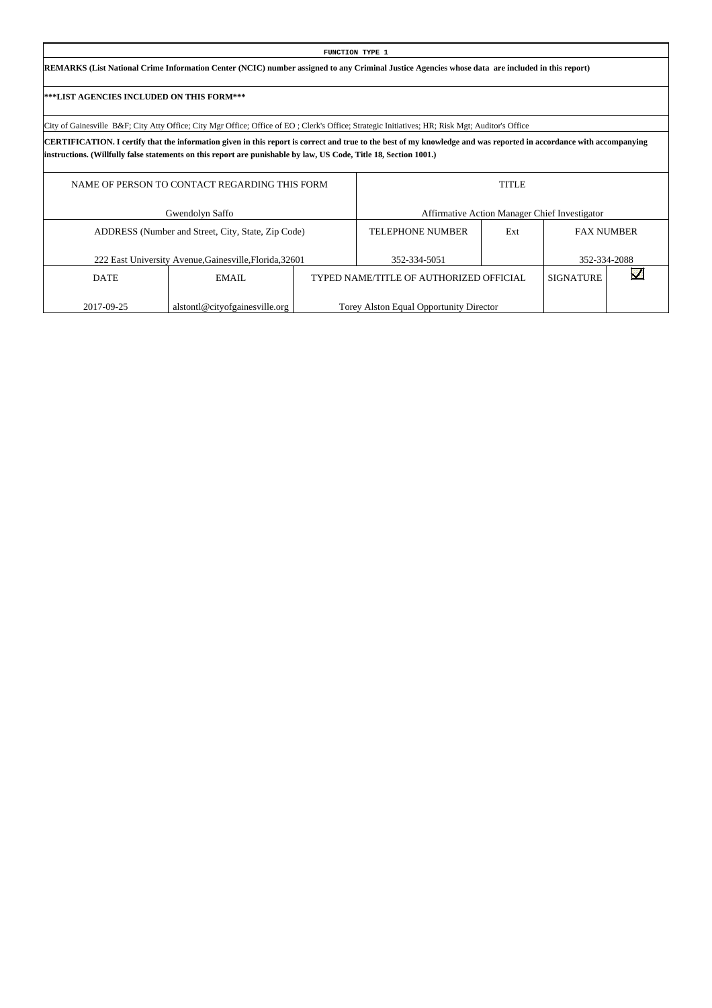|                                                               |                                                                                                                                                                                                                                                                                          |  | FUNCTION TYPE 1                         |     |                                               |              |  |  |  |  |  |  |
|---------------------------------------------------------------|------------------------------------------------------------------------------------------------------------------------------------------------------------------------------------------------------------------------------------------------------------------------------------------|--|-----------------------------------------|-----|-----------------------------------------------|--------------|--|--|--|--|--|--|
|                                                               | REMARKS (List National Crime Information Center (NCIC) number assigned to any Criminal Justice Agencies whose data are included in this report)                                                                                                                                          |  |                                         |     |                                               |              |  |  |  |  |  |  |
| ***LIST AGENCIES INCLUDED ON THIS FORM***                     |                                                                                                                                                                                                                                                                                          |  |                                         |     |                                               |              |  |  |  |  |  |  |
|                                                               | City of Gainesville B&F City Atty Office; City Mgr Office; Office of EO; Clerk's Office; Strategic Initiatives; HR; Risk Mgt; Auditor's Office                                                                                                                                           |  |                                         |     |                                               |              |  |  |  |  |  |  |
|                                                               | CERTIFICATION. I certify that the information given in this report is correct and true to the best of my knowledge and was reported in accordance with accompanying<br>instructions. (Willfully false statements on this report are punishable by law, US Code, Title 18, Section 1001.) |  |                                         |     |                                               |              |  |  |  |  |  |  |
| NAME OF PERSON TO CONTACT REGARDING THIS FORM<br><b>TITLE</b> |                                                                                                                                                                                                                                                                                          |  |                                         |     |                                               |              |  |  |  |  |  |  |
|                                                               | Gwendolyn Saffo                                                                                                                                                                                                                                                                          |  |                                         |     | Affirmative Action Manager Chief Investigator |              |  |  |  |  |  |  |
|                                                               | ADDRESS (Number and Street, City, State, Zip Code)                                                                                                                                                                                                                                       |  | <b>TELEPHONE NUMBER</b>                 | Ext | <b>FAX NUMBER</b>                             |              |  |  |  |  |  |  |
|                                                               | 222 East University Avenue, Gainesville, Florida, 32601                                                                                                                                                                                                                                  |  | 352-334-5051                            |     |                                               | 352-334-2088 |  |  |  |  |  |  |
| <b>DATE</b>                                                   | <b>EMAIL</b>                                                                                                                                                                                                                                                                             |  | TYPED NAME/TITLE OF AUTHORIZED OFFICIAL |     | <b>SIGNATURE</b>                              |              |  |  |  |  |  |  |
| 2017-09-25                                                    | alstontl@cityofgainesville.org                                                                                                                                                                                                                                                           |  | Torey Alston Equal Opportunity Director |     |                                               |              |  |  |  |  |  |  |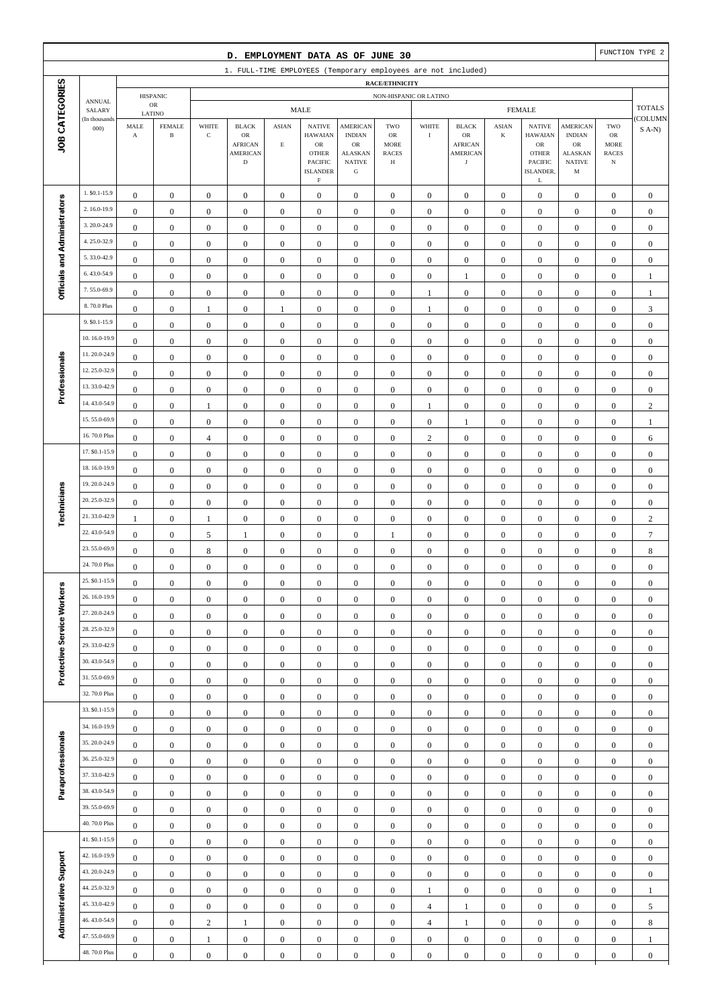|                              |                                |                                               |                                         |                                      | D. EMPLOYMENT DATA AS OF JUNE 30                                               |                                      |                                                                                                                   |                                                                                                 |                                                                 |                                      |                                                                               |                                      |                                                                                                             |                                                                                                  |                                                          | FUNCTION TYPE 2                      |
|------------------------------|--------------------------------|-----------------------------------------------|-----------------------------------------|--------------------------------------|--------------------------------------------------------------------------------|--------------------------------------|-------------------------------------------------------------------------------------------------------------------|-------------------------------------------------------------------------------------------------|-----------------------------------------------------------------|--------------------------------------|-------------------------------------------------------------------------------|--------------------------------------|-------------------------------------------------------------------------------------------------------------|--------------------------------------------------------------------------------------------------|----------------------------------------------------------|--------------------------------------|
|                              |                                |                                               |                                         |                                      |                                                                                |                                      |                                                                                                                   |                                                                                                 |                                                                 |                                      | 1. FULL-TIME EMPLOYEES (Temporary employees are not included)                 |                                      |                                                                                                             |                                                                                                  |                                                          |                                      |
|                              |                                |                                               | <b>HISPANIC</b>                         |                                      |                                                                                |                                      |                                                                                                                   |                                                                                                 | RACE/ETHNICITY<br>NON-HISPANIC OR LATINO                        |                                      |                                                                               |                                      |                                                                                                             |                                                                                                  |                                                          |                                      |
|                              | <b>ANNUAL</b><br>SALARY        |                                               | ${\sf OR}$                              |                                      |                                                                                |                                      | <b>MALE</b>                                                                                                       |                                                                                                 |                                                                 |                                      |                                                                               |                                      | <b>FEMALE</b>                                                                                               |                                                                                                  |                                                          | <b>TOTALS</b>                        |
| JOB CATEGORIES               | (In thousands<br>000           | $\operatorname{\mathsf{MALE}}$<br>$\mathbf A$ | LATINO<br><b>FEMALE</b><br>$\, {\bf B}$ | WHITE<br>$\mathbf C$                 | <b>BLACK</b><br>${\sf OR}$<br><b>AFRICAN</b><br><b>AMERICAN</b><br>$\mathbf D$ | <b>ASIAN</b><br>$\mathbf E$          | <b>NATIVE</b><br><b>HAWAIAN</b><br>${\sf OR}$<br><b>OTHER</b><br><b>PACIFIC</b><br><b>ISLANDER</b><br>$\mathbf F$ | <b>AMERICAN</b><br><b>INDIAN</b><br>$_{\rm OR}$<br><b>ALASKAN</b><br><b>NATIVE</b><br>${\bf G}$ | TWO<br>$_{\rm OR}$<br><b>MORE</b><br><b>RACES</b><br>$_{\rm H}$ | WHITE<br>$\rm I$                     | <b>BLACK</b><br>${\sf OR}$<br><b>AFRICAN</b><br><b>AMERICAN</b><br>$_{\rm J}$ | <b>ASIAN</b><br>$\bf K$              | <b>NATIVE</b><br><b>HAWAIAN</b><br>${\sf OR}$<br><b>OTHER</b><br><b>PACIFIC</b><br>ISLANDER,<br>$\mathbf L$ | <b>AMERICAN</b><br><b>INDIAN</b><br>${\rm OR}$<br><b>ALASKAN</b><br><b>NATIVE</b><br>$\mathbf M$ | TWO<br>$_{\rm OR}$<br>MORE<br><b>RACES</b><br>$_{\rm N}$ | <b>COLUMN</b><br>$S$ A-N)            |
|                              | 1. \$0.1-15.9                  | $\boldsymbol{0}$                              | $\boldsymbol{0}$                        | $\boldsymbol{0}$                     | $\boldsymbol{0}$                                                               | $\boldsymbol{0}$                     | $\mathbf{0}$                                                                                                      | $\boldsymbol{0}$                                                                                | $\boldsymbol{0}$                                                | $\boldsymbol{0}$                     | $\boldsymbol{0}$                                                              | $\boldsymbol{0}$                     | $\boldsymbol{0}$                                                                                            | $\boldsymbol{0}$                                                                                 | $\boldsymbol{0}$                                         | $\boldsymbol{0}$                     |
|                              | 2.16.0-19.9                    | $\boldsymbol{0}$                              | $\boldsymbol{0}$                        | $\boldsymbol{0}$                     | $\boldsymbol{0}$                                                               | $\boldsymbol{0}$                     | $\boldsymbol{0}$                                                                                                  | $\boldsymbol{0}$                                                                                | $\boldsymbol{0}$                                                | $\boldsymbol{0}$                     | $\boldsymbol{0}$                                                              | $\boldsymbol{0}$                     | $\boldsymbol{0}$                                                                                            | $\boldsymbol{0}$                                                                                 | $\boldsymbol{0}$                                         | $\boldsymbol{0}$                     |
|                              | 3.20.0-24.9                    | $\boldsymbol{0}$                              | $\boldsymbol{0}$                        | $\boldsymbol{0}$                     | $\boldsymbol{0}$                                                               | $\boldsymbol{0}$                     | $\boldsymbol{0}$                                                                                                  | $\boldsymbol{0}$                                                                                | $\boldsymbol{0}$                                                | $\boldsymbol{0}$                     | $\boldsymbol{0}$                                                              | $\boldsymbol{0}$                     | $\boldsymbol{0}$                                                                                            | $\boldsymbol{0}$                                                                                 | $\boldsymbol{0}$                                         | $\boldsymbol{0}$                     |
|                              | 4.25.0-32.9                    | $\boldsymbol{0}$                              | $\boldsymbol{0}$                        | $\boldsymbol{0}$                     | $\boldsymbol{0}$                                                               | $\boldsymbol{0}$                     | $\boldsymbol{0}$                                                                                                  | $\boldsymbol{0}$                                                                                | $\boldsymbol{0}$                                                | $\boldsymbol{0}$                     | $\boldsymbol{0}$                                                              | $\boldsymbol{0}$                     | $\boldsymbol{0}$                                                                                            | $\boldsymbol{0}$                                                                                 | $\boldsymbol{0}$                                         | $\boldsymbol{0}$                     |
| Officials and Administrators | 5.33.0-42.9                    | $\boldsymbol{0}$                              | $\boldsymbol{0}$                        | $\boldsymbol{0}$                     | $\boldsymbol{0}$                                                               | $\boldsymbol{0}$                     | $\mathbf{0}$                                                                                                      | $\boldsymbol{0}$                                                                                | $\boldsymbol{0}$                                                | $\boldsymbol{0}$                     | $\boldsymbol{0}$                                                              | $\boldsymbol{0}$                     | $\boldsymbol{0}$                                                                                            | $\boldsymbol{0}$                                                                                 | $\boldsymbol{0}$                                         | $\boldsymbol{0}$                     |
|                              | 6.43.0-54.9                    | $\boldsymbol{0}$                              | $\boldsymbol{0}$                        | $\boldsymbol{0}$                     | $\boldsymbol{0}$                                                               | $\boldsymbol{0}$                     | $\boldsymbol{0}$                                                                                                  | $\boldsymbol{0}$                                                                                | $\boldsymbol{0}$                                                | $\boldsymbol{0}$                     | 1                                                                             | $\boldsymbol{0}$                     | $\boldsymbol{0}$                                                                                            | $\boldsymbol{0}$                                                                                 | $\boldsymbol{0}$                                         | $\mathbf{1}$                         |
|                              | 7.55.0-69.9                    | $\boldsymbol{0}$                              | $\boldsymbol{0}$                        | $\boldsymbol{0}$                     | $\boldsymbol{0}$                                                               | $\boldsymbol{0}$                     | $\boldsymbol{0}$                                                                                                  | $\boldsymbol{0}$                                                                                | $\boldsymbol{0}$                                                | $\mathbf{1}$                         | $\boldsymbol{0}$                                                              | $\boldsymbol{0}$                     | $\boldsymbol{0}$                                                                                            | $\boldsymbol{0}$                                                                                 | $\boldsymbol{0}$                                         | 1                                    |
|                              | 8.70.0 Plus                    | $\boldsymbol{0}$                              | $\boldsymbol{0}$                        | $\mathbf{1}$                         | $\boldsymbol{0}$                                                               | 1                                    | $\mathbf{0}$                                                                                                      | $\boldsymbol{0}$                                                                                | $\boldsymbol{0}$                                                | $\mathbf{1}$                         | $\boldsymbol{0}$                                                              | $\boldsymbol{0}$                     | $\boldsymbol{0}$                                                                                            | $\boldsymbol{0}$                                                                                 | $\boldsymbol{0}$                                         | $\mathfrak{Z}$                       |
|                              | 9. \$0.1-15.9                  | $\boldsymbol{0}$                              | $\boldsymbol{0}$                        | $\boldsymbol{0}$                     | $\boldsymbol{0}$                                                               | $\boldsymbol{0}$                     | $\mathbf{0}$                                                                                                      | $\boldsymbol{0}$                                                                                | $\boldsymbol{0}$                                                | $\boldsymbol{0}$                     | $\boldsymbol{0}$                                                              | $\boldsymbol{0}$                     | $\boldsymbol{0}$                                                                                            | $\boldsymbol{0}$                                                                                 | $\boldsymbol{0}$                                         | $\boldsymbol{0}$                     |
|                              | 10.16.0-19.9                   | $\boldsymbol{0}$                              | $\boldsymbol{0}$                        | $\boldsymbol{0}$                     | $\boldsymbol{0}$                                                               | $\boldsymbol{0}$                     | $\boldsymbol{0}$                                                                                                  | $\boldsymbol{0}$                                                                                | $\boldsymbol{0}$                                                | $\boldsymbol{0}$                     | $\boldsymbol{0}$                                                              | $\boldsymbol{0}$                     | $\boldsymbol{0}$                                                                                            | $\boldsymbol{0}$                                                                                 | $\boldsymbol{0}$                                         | $\boldsymbol{0}$                     |
|                              | 11.20.0-24.9                   | $\boldsymbol{0}$                              | $\boldsymbol{0}$                        | $\boldsymbol{0}$                     | $\boldsymbol{0}$                                                               | $\mathbf{0}$                         | $\boldsymbol{0}$                                                                                                  | $\boldsymbol{0}$                                                                                | $\boldsymbol{0}$                                                | $\boldsymbol{0}$                     | $\boldsymbol{0}$                                                              | $\boldsymbol{0}$                     | $\boldsymbol{0}$                                                                                            | $\boldsymbol{0}$                                                                                 | $\boldsymbol{0}$                                         | $\boldsymbol{0}$                     |
| Professionals                | 12.25.0-32.9                   | $\boldsymbol{0}$                              | $\boldsymbol{0}$                        | $\boldsymbol{0}$                     | $\boldsymbol{0}$                                                               | $\boldsymbol{0}$                     | $\boldsymbol{0}$                                                                                                  | $\boldsymbol{0}$                                                                                | $\boldsymbol{0}$                                                | $\boldsymbol{0}$                     | $\boldsymbol{0}$                                                              | $\boldsymbol{0}$                     | $\boldsymbol{0}$                                                                                            | $\boldsymbol{0}$                                                                                 | $\boldsymbol{0}$                                         | $\boldsymbol{0}$                     |
|                              | 13.33.0-42.9                   | $\boldsymbol{0}$                              | $\boldsymbol{0}$                        | $\boldsymbol{0}$                     | $\boldsymbol{0}$                                                               | $\boldsymbol{0}$                     | $\boldsymbol{0}$                                                                                                  | $\boldsymbol{0}$                                                                                | $\boldsymbol{0}$                                                | $\boldsymbol{0}$                     | $\boldsymbol{0}$                                                              | $\boldsymbol{0}$                     | $\boldsymbol{0}$                                                                                            | $\boldsymbol{0}$                                                                                 | $\boldsymbol{0}$                                         | $\boldsymbol{0}$                     |
|                              | 14.43.0-54.9                   | $\boldsymbol{0}$                              | $\boldsymbol{0}$                        | $\mathbf{1}$                         | $\boldsymbol{0}$                                                               | $\boldsymbol{0}$                     | $\boldsymbol{0}$                                                                                                  | $\boldsymbol{0}$                                                                                | $\boldsymbol{0}$                                                | $\mathbf{1}$                         | $\boldsymbol{0}$                                                              | $\boldsymbol{0}$                     | $\boldsymbol{0}$                                                                                            | $\boldsymbol{0}$                                                                                 | $\boldsymbol{0}$                                         | $\sqrt{2}$                           |
|                              | 15.55.0-69.9                   | $\boldsymbol{0}$                              | $\boldsymbol{0}$                        | $\boldsymbol{0}$                     | $\boldsymbol{0}$                                                               | $\boldsymbol{0}$                     | $\mathbf{0}$                                                                                                      | $\boldsymbol{0}$                                                                                | $\boldsymbol{0}$                                                | $\boldsymbol{0}$                     | 1                                                                             | $\boldsymbol{0}$                     | $\boldsymbol{0}$                                                                                            | $\boldsymbol{0}$                                                                                 | $\boldsymbol{0}$                                         | 1                                    |
|                              | 16.70.0 Plus                   | $\boldsymbol{0}$                              | $\boldsymbol{0}$                        | $\overline{4}$                       | $\boldsymbol{0}$                                                               | $\boldsymbol{0}$                     | $\boldsymbol{0}$                                                                                                  | $\boldsymbol{0}$                                                                                | $\boldsymbol{0}$                                                | $\overline{c}$                       | $\boldsymbol{0}$                                                              | $\boldsymbol{0}$                     | $\boldsymbol{0}$                                                                                            | $\boldsymbol{0}$                                                                                 | $\boldsymbol{0}$                                         | 6                                    |
|                              | 17. \$0.1-15.9                 | $\boldsymbol{0}$                              | $\boldsymbol{0}$                        | $\boldsymbol{0}$                     | $\boldsymbol{0}$                                                               | $\boldsymbol{0}$                     | $\boldsymbol{0}$                                                                                                  | $\boldsymbol{0}$                                                                                | $\boldsymbol{0}$                                                | $\boldsymbol{0}$                     | $\boldsymbol{0}$                                                              | $\boldsymbol{0}$                     | $\boldsymbol{0}$                                                                                            | $\boldsymbol{0}$                                                                                 | $\boldsymbol{0}$                                         | $\boldsymbol{0}$                     |
|                              | 18.16.0-19.9                   | $\boldsymbol{0}$                              | $\boldsymbol{0}$                        | $\boldsymbol{0}$                     | $\boldsymbol{0}$                                                               | $\boldsymbol{0}$                     | $\boldsymbol{0}$                                                                                                  | $\boldsymbol{0}$                                                                                | $\boldsymbol{0}$                                                | $\boldsymbol{0}$                     | $\boldsymbol{0}$                                                              | $\boldsymbol{0}$                     | $\boldsymbol{0}$                                                                                            | $\boldsymbol{0}$                                                                                 | $\boldsymbol{0}$                                         | $\boldsymbol{0}$                     |
|                              | 19.20.0-24.9                   | $\boldsymbol{0}$                              | $\boldsymbol{0}$                        | $\boldsymbol{0}$                     | $\boldsymbol{0}$                                                               | $\boldsymbol{0}$                     | $\boldsymbol{0}$                                                                                                  | $\boldsymbol{0}$                                                                                | $\boldsymbol{0}$                                                | $\boldsymbol{0}$                     | $\boldsymbol{0}$                                                              | $\boldsymbol{0}$                     | $\boldsymbol{0}$                                                                                            | $\boldsymbol{0}$                                                                                 | $\boldsymbol{0}$                                         | $\boldsymbol{0}$                     |
| Technicians                  | 20.25.0-32.9                   | $\boldsymbol{0}$                              | $\boldsymbol{0}$                        | $\boldsymbol{0}$                     | $\boldsymbol{0}$                                                               | $\mathbf{0}$                         | $\mathbf{0}$                                                                                                      | $\boldsymbol{0}$                                                                                | $\boldsymbol{0}$                                                | $\boldsymbol{0}$                     | $\boldsymbol{0}$                                                              | $\boldsymbol{0}$                     | $\boldsymbol{0}$                                                                                            | $\boldsymbol{0}$                                                                                 | $\boldsymbol{0}$                                         | $\boldsymbol{0}$                     |
|                              | 21.33.0-42.9                   | 1                                             | $\boldsymbol{0}$                        | $\mathbf{1}$                         | $\boldsymbol{0}$                                                               | $\boldsymbol{0}$                     | $\boldsymbol{0}$                                                                                                  | $\boldsymbol{0}$                                                                                | $\boldsymbol{0}$                                                | $\boldsymbol{0}$                     | $\boldsymbol{0}$                                                              | $\boldsymbol{0}$                     | $\boldsymbol{0}$                                                                                            | $\boldsymbol{0}$                                                                                 | $\boldsymbol{0}$                                         | $\sqrt{2}$                           |
|                              | 22.43.0-54.9                   | $\boldsymbol{0}$                              | $\boldsymbol{0}$                        | $\sqrt{5}$                           | $\mathbf{1}$                                                                   | $\boldsymbol{0}$                     | $\boldsymbol{0}$                                                                                                  | $\boldsymbol{0}$                                                                                | 1                                                               | $\boldsymbol{0}$                     | $\boldsymbol{0}$                                                              | $\boldsymbol{0}$                     | $\boldsymbol{0}$                                                                                            | $\boldsymbol{0}$                                                                                 | $\boldsymbol{0}$                                         | $\boldsymbol{7}$                     |
|                              | 23.55.0-69.9                   | $\boldsymbol{0}$                              | $\boldsymbol{0}$                        | $\,$ 8 $\,$                          | $\boldsymbol{0}$                                                               | $\boldsymbol{0}$                     | $\mathbf{0}$                                                                                                      | $\boldsymbol{0}$                                                                                | $\boldsymbol{0}$                                                | $\boldsymbol{0}$                     | $\boldsymbol{0}$                                                              | $\boldsymbol{0}$                     | $\boldsymbol{0}$                                                                                            | $\boldsymbol{0}$                                                                                 | $\boldsymbol{0}$                                         | $\,$ 8 $\,$                          |
|                              | 24.70.0 Plus                   | $\boldsymbol{0}$                              | $\boldsymbol{0}$                        | $\boldsymbol{0}$                     | $\boldsymbol{0}$                                                               | $\boldsymbol{0}$                     | $\boldsymbol{0}$                                                                                                  | $\boldsymbol{0}$                                                                                | $\boldsymbol{0}$                                                | $\boldsymbol{0}$                     | $\boldsymbol{0}$                                                              | $\boldsymbol{0}$                     | $\boldsymbol{0}$                                                                                            | $\boldsymbol{0}$                                                                                 | $\boldsymbol{0}$                                         | $\boldsymbol{0}$                     |
|                              | 25. \$0.1-15.9<br>26.16.0-19.9 | $\boldsymbol{0}$                              | $\bf{0}$                                | $\boldsymbol{0}$                     | $\boldsymbol{0}$                                                               | $\boldsymbol{0}$                     | $\boldsymbol{0}$                                                                                                  | $\boldsymbol{0}$                                                                                | $\boldsymbol{0}$                                                | 0                                    | $\boldsymbol{0}$                                                              | $\boldsymbol{0}$                     | $\boldsymbol{0}$                                                                                            | 0                                                                                                | $\boldsymbol{0}$                                         | $\boldsymbol{0}$                     |
|                              | 27.20.0-24.9                   | $\boldsymbol{0}$                              | $\boldsymbol{0}$                        | $\boldsymbol{0}$                     | $\boldsymbol{0}$                                                               | $\boldsymbol{0}$                     | $\boldsymbol{0}$                                                                                                  | $\boldsymbol{0}$                                                                                | $\boldsymbol{0}$                                                | $\boldsymbol{0}$                     | $\boldsymbol{0}$                                                              | $\boldsymbol{0}$                     | $\boldsymbol{0}$                                                                                            | $\boldsymbol{0}$                                                                                 | $\boldsymbol{0}$                                         | $\boldsymbol{0}$                     |
|                              | 28.25.0-32.9                   | $\boldsymbol{0}$                              | $\boldsymbol{0}$                        | $\boldsymbol{0}$                     | $\boldsymbol{0}$                                                               | $\overline{0}$                       | $\boldsymbol{0}$                                                                                                  | $\boldsymbol{0}$                                                                                | $\boldsymbol{0}$                                                | $\boldsymbol{0}$                     | $\boldsymbol{0}$                                                              | $\boldsymbol{0}$                     | $\boldsymbol{0}$                                                                                            | $\boldsymbol{0}$                                                                                 | $\boldsymbol{0}$                                         | $\boldsymbol{0}$                     |
| Protective Service Workers   | 29.33.0-42.9                   | $\boldsymbol{0}$                              | $\boldsymbol{0}$                        | $\boldsymbol{0}$                     | $\boldsymbol{0}$                                                               | $\mathbf{0}$                         | $\boldsymbol{0}$                                                                                                  | $\boldsymbol{0}$                                                                                | $\boldsymbol{0}$                                                | $\boldsymbol{0}$                     | $\boldsymbol{0}$                                                              | $\boldsymbol{0}$                     | $\boldsymbol{0}$                                                                                            | $\boldsymbol{0}$                                                                                 | $\boldsymbol{0}$                                         | $\boldsymbol{0}$                     |
|                              | 30.43.0-54.9                   | $\boldsymbol{0}$<br>$\boldsymbol{0}$          | $\boldsymbol{0}$                        | $\boldsymbol{0}$                     | $\boldsymbol{0}$                                                               | $\boldsymbol{0}$<br>$\boldsymbol{0}$ | $\boldsymbol{0}$<br>$\boldsymbol{0}$                                                                              | $\boldsymbol{0}$                                                                                | $\boldsymbol{0}$                                                | $\boldsymbol{0}$                     | $\boldsymbol{0}$<br>$\boldsymbol{0}$                                          | $\boldsymbol{0}$                     | $\boldsymbol{0}$                                                                                            | $\boldsymbol{0}$                                                                                 | $\boldsymbol{0}$                                         | $\boldsymbol{0}$<br>$\boldsymbol{0}$ |
|                              | 31.55.0-69.9                   | $\boldsymbol{0}$                              | $\boldsymbol{0}$<br>$\boldsymbol{0}$    | $\boldsymbol{0}$<br>$\boldsymbol{0}$ | $\boldsymbol{0}$<br>$\boldsymbol{0}$                                           | $\boldsymbol{0}$                     | $\boldsymbol{0}$                                                                                                  | $\boldsymbol{0}$<br>$\boldsymbol{0}$                                                            | $\boldsymbol{0}$<br>$\boldsymbol{0}$                            | $\boldsymbol{0}$<br>$\boldsymbol{0}$ | $\boldsymbol{0}$                                                              | $\boldsymbol{0}$<br>$\boldsymbol{0}$ | $\boldsymbol{0}$<br>$\boldsymbol{0}$                                                                        | $\boldsymbol{0}$<br>$\boldsymbol{0}$                                                             | $\boldsymbol{0}$<br>$\boldsymbol{0}$                     | $\boldsymbol{0}$                     |
|                              | 32.70.0 Plus                   | $\boldsymbol{0}$                              | $\boldsymbol{0}$                        | $\boldsymbol{0}$                     | $\boldsymbol{0}$                                                               | $\boldsymbol{0}$                     | $\boldsymbol{0}$                                                                                                  | $\boldsymbol{0}$                                                                                | $\boldsymbol{0}$                                                | $\boldsymbol{0}$                     | $\boldsymbol{0}$                                                              | $\boldsymbol{0}$                     | $\boldsymbol{0}$                                                                                            | $\boldsymbol{0}$                                                                                 | $\boldsymbol{0}$                                         | $\boldsymbol{0}$                     |
|                              | 33. \$0.1-15.9                 | $\boldsymbol{0}$                              | $\boldsymbol{0}$                        | $\boldsymbol{0}$                     | $\boldsymbol{0}$                                                               | $\boldsymbol{0}$                     | $\boldsymbol{0}$                                                                                                  | $\boldsymbol{0}$                                                                                | $\boldsymbol{0}$                                                | $\boldsymbol{0}$                     | $\boldsymbol{0}$                                                              | $\boldsymbol{0}$                     | $\boldsymbol{0}$                                                                                            | $\boldsymbol{0}$                                                                                 | $\boldsymbol{0}$                                         | $\boldsymbol{0}$                     |
|                              | 34.16.0-19.9                   | $\boldsymbol{0}$                              | $\boldsymbol{0}$                        | $\boldsymbol{0}$                     | $\boldsymbol{0}$                                                               | $\boldsymbol{0}$                     | $\boldsymbol{0}$                                                                                                  | $\boldsymbol{0}$                                                                                | $\boldsymbol{0}$                                                | $\boldsymbol{0}$                     | $\boldsymbol{0}$                                                              | $\boldsymbol{0}$                     | $\boldsymbol{0}$                                                                                            | $\boldsymbol{0}$                                                                                 | $\boldsymbol{0}$                                         | $\boldsymbol{0}$                     |
| Paraprofessionals            | 35.20.0-24.9                   | $\boldsymbol{0}$                              | $\boldsymbol{0}$                        | $\boldsymbol{0}$                     | $\boldsymbol{0}$                                                               | $\boldsymbol{0}$                     | $\boldsymbol{0}$                                                                                                  | $\boldsymbol{0}$                                                                                | $\boldsymbol{0}$                                                | $\boldsymbol{0}$                     | $\boldsymbol{0}$                                                              | $\boldsymbol{0}$                     | $\boldsymbol{0}$                                                                                            | $\boldsymbol{0}$                                                                                 | $\boldsymbol{0}$                                         | $\boldsymbol{0}$                     |
|                              | 36.25.0-32.9                   | $\boldsymbol{0}$                              | $\boldsymbol{0}$                        | $\boldsymbol{0}$                     | $\boldsymbol{0}$                                                               | $\mathbf{0}$                         | $\boldsymbol{0}$                                                                                                  | $\boldsymbol{0}$                                                                                | $\boldsymbol{0}$                                                | $\boldsymbol{0}$                     | $\boldsymbol{0}$                                                              | $\boldsymbol{0}$                     | $\boldsymbol{0}$                                                                                            | $\boldsymbol{0}$                                                                                 | $\boldsymbol{0}$                                         | $\boldsymbol{0}$                     |
|                              | 37.33.0-42.9                   | $\boldsymbol{0}$                              | $\boldsymbol{0}$                        | $\boldsymbol{0}$                     | $\boldsymbol{0}$                                                               | $\boldsymbol{0}$                     | $\mathbf{0}$                                                                                                      | $\boldsymbol{0}$                                                                                | $\boldsymbol{0}$                                                | $\boldsymbol{0}$                     | $\boldsymbol{0}$                                                              | $\boldsymbol{0}$                     | $\boldsymbol{0}$                                                                                            | $\boldsymbol{0}$                                                                                 | $\boldsymbol{0}$                                         | $\boldsymbol{0}$                     |
|                              | 38.43.0-54.9                   | $\boldsymbol{0}$                              | $\boldsymbol{0}$                        | $\boldsymbol{0}$                     | $\boldsymbol{0}$                                                               | $\boldsymbol{0}$                     | $\boldsymbol{0}$                                                                                                  | $\boldsymbol{0}$                                                                                | $\boldsymbol{0}$                                                | $\boldsymbol{0}$                     | $\boldsymbol{0}$                                                              | $\boldsymbol{0}$                     | $\boldsymbol{0}$                                                                                            | $\boldsymbol{0}$                                                                                 | $\boldsymbol{0}$                                         | $\boldsymbol{0}$                     |
|                              | 39.55.0-69.9                   | $\boldsymbol{0}$                              | $\boldsymbol{0}$                        | $\boldsymbol{0}$                     | $\boldsymbol{0}$                                                               | $\boldsymbol{0}$                     | $\boldsymbol{0}$                                                                                                  | $\boldsymbol{0}$                                                                                | $\boldsymbol{0}$                                                | $\boldsymbol{0}$                     | $\boldsymbol{0}$                                                              | $\boldsymbol{0}$                     | $\boldsymbol{0}$                                                                                            | $\boldsymbol{0}$                                                                                 | $\boldsymbol{0}$                                         | $\boldsymbol{0}$                     |
|                              | 40.70.0 Plus                   | $\boldsymbol{0}$                              | $\boldsymbol{0}$                        | $\boldsymbol{0}$                     | $\boldsymbol{0}$                                                               | $\boldsymbol{0}$                     | $\boldsymbol{0}$                                                                                                  | $\boldsymbol{0}$                                                                                | $\boldsymbol{0}$                                                | $\boldsymbol{0}$                     | $\boldsymbol{0}$                                                              | $\boldsymbol{0}$                     | $\boldsymbol{0}$                                                                                            | $\boldsymbol{0}$                                                                                 | $\boldsymbol{0}$                                         | $\boldsymbol{0}$                     |
|                              | 41. \$0.1-15.9                 | $\boldsymbol{0}$                              | $\boldsymbol{0}$                        | $\boldsymbol{0}$                     | $\boldsymbol{0}$                                                               | $\boldsymbol{0}$                     | $\boldsymbol{0}$                                                                                                  | $\boldsymbol{0}$                                                                                | $\boldsymbol{0}$                                                | $\boldsymbol{0}$                     | $\boldsymbol{0}$                                                              | $\boldsymbol{0}$                     | $\boldsymbol{0}$                                                                                            | $\boldsymbol{0}$                                                                                 | $\boldsymbol{0}$                                         | $\boldsymbol{0}$                     |
|                              | 42.16.0-19.9                   | $\boldsymbol{0}$                              | $\boldsymbol{0}$                        | $\boldsymbol{0}$                     | $\boldsymbol{0}$                                                               | $\boldsymbol{0}$                     | $\boldsymbol{0}$                                                                                                  | $\boldsymbol{0}$                                                                                | $\boldsymbol{0}$                                                | $\boldsymbol{0}$                     | $\boldsymbol{0}$                                                              | $\boldsymbol{0}$                     | $\boldsymbol{0}$                                                                                            | $\boldsymbol{0}$                                                                                 | $\boldsymbol{0}$                                         | $\boldsymbol{0}$                     |
|                              | 43.20.0-24.9                   | $\boldsymbol{0}$                              | $\boldsymbol{0}$                        | $\boldsymbol{0}$                     | $\boldsymbol{0}$                                                               | $\boldsymbol{0}$                     | $\boldsymbol{0}$                                                                                                  | $\boldsymbol{0}$                                                                                | $\boldsymbol{0}$                                                | $\boldsymbol{0}$                     | $\boldsymbol{0}$                                                              | $\boldsymbol{0}$                     | $\boldsymbol{0}$                                                                                            | $\boldsymbol{0}$                                                                                 | $\boldsymbol{0}$                                         | $\boldsymbol{0}$                     |
|                              | 44.25.0-32.9                   | $\boldsymbol{0}$                              | $\boldsymbol{0}$                        | $\boldsymbol{0}$                     | $\boldsymbol{0}$                                                               | $\mathbf{0}$                         | $\boldsymbol{0}$                                                                                                  | $\boldsymbol{0}$                                                                                | $\boldsymbol{0}$                                                | $\,1$                                | $\boldsymbol{0}$                                                              | $\boldsymbol{0}$                     | $\boldsymbol{0}$                                                                                            | $\boldsymbol{0}$                                                                                 | $\boldsymbol{0}$                                         | $\mathbf{1}$                         |
|                              | 45.33.0-42.9                   | $\boldsymbol{0}$                              | $\boldsymbol{0}$                        | $\boldsymbol{0}$                     | $\boldsymbol{0}$                                                               | $\boldsymbol{0}$                     | $\boldsymbol{0}$                                                                                                  | $\boldsymbol{0}$                                                                                | $\boldsymbol{0}$                                                | $\overline{4}$                       | $\mathbf{1}$                                                                  | $\boldsymbol{0}$                     | $\boldsymbol{0}$                                                                                            | $\boldsymbol{0}$                                                                                 | $\boldsymbol{0}$                                         | 5                                    |
| Administrative Support       | 46.43.0-54.9                   | $\boldsymbol{0}$                              | $\boldsymbol{0}$                        | $\sqrt{2}$                           | $\mathbf{1}$                                                                   | $\boldsymbol{0}$                     | $\boldsymbol{0}$                                                                                                  | $\boldsymbol{0}$                                                                                | $\boldsymbol{0}$                                                | $\overline{4}$                       | $\mathbf{1}$                                                                  | $\boldsymbol{0}$                     | $\boldsymbol{0}$                                                                                            | $\boldsymbol{0}$                                                                                 | $\boldsymbol{0}$                                         | $\,8\,$                              |
|                              | 47.55.0-69.9                   | $\boldsymbol{0}$                              | $\boldsymbol{0}$                        | $\mathbf{1}$                         | $\boldsymbol{0}$                                                               | $\boldsymbol{0}$                     | $\boldsymbol{0}$                                                                                                  | $\boldsymbol{0}$                                                                                | $\boldsymbol{0}$                                                | $\boldsymbol{0}$                     | $\boldsymbol{0}$                                                              | $\boldsymbol{0}$                     | $\boldsymbol{0}$                                                                                            | $\boldsymbol{0}$                                                                                 | $\boldsymbol{0}$                                         | $\mathbf{1}$                         |
|                              | 48.70.0 Plus                   | $\boldsymbol{0}$                              | $\boldsymbol{0}$                        | $\boldsymbol{0}$                     | $\boldsymbol{0}$                                                               | $\boldsymbol{0}$                     | $\boldsymbol{0}$                                                                                                  | $\boldsymbol{0}$                                                                                | $\boldsymbol{0}$                                                | $\boldsymbol{0}$                     | $\boldsymbol{0}$                                                              | $\boldsymbol{0}$                     | $\boldsymbol{0}$                                                                                            | $\boldsymbol{0}$                                                                                 | $\boldsymbol{0}$                                         | $\boldsymbol{0}$                     |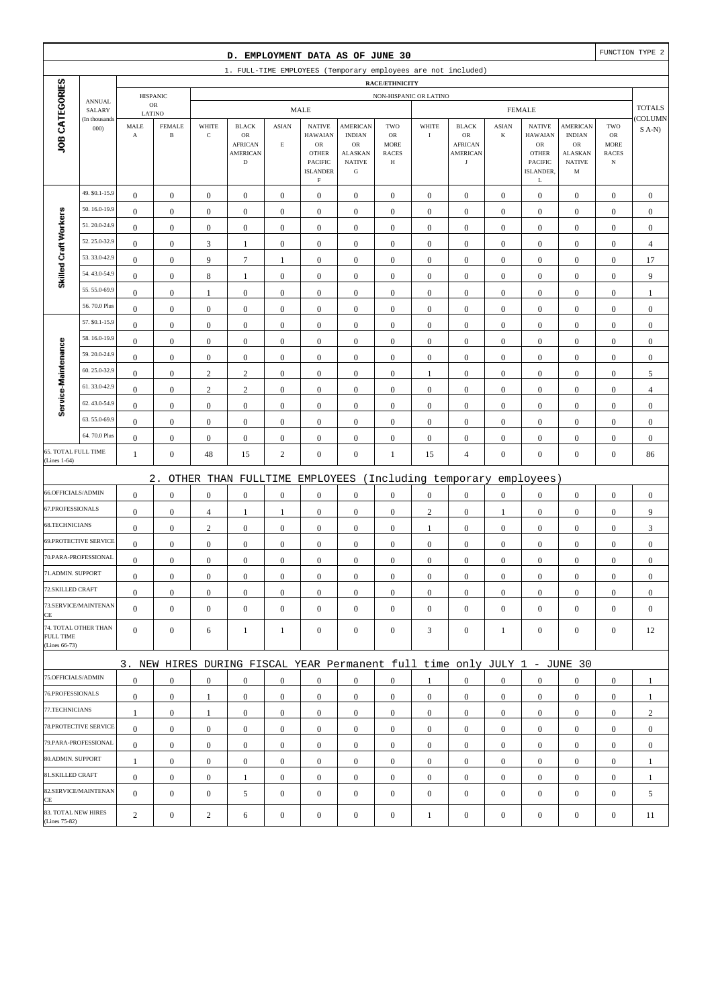|                                      |                              |                       |                  |                  | D. EMPLOYMENT DATA AS OF JUNE 30                                          |                  |                                                                               |                                                                     |                                                          |                  |                                                       |                  |                                                                                  |                                                      |                                                  | FUNCTION TYPE 2  |
|--------------------------------------|------------------------------|-----------------------|------------------|------------------|---------------------------------------------------------------------------|------------------|-------------------------------------------------------------------------------|---------------------------------------------------------------------|----------------------------------------------------------|------------------|-------------------------------------------------------|------------------|----------------------------------------------------------------------------------|------------------------------------------------------|--------------------------------------------------|------------------|
|                                      |                              |                       |                  |                  | 1. FULL-TIME EMPLOYEES (Temporary employees are not included)             |                  |                                                                               |                                                                     |                                                          |                  |                                                       |                  |                                                                                  |                                                      |                                                  |                  |
|                                      |                              |                       | <b>HISPANIC</b>  |                  |                                                                           |                  |                                                                               |                                                                     | <b>RACE/ETHNICITY</b><br>NON-HISPANIC OR LATINO          |                  |                                                       |                  |                                                                                  |                                                      |                                                  |                  |
|                                      | <b>ANNUAL</b><br>SALARY      |                       | ${\sf OR}$       |                  |                                                                           |                  | <b>MALE</b>                                                                   |                                                                     |                                                          |                  |                                                       |                  | <b>FEMALE</b>                                                                    |                                                      |                                                  | <b>TOTALS</b>    |
|                                      | (In thousands                | LATINO<br>MALE        | <b>FEMALE</b>    | WHITE            | <b>BLACK</b>                                                              | <b>ASIAN</b>     | <b>NATIVE</b>                                                                 | <b>AMERICAN</b>                                                     | TWO                                                      | WHITE            | <b>BLACK</b>                                          | <b>ASIAN</b>     | <b>NATIVE</b>                                                                    | <b>AMERICAN</b>                                      | TWO                                              | COLUMN           |
| JOB CATEGORIES                       | 000                          | $\boldsymbol{\rm{A}}$ | $\, {\bf B}$     | $\mathbf C$      | $_{\rm OR}$<br><b>AFRICAN</b><br><b>AMERICAN</b><br>$\mathbf D$           | $\mathbf E$      | <b>HAWAIAN</b><br>OR<br><b>OTHER</b><br>PACIFIC<br><b>ISLANDER</b><br>$\rm F$ | <b>INDIAN</b><br>OR<br><b>ALASKAN</b><br><b>NATIVE</b><br>${\bf G}$ | <b>OR</b><br><b>MORE</b><br><b>RACES</b><br>$\, {\rm H}$ | $\rm I$          | OR<br><b>AFRICAN</b><br><b>AMERICAN</b><br>$_{\rm J}$ | $\bf K$          | <b>HAWAIAN</b><br>${\rm OR}$<br><b>OTHER</b><br><b>PACIFIC</b><br>ISLANDER.<br>L | <b>INDIAN</b><br>OR<br>ALASKAN<br><b>NATIVE</b><br>M | ${\rm OR}$<br>MORE<br><b>RACES</b><br>$_{\rm N}$ | $S$ A-N)         |
|                                      | 49. \$0.1-15.9               | $\boldsymbol{0}$      | $\mathbf{0}$     | $\boldsymbol{0}$ | $\boldsymbol{0}$                                                          | $\boldsymbol{0}$ | $\boldsymbol{0}$                                                              | $\boldsymbol{0}$                                                    | $\boldsymbol{0}$                                         | $\boldsymbol{0}$ | $\boldsymbol{0}$                                      | $\mathbf{0}$     | $\mathbf{0}$                                                                     | $\boldsymbol{0}$                                     | $\boldsymbol{0}$                                 | $\boldsymbol{0}$ |
|                                      | 50.16.0-19.9                 | $\mathbf{0}$          | $\boldsymbol{0}$ | $\boldsymbol{0}$ | $\boldsymbol{0}$                                                          | $\boldsymbol{0}$ | $\boldsymbol{0}$                                                              | $\boldsymbol{0}$                                                    | $\boldsymbol{0}$                                         | $\boldsymbol{0}$ | $\boldsymbol{0}$                                      | $\boldsymbol{0}$ | $\boldsymbol{0}$                                                                 | $\boldsymbol{0}$                                     | $\boldsymbol{0}$                                 | $\mathbf{0}$     |
| Skilled Craft Workers                | 51.20.0-24.9                 | $\mathbf{0}$          | $\boldsymbol{0}$ | $\boldsymbol{0}$ | $\boldsymbol{0}$                                                          | $\mathbf{0}$     | $\boldsymbol{0}$                                                              | $\mathbf{0}$                                                        | $\mathbf{0}$                                             | $\boldsymbol{0}$ | $\boldsymbol{0}$                                      | $\boldsymbol{0}$ | $\boldsymbol{0}$                                                                 | $\boldsymbol{0}$                                     | $\boldsymbol{0}$                                 | $\mathbf{0}$     |
|                                      | 52.25.0-32.9                 | $\boldsymbol{0}$      | $\boldsymbol{0}$ | $\mathfrak{Z}$   | $\mathbf{1}$                                                              | $\boldsymbol{0}$ | $\boldsymbol{0}$                                                              | $\boldsymbol{0}$                                                    | $\boldsymbol{0}$                                         | $\boldsymbol{0}$ | $\boldsymbol{0}$                                      | $\boldsymbol{0}$ | $\boldsymbol{0}$                                                                 | $\boldsymbol{0}$                                     | $\boldsymbol{0}$                                 | $\overline{4}$   |
|                                      | 53.33.0-42.9                 | $\boldsymbol{0}$      | $\boldsymbol{0}$ | 9                | $\boldsymbol{7}$                                                          | 1                | $\boldsymbol{0}$                                                              | $\boldsymbol{0}$                                                    | $\boldsymbol{0}$                                         | $\boldsymbol{0}$ | $\boldsymbol{0}$                                      | $\boldsymbol{0}$ | $\boldsymbol{0}$                                                                 | $\boldsymbol{0}$                                     | $\boldsymbol{0}$                                 | 17               |
|                                      | 54.43.0-54.9                 | $\boldsymbol{0}$      | $\boldsymbol{0}$ | 8                | $\mathbf{1}$                                                              | $\boldsymbol{0}$ | $\boldsymbol{0}$                                                              | $\boldsymbol{0}$                                                    | $\boldsymbol{0}$                                         | $\boldsymbol{0}$ | $\boldsymbol{0}$                                      | $\boldsymbol{0}$ | $\boldsymbol{0}$                                                                 | $\boldsymbol{0}$                                     | $\boldsymbol{0}$                                 | 9                |
|                                      | 55.55.0-69.9                 | $\mathbf{0}$          | $\boldsymbol{0}$ | 1                | $\boldsymbol{0}$                                                          | $\mathbf{0}$     | $\boldsymbol{0}$                                                              | $\mathbf{0}$                                                        | $\boldsymbol{0}$                                         | $\boldsymbol{0}$ | $\boldsymbol{0}$                                      | $\boldsymbol{0}$ | $\boldsymbol{0}$                                                                 | $\boldsymbol{0}$                                     | $\boldsymbol{0}$                                 | $\mathbf{1}$     |
|                                      | 56.70.0 Plus                 | $\boldsymbol{0}$      | $\boldsymbol{0}$ | $\boldsymbol{0}$ | $\boldsymbol{0}$                                                          | $\boldsymbol{0}$ | $\boldsymbol{0}$                                                              | $\boldsymbol{0}$                                                    | $\boldsymbol{0}$                                         | $\boldsymbol{0}$ | $\boldsymbol{0}$                                      | $\boldsymbol{0}$ | $\boldsymbol{0}$                                                                 | $\boldsymbol{0}$                                     | $\boldsymbol{0}$                                 | $\boldsymbol{0}$ |
|                                      | 57. \$0.1-15.9               | $\boldsymbol{0}$      | $\boldsymbol{0}$ | $\boldsymbol{0}$ | $\boldsymbol{0}$                                                          | $\boldsymbol{0}$ | $\mathbf{0}$                                                                  | $\boldsymbol{0}$                                                    | $\boldsymbol{0}$                                         | $\boldsymbol{0}$ | $\boldsymbol{0}$                                      | $\boldsymbol{0}$ | $\boldsymbol{0}$                                                                 | $\boldsymbol{0}$                                     | $\boldsymbol{0}$                                 | $\boldsymbol{0}$ |
|                                      | 58.16.0-19.9                 | $\boldsymbol{0}$      | $\boldsymbol{0}$ | $\boldsymbol{0}$ | $\boldsymbol{0}$                                                          | $\boldsymbol{0}$ | $\boldsymbol{0}$                                                              | $\boldsymbol{0}$                                                    | $\boldsymbol{0}$                                         | $\boldsymbol{0}$ | $\boldsymbol{0}$                                      | $\boldsymbol{0}$ | $\boldsymbol{0}$                                                                 | $\boldsymbol{0}$                                     | $\boldsymbol{0}$                                 | $\boldsymbol{0}$ |
|                                      | 59.20.0-24.9                 | $\mathbf{0}$          | $\boldsymbol{0}$ | $\boldsymbol{0}$ | $\boldsymbol{0}$                                                          | $\mathbf{0}$     | $\boldsymbol{0}$                                                              | $\boldsymbol{0}$                                                    | $\mathbf{0}$                                             | $\boldsymbol{0}$ | $\boldsymbol{0}$                                      | $\boldsymbol{0}$ | $\boldsymbol{0}$                                                                 | $\boldsymbol{0}$                                     | $\boldsymbol{0}$                                 | $\mathbf{0}$     |
|                                      | 60.25.0-32.9                 | $\boldsymbol{0}$      | $\boldsymbol{0}$ | $\sqrt{2}$       | $\sqrt{2}$                                                                | $\boldsymbol{0}$ | $\boldsymbol{0}$                                                              | $\boldsymbol{0}$                                                    | $\boldsymbol{0}$                                         | $\mathbf{1}$     | $\boldsymbol{0}$                                      | $\boldsymbol{0}$ | $\boldsymbol{0}$                                                                 | $\boldsymbol{0}$                                     | $\boldsymbol{0}$                                 | 5                |
|                                      | 61.33.0-42.9                 | $\boldsymbol{0}$      | $\boldsymbol{0}$ | $\sqrt{2}$       | $\mathbf{2}$                                                              | $\boldsymbol{0}$ | $\boldsymbol{0}$                                                              | $\boldsymbol{0}$                                                    | $\boldsymbol{0}$                                         | $\boldsymbol{0}$ | $\boldsymbol{0}$                                      | $\boldsymbol{0}$ | $\boldsymbol{0}$                                                                 | $\boldsymbol{0}$                                     | $\boldsymbol{0}$                                 | $\overline{4}$   |
| Service-Maintenance                  | 62.43.0-54.9                 | $\bf{0}$              | $\boldsymbol{0}$ | $\boldsymbol{0}$ | $\boldsymbol{0}$                                                          | $\boldsymbol{0}$ | $\boldsymbol{0}$                                                              | $\boldsymbol{0}$                                                    | $\boldsymbol{0}$                                         | $\boldsymbol{0}$ | $\boldsymbol{0}$                                      | $\boldsymbol{0}$ | $\boldsymbol{0}$                                                                 | $\boldsymbol{0}$                                     | $\boldsymbol{0}$                                 | $\mathbf{0}$     |
|                                      | 63.55.0-69.9                 | $\boldsymbol{0}$      | $\boldsymbol{0}$ | $\boldsymbol{0}$ | $\boldsymbol{0}$                                                          | $\boldsymbol{0}$ | $\boldsymbol{0}$                                                              | $\boldsymbol{0}$                                                    | $\boldsymbol{0}$                                         | $\boldsymbol{0}$ | $\boldsymbol{0}$                                      | $\boldsymbol{0}$ | $\boldsymbol{0}$                                                                 | $\boldsymbol{0}$                                     | $\boldsymbol{0}$                                 | $\mathbf{0}$     |
|                                      | 64.70.0 Plus                 | $\boldsymbol{0}$      | $\boldsymbol{0}$ | $\boldsymbol{0}$ | $\boldsymbol{0}$                                                          | $\boldsymbol{0}$ | $\boldsymbol{0}$                                                              | $\boldsymbol{0}$                                                    | $\boldsymbol{0}$                                         | $\boldsymbol{0}$ | $\boldsymbol{0}$                                      | $\boldsymbol{0}$ | $\boldsymbol{0}$                                                                 | $\boldsymbol{0}$                                     | $\boldsymbol{0}$                                 | $\mathbf{0}$     |
| 65. TOTAL FULL TIME<br>(Lines 1-64)  |                              | $\mathbf{1}$          | $\boldsymbol{0}$ | 48               | 15                                                                        | $\overline{c}$   | $\boldsymbol{0}$                                                              | $\boldsymbol{0}$                                                    | 1                                                        | 15               | $\overline{4}$                                        | $\boldsymbol{0}$ | $\boldsymbol{0}$                                                                 | $\overline{0}$                                       | $\boldsymbol{0}$                                 | 86               |
|                                      |                              |                       | $2$ .            |                  | OTHER THAN FULLTIME                                                       |                  | EMPLOYEES                                                                     |                                                                     |                                                          |                  | (Including temporary                                  |                  | employees)                                                                       |                                                      |                                                  |                  |
| 66.OFFICIALS/ADMIN                   |                              | $\mathbf{0}$          | $\boldsymbol{0}$ | $\boldsymbol{0}$ | $\boldsymbol{0}$                                                          | $\boldsymbol{0}$ | $\boldsymbol{0}$                                                              | $\boldsymbol{0}$                                                    | $\boldsymbol{0}$                                         | $\boldsymbol{0}$ | $\boldsymbol{0}$                                      | $\boldsymbol{0}$ | $\boldsymbol{0}$                                                                 | $\boldsymbol{0}$                                     | $\boldsymbol{0}$                                 | $\boldsymbol{0}$ |
| 67.PROFESSIONALS                     |                              | $\boldsymbol{0}$      | $\boldsymbol{0}$ | $\overline{4}$   | $\mathbf{1}$                                                              | 1                | $\boldsymbol{0}$                                                              | $\boldsymbol{0}$                                                    | $\boldsymbol{0}$                                         | $\overline{c}$   | $\boldsymbol{0}$                                      | 1                | $\boldsymbol{0}$                                                                 | $\boldsymbol{0}$                                     | $\boldsymbol{0}$                                 | 9                |
| 68.TECHNICIANS                       |                              | $\boldsymbol{0}$      | $\boldsymbol{0}$ | $\sqrt{2}$       | $\boldsymbol{0}$                                                          | $\boldsymbol{0}$ | $\boldsymbol{0}$                                                              | $\boldsymbol{0}$                                                    | $\boldsymbol{0}$                                         | $\mathbf{1}$     | $\boldsymbol{0}$                                      | $\boldsymbol{0}$ | $\boldsymbol{0}$                                                                 | $\boldsymbol{0}$                                     | $\boldsymbol{0}$                                 | 3                |
|                                      | <b>69.PROTECTIVE SERVICE</b> | $\boldsymbol{0}$      | $\boldsymbol{0}$ | $\boldsymbol{0}$ | $\boldsymbol{0}$                                                          | $\boldsymbol{0}$ | $\boldsymbol{0}$                                                              | $\mathbf{0}$                                                        | $\mathbf{0}$                                             | $\boldsymbol{0}$ | $\boldsymbol{0}$                                      | $\mathbf{0}$     | $\boldsymbol{0}$                                                                 | $\boldsymbol{0}$                                     | $\boldsymbol{0}$                                 | $\mathbf{0}$     |
|                                      | 70.PARA-PROFESSIONAL         | $\boldsymbol{0}$      | $\boldsymbol{0}$ | $\boldsymbol{0}$ | $\boldsymbol{0}$                                                          | $\boldsymbol{0}$ | $\boldsymbol{0}$                                                              | $\mathbf{0}$                                                        | $\mathbf{0}$                                             | $\boldsymbol{0}$ | $\boldsymbol{0}$                                      | $\boldsymbol{0}$ | $\boldsymbol{0}$                                                                 | $\boldsymbol{0}$                                     | $\boldsymbol{0}$                                 | $\mathbf{0}$     |
| 71.ADMIN. SUPPORT                    |                              | $\boldsymbol{0}$      | $\boldsymbol{0}$ | $\boldsymbol{0}$ | $\Omega$                                                                  | $\mathbf{0}$     | $\boldsymbol{0}$                                                              | $\boldsymbol{0}$                                                    | $\mathbf{0}$                                             | $\boldsymbol{0}$ | $\boldsymbol{0}$                                      | $\boldsymbol{0}$ | $\boldsymbol{0}$                                                                 | $\theta$                                             | $\boldsymbol{0}$                                 | $\theta$         |
| 72.SKILLED CRAFT                     |                              | $\mathbf{0}$          | $\boldsymbol{0}$ | $\boldsymbol{0}$ | $\mathbf{0}$                                                              | $\boldsymbol{0}$ | $\boldsymbol{0}$                                                              | $\boldsymbol{0}$                                                    | $\boldsymbol{0}$                                         | $\mathbf{0}$     | $\mathbf{0}$                                          | $\mathbf{0}$     | $\mathbf{0}$                                                                     | $\mathbf{0}$                                         | $\overline{0}$                                   | $\mathbf{0}$     |
| CE                                   | 73.SERVICE/MAINTENAN         | $\overline{0}$        | $\mathbf{0}$     | $\boldsymbol{0}$ | $\boldsymbol{0}$                                                          | $\mathbf{0}$     | $\overline{0}$                                                                | $\mathbf{0}$                                                        | $\boldsymbol{0}$                                         | $\boldsymbol{0}$ | $\boldsymbol{0}$                                      | $\mathbf{0}$     | $\mathbf{0}$                                                                     | $\overline{0}$                                       | $\mathbf{0}$                                     | $\mathbf{0}$     |
| <b>FULL TIME</b><br>(Lines 66-73)    | 74. TOTAL OTHER THAN         | $\overline{0}$        | $\mathbf{0}$     | 6                | $\mathbf{1}$                                                              | $\mathbf{1}$     | $\mathbf{0}$                                                                  | $\boldsymbol{0}$                                                    | $\boldsymbol{0}$                                         | 3                | $\boldsymbol{0}$                                      | 1                | $\mathbf{0}$                                                                     | $\overline{0}$                                       | $\boldsymbol{0}$                                 | 12               |
|                                      |                              |                       |                  |                  | 3. NEW HIRES DURING FISCAL YEAR Permanent full time only JULY 1 - JUNE 30 |                  |                                                                               |                                                                     |                                                          |                  |                                                       |                  |                                                                                  |                                                      |                                                  |                  |
| 75.OFFICIALS/ADMIN                   |                              | $\boldsymbol{0}$      | $\mathbf{0}$     | $\boldsymbol{0}$ | $\mathbf{0}$                                                              | $\mathbf{0}$     | $\mathbf{0}$                                                                  | $\mathbf{0}$                                                        | $\overline{0}$                                           | 1                | $\boldsymbol{0}$                                      | $\mathbf{0}$     | $\mathbf{0}$                                                                     | $\overline{0}$                                       | $\mathbf{0}$                                     | 1                |
| 76.PROFESSIONALS                     |                              | $\mathbf{0}$          | $\boldsymbol{0}$ | 1                | $\boldsymbol{0}$                                                          | $\mathbf{0}$     | $\mathbf{0}$                                                                  | $\boldsymbol{0}$                                                    | $\boldsymbol{0}$                                         | $\mathbf{0}$     | $\mathbf{0}$                                          | $\mathbf{0}$     | $\mathbf{0}$                                                                     | $\mathbf{0}$                                         | $\mathbf{0}$                                     | $\mathbf{1}$     |
| 77.TECHNICIANS                       |                              | $\mathbf{1}$          | $\boldsymbol{0}$ | $\mathbf{1}$     | $\boldsymbol{0}$                                                          | $\boldsymbol{0}$ | $\boldsymbol{0}$                                                              | $\boldsymbol{0}$                                                    | $\boldsymbol{0}$                                         | $\mathbf{0}$     | $\boldsymbol{0}$                                      | $\overline{0}$   | $\mathbf{0}$                                                                     | $\boldsymbol{0}$                                     | $\boldsymbol{0}$                                 | $\overline{c}$   |
|                                      | 78.PROTECTIVE SERVICE        | $\mathbf{0}$          | $\boldsymbol{0}$ | $\boldsymbol{0}$ | $\mathbf{0}$                                                              | $\boldsymbol{0}$ | $\mathbf{0}$                                                                  | $\mathbf{0}$                                                        | $\overline{0}$                                           | $\overline{0}$   | $\boldsymbol{0}$                                      | $\overline{0}$   | $\mathbf{0}$                                                                     | $\overline{0}$                                       | $\overline{0}$                                   | $\mathbf{0}$     |
|                                      | 79.PARA-PROFESSIONAL         | $\mathbf{0}$          | $\mathbf{0}$     | $\mathbf{0}$     | $\mathbf{0}$                                                              | $\mathbf{0}$     | $\boldsymbol{0}$                                                              | $\mathbf{0}$                                                        | $\overline{0}$                                           | $\mathbf{0}$     | $\boldsymbol{0}$                                      | $\overline{0}$   | $\overline{0}$                                                                   | $\overline{0}$                                       | $\mathbf{0}$                                     | $\mathbf{0}$     |
| 80.ADMIN. SUPPORT                    |                              | $\mathbf{1}$          | $\bf{0}$         | $\boldsymbol{0}$ | $\mathbf{0}$                                                              | $\mathbf{0}$     | $\boldsymbol{0}$                                                              | $\boldsymbol{0}$                                                    | $\boldsymbol{0}$                                         | $\mathbf{0}$     | $\boldsymbol{0}$                                      | $\mathbf{0}$     | $\mathbf{0}$                                                                     | $\boldsymbol{0}$                                     | $\boldsymbol{0}$                                 | $\mathbf{1}$     |
| 81.SKILLED CRAFT                     |                              | $\mathbf{0}$          | $\mathbf{0}$     | $\boldsymbol{0}$ | $\mathbf{1}$                                                              | $\boldsymbol{0}$ | $\mathbf{0}$                                                                  | $\boldsymbol{0}$                                                    | $\boldsymbol{0}$                                         | $\mathbf{0}$     | $\boldsymbol{0}$                                      | $\overline{0}$   | $\mathbf{0}$                                                                     | $\boldsymbol{0}$                                     | $\boldsymbol{0}$                                 | 1                |
| CE                                   | 82.SERVICE/MAINTENAN         | $\overline{0}$        | $\boldsymbol{0}$ | $\boldsymbol{0}$ | 5                                                                         | $\mathbf{0}$     | $\boldsymbol{0}$                                                              | $\mathbf{0}$                                                        | $\mathbf{0}$                                             | $\mathbf{0}$     | $\boldsymbol{0}$                                      | $\mathbf{0}$     | $\mathbf{0}$                                                                     | $\overline{0}$                                       | $\mathbf{0}$                                     | 5                |
| 83. TOTAL NEW HIRES<br>(Lines 75-82) |                              | 2                     | $\boldsymbol{0}$ | $\boldsymbol{2}$ | 6                                                                         | $\boldsymbol{0}$ | $\boldsymbol{0}$                                                              | $\boldsymbol{0}$                                                    | $\boldsymbol{0}$                                         | $\mathbf{1}$     | $\boldsymbol{0}$                                      | $\boldsymbol{0}$ | $\boldsymbol{0}$                                                                 | $\boldsymbol{0}$                                     | $\boldsymbol{0}$                                 | 11               |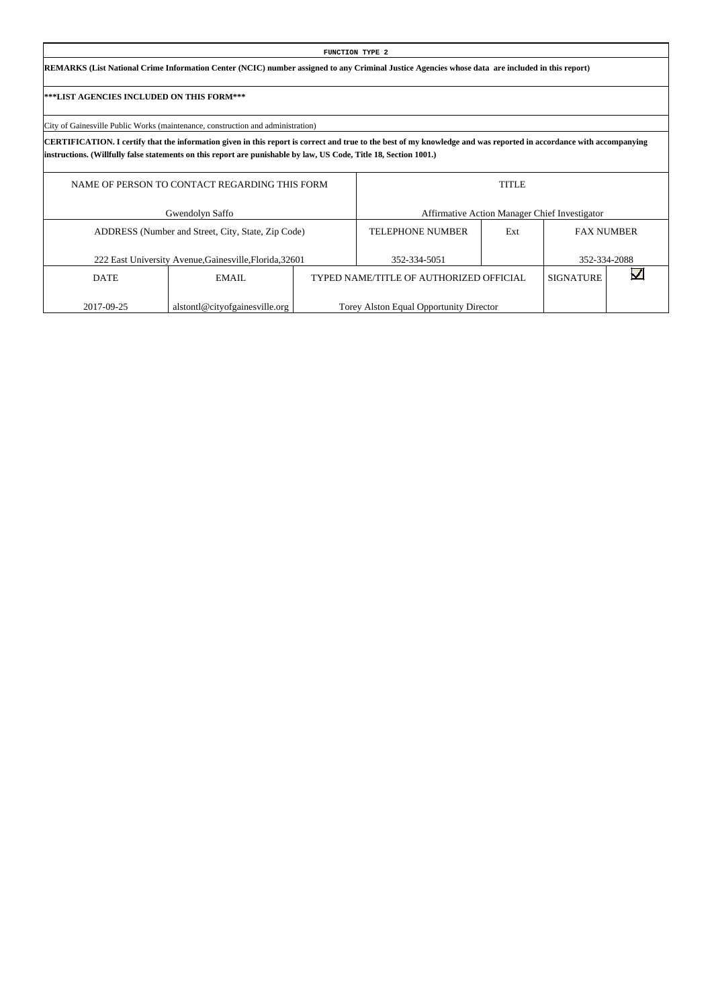| <b>FUNCTION TYPE 2</b>                                                                                                                                                                                                                                                                   |                  |              |                                               |
|------------------------------------------------------------------------------------------------------------------------------------------------------------------------------------------------------------------------------------------------------------------------------------------|------------------|--------------|-----------------------------------------------|
| REMARKS (List National Crime Information Center (NCIC) number assigned to any Criminal Justice Agencies whose data are included in this report)                                                                                                                                          |                  |              |                                               |
| ***LIST AGENCIES INCLUDED ON THIS FORM***                                                                                                                                                                                                                                                |                  |              |                                               |
| City of Gainesville Public Works (maintenance, construction and administration)                                                                                                                                                                                                          |                  |              |                                               |
| CERTIFICATION. I certify that the information given in this report is correct and true to the best of my knowledge and was reported in accordance with accompanying<br>instructions. (Willfully false statements on this report are punishable by law, US Code, Title 18, Section 1001.) |                  |              |                                               |
| NAME OF PERSON TO CONTACT REGARDING THIS FORM                                                                                                                                                                                                                                            |                  | <b>TITLE</b> |                                               |
| Gwendolyn Saffo                                                                                                                                                                                                                                                                          |                  |              | Affirmative Action Manager Chief Investigator |
| ADDRESS (Number and Street, City, State, Zip Code)                                                                                                                                                                                                                                       | TELEPHONE NUMBER | Ext          | <b>FAX NUMBER</b>                             |

352-334-5051

TYPED NAME/TITLE OF AUTHORIZED OFFICIAL

Torey Alston Equal Opportunity Director

352-334-2088

 $\overline{\mathbf{v}}$ 

SIGNATURE

222 East University Avenue,Gainesville,Florida,32601

EMAIL

alstontl@cityofgainesville.org

DATE

2017-09-25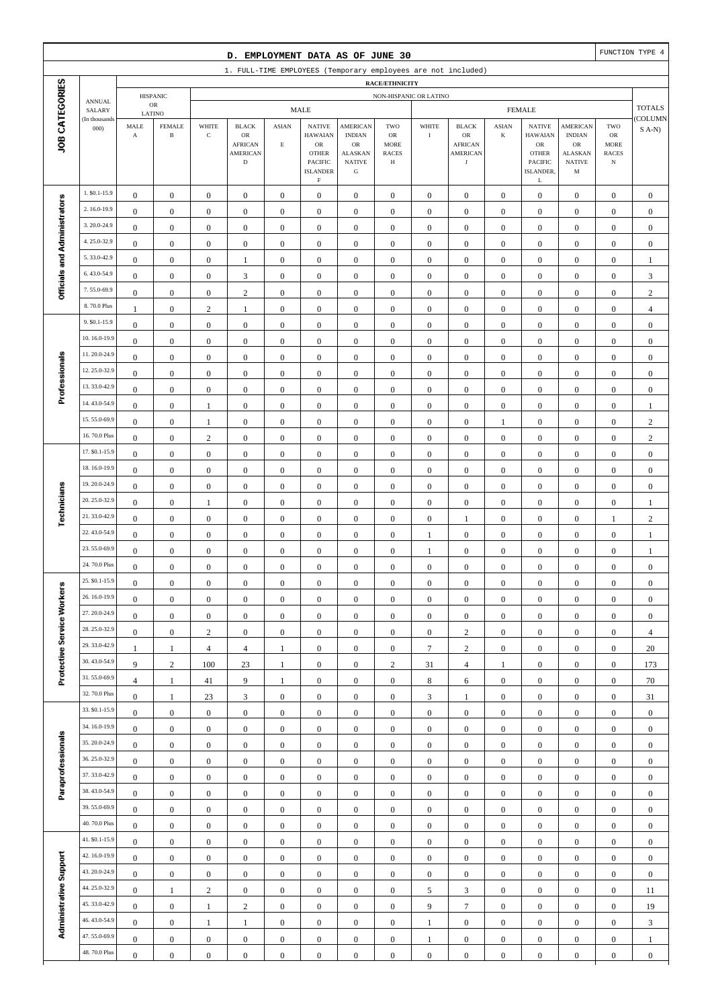|                              |                                |                                                         |                                      |                                      | D. EMPLOYMENT DATA AS OF JUNE 30                                               |                                      |                                                                                                                   |                                                                                                 |                                                                 |                                      |                                                                               |                                      |                                                                                                             |                                                                                                  |                                                          | FUNCTION TYPE 4                      |
|------------------------------|--------------------------------|---------------------------------------------------------|--------------------------------------|--------------------------------------|--------------------------------------------------------------------------------|--------------------------------------|-------------------------------------------------------------------------------------------------------------------|-------------------------------------------------------------------------------------------------|-----------------------------------------------------------------|--------------------------------------|-------------------------------------------------------------------------------|--------------------------------------|-------------------------------------------------------------------------------------------------------------|--------------------------------------------------------------------------------------------------|----------------------------------------------------------|--------------------------------------|
|                              |                                |                                                         |                                      |                                      |                                                                                |                                      |                                                                                                                   |                                                                                                 |                                                                 |                                      | 1. FULL-TIME EMPLOYEES (Temporary employees are not included)                 |                                      |                                                                                                             |                                                                                                  |                                                          |                                      |
|                              |                                |                                                         |                                      |                                      |                                                                                |                                      |                                                                                                                   |                                                                                                 | RACE/ETHNICITY                                                  |                                      |                                                                               |                                      |                                                                                                             |                                                                                                  |                                                          |                                      |
|                              | <b>ANNUAL</b><br>SALARY        |                                                         | <b>HISPANIC</b><br>${\sf OR}$        |                                      |                                                                                |                                      | <b>MALE</b>                                                                                                       |                                                                                                 | NON-HISPANIC OR LATINO                                          |                                      |                                                                               |                                      | <b>FEMALE</b>                                                                                               |                                                                                                  |                                                          | <b>TOTALS</b>                        |
| JOB CATEGORIES               | (In thousands<br>000           | LATINO<br>$\operatorname{\mathsf{MALE}}$<br>$\mathbf A$ | <b>FEMALE</b><br>$\, {\bf B}$        | WHITE<br>$\mathbf C$                 | <b>BLACK</b><br>${\sf OR}$<br><b>AFRICAN</b><br><b>AMERICAN</b><br>$\mathbf D$ | <b>ASIAN</b><br>$\mathbf E$          | <b>NATIVE</b><br><b>HAWAIAN</b><br>${\sf OR}$<br><b>OTHER</b><br><b>PACIFIC</b><br><b>ISLANDER</b><br>$\mathbf F$ | <b>AMERICAN</b><br><b>INDIAN</b><br>$_{\rm OR}$<br><b>ALASKAN</b><br><b>NATIVE</b><br>${\bf G}$ | TWO<br>$_{\rm OR}$<br><b>MORE</b><br><b>RACES</b><br>$_{\rm H}$ | WHITE<br>$\rm I$                     | <b>BLACK</b><br>${\sf OR}$<br><b>AFRICAN</b><br><b>AMERICAN</b><br>$_{\rm J}$ | <b>ASIAN</b><br>$\bf K$              | <b>NATIVE</b><br><b>HAWAIAN</b><br>${\sf OR}$<br><b>OTHER</b><br><b>PACIFIC</b><br>ISLANDER,<br>$\mathbf L$ | <b>AMERICAN</b><br><b>INDIAN</b><br>${\rm OR}$<br><b>ALASKAN</b><br><b>NATIVE</b><br>$\mathbf M$ | TWO<br>$_{\rm OR}$<br>MORE<br><b>RACES</b><br>$_{\rm N}$ | <b>COLUMN</b><br>$S$ A-N)            |
|                              | 1. \$0.1-15.9                  | $\boldsymbol{0}$                                        | $\boldsymbol{0}$                     | $\boldsymbol{0}$                     | $\boldsymbol{0}$                                                               | $\boldsymbol{0}$                     | $\mathbf{0}$                                                                                                      | $\boldsymbol{0}$                                                                                | $\boldsymbol{0}$                                                | $\boldsymbol{0}$                     | $\boldsymbol{0}$                                                              | $\boldsymbol{0}$                     | $\boldsymbol{0}$                                                                                            | $\boldsymbol{0}$                                                                                 | $\boldsymbol{0}$                                         | $\boldsymbol{0}$                     |
|                              | 2.16.0-19.9                    | $\boldsymbol{0}$                                        | $\boldsymbol{0}$                     | $\boldsymbol{0}$                     | $\boldsymbol{0}$                                                               | $\boldsymbol{0}$                     | $\boldsymbol{0}$                                                                                                  | $\boldsymbol{0}$                                                                                | $\boldsymbol{0}$                                                | $\boldsymbol{0}$                     | $\boldsymbol{0}$                                                              | $\boldsymbol{0}$                     | $\boldsymbol{0}$                                                                                            | $\boldsymbol{0}$                                                                                 | $\boldsymbol{0}$                                         | $\boldsymbol{0}$                     |
|                              | 3.20.0-24.9                    | $\boldsymbol{0}$                                        | $\boldsymbol{0}$                     | $\boldsymbol{0}$                     | $\boldsymbol{0}$                                                               | $\boldsymbol{0}$                     | $\mathbf{0}$                                                                                                      | $\boldsymbol{0}$                                                                                | $\boldsymbol{0}$                                                | $\boldsymbol{0}$                     | $\boldsymbol{0}$                                                              | $\boldsymbol{0}$                     | $\boldsymbol{0}$                                                                                            | $\boldsymbol{0}$                                                                                 | $\boldsymbol{0}$                                         | $\boldsymbol{0}$                     |
|                              | 4.25.0-32.9                    | $\boldsymbol{0}$                                        | $\boldsymbol{0}$                     | $\boldsymbol{0}$                     | $\boldsymbol{0}$                                                               | $\boldsymbol{0}$                     | $\boldsymbol{0}$                                                                                                  | $\boldsymbol{0}$                                                                                | $\boldsymbol{0}$                                                | $\boldsymbol{0}$                     | $\boldsymbol{0}$                                                              | $\boldsymbol{0}$                     | $\boldsymbol{0}$                                                                                            | $\boldsymbol{0}$                                                                                 | $\boldsymbol{0}$                                         | $\boldsymbol{0}$                     |
| Officials and Administrators | 5.33.0-42.9                    | $\boldsymbol{0}$                                        | $\boldsymbol{0}$                     | $\boldsymbol{0}$                     | 1                                                                              | $\boldsymbol{0}$                     | $\boldsymbol{0}$                                                                                                  | $\boldsymbol{0}$                                                                                | $\boldsymbol{0}$                                                | $\boldsymbol{0}$                     | $\boldsymbol{0}$                                                              | $\boldsymbol{0}$                     | $\boldsymbol{0}$                                                                                            | $\boldsymbol{0}$                                                                                 | $\boldsymbol{0}$                                         | $\mathbf{1}$                         |
|                              | 6.43.0-54.9                    | $\boldsymbol{0}$                                        | $\boldsymbol{0}$                     | $\boldsymbol{0}$                     | 3                                                                              | $\boldsymbol{0}$                     | $\boldsymbol{0}$                                                                                                  | $\boldsymbol{0}$                                                                                | $\boldsymbol{0}$                                                | $\boldsymbol{0}$                     | $\boldsymbol{0}$                                                              | $\boldsymbol{0}$                     | $\boldsymbol{0}$                                                                                            | $\boldsymbol{0}$                                                                                 | $\boldsymbol{0}$                                         | $\sqrt{3}$                           |
|                              | 7.55.0-69.9                    | $\boldsymbol{0}$                                        | $\boldsymbol{0}$                     | $\boldsymbol{0}$                     | $\sqrt{2}$                                                                     | $\boldsymbol{0}$                     | $\boldsymbol{0}$                                                                                                  | $\boldsymbol{0}$                                                                                | $\boldsymbol{0}$                                                | $\boldsymbol{0}$                     | $\boldsymbol{0}$                                                              | $\boldsymbol{0}$                     | $\boldsymbol{0}$                                                                                            | $\boldsymbol{0}$                                                                                 | $\boldsymbol{0}$                                         | $\overline{c}$                       |
|                              | 8.70.0 Plus                    | $\mathbf{1}$                                            | $\boldsymbol{0}$                     | $\mathbf{2}$                         | $\mathbf{1}$                                                                   | $\boldsymbol{0}$                     | $\boldsymbol{0}$                                                                                                  | $\boldsymbol{0}$                                                                                | $\boldsymbol{0}$                                                | $\boldsymbol{0}$                     | $\boldsymbol{0}$                                                              | $\boldsymbol{0}$                     | $\boldsymbol{0}$                                                                                            | $\boldsymbol{0}$                                                                                 | $\boldsymbol{0}$                                         | $\overline{4}$                       |
|                              | 9. \$0.1-15.9                  | $\boldsymbol{0}$                                        | $\boldsymbol{0}$                     | $\boldsymbol{0}$                     | $\boldsymbol{0}$                                                               | $\boldsymbol{0}$                     | $\boldsymbol{0}$                                                                                                  | $\boldsymbol{0}$                                                                                | $\boldsymbol{0}$                                                | $\boldsymbol{0}$                     | $\boldsymbol{0}$                                                              | $\boldsymbol{0}$                     | $\boldsymbol{0}$                                                                                            | $\boldsymbol{0}$                                                                                 | $\boldsymbol{0}$                                         | $\boldsymbol{0}$                     |
|                              | 10.16.0-19.9                   | $\boldsymbol{0}$                                        | $\boldsymbol{0}$                     | $\boldsymbol{0}$                     | $\boldsymbol{0}$                                                               | $\boldsymbol{0}$                     | $\boldsymbol{0}$                                                                                                  | $\boldsymbol{0}$                                                                                | $\boldsymbol{0}$                                                | $\boldsymbol{0}$                     | $\boldsymbol{0}$                                                              | $\boldsymbol{0}$                     | $\boldsymbol{0}$                                                                                            | $\boldsymbol{0}$                                                                                 | $\boldsymbol{0}$                                         | $\boldsymbol{0}$                     |
|                              | 11.20.0-24.9                   | $\boldsymbol{0}$                                        | $\boldsymbol{0}$                     | $\boldsymbol{0}$                     | $\boldsymbol{0}$                                                               | $\mathbf{0}$                         | $\boldsymbol{0}$                                                                                                  | $\boldsymbol{0}$                                                                                | $\boldsymbol{0}$                                                | $\boldsymbol{0}$                     | $\boldsymbol{0}$                                                              | $\boldsymbol{0}$                     | $\boldsymbol{0}$                                                                                            | $\boldsymbol{0}$                                                                                 | $\boldsymbol{0}$                                         | $\boldsymbol{0}$                     |
| Professionals                | 12.25.0-32.9                   | $\boldsymbol{0}$                                        | $\boldsymbol{0}$                     | $\boldsymbol{0}$                     | $\boldsymbol{0}$                                                               | $\boldsymbol{0}$                     | $\boldsymbol{0}$                                                                                                  | $\boldsymbol{0}$                                                                                | $\boldsymbol{0}$                                                | $\boldsymbol{0}$                     | $\boldsymbol{0}$                                                              | $\boldsymbol{0}$                     | $\boldsymbol{0}$                                                                                            | $\boldsymbol{0}$                                                                                 | $\boldsymbol{0}$                                         | $\boldsymbol{0}$                     |
|                              | 13.33.0-42.9                   | $\boldsymbol{0}$                                        | $\boldsymbol{0}$                     | $\boldsymbol{0}$                     | $\boldsymbol{0}$                                                               | $\boldsymbol{0}$                     | $\mathbf{0}$                                                                                                      | $\boldsymbol{0}$                                                                                | $\boldsymbol{0}$                                                | $\boldsymbol{0}$                     | $\boldsymbol{0}$                                                              | $\boldsymbol{0}$                     | $\boldsymbol{0}$                                                                                            | $\boldsymbol{0}$                                                                                 | $\boldsymbol{0}$                                         | $\boldsymbol{0}$                     |
|                              | 14.43.0-54.9                   | $\boldsymbol{0}$                                        | $\boldsymbol{0}$                     | $\mathbf{1}$                         | $\boldsymbol{0}$                                                               | $\boldsymbol{0}$                     | $\boldsymbol{0}$                                                                                                  | $\boldsymbol{0}$                                                                                | $\boldsymbol{0}$                                                | $\boldsymbol{0}$                     | $\boldsymbol{0}$                                                              | $\boldsymbol{0}$                     | $\boldsymbol{0}$                                                                                            | $\boldsymbol{0}$                                                                                 | $\boldsymbol{0}$                                         | $\mathbf{1}$                         |
|                              | 15.55.0-69.9                   | $\boldsymbol{0}$                                        | $\boldsymbol{0}$                     | $\mathbf{1}$                         | $\boldsymbol{0}$                                                               | $\boldsymbol{0}$                     | $\mathbf{0}$                                                                                                      | $\boldsymbol{0}$                                                                                | $\boldsymbol{0}$                                                | $\boldsymbol{0}$                     | $\boldsymbol{0}$                                                              | 1                                    | $\boldsymbol{0}$                                                                                            | $\boldsymbol{0}$                                                                                 | $\boldsymbol{0}$                                         | $\boldsymbol{2}$                     |
|                              | 16.70.0 Plus                   | $\boldsymbol{0}$                                        | $\boldsymbol{0}$                     | $\boldsymbol{2}$                     | $\boldsymbol{0}$                                                               | $\boldsymbol{0}$                     | $\mathbf{0}$                                                                                                      | $\boldsymbol{0}$                                                                                | $\boldsymbol{0}$                                                | $\boldsymbol{0}$                     | $\boldsymbol{0}$                                                              | $\boldsymbol{0}$                     | $\boldsymbol{0}$                                                                                            | $\boldsymbol{0}$                                                                                 | $\boldsymbol{0}$                                         | $\sqrt{2}$                           |
|                              | 17. \$0.1-15.9                 | $\boldsymbol{0}$                                        | $\boldsymbol{0}$                     | $\boldsymbol{0}$                     | $\boldsymbol{0}$                                                               | $\boldsymbol{0}$                     | $\mathbf{0}$                                                                                                      | $\boldsymbol{0}$                                                                                | $\boldsymbol{0}$                                                | $\boldsymbol{0}$                     | $\boldsymbol{0}$                                                              | $\boldsymbol{0}$                     | $\boldsymbol{0}$                                                                                            | $\boldsymbol{0}$                                                                                 | $\boldsymbol{0}$                                         | $\boldsymbol{0}$                     |
|                              | 18.16.0-19.9                   | $\boldsymbol{0}$                                        | $\boldsymbol{0}$                     | $\boldsymbol{0}$                     | $\boldsymbol{0}$                                                               | $\boldsymbol{0}$                     | $\boldsymbol{0}$                                                                                                  | $\boldsymbol{0}$                                                                                | $\boldsymbol{0}$                                                | $\boldsymbol{0}$                     | $\boldsymbol{0}$                                                              | $\boldsymbol{0}$                     | $\boldsymbol{0}$                                                                                            | $\boldsymbol{0}$                                                                                 | $\boldsymbol{0}$                                         | $\boldsymbol{0}$                     |
|                              | 19.20.0-24.9                   | $\boldsymbol{0}$                                        | $\boldsymbol{0}$                     | $\boldsymbol{0}$                     | $\boldsymbol{0}$                                                               | $\boldsymbol{0}$                     | $\boldsymbol{0}$                                                                                                  | $\boldsymbol{0}$                                                                                | $\boldsymbol{0}$                                                | $\boldsymbol{0}$                     | $\boldsymbol{0}$                                                              | $\boldsymbol{0}$                     | $\boldsymbol{0}$                                                                                            | $\boldsymbol{0}$                                                                                 | $\boldsymbol{0}$                                         | $\boldsymbol{0}$                     |
| Technicians                  | 20.25.0-32.9                   | $\boldsymbol{0}$                                        | $\boldsymbol{0}$                     | $\mathbf{1}$                         | $\boldsymbol{0}$                                                               | $\mathbf{0}$                         | $\boldsymbol{0}$                                                                                                  | $\boldsymbol{0}$                                                                                | $\boldsymbol{0}$                                                | $\boldsymbol{0}$                     | $\boldsymbol{0}$                                                              | $\boldsymbol{0}$                     | $\boldsymbol{0}$                                                                                            | $\boldsymbol{0}$                                                                                 | $\boldsymbol{0}$                                         | 1                                    |
|                              | 21.33.0-42.9                   | $\boldsymbol{0}$                                        | $\boldsymbol{0}$                     | $\boldsymbol{0}$                     | $\boldsymbol{0}$                                                               | $\boldsymbol{0}$                     | $\boldsymbol{0}$                                                                                                  | $\boldsymbol{0}$                                                                                | $\boldsymbol{0}$                                                | $\boldsymbol{0}$                     | 1                                                                             | $\boldsymbol{0}$                     | $\boldsymbol{0}$                                                                                            | $\boldsymbol{0}$                                                                                 | $\mathbf{1}$                                             | $\sqrt{2}$                           |
|                              | 22.43.0-54.9                   | $\boldsymbol{0}$                                        | $\boldsymbol{0}$                     | $\boldsymbol{0}$                     | $\boldsymbol{0}$                                                               | $\boldsymbol{0}$                     | $\boldsymbol{0}$                                                                                                  | $\boldsymbol{0}$                                                                                | $\boldsymbol{0}$                                                | $\mathbf{1}$                         | $\boldsymbol{0}$                                                              | $\boldsymbol{0}$                     | $\boldsymbol{0}$                                                                                            | $\boldsymbol{0}$                                                                                 | $\boldsymbol{0}$                                         | $\mathbf{1}$                         |
|                              | 23.55.0-69.9                   | $\boldsymbol{0}$                                        | $\boldsymbol{0}$                     | $\boldsymbol{0}$                     | $\boldsymbol{0}$                                                               | $\boldsymbol{0}$                     | $\boldsymbol{0}$                                                                                                  | $\boldsymbol{0}$                                                                                | $\boldsymbol{0}$                                                | $\mathbf{1}$                         | $\boldsymbol{0}$                                                              | $\boldsymbol{0}$                     | $\boldsymbol{0}$                                                                                            | $\boldsymbol{0}$                                                                                 | $\boldsymbol{0}$                                         | 1                                    |
|                              | 24.70.0 Plus                   | $\boldsymbol{0}$                                        | $\boldsymbol{0}$                     | $\boldsymbol{0}$                     | $\boldsymbol{0}$                                                               | $\boldsymbol{0}$                     | $\boldsymbol{0}$                                                                                                  | $\boldsymbol{0}$                                                                                | $\boldsymbol{0}$                                                | $\boldsymbol{0}$                     | $\boldsymbol{0}$                                                              | $\boldsymbol{0}$                     | $\boldsymbol{0}$                                                                                            | $\boldsymbol{0}$                                                                                 | $\boldsymbol{0}$                                         | $\boldsymbol{0}$                     |
|                              | 25. \$0.1-15.9                 | $\boldsymbol{0}$                                        | $\bf{0}$                             | $\boldsymbol{0}$                     | $\boldsymbol{0}$                                                               | $\boldsymbol{0}$                     | $\boldsymbol{0}$                                                                                                  | $\boldsymbol{0}$                                                                                | $\boldsymbol{0}$                                                | 0                                    | $\boldsymbol{0}$                                                              | $\boldsymbol{0}$                     | $\boldsymbol{0}$                                                                                            | 0                                                                                                | $\boldsymbol{0}$                                         | $\boldsymbol{0}$                     |
|                              | 26.16.0-19.9                   | $\boldsymbol{0}$                                        | $\boldsymbol{0}$                     | $\boldsymbol{0}$                     | $\boldsymbol{0}$                                                               | $\boldsymbol{0}$                     | $\boldsymbol{0}$                                                                                                  | $\boldsymbol{0}$                                                                                | $\boldsymbol{0}$                                                | $\boldsymbol{0}$                     | $\boldsymbol{0}$                                                              | $\boldsymbol{0}$                     | $\boldsymbol{0}$                                                                                            | $\boldsymbol{0}$                                                                                 | $\boldsymbol{0}$                                         | $\boldsymbol{0}$                     |
|                              | 27.20.0-24.9                   | $\boldsymbol{0}$                                        | $\boldsymbol{0}$                     | $\boldsymbol{0}$                     | $\boldsymbol{0}$                                                               | $\overline{0}$                       | $\boldsymbol{0}$                                                                                                  | $\boldsymbol{0}$                                                                                | $\mathbf{0}$                                                    | $\boldsymbol{0}$                     | $\boldsymbol{0}$                                                              | $\boldsymbol{0}$                     | $\boldsymbol{0}$                                                                                            | $\boldsymbol{0}$                                                                                 | $\boldsymbol{0}$                                         | $\boldsymbol{0}$                     |
|                              | 28.25.0-32.9                   | $\boldsymbol{0}$                                        | $\boldsymbol{0}$                     | $\sqrt{2}$                           | $\boldsymbol{0}$                                                               | $\boldsymbol{0}$                     | $\boldsymbol{0}$                                                                                                  | $\boldsymbol{0}$                                                                                | $\boldsymbol{0}$                                                | $\boldsymbol{0}$                     | $\overline{c}$                                                                | $\boldsymbol{0}$                     | $\boldsymbol{0}$                                                                                            | $\boldsymbol{0}$                                                                                 | $\boldsymbol{0}$                                         | $\overline{4}$                       |
|                              | 29.33.0-42.9                   | $\mathbf{1}$                                            | $\mathbf{1}$                         | $\overline{4}$                       | $\overline{4}$                                                                 | $\mathbf{1}$                         | $\boldsymbol{0}$                                                                                                  | $\boldsymbol{0}$                                                                                | $\boldsymbol{0}$                                                | $\boldsymbol{7}$                     | $\sqrt{2}$                                                                    | $\boldsymbol{0}$                     | $\boldsymbol{0}$                                                                                            | $\boldsymbol{0}$                                                                                 | $\boldsymbol{0}$                                         | 20                                   |
| Protective Service Workers   | 30.43.0-54.9                   | 9                                                       | $\boldsymbol{2}$                     | 100                                  | 23                                                                             | $\mathbf{1}$                         | $\boldsymbol{0}$                                                                                                  | $\boldsymbol{0}$                                                                                | $\overline{c}$                                                  | 31                                   | $\overline{4}$                                                                | $\mathbf{1}$                         | $\boldsymbol{0}$                                                                                            | $\boldsymbol{0}$                                                                                 | $\boldsymbol{0}$                                         | 173                                  |
|                              | 31.55.0-69.9                   | $\overline{4}$                                          | $\mathbf{1}$                         | 41                                   | 9                                                                              | $\mathbf{1}$                         | $\boldsymbol{0}$                                                                                                  | $\boldsymbol{0}$                                                                                | $\boldsymbol{0}$                                                | 8                                    | 6                                                                             | $\boldsymbol{0}$                     | $\boldsymbol{0}$                                                                                            | $\boldsymbol{0}$                                                                                 | $\boldsymbol{0}$                                         | 70                                   |
|                              | 32.70.0 Plus<br>33. \$0.1-15.9 | $\boldsymbol{0}$                                        | $\mathbf{1}$                         | 23                                   | $\mathfrak{Z}$                                                                 | $\boldsymbol{0}$                     | $\boldsymbol{0}$                                                                                                  | $\boldsymbol{0}$                                                                                | $\boldsymbol{0}$                                                | 3                                    | $\mathbf{1}$                                                                  | $\boldsymbol{0}$                     | $\boldsymbol{0}$                                                                                            | $\boldsymbol{0}$                                                                                 | $\boldsymbol{0}$                                         | 31                                   |
|                              | 34.16.0-19.9                   | $\boldsymbol{0}$                                        | $\boldsymbol{0}$                     | $\boldsymbol{0}$                     | $\boldsymbol{0}$                                                               | $\boldsymbol{0}$                     | $\boldsymbol{0}$                                                                                                  | $\boldsymbol{0}$                                                                                | $\boldsymbol{0}$                                                | $\boldsymbol{0}$                     | $\boldsymbol{0}$                                                              | $\boldsymbol{0}$                     | $\boldsymbol{0}$                                                                                            | $\boldsymbol{0}$                                                                                 | $\boldsymbol{0}$                                         | $\boldsymbol{0}$                     |
|                              | 35.20.0-24.9                   | $\boldsymbol{0}$<br>$\boldsymbol{0}$                    | $\boldsymbol{0}$<br>$\boldsymbol{0}$ | $\boldsymbol{0}$<br>$\boldsymbol{0}$ | $\boldsymbol{0}$<br>$\boldsymbol{0}$                                           | $\boldsymbol{0}$<br>$\boldsymbol{0}$ | $\boldsymbol{0}$<br>$\boldsymbol{0}$                                                                              | $\boldsymbol{0}$<br>$\boldsymbol{0}$                                                            | $\boldsymbol{0}$<br>$\boldsymbol{0}$                            | $\boldsymbol{0}$<br>$\boldsymbol{0}$ | $\boldsymbol{0}$<br>$\boldsymbol{0}$                                          | $\boldsymbol{0}$<br>$\boldsymbol{0}$ | $\boldsymbol{0}$<br>$\boldsymbol{0}$                                                                        | $\boldsymbol{0}$<br>$\boldsymbol{0}$                                                             | $\boldsymbol{0}$                                         | $\boldsymbol{0}$<br>$\boldsymbol{0}$ |
|                              | 36.25.0-32.9                   | $\boldsymbol{0}$                                        | $\boldsymbol{0}$                     | $\boldsymbol{0}$                     | $\boldsymbol{0}$                                                               | $\mathbf{0}$                         | $\boldsymbol{0}$                                                                                                  | $\boldsymbol{0}$                                                                                | $\boldsymbol{0}$                                                | $\boldsymbol{0}$                     | $\boldsymbol{0}$                                                              | $\boldsymbol{0}$                     | $\boldsymbol{0}$                                                                                            | $\boldsymbol{0}$                                                                                 | $\boldsymbol{0}$<br>$\boldsymbol{0}$                     | $\boldsymbol{0}$                     |
| Paraprofessionals            | 37.33.0-42.9                   | $\boldsymbol{0}$                                        | $\boldsymbol{0}$                     | $\boldsymbol{0}$                     | $\boldsymbol{0}$                                                               | $\boldsymbol{0}$                     | $\mathbf{0}$                                                                                                      | $\boldsymbol{0}$                                                                                | $\boldsymbol{0}$                                                | $\boldsymbol{0}$                     | $\boldsymbol{0}$                                                              | $\boldsymbol{0}$                     | $\boldsymbol{0}$                                                                                            | $\boldsymbol{0}$                                                                                 | $\boldsymbol{0}$                                         | $\boldsymbol{0}$                     |
|                              | 38.43.0-54.9                   | $\boldsymbol{0}$                                        | $\boldsymbol{0}$                     | $\boldsymbol{0}$                     | $\boldsymbol{0}$                                                               | $\boldsymbol{0}$                     | $\boldsymbol{0}$                                                                                                  | $\boldsymbol{0}$                                                                                | $\boldsymbol{0}$                                                | $\boldsymbol{0}$                     | $\boldsymbol{0}$                                                              | $\boldsymbol{0}$                     | $\boldsymbol{0}$                                                                                            | $\boldsymbol{0}$                                                                                 | $\boldsymbol{0}$                                         | $\boldsymbol{0}$                     |
|                              | 39.55.0-69.9                   | $\boldsymbol{0}$                                        | $\boldsymbol{0}$                     | $\boldsymbol{0}$                     | $\boldsymbol{0}$                                                               | $\boldsymbol{0}$                     | $\boldsymbol{0}$                                                                                                  | $\boldsymbol{0}$                                                                                | $\boldsymbol{0}$                                                | $\boldsymbol{0}$                     | $\boldsymbol{0}$                                                              | $\boldsymbol{0}$                     | $\boldsymbol{0}$                                                                                            | $\boldsymbol{0}$                                                                                 | $\boldsymbol{0}$                                         | $\boldsymbol{0}$                     |
|                              | 40.70.0 Plus                   | $\boldsymbol{0}$                                        | $\boldsymbol{0}$                     | $\boldsymbol{0}$                     | $\boldsymbol{0}$                                                               | $\boldsymbol{0}$                     | $\boldsymbol{0}$                                                                                                  | $\boldsymbol{0}$                                                                                | $\boldsymbol{0}$                                                | $\boldsymbol{0}$                     | $\boldsymbol{0}$                                                              | $\boldsymbol{0}$                     | $\boldsymbol{0}$                                                                                            | $\boldsymbol{0}$                                                                                 | $\boldsymbol{0}$                                         | $\boldsymbol{0}$                     |
|                              | 41. \$0.1-15.9                 | $\boldsymbol{0}$                                        | $\boldsymbol{0}$                     | $\boldsymbol{0}$                     | $\boldsymbol{0}$                                                               | $\boldsymbol{0}$                     | $\boldsymbol{0}$                                                                                                  | $\boldsymbol{0}$                                                                                | $\boldsymbol{0}$                                                | $\boldsymbol{0}$                     | $\boldsymbol{0}$                                                              | $\boldsymbol{0}$                     | $\boldsymbol{0}$                                                                                            | $\boldsymbol{0}$                                                                                 | $\boldsymbol{0}$                                         | $\boldsymbol{0}$                     |
|                              | 42.16.0-19.9                   | $\boldsymbol{0}$                                        | $\boldsymbol{0}$                     | $\boldsymbol{0}$                     | $\boldsymbol{0}$                                                               | $\boldsymbol{0}$                     | $\boldsymbol{0}$                                                                                                  | $\boldsymbol{0}$                                                                                | $\boldsymbol{0}$                                                | $\boldsymbol{0}$                     | $\boldsymbol{0}$                                                              | $\boldsymbol{0}$                     | $\boldsymbol{0}$                                                                                            | $\boldsymbol{0}$                                                                                 | $\boldsymbol{0}$                                         | $\boldsymbol{0}$                     |
| Administrative Support       | 43.20.0-24.9                   | $\boldsymbol{0}$                                        | $\boldsymbol{0}$                     | $\boldsymbol{0}$                     | $\boldsymbol{0}$                                                               | $\boldsymbol{0}$                     | $\boldsymbol{0}$                                                                                                  | $\boldsymbol{0}$                                                                                | $\boldsymbol{0}$                                                | $\boldsymbol{0}$                     | $\boldsymbol{0}$                                                              | $\boldsymbol{0}$                     | $\boldsymbol{0}$                                                                                            | $\boldsymbol{0}$                                                                                 | $\boldsymbol{0}$                                         | $\boldsymbol{0}$                     |
|                              | 44.25.0-32.9                   | $\boldsymbol{0}$                                        | $\mathbf{1}$                         | $\sqrt{2}$                           | $\boldsymbol{0}$                                                               | $\mathbf{0}$                         | $\boldsymbol{0}$                                                                                                  | $\boldsymbol{0}$                                                                                | $\boldsymbol{0}$                                                | $\sqrt{5}$                           | 3                                                                             | $\boldsymbol{0}$                     | $\boldsymbol{0}$                                                                                            | $\boldsymbol{0}$                                                                                 | $\boldsymbol{0}$                                         | 11                                   |
|                              | 45.33.0-42.9                   | $\boldsymbol{0}$                                        | $\boldsymbol{0}$                     | $\mathbf{1}$                         | $\sqrt{2}$                                                                     | $\boldsymbol{0}$                     | $\boldsymbol{0}$                                                                                                  | $\boldsymbol{0}$                                                                                | $\boldsymbol{0}$                                                | 9                                    | $\boldsymbol{7}$                                                              | $\boldsymbol{0}$                     | $\boldsymbol{0}$                                                                                            | $\boldsymbol{0}$                                                                                 | $\boldsymbol{0}$                                         | 19                                   |
|                              | 46.43.0-54.9                   | $\boldsymbol{0}$                                        | $\boldsymbol{0}$                     | $\mathbf{1}$                         | $\mathbf{1}$                                                                   | $\boldsymbol{0}$                     | $\boldsymbol{0}$                                                                                                  | $\boldsymbol{0}$                                                                                | $\boldsymbol{0}$                                                | $\mathbf{1}$                         | $\boldsymbol{0}$                                                              | $\boldsymbol{0}$                     | $\boldsymbol{0}$                                                                                            | $\boldsymbol{0}$                                                                                 | $\boldsymbol{0}$                                         | 3                                    |
|                              | 47.55.0-69.9                   | $\boldsymbol{0}$                                        | $\boldsymbol{0}$                     | $\boldsymbol{0}$                     | $\boldsymbol{0}$                                                               | $\boldsymbol{0}$                     | $\boldsymbol{0}$                                                                                                  | $\boldsymbol{0}$                                                                                | $\boldsymbol{0}$                                                | $\mathbf{1}$                         | $\boldsymbol{0}$                                                              | $\boldsymbol{0}$                     | $\boldsymbol{0}$                                                                                            | $\boldsymbol{0}$                                                                                 | $\boldsymbol{0}$                                         | $\mathbf{1}$                         |
|                              | 48.70.0 Plus                   | $\boldsymbol{0}$                                        | $\boldsymbol{0}$                     | $\boldsymbol{0}$                     | $\boldsymbol{0}$                                                               | $\boldsymbol{0}$                     | $\boldsymbol{0}$                                                                                                  | $\boldsymbol{0}$                                                                                | $\boldsymbol{0}$                                                | $\boldsymbol{0}$                     | $\boldsymbol{0}$                                                              | $\boldsymbol{0}$                     | $\boldsymbol{0}$                                                                                            | $\boldsymbol{0}$                                                                                 | $\boldsymbol{0}$                                         | $\boldsymbol{0}$                     |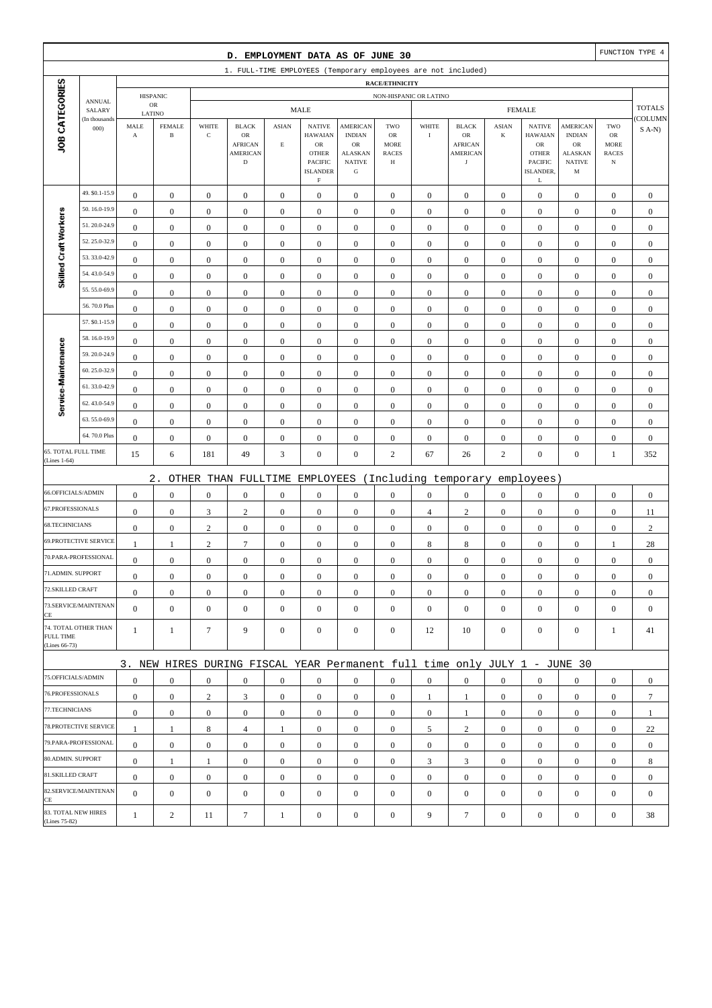|                                     |                         |                               |                               |                                      | D. EMPLOYMENT DATA AS OF JUNE 30                                          |                                      |                                                                          |                                                                    |                                               |                                |                                                  |                                    |                                                                          |                                                                    |                                                        | FUNCTION TYPE 4                |
|-------------------------------------|-------------------------|-------------------------------|-------------------------------|--------------------------------------|---------------------------------------------------------------------------|--------------------------------------|--------------------------------------------------------------------------|--------------------------------------------------------------------|-----------------------------------------------|--------------------------------|--------------------------------------------------|------------------------------------|--------------------------------------------------------------------------|--------------------------------------------------------------------|--------------------------------------------------------|--------------------------------|
|                                     |                         |                               |                               |                                      | 1. FULL-TIME EMPLOYEES (Temporary employees are not included)             |                                      |                                                                          |                                                                    |                                               |                                |                                                  |                                    |                                                                          |                                                                    |                                                        |                                |
|                                     |                         |                               |                               |                                      |                                                                           |                                      |                                                                          |                                                                    | RACE/ETHNICITY                                |                                |                                                  |                                    |                                                                          |                                                                    |                                                        |                                |
|                                     | <b>ANNUAL</b>           |                               | <b>HISPANIC</b><br>${\sf OR}$ |                                      |                                                                           |                                      | <b>MALE</b>                                                              |                                                                    | NON-HISPANIC OR LATINO                        |                                |                                                  |                                    | <b>FEMALE</b>                                                            |                                                                    |                                                        | <b>TOTALS</b>                  |
|                                     | SALARY<br>(In thousands | LATINO                        |                               |                                      |                                                                           |                                      |                                                                          |                                                                    |                                               |                                |                                                  |                                    |                                                                          |                                                                    |                                                        | COLUMN                         |
| JOB CATEGORIES                      | 000                     | MALE<br>$\boldsymbol{\rm{A}}$ | <b>FEMALE</b><br>$\, {\bf B}$ | WHITE<br>$\mathbf C$                 | <b>BLACK</b><br>OR<br><b>AFRICAN</b><br><b>AMERICAN</b>                   | <b>ASIAN</b><br>$\mathbf E$          | <b>NATIVE</b><br><b>HAWAIAN</b><br>${\sf OR}$<br><b>OTHER</b><br>PACIFIC | AMERICAN<br><b>INDIAN</b><br>OR<br><b>ALASKAN</b><br><b>NATIVE</b> | TWO<br>OR<br><b>MORE</b><br><b>RACES</b><br>Н | WHITE<br>$\bf I$               | <b>BLACK</b><br>OR<br><b>AFRICAN</b><br>AMERICAN | <b>ASIAN</b><br>$\bf K$            | <b>NATIVE</b><br><b>HAWAIAN</b><br>${\sf OR}$<br><b>OTHER</b><br>PACIFIC | <b>AMERICAN</b><br><b>INDIAN</b><br>OR<br>ALASKAN<br><b>NATIVE</b> | TWO<br>OR<br><b>MORE</b><br><b>RACES</b><br>$_{\rm N}$ | $S(A-N)$                       |
|                                     |                         |                               |                               |                                      | $\mathbf D$                                                               |                                      | <b>ISLANDER</b><br>$\mathbf F$                                           | ${\bf G}$                                                          |                                               |                                | $_{\rm J}$                                       |                                    | ISLANDER,<br>L                                                           | M                                                                  |                                                        |                                |
|                                     | 49. \$0.1-15.9          | $\boldsymbol{0}$              | $\boldsymbol{0}$              | $\boldsymbol{0}$                     | $\boldsymbol{0}$                                                          | $\boldsymbol{0}$                     | $\boldsymbol{0}$                                                         | $\boldsymbol{0}$                                                   | $\boldsymbol{0}$                              | $\boldsymbol{0}$               | $\boldsymbol{0}$                                 | $\mathbf{0}$                       | $\boldsymbol{0}$                                                         | $\boldsymbol{0}$                                                   | $\boldsymbol{0}$                                       | $\boldsymbol{0}$               |
|                                     | 50.16.0-19.9            | $\boldsymbol{0}$              | $\boldsymbol{0}$              | $\boldsymbol{0}$                     | $\boldsymbol{0}$                                                          | $\boldsymbol{0}$                     | $\boldsymbol{0}$                                                         | $\boldsymbol{0}$                                                   | $\boldsymbol{0}$                              | $\boldsymbol{0}$               | $\boldsymbol{0}$                                 | $\boldsymbol{0}$                   | $\boldsymbol{0}$                                                         | $\boldsymbol{0}$                                                   | $\boldsymbol{0}$                                       | $\boldsymbol{0}$               |
| Skilled Craft Workers               | 51.20.0-24.9            | $\mathbf{0}$                  | $\boldsymbol{0}$              | $\boldsymbol{0}$                     | $\boldsymbol{0}$                                                          | $\mathbf{0}$                         | $\mathbf{0}$                                                             | $\boldsymbol{0}$                                                   | $\boldsymbol{0}$                              | $\mathbf{0}$                   | $\mathbf{0}$                                     | $\boldsymbol{0}$                   | $\boldsymbol{0}$                                                         | $\boldsymbol{0}$                                                   | $\boldsymbol{0}$                                       | $\boldsymbol{0}$               |
|                                     | 52.25.0-32.9            | $\boldsymbol{0}$              | $\boldsymbol{0}$              | $\boldsymbol{0}$                     | $\boldsymbol{0}$                                                          | $\mathbf{0}$                         | $\mathbf{0}$                                                             | $\boldsymbol{0}$                                                   | $\boldsymbol{0}$                              | $\boldsymbol{0}$               | $\mathbf{0}$                                     | $\boldsymbol{0}$                   | $\boldsymbol{0}$                                                         | $\boldsymbol{0}$                                                   | $\boldsymbol{0}$                                       | $\boldsymbol{0}$               |
|                                     | 53.33.0-42.9            | $\boldsymbol{0}$              | $\boldsymbol{0}$              | $\boldsymbol{0}$                     | $\boldsymbol{0}$                                                          | $\boldsymbol{0}$                     | $\boldsymbol{0}$                                                         | $\boldsymbol{0}$                                                   | $\boldsymbol{0}$                              | $\boldsymbol{0}$               | $\boldsymbol{0}$                                 | $\boldsymbol{0}$                   | $\boldsymbol{0}$                                                         | $\boldsymbol{0}$                                                   | $\boldsymbol{0}$                                       | $\boldsymbol{0}$               |
|                                     | 54.43.0-54.9            | $\boldsymbol{0}$              | $\boldsymbol{0}$              | $\boldsymbol{0}$                     | $\boldsymbol{0}$                                                          | $\boldsymbol{0}$                     | $\boldsymbol{0}$                                                         | $\boldsymbol{0}$                                                   | $\boldsymbol{0}$                              | $\boldsymbol{0}$               | $\boldsymbol{0}$                                 | $\boldsymbol{0}$                   | $\boldsymbol{0}$                                                         | $\boldsymbol{0}$                                                   | $\boldsymbol{0}$                                       | $\boldsymbol{0}$               |
|                                     | 55.55.0-69.9            | $\boldsymbol{0}$              | $\boldsymbol{0}$              | $\boldsymbol{0}$                     | $\mathbf{0}$                                                              | $\mathbf{0}$                         | $\mathbf{0}$                                                             | $\boldsymbol{0}$                                                   | $\boldsymbol{0}$                              | $\mathbf{0}$                   | $\mathbf{0}$                                     | $\boldsymbol{0}$                   | $\boldsymbol{0}$                                                         | $\boldsymbol{0}$                                                   | $\boldsymbol{0}$                                       | $\boldsymbol{0}$               |
|                                     | 56.70.0 Plus            | $\boldsymbol{0}$              | $\boldsymbol{0}$              | $\boldsymbol{0}$                     | $\boldsymbol{0}$                                                          | $\boldsymbol{0}$                     | $\mathbf{0}$                                                             | $\boldsymbol{0}$                                                   | $\boldsymbol{0}$                              | $\boldsymbol{0}$               | $\boldsymbol{0}$                                 | $\boldsymbol{0}$                   | $\boldsymbol{0}$                                                         | $\boldsymbol{0}$                                                   | $\boldsymbol{0}$                                       | $\boldsymbol{0}$               |
|                                     | 57. \$0.1-15.9          | $\boldsymbol{0}$              | $\boldsymbol{0}$              | $\boldsymbol{0}$                     | $\boldsymbol{0}$                                                          | $\boldsymbol{0}$                     | $\mathbf{0}$                                                             | $\boldsymbol{0}$                                                   | $\boldsymbol{0}$                              | $\boldsymbol{0}$               | $\boldsymbol{0}$                                 | $\boldsymbol{0}$                   | $\boldsymbol{0}$                                                         | $\boldsymbol{0}$                                                   | $\boldsymbol{0}$                                       | $\boldsymbol{0}$               |
|                                     | 58.16.0-19.9            | $\boldsymbol{0}$              | $\boldsymbol{0}$              | $\boldsymbol{0}$                     | $\boldsymbol{0}$                                                          | $\boldsymbol{0}$                     | $\mathbf{0}$                                                             | $\boldsymbol{0}$                                                   | $\boldsymbol{0}$                              | $\boldsymbol{0}$               | $\boldsymbol{0}$                                 | $\boldsymbol{0}$                   | $\boldsymbol{0}$                                                         | $\boldsymbol{0}$                                                   | $\boldsymbol{0}$                                       | $\boldsymbol{0}$               |
| Service-Maintenance                 | 59.20.0-24.9            | $\boldsymbol{0}$              | $\boldsymbol{0}$              | $\boldsymbol{0}$                     | $\boldsymbol{0}$                                                          | $\boldsymbol{0}$                     | $\mathbf{0}$                                                             | $\boldsymbol{0}$                                                   | $\boldsymbol{0}$                              | $\mathbf{0}$                   | $\mathbf{0}$                                     | $\boldsymbol{0}$                   | $\boldsymbol{0}$                                                         | $\boldsymbol{0}$                                                   | $\boldsymbol{0}$                                       | $\boldsymbol{0}$               |
|                                     | 60.25.0-32.9            | $\boldsymbol{0}$              | $\boldsymbol{0}$              | $\boldsymbol{0}$                     | $\boldsymbol{0}$                                                          | $\boldsymbol{0}$                     | $\boldsymbol{0}$                                                         | $\boldsymbol{0}$                                                   | $\boldsymbol{0}$                              | $\boldsymbol{0}$               | $\mathbf{0}$                                     | $\boldsymbol{0}$                   | $\boldsymbol{0}$                                                         | $\boldsymbol{0}$                                                   | $\boldsymbol{0}$                                       | $\boldsymbol{0}$               |
|                                     | 61.33.0-42.9            | $\boldsymbol{0}$              | $\boldsymbol{0}$              | $\boldsymbol{0}$                     | $\boldsymbol{0}$                                                          | $\boldsymbol{0}$                     | $\boldsymbol{0}$                                                         | $\boldsymbol{0}$                                                   | $\boldsymbol{0}$                              | $\boldsymbol{0}$               | $\boldsymbol{0}$                                 | $\boldsymbol{0}$                   | $\boldsymbol{0}$                                                         | $\boldsymbol{0}$                                                   | $\boldsymbol{0}$                                       | $\boldsymbol{0}$               |
|                                     | 62.43.0-54.9            | $\boldsymbol{0}$              | $\boldsymbol{0}$              | $\boldsymbol{0}$                     | $\boldsymbol{0}$                                                          | $\boldsymbol{0}$                     | $\mathbf{0}$                                                             | $\boldsymbol{0}$                                                   | $\boldsymbol{0}$                              | $\boldsymbol{0}$               | $\mathbf{0}$                                     | $\boldsymbol{0}$                   | $\boldsymbol{0}$                                                         | $\boldsymbol{0}$                                                   | $\boldsymbol{0}$                                       | $\boldsymbol{0}$               |
|                                     | 63.55.0-69.9            | $\boldsymbol{0}$              | $\boldsymbol{0}$              | $\boldsymbol{0}$                     | $\boldsymbol{0}$                                                          | $\mathbf{0}$                         | $\mathbf{0}$                                                             | $\boldsymbol{0}$                                                   | $\boldsymbol{0}$                              | $\mathbf{0}$                   | $\mathbf{0}$                                     | $\boldsymbol{0}$                   | $\boldsymbol{0}$                                                         | $\boldsymbol{0}$                                                   | $\boldsymbol{0}$                                       | $\boldsymbol{0}$               |
|                                     | 64.70.0 Plus            | $\boldsymbol{0}$              | $\boldsymbol{0}$              | $\boldsymbol{0}$                     | $\boldsymbol{0}$                                                          | $\boldsymbol{0}$                     | $\boldsymbol{0}$                                                         | $\boldsymbol{0}$                                                   | $\boldsymbol{0}$                              | $\boldsymbol{0}$               | $\boldsymbol{0}$                                 | $\boldsymbol{0}$                   | $\boldsymbol{0}$                                                         | $\boldsymbol{0}$                                                   | $\boldsymbol{0}$                                       | $\boldsymbol{0}$               |
| 65. TOTAL FULL TIME<br>(Lines 1-64) |                         | 15                            | 6                             | 181                                  | 49                                                                        | 3                                    | $\mathbf{0}$                                                             | $\boldsymbol{0}$                                                   | $\overline{c}$                                | 67                             | 26                                               | $\overline{c}$                     | $\boldsymbol{0}$                                                         | $\boldsymbol{0}$                                                   | $\mathbf{1}$                                           | 352                            |
|                                     |                         |                               | $2$ .                         |                                      |                                                                           |                                      |                                                                          |                                                                    |                                               |                                |                                                  |                                    |                                                                          |                                                                    |                                                        |                                |
| 66.OFFICIALS/ADMIN                  |                         | $\boldsymbol{0}$              | $\boldsymbol{0}$              | $\boldsymbol{0}$                     | OTHER THAN FULLTIME<br>$\boldsymbol{0}$                                   | $\boldsymbol{0}$                     | EMPLOYEES<br>$\mathbf{0}$                                                | $\boldsymbol{0}$                                                   | $\boldsymbol{0}$                              | $\boldsymbol{0}$               | (Including temporary<br>$\boldsymbol{0}$         | $\boldsymbol{0}$                   | employees)<br>$\boldsymbol{0}$                                           |                                                                    | $\boldsymbol{0}$                                       | $\boldsymbol{0}$               |
| 67.PROFESSIONALS                    |                         | $\boldsymbol{0}$              | $\boldsymbol{0}$              | $\mathfrak{Z}$                       | $\sqrt{2}$                                                                | $\boldsymbol{0}$                     | $\boldsymbol{0}$                                                         | $\boldsymbol{0}$                                                   | $\boldsymbol{0}$                              |                                | $\sqrt{2}$                                       | $\boldsymbol{0}$                   | $\boldsymbol{0}$                                                         | $\boldsymbol{0}$                                                   | $\boldsymbol{0}$                                       |                                |
| 68.TECHNICIANS                      |                         | $\boldsymbol{0}$              | $\boldsymbol{0}$              | $\sqrt{2}$                           | $\boldsymbol{0}$                                                          | $\boldsymbol{0}$                     | $\mathbf{0}$                                                             | $\boldsymbol{0}$                                                   | $\boldsymbol{0}$                              | $\overline{4}$<br>$\mathbf{0}$ | $\boldsymbol{0}$                                 | $\boldsymbol{0}$                   | $\boldsymbol{0}$                                                         | $\boldsymbol{0}$<br>$\boldsymbol{0}$                               | $\boldsymbol{0}$                                       | 11<br>$\sqrt{2}$               |
|                                     | 69.PROTECTIVE SERVICE   | $\mathbf{1}$                  | $\mathbf{1}$                  | $\mathbf{2}$                         | $7\phantom{.0}$                                                           | $\mathbf{0}$                         |                                                                          | $\boldsymbol{0}$                                                   | $\boldsymbol{0}$                              |                                |                                                  |                                    | $\boldsymbol{0}$                                                         |                                                                    |                                                        |                                |
|                                     | 70.PARA-PROFESSIONAL    | $\boldsymbol{0}$              | $\boldsymbol{0}$              |                                      |                                                                           |                                      | $\boldsymbol{0}$<br>$\mathbf{0}$                                         | $\boldsymbol{0}$                                                   |                                               | 8<br>$\boldsymbol{0}$          | $\,8\,$                                          | $\boldsymbol{0}$                   | $\boldsymbol{0}$                                                         | $\boldsymbol{0}$                                                   | $\mathbf{1}$                                           | 28<br>$\boldsymbol{0}$         |
| 71.ADMIN. SUPPORT                   |                         | $\boldsymbol{0}$              | $\boldsymbol{0}$              | $\boldsymbol{0}$<br>$\Omega$         | $\boldsymbol{0}$<br>$\boldsymbol{0}$                                      | $\boldsymbol{0}$<br>$\boldsymbol{0}$ |                                                                          |                                                                    | $\boldsymbol{0}$<br>$\Omega$                  | $\Omega$                       | $\boldsymbol{0}$<br>$\boldsymbol{0}$             | $\boldsymbol{0}$<br>$\overline{0}$ |                                                                          | $\boldsymbol{0}$<br>$\Omega$                                       | $\boldsymbol{0}$                                       |                                |
| 72.SKILLED CRAFT                    |                         | $\boldsymbol{0}$              | $\boldsymbol{0}$              |                                      | $\mathbf{0}$                                                              |                                      | $\boldsymbol{0}$                                                         | $\boldsymbol{0}$                                                   |                                               |                                |                                                  |                                    | $\boldsymbol{0}$<br>$\boldsymbol{0}$                                     |                                                                    | $\boldsymbol{0}$                                       | $\boldsymbol{0}$               |
|                                     | 73.SERVICE/MAINTENAN    | $\mathbf{0}$                  | $\boldsymbol{0}$              | $\boldsymbol{0}$<br>$\boldsymbol{0}$ | $\mathbf{0}$                                                              | $\boldsymbol{0}$<br>$\mathbf{0}$     | $\boldsymbol{0}$<br>$\overline{0}$                                       | $\mathbf{0}$<br>$\boldsymbol{0}$                                   | $\mathbf{0}$<br>$\mathbf{0}$                  | $\mathbf{0}$<br>$\mathbf{0}$   | $\mathbf{0}$<br>$\mathbf{0}$                     | $\mathbf{0}$<br>$\mathbf{0}$       | $\boldsymbol{0}$                                                         | $\boldsymbol{0}$<br>$\boldsymbol{0}$                               | $\mathbf{0}$<br>$\mathbf{0}$                           | $\mathbf{0}$<br>$\overline{0}$ |
| CE                                  |                         |                               |                               |                                      |                                                                           |                                      |                                                                          |                                                                    |                                               |                                |                                                  |                                    |                                                                          |                                                                    |                                                        |                                |
| <b>FULL TIME</b><br>(Lines 66-73)   | 74. TOTAL OTHER THAN    | $\mathbf{1}$                  | $\mathbf{1}$                  | $\tau$                               | 9                                                                         | $\mathbf{0}$                         | $\boldsymbol{0}$                                                         | $\boldsymbol{0}$                                                   | $\boldsymbol{0}$                              | 12                             | 10                                               | $\mathbf{0}$                       | $\mathbf{0}$                                                             | $\boldsymbol{0}$                                                   | 1                                                      | 41                             |
|                                     |                         |                               |                               |                                      | 3. NEW HIRES DURING FISCAL YEAR Permanent full time only JULY 1 - JUNE 30 |                                      |                                                                          |                                                                    |                                               |                                |                                                  |                                    |                                                                          |                                                                    |                                                        |                                |
| 75.OFFICIALS/ADMIN                  |                         | $\boldsymbol{0}$              | $\boldsymbol{0}$              | $\boldsymbol{0}$                     | $\mathbf{0}$                                                              | $\mathbf{0}$                         | $\mathbf{0}$                                                             | $\mathbf{0}$                                                       | $\mathbf{0}$                                  | $\overline{0}$                 | $\mathbf{0}$                                     | $\overline{0}$                     | $\boldsymbol{0}$                                                         | $\mathbf{0}$                                                       | $\mathbf{0}$                                           | $\mathbf{0}$                   |
| 76.PROFESSIONALS                    |                         | $\boldsymbol{0}$              | $\boldsymbol{0}$              | $\overline{c}$                       | 3                                                                         | $\boldsymbol{0}$                     | $\overline{0}$                                                           | $\boldsymbol{0}$                                                   | $\boldsymbol{0}$                              | 1                              | 1                                                | $\mathbf{0}$                       | $\mathbf{0}$                                                             | $\boldsymbol{0}$                                                   | $\mathbf{0}$                                           | $\tau$                         |
| 77.TECHNICIANS                      |                         | $\boldsymbol{0}$              | $\boldsymbol{0}$              | $\boldsymbol{0}$                     | $\mathbf{0}$                                                              | $\boldsymbol{0}$                     | $\overline{0}$                                                           | $\boldsymbol{0}$                                                   | $\boldsymbol{0}$                              | $\overline{0}$                 | 1                                                | $\mathbf{0}$                       | $\mathbf{0}$                                                             | $\boldsymbol{0}$                                                   | $\boldsymbol{0}$                                       | $\mathbf{1}$                   |
|                                     | 78.PROTECTIVE SERVICE   | $\mathbf{1}$                  | $\mathbf{1}$                  | 8                                    | $\overline{4}$                                                            | 1                                    | $\overline{0}$                                                           | $\mathbf{0}$                                                       | $\boldsymbol{0}$                              | 5                              | $\overline{c}$                                   | $\mathbf{0}$                       | $\boldsymbol{0}$                                                         | $\mathbf{0}$                                                       | $\mathbf{0}$                                           | 22                             |
|                                     | 79.PARA-PROFESSIONAL    | $\boldsymbol{0}$              | $\boldsymbol{0}$              | $\mathbf{0}$                         | $\overline{0}$                                                            | $\overline{0}$                       | $\boldsymbol{0}$                                                         | $\mathbf{0}$                                                       | $\mathbf{0}$                                  | $\mathbf{0}$                   | $\mathbf{0}$                                     | $\overline{0}$                     | $\mathbf{0}$                                                             | $\overline{0}$                                                     | $\mathbf{0}$                                           | $\mathbf{0}$                   |
| 80.ADMIN. SUPPORT                   |                         | $\boldsymbol{0}$              | $\mathbf{1}$                  | $\mathbf{1}$                         | $\mathbf{0}$                                                              | $\boldsymbol{0}$                     | $\boldsymbol{0}$                                                         | $\mathbf{0}$                                                       | $\mathbf{0}$                                  | 3                              | 3                                                | $\mathbf{0}$                       | $\mathbf{0}$                                                             | $\boldsymbol{0}$                                                   | $\mathbf{0}$                                           | 8                              |
| 81.SKILLED CRAFT                    |                         | $\boldsymbol{0}$              | $\boldsymbol{0}$              | $\boldsymbol{0}$                     | $\boldsymbol{0}$                                                          | $\boldsymbol{0}$                     | $\overline{0}$                                                           | $\boldsymbol{0}$                                                   | $\boldsymbol{0}$                              | $\boldsymbol{0}$               | $\boldsymbol{0}$                                 | $\mathbf{0}$                       | $\mathbf{0}$                                                             | $\boldsymbol{0}$                                                   | $\boldsymbol{0}$                                       | $\boldsymbol{0}$               |
|                                     | 82.SERVICE/MAINTENAN    | $\overline{0}$                | $\boldsymbol{0}$              | $\boldsymbol{0}$                     | $\boldsymbol{0}$                                                          | $\mathbf{0}$                         | $\overline{0}$                                                           | $\boldsymbol{0}$                                                   | $\mathbf{0}$                                  | $\boldsymbol{0}$               | $\mathbf{0}$                                     | $\mathbf{0}$                       | $\boldsymbol{0}$                                                         | $\overline{0}$                                                     | $\mathbf{0}$                                           | $\mathbf{0}$                   |
| CE<br>83. TOTAL NEW HIRES           |                         |                               |                               |                                      |                                                                           |                                      |                                                                          |                                                                    |                                               |                                |                                                  |                                    |                                                                          |                                                                    |                                                        |                                |
| (Lines 75-82)                       |                         | $\mathbf{1}$                  | $\overline{c}$                | 11                                   | $\tau$                                                                    | 1                                    | $\boldsymbol{0}$                                                         | $\boldsymbol{0}$                                                   | $\boldsymbol{0}$                              | 9                              | $\tau$                                           | $\boldsymbol{0}$                   | $\boldsymbol{0}$                                                         | $\boldsymbol{0}$                                                   | $\boldsymbol{0}$                                       | 38                             |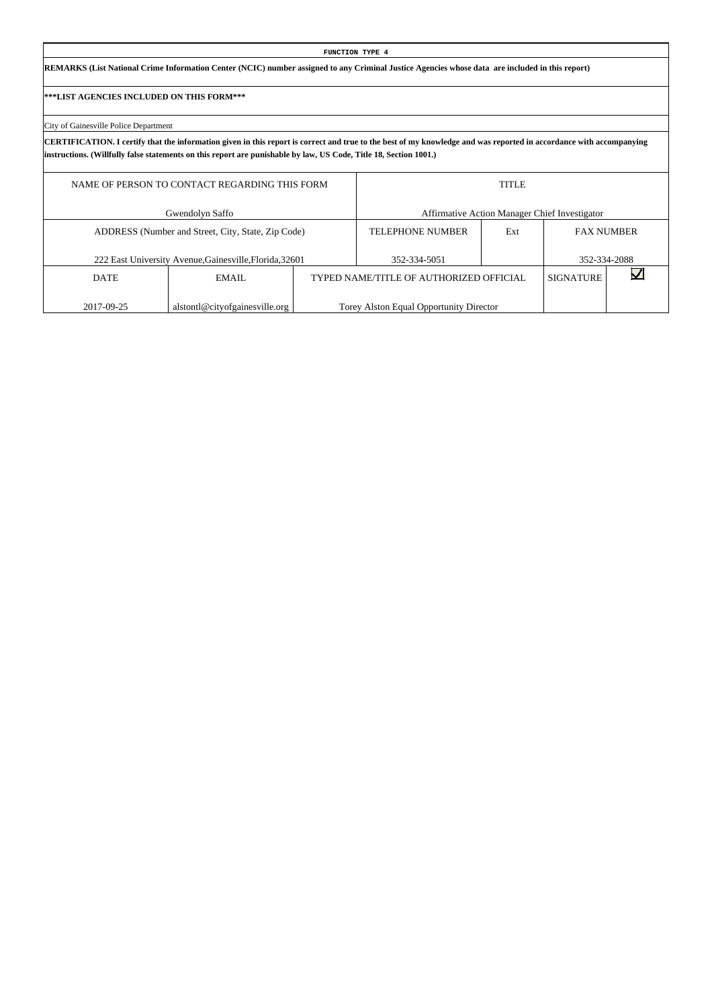# **REMARKS (List National Crime Information Center (NCIC) number assigned to any Criminal Justice Agencies whose data are included in this report)**

# **\*\*\*LIST AGENCIES INCLUDED ON THIS FORM\*\*\***

# City of Gainesville Police Department

**CERTIFICATION. I certify that the information given in this report is correct and true to the best of my knowledge and was reported in accordance with accompanying instructions. (Willfully false statements on this report are punishable by law, US Code, Title 18, Section 1001.)**

**FUNCTION TYPE 4**

|             | NAME OF PERSON TO CONTACT REGARDING THIS FORM           |                                         | <b>TITLE</b> |                                               |  |
|-------------|---------------------------------------------------------|-----------------------------------------|--------------|-----------------------------------------------|--|
|             | Gwendolyn Saffo                                         |                                         |              | Affirmative Action Manager Chief Investigator |  |
|             | ADDRESS (Number and Street, City, State, Zip Code)      | <b>TELEPHONE NUMBER</b>                 | Ext          | <b>FAX NUMBER</b>                             |  |
|             | 222 East University Avenue, Gainesville, Florida, 32601 | 352-334-5051                            |              | 352-334-2088                                  |  |
| <b>DATE</b> | EMAIL                                                   | TYPED NAME/TITLE OF AUTHORIZED OFFICIAL |              | <b>SIGNATURE</b>                              |  |
| 2017-09-25  | alstontl@cityofgainesville.org                          | Torey Alston Equal Opportunity Director |              |                                               |  |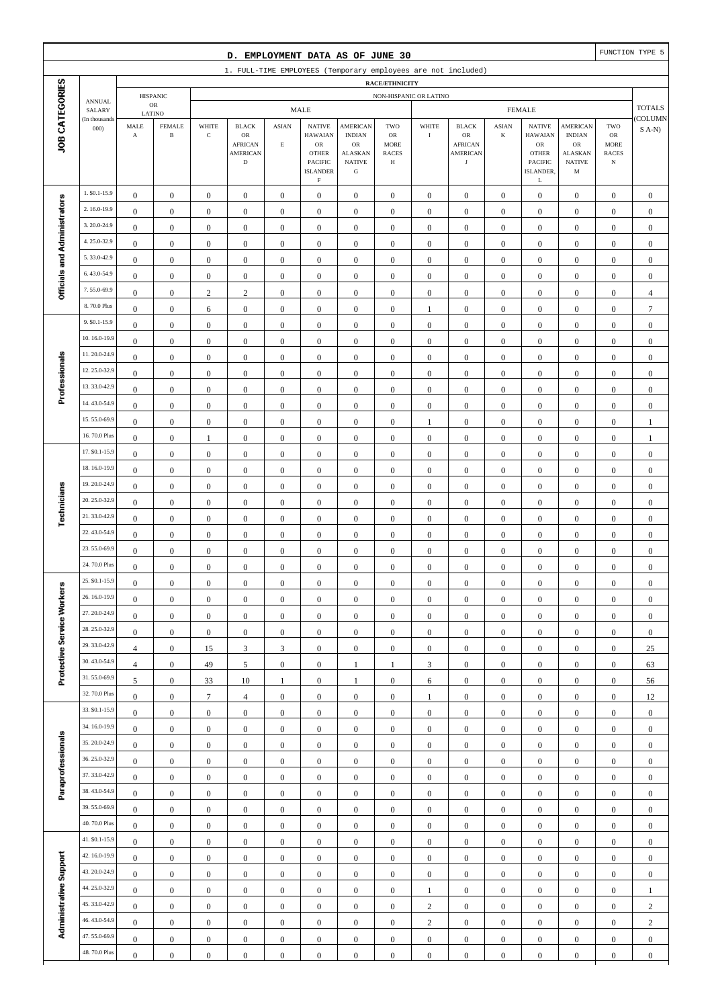|                              |                              |                                      |                                         |                                      | D. EMPLOYMENT DATA AS OF JUNE 30                              |                                    |                                                           |                                                 |                                  |                                      |                                      |                                      |                                                  |                                               |                                      | FUNCTION TYPE 5                      |
|------------------------------|------------------------------|--------------------------------------|-----------------------------------------|--------------------------------------|---------------------------------------------------------------|------------------------------------|-----------------------------------------------------------|-------------------------------------------------|----------------------------------|--------------------------------------|--------------------------------------|--------------------------------------|--------------------------------------------------|-----------------------------------------------|--------------------------------------|--------------------------------------|
|                              |                              |                                      |                                         |                                      | 1. FULL-TIME EMPLOYEES (Temporary employees are not included) |                                    |                                                           |                                                 |                                  |                                      |                                      |                                      |                                                  |                                               |                                      |                                      |
|                              |                              |                                      |                                         |                                      |                                                               |                                    |                                                           |                                                 | RACE/ETHNICITY                   |                                      |                                      |                                      |                                                  |                                               |                                      |                                      |
|                              | <b>ANNUAL</b><br>SALARY      |                                      | <b>HISPANIC</b><br>$_{\rm OR}$          |                                      |                                                               |                                    | <b>MALE</b>                                               |                                                 | NON-HISPANIC OR LATINO           |                                      |                                      |                                      | <b>FEMALE</b>                                    |                                               |                                      | <b>TOTALS</b>                        |
| JOB CATEGORIES               | (In thousands<br>000         | MALE<br>$\mathbf A$                  | LATINO<br><b>FEMALE</b><br>$\, {\bf B}$ | WHITE<br>$\mathbf C$                 | <b>BLACK</b><br>OR<br><b>AFRICAN</b>                          | <b>ASIAN</b><br>$\mathbf E$        | <b>NATIVE</b><br><b>HAWAIAN</b><br>$_{\rm OR}$            | <b>AMERICAN</b><br><b>INDIAN</b><br>$_{\rm OR}$ | TWO<br>OR<br><b>MORE</b>         | WHITE<br>$\mathbf I$                 | <b>BLACK</b><br>OR<br><b>AFRICAN</b> | <b>ASIAN</b><br>K                    | <b>NATIVE</b><br><b>HAWAIAN</b><br>${\rm OR}$    | <b>AMERICAN</b><br><b>INDIAN</b><br><b>OR</b> | TWO<br>${\sf OR}$<br><b>MORE</b>     | COLUMN<br>$S(A-N)$                   |
|                              |                              |                                      |                                         |                                      | <b>AMERICAN</b><br>$\mathbf D$                                |                                    | <b>OTHER</b><br>PACIFIC<br><b>ISLANDER</b><br>$\mathbf F$ | <b>ALASKAN</b><br><b>NATIVE</b><br>${\bf G}$    | <b>RACES</b><br>Н                |                                      | <b>AMERICAN</b><br>$_{\rm J}$        |                                      | <b>OTHER</b><br><b>PACIFIC</b><br>ISLANDER,<br>L | <b>ALASKAN</b><br><b>NATIVE</b><br>M          | <b>RACES</b><br>$_{\rm N}$           |                                      |
|                              | 1. \$0.1-15.9                | $\boldsymbol{0}$                     | $\boldsymbol{0}$                        | $\boldsymbol{0}$                     | $\boldsymbol{0}$                                              | $\boldsymbol{0}$                   | $\boldsymbol{0}$                                          | $\mathbf{0}$                                    | $\boldsymbol{0}$                 | $\boldsymbol{0}$                     | $\boldsymbol{0}$                     | $\boldsymbol{0}$                     | $\boldsymbol{0}$                                 | $\boldsymbol{0}$                              | $\boldsymbol{0}$                     | $\mathbf{0}$                         |
|                              | 2.16.0-19.9                  | $\boldsymbol{0}$                     | $\boldsymbol{0}$                        | $\boldsymbol{0}$                     | $\boldsymbol{0}$                                              | $\boldsymbol{0}$                   | $\mathbf{0}$                                              | $\boldsymbol{0}$                                | $\boldsymbol{0}$                 | $\boldsymbol{0}$                     | $\boldsymbol{0}$                     | $\boldsymbol{0}$                     | $\boldsymbol{0}$                                 | $\boldsymbol{0}$                              | $\boldsymbol{0}$                     | $\boldsymbol{0}$                     |
|                              | 3.20.0-24.9                  | $\boldsymbol{0}$                     | $\mathbf{0}$                            | $\boldsymbol{0}$                     | $\boldsymbol{0}$                                              | $\boldsymbol{0}$                   | $\boldsymbol{0}$                                          | $\boldsymbol{0}$                                | $\boldsymbol{0}$                 | $\boldsymbol{0}$                     | $\boldsymbol{0}$                     | $\boldsymbol{0}$                     | $\boldsymbol{0}$                                 | $\boldsymbol{0}$                              | $\boldsymbol{0}$                     | $\boldsymbol{0}$                     |
|                              | 4.25.0-32.9                  | $\boldsymbol{0}$                     | $\mathbf{0}$                            | $\boldsymbol{0}$                     | $\boldsymbol{0}$                                              | $\boldsymbol{0}$                   | $\boldsymbol{0}$                                          | $\boldsymbol{0}$                                | $\mathbf{0}$                     | $\boldsymbol{0}$                     | $\boldsymbol{0}$                     | $\boldsymbol{0}$                     | $\boldsymbol{0}$                                 | $\boldsymbol{0}$                              | $\boldsymbol{0}$                     | $\boldsymbol{0}$                     |
| Officials and Administrators | 5.33.0-42.9                  | $\boldsymbol{0}$                     | $\mathbf{0}$                            | $\boldsymbol{0}$                     | $\boldsymbol{0}$                                              | $\boldsymbol{0}$                   | $\boldsymbol{0}$                                          | $\boldsymbol{0}$                                | $\boldsymbol{0}$                 | $\boldsymbol{0}$                     | $\boldsymbol{0}$                     | $\boldsymbol{0}$                     | $\boldsymbol{0}$                                 | $\boldsymbol{0}$                              | $\boldsymbol{0}$                     | $\boldsymbol{0}$                     |
|                              | 6.43.0-54.9                  | $\boldsymbol{0}$                     | $\boldsymbol{0}$                        | $\boldsymbol{0}$                     | $\boldsymbol{0}$                                              | $\boldsymbol{0}$                   | $\boldsymbol{0}$                                          | $\boldsymbol{0}$                                | $\boldsymbol{0}$                 | $\boldsymbol{0}$                     | $\boldsymbol{0}$                     | $\boldsymbol{0}$                     | $\boldsymbol{0}$                                 | $\boldsymbol{0}$                              | $\boldsymbol{0}$                     | $\boldsymbol{0}$                     |
|                              | 7.55.0-69.9                  | $\boldsymbol{0}$                     | $\boldsymbol{0}$                        | $\sqrt{2}$                           | $\sqrt{2}$                                                    | $\boldsymbol{0}$                   | $\boldsymbol{0}$                                          | $\boldsymbol{0}$                                | $\boldsymbol{0}$                 | $\mathbf{0}$                         | $\boldsymbol{0}$                     | $\boldsymbol{0}$                     | $\boldsymbol{0}$                                 | $\boldsymbol{0}$                              | $\boldsymbol{0}$                     | $\overline{4}$                       |
|                              | 8.70.0 Plus                  | $\boldsymbol{0}$                     | $\boldsymbol{0}$                        | 6                                    | $\boldsymbol{0}$                                              | $\boldsymbol{0}$                   | $\boldsymbol{0}$                                          | $\boldsymbol{0}$                                | $\mathbf{0}$                     | $\mathbf{1}$                         | $\boldsymbol{0}$                     | $\boldsymbol{0}$                     | $\boldsymbol{0}$                                 | $\overline{0}$                                | $\boldsymbol{0}$                     | $\overline{7}$                       |
|                              | 9. \$0.1-15.9                | $\boldsymbol{0}$                     | $\mathbf{0}$                            | $\boldsymbol{0}$                     | $\boldsymbol{0}$                                              | $\boldsymbol{0}$                   | $\boldsymbol{0}$                                          | $\boldsymbol{0}$                                | $\boldsymbol{0}$                 | $\boldsymbol{0}$                     | $\boldsymbol{0}$                     | $\boldsymbol{0}$                     | $\boldsymbol{0}$                                 | $\boldsymbol{0}$                              | $\boldsymbol{0}$                     | $\boldsymbol{0}$                     |
|                              | 10.16.0-19.9                 | $\boldsymbol{0}$                     | $\mathbf{0}$                            | $\boldsymbol{0}$                     | $\boldsymbol{0}$                                              | $\boldsymbol{0}$                   | $\mathbf{0}$                                              | $\boldsymbol{0}$                                | $\boldsymbol{0}$                 | $\mathbf{0}$                         | $\boldsymbol{0}$                     | $\boldsymbol{0}$                     | $\boldsymbol{0}$                                 | $\boldsymbol{0}$                              | $\boldsymbol{0}$                     | $\boldsymbol{0}$                     |
| Professionals                | 11.20.0-24.9                 | $\boldsymbol{0}$                     | $\mathbf{0}$                            | $\boldsymbol{0}$                     | $\boldsymbol{0}$                                              | $\boldsymbol{0}$                   | $\mathbf{0}$                                              | $\boldsymbol{0}$                                | $\boldsymbol{0}$                 | $\mathbf{0}$                         | $\boldsymbol{0}$                     | $\boldsymbol{0}$                     | $\boldsymbol{0}$                                 | $\boldsymbol{0}$                              | $\boldsymbol{0}$                     | $\boldsymbol{0}$                     |
|                              | 12.25.0-32.9                 | $\boldsymbol{0}$                     | $\mathbf{0}$                            | $\boldsymbol{0}$                     | $\boldsymbol{0}$                                              | $\boldsymbol{0}$                   | $\mathbf{0}$                                              | $\boldsymbol{0}$                                | $\mathbf{0}$                     | $\boldsymbol{0}$                     | $\boldsymbol{0}$                     | $\boldsymbol{0}$                     | $\boldsymbol{0}$                                 | $\boldsymbol{0}$                              | $\boldsymbol{0}$                     | $\boldsymbol{0}$                     |
|                              | 13.33.0-42.9                 | $\boldsymbol{0}$                     | $\mathbf{0}$                            | $\boldsymbol{0}$                     | $\boldsymbol{0}$                                              | $\boldsymbol{0}$                   | $\mathbf{0}$                                              | $\boldsymbol{0}$                                | $\boldsymbol{0}$                 | $\boldsymbol{0}$                     | $\boldsymbol{0}$                     | $\boldsymbol{0}$                     | $\boldsymbol{0}$                                 | $\boldsymbol{0}$                              | $\boldsymbol{0}$                     | $\boldsymbol{0}$                     |
|                              | 14.43.0-54.9                 | $\boldsymbol{0}$                     | $\boldsymbol{0}$                        | $\boldsymbol{0}$                     | $\boldsymbol{0}$                                              | $\boldsymbol{0}$                   | $\mathbf{0}$                                              | $\boldsymbol{0}$                                | $\boldsymbol{0}$                 | $\mathbf{0}$                         | $\boldsymbol{0}$                     | $\boldsymbol{0}$                     | $\boldsymbol{0}$                                 | $\boldsymbol{0}$                              | $\boldsymbol{0}$                     | $\boldsymbol{0}$                     |
|                              | 15.55.0-69.9                 | $\boldsymbol{0}$                     | $\boldsymbol{0}$                        | $\boldsymbol{0}$                     | $\boldsymbol{0}$                                              | $\boldsymbol{0}$                   | $\mathbf{0}$                                              | $\boldsymbol{0}$                                | $\boldsymbol{0}$                 | $\,1$                                | $\boldsymbol{0}$                     | $\boldsymbol{0}$                     | $\boldsymbol{0}$                                 | $\boldsymbol{0}$                              | $\boldsymbol{0}$                     | $\mathbf{1}$                         |
|                              | 16.70.0 Plus                 | $\boldsymbol{0}$                     | $\boldsymbol{0}$                        | 1                                    | $\boldsymbol{0}$                                              | $\boldsymbol{0}$                   | $\mathbf{0}$                                              | $\boldsymbol{0}$                                | $\mathbf{0}$                     | $\mathbf{0}$                         | $\boldsymbol{0}$                     | $\boldsymbol{0}$                     | $\boldsymbol{0}$                                 | $\overline{0}$                                | $\boldsymbol{0}$                     | 1                                    |
|                              | 17. \$0.1-15.9               | $\boldsymbol{0}$                     | $\mathbf{0}$                            | $\boldsymbol{0}$                     | $\boldsymbol{0}$                                              | $\boldsymbol{0}$                   | $\mathbf{0}$                                              | $\boldsymbol{0}$                                | $\boldsymbol{0}$                 | $\boldsymbol{0}$                     | $\boldsymbol{0}$                     | $\boldsymbol{0}$                     | $\boldsymbol{0}$                                 | $\boldsymbol{0}$                              | $\boldsymbol{0}$                     | $\boldsymbol{0}$                     |
|                              | 18.16.0-19.9                 | $\boldsymbol{0}$                     | $\boldsymbol{0}$                        | $\boldsymbol{0}$                     | $\boldsymbol{0}$                                              | $\boldsymbol{0}$                   | $\boldsymbol{0}$                                          | $\boldsymbol{0}$                                | $\boldsymbol{0}$                 | $\mathbf{0}$                         | $\boldsymbol{0}$                     | $\boldsymbol{0}$                     | $\boldsymbol{0}$                                 | $\boldsymbol{0}$                              | $\boldsymbol{0}$                     | $\boldsymbol{0}$                     |
|                              | 19.20.0-24.9                 | $\boldsymbol{0}$                     | $\mathbf{0}$                            | $\boldsymbol{0}$                     | $\boldsymbol{0}$                                              | $\boldsymbol{0}$                   | $\boldsymbol{0}$                                          | $\boldsymbol{0}$                                | $\boldsymbol{0}$                 | $\mathbf{0}$                         | $\boldsymbol{0}$                     | $\boldsymbol{0}$                     | $\boldsymbol{0}$                                 | $\boldsymbol{0}$                              | $\boldsymbol{0}$                     | $\boldsymbol{0}$                     |
| Technicians                  | 20.25.0-32.9<br>21.33.0-42.9 | $\mathbf{0}$                         | $\boldsymbol{0}$                        | $\boldsymbol{0}$                     | $\boldsymbol{0}$                                              | $\mathbf{0}$                       | $\boldsymbol{0}$                                          | $\boldsymbol{0}$                                | $\mathbf{0}$                     | $\mathbf{0}$                         | $\boldsymbol{0}$                     | $\boldsymbol{0}$                     | $\boldsymbol{0}$                                 | $\boldsymbol{0}$                              | $\boldsymbol{0}$                     | $\boldsymbol{0}$                     |
|                              | 22.43.0-54.9                 | $\boldsymbol{0}$                     | $\mathbf{0}$                            | $\boldsymbol{0}$                     | $\boldsymbol{0}$                                              | $\boldsymbol{0}$                   | $\boldsymbol{0}$                                          | $\boldsymbol{0}$                                | $\boldsymbol{0}$                 | $\boldsymbol{0}$                     | $\boldsymbol{0}$                     | $\boldsymbol{0}$                     | $\boldsymbol{0}$                                 | $\boldsymbol{0}$                              | $\boldsymbol{0}$                     | $\boldsymbol{0}$                     |
|                              | 23.55.0-69.9                 | $\boldsymbol{0}$                     | $\boldsymbol{0}$                        | $\boldsymbol{0}$                     | $\boldsymbol{0}$                                              | $\boldsymbol{0}$                   | $\boldsymbol{0}$                                          | $\boldsymbol{0}$                                | $\boldsymbol{0}$                 | $\boldsymbol{0}$                     | $\boldsymbol{0}$                     | $\boldsymbol{0}$                     | $\boldsymbol{0}$                                 | $\boldsymbol{0}$                              | $\boldsymbol{0}$                     | $\boldsymbol{0}$                     |
|                              | 24.70.0 Plus                 | $\boldsymbol{0}$<br>$\boldsymbol{0}$ | $\mathbf{0}$<br>$\boldsymbol{0}$        | $\boldsymbol{0}$<br>$\boldsymbol{0}$ | $\boldsymbol{0}$<br>$\boldsymbol{0}$                          | $\boldsymbol{0}$<br>$\overline{0}$ | $\boldsymbol{0}$<br>$\boldsymbol{0}$                      | $\boldsymbol{0}$<br>$\boldsymbol{0}$            | $\boldsymbol{0}$<br>$\mathbf{0}$ | $\boldsymbol{0}$<br>$\boldsymbol{0}$ | $\boldsymbol{0}$<br>$\boldsymbol{0}$ | $\boldsymbol{0}$<br>$\boldsymbol{0}$ | $\boldsymbol{0}$<br>$\boldsymbol{0}$             | $\boldsymbol{0}$<br>$\overline{0}$            | $\boldsymbol{0}$<br>$\boldsymbol{0}$ | $\boldsymbol{0}$<br>$\boldsymbol{0}$ |
|                              | 25. \$0.1-15.9               | $\boldsymbol{0}$                     | $\boldsymbol{0}$                        | $\boldsymbol{0}$                     | $\boldsymbol{0}$                                              | $\boldsymbol{0}$                   | $\boldsymbol{0}$                                          | $\boldsymbol{0}$                                | $\boldsymbol{0}$                 | $\boldsymbol{0}$                     | $\boldsymbol{0}$                     | $\boldsymbol{0}$                     | $\boldsymbol{0}$                                 | 0                                             | $\bf{0}$                             | $\boldsymbol{0}$                     |
|                              | 26.16.0-19.9                 | $\boldsymbol{0}$                     | $\boldsymbol{0}$                        | $\boldsymbol{0}$                     | $\boldsymbol{0}$                                              | $\boldsymbol{0}$                   | $\boldsymbol{0}$                                          | $\boldsymbol{0}$                                | $\boldsymbol{0}$                 | $\boldsymbol{0}$                     | $\boldsymbol{0}$                     | $\mathbf{0}$                         | $\boldsymbol{0}$                                 | $\boldsymbol{0}$                              | $\boldsymbol{0}$                     | $\boldsymbol{0}$                     |
|                              | 27.20.0-24.9                 | $\boldsymbol{0}$                     | $\boldsymbol{0}$                        | $\boldsymbol{0}$                     | $\boldsymbol{0}$                                              | $\boldsymbol{0}$                   | $\boldsymbol{0}$                                          | $\boldsymbol{0}$                                | $\boldsymbol{0}$                 | $\boldsymbol{0}$                     | $\boldsymbol{0}$                     | $\mathbf{0}$                         | $\boldsymbol{0}$                                 | $\boldsymbol{0}$                              | $\boldsymbol{0}$                     | $\boldsymbol{0}$                     |
|                              | 28.25.0-32.9                 | $\boldsymbol{0}$                     | $\boldsymbol{0}$                        | $\boldsymbol{0}$                     | $\overline{0}$                                                | $\mathbf{0}$                       | $\boldsymbol{0}$                                          | $\boldsymbol{0}$                                | $\boldsymbol{0}$                 | $\mathbf{0}$                         | $\boldsymbol{0}$                     | $\boldsymbol{0}$                     | $\boldsymbol{0}$                                 | $\boldsymbol{0}$                              | $\boldsymbol{0}$                     | $\boldsymbol{0}$                     |
|                              | 29.33.0-42.9                 | $\overline{4}$                       | $\boldsymbol{0}$                        | 15                                   | $\sqrt{3}$                                                    | $\mathfrak{Z}$                     | $\boldsymbol{0}$                                          | $\boldsymbol{0}$                                | $\boldsymbol{0}$                 | $\boldsymbol{0}$                     | $\boldsymbol{0}$                     | $\boldsymbol{0}$                     | $\boldsymbol{0}$                                 | $\boldsymbol{0}$                              | $\boldsymbol{0}$                     | 25                                   |
|                              | 30.43.0-54.9                 | $\overline{4}$                       | $\boldsymbol{0}$                        | 49                                   | 5                                                             | $\boldsymbol{0}$                   | $\boldsymbol{0}$                                          | 1                                               | 1                                | $\mathfrak{Z}$                       | $\boldsymbol{0}$                     | $\boldsymbol{0}$                     | $\boldsymbol{0}$                                 | $\boldsymbol{0}$                              | $\boldsymbol{0}$                     | 63                                   |
| Protective Service Workers   | 31.55.0-69.9                 | 5                                    | $\boldsymbol{0}$                        | 33                                   | 10                                                            | $\mathbf{1}$                       | $\boldsymbol{0}$                                          | $\mathbf{1}$                                    | $\boldsymbol{0}$                 | 6                                    | $\boldsymbol{0}$                     | $\boldsymbol{0}$                     | $\boldsymbol{0}$                                 | $\boldsymbol{0}$                              | $\boldsymbol{0}$                     | 56                                   |
|                              | 32.70.0 Plus                 | $\boldsymbol{0}$                     | $\boldsymbol{0}$                        | $\tau$                               | $\overline{4}$                                                | $\mathbf{0}$                       | $\boldsymbol{0}$                                          | $\mathbf{0}$                                    | $\boldsymbol{0}$                 | $\mathbf{1}$                         | $\boldsymbol{0}$                     | $\boldsymbol{0}$                     | $\boldsymbol{0}$                                 | $\boldsymbol{0}$                              | $\boldsymbol{0}$                     | 12                                   |
|                              | 33. \$0.1-15.9               | $\boldsymbol{0}$                     | $\boldsymbol{0}$                        | $\boldsymbol{0}$                     | $\boldsymbol{0}$                                              | $\mathbf{0}$                       | $\boldsymbol{0}$                                          | $\boldsymbol{0}$                                | $\boldsymbol{0}$                 | $\boldsymbol{0}$                     | $\boldsymbol{0}$                     | $\boldsymbol{0}$                     | $\boldsymbol{0}$                                 | $\boldsymbol{0}$                              | $\boldsymbol{0}$                     | $\boldsymbol{0}$                     |
|                              | 34.16.0-19.9                 | $\boldsymbol{0}$                     | $\boldsymbol{0}$                        | $\boldsymbol{0}$                     | $\boldsymbol{0}$                                              | $\boldsymbol{0}$                   | $\boldsymbol{0}$                                          | $\boldsymbol{0}$                                | $\boldsymbol{0}$                 | $\boldsymbol{0}$                     | $\boldsymbol{0}$                     | $\boldsymbol{0}$                     | $\boldsymbol{0}$                                 | $\boldsymbol{0}$                              | $\boldsymbol{0}$                     | $\boldsymbol{0}$                     |
| Paraprofessionals            | 35.20.0-24.9                 | $\boldsymbol{0}$                     | $\boldsymbol{0}$                        | $\boldsymbol{0}$                     | $\boldsymbol{0}$                                              | $\boldsymbol{0}$                   | $\boldsymbol{0}$                                          | $\boldsymbol{0}$                                | $\boldsymbol{0}$                 | $\boldsymbol{0}$                     | $\boldsymbol{0}$                     | $\boldsymbol{0}$                     | $\boldsymbol{0}$                                 | $\boldsymbol{0}$                              | $\boldsymbol{0}$                     | $\boldsymbol{0}$                     |
|                              | 36.25.0-32.9                 | $\boldsymbol{0}$                     | $\boldsymbol{0}$                        | $\boldsymbol{0}$                     | $\overline{0}$                                                | $\mathbf{0}$                       | $\boldsymbol{0}$                                          | $\boldsymbol{0}$                                | $\boldsymbol{0}$                 | $\mathbf{0}$                         | $\boldsymbol{0}$                     | $\boldsymbol{0}$                     | $\boldsymbol{0}$                                 | $\boldsymbol{0}$                              | $\boldsymbol{0}$                     | $\boldsymbol{0}$                     |
|                              | 37.33.0-42.9                 | $\boldsymbol{0}$                     | $\boldsymbol{0}$                        | $\boldsymbol{0}$                     | $\boldsymbol{0}$                                              | $\boldsymbol{0}$                   | $\boldsymbol{0}$                                          | $\boldsymbol{0}$                                | $\boldsymbol{0}$                 | $\boldsymbol{0}$                     | $\boldsymbol{0}$                     | $\boldsymbol{0}$                     | $\boldsymbol{0}$                                 | $\boldsymbol{0}$                              | $\boldsymbol{0}$                     | $\boldsymbol{0}$                     |
|                              | 38.43.0-54.9                 | $\boldsymbol{0}$                     | $\boldsymbol{0}$                        | $\boldsymbol{0}$                     | $\boldsymbol{0}$                                              | $\boldsymbol{0}$                   | $\boldsymbol{0}$                                          | $\boldsymbol{0}$                                | $\boldsymbol{0}$                 | $\boldsymbol{0}$                     | $\boldsymbol{0}$                     | $\boldsymbol{0}$                     | $\boldsymbol{0}$                                 | $\boldsymbol{0}$                              | $\boldsymbol{0}$                     | $\boldsymbol{0}$                     |
|                              | 39.55.0-69.9                 | $\boldsymbol{0}$                     | $\boldsymbol{0}$                        | $\boldsymbol{0}$                     | $\boldsymbol{0}$                                              | $\boldsymbol{0}$                   | $\boldsymbol{0}$                                          | $\boldsymbol{0}$                                | $\boldsymbol{0}$                 | $\boldsymbol{0}$                     | $\boldsymbol{0}$                     | $\boldsymbol{0}$                     | $\boldsymbol{0}$                                 | $\boldsymbol{0}$                              | $\boldsymbol{0}$                     | $\boldsymbol{0}$                     |
|                              | $40.\,70.0$ Plus             | $\boldsymbol{0}$                     | $\boldsymbol{0}$                        | $\boldsymbol{0}$                     | $\boldsymbol{0}$                                              | $\mathbf{0}$                       | $\boldsymbol{0}$                                          | $\boldsymbol{0}$                                | $\boldsymbol{0}$                 | $\mathbf{0}$                         | $\boldsymbol{0}$                     | $\boldsymbol{0}$                     | $\boldsymbol{0}$                                 | $\boldsymbol{0}$                              | $\boldsymbol{0}$                     | $\boldsymbol{0}$                     |
|                              | 41. \$0.1-15.9               | $\boldsymbol{0}$                     | $\boldsymbol{0}$                        | $\boldsymbol{0}$                     | $\boldsymbol{0}$                                              | $\boldsymbol{0}$                   | $\boldsymbol{0}$                                          | $\boldsymbol{0}$                                | $\boldsymbol{0}$                 | $\boldsymbol{0}$                     | $\boldsymbol{0}$                     | $\boldsymbol{0}$                     | $\boldsymbol{0}$                                 | $\boldsymbol{0}$                              | $\boldsymbol{0}$                     | $\boldsymbol{0}$                     |
|                              | 42.16.0-19.9                 | $\boldsymbol{0}$                     | $\boldsymbol{0}$                        | $\boldsymbol{0}$                     | $\mathbf{0}$                                                  | $\overline{0}$                     | $\boldsymbol{0}$                                          | $\boldsymbol{0}$                                | $\boldsymbol{0}$                 | $\boldsymbol{0}$                     | $\boldsymbol{0}$                     | $\boldsymbol{0}$                     | $\boldsymbol{0}$                                 | $\boldsymbol{0}$                              | $\boldsymbol{0}$                     | $\boldsymbol{0}$                     |
| Administrative Support       | 43.20.0-24.9                 | $\boldsymbol{0}$                     | $\boldsymbol{0}$                        | $\boldsymbol{0}$                     | $\boldsymbol{0}$                                              | $\boldsymbol{0}$                   | $\boldsymbol{0}$                                          | $\boldsymbol{0}$                                | $\boldsymbol{0}$                 | $\mathbf{0}$                         | $\boldsymbol{0}$                     | $\boldsymbol{0}$                     | $\boldsymbol{0}$                                 | $\boldsymbol{0}$                              | $\boldsymbol{0}$                     | $\boldsymbol{0}$                     |
|                              | 44.25.0-32.9                 | $\boldsymbol{0}$                     | $\boldsymbol{0}$                        | $\boldsymbol{0}$                     | $\boldsymbol{0}$                                              | $\mathbf{0}$                       | $\boldsymbol{0}$                                          | $\boldsymbol{0}$                                | $\boldsymbol{0}$                 | $\,1$                                | $\boldsymbol{0}$                     | $\boldsymbol{0}$                     | $\boldsymbol{0}$                                 | $\boldsymbol{0}$                              | $\boldsymbol{0}$                     | 1                                    |
|                              | 45.33.0-42.9                 | $\boldsymbol{0}$                     | $\boldsymbol{0}$                        | $\boldsymbol{0}$                     | $\boldsymbol{0}$                                              | $\boldsymbol{0}$                   | $\boldsymbol{0}$                                          | $\boldsymbol{0}$                                | $\boldsymbol{0}$                 | $\sqrt{2}$                           | $\boldsymbol{0}$                     | $\boldsymbol{0}$                     | $\boldsymbol{0}$                                 | $\boldsymbol{0}$                              | $\boldsymbol{0}$                     | $\overline{c}$                       |
|                              | 46.43.0-54.9                 | $\boldsymbol{0}$                     | $\boldsymbol{0}$                        | $\boldsymbol{0}$                     | $\boldsymbol{0}$                                              | $\boldsymbol{0}$                   | $\boldsymbol{0}$                                          | $\boldsymbol{0}$                                | $\boldsymbol{0}$                 | $\sqrt{2}$                           | $\boldsymbol{0}$                     | $\boldsymbol{0}$                     | $\boldsymbol{0}$                                 | $\boldsymbol{0}$                              | $\boldsymbol{0}$                     | $\sqrt{2}$                           |
|                              | 47.55.0-69.9                 | $\boldsymbol{0}$                     | $\boldsymbol{0}$                        | $\boldsymbol{0}$                     | $\boldsymbol{0}$                                              | $\boldsymbol{0}$                   | $\boldsymbol{0}$                                          | $\boldsymbol{0}$                                | $\boldsymbol{0}$                 | $\boldsymbol{0}$                     | $\boldsymbol{0}$                     | $\boldsymbol{0}$                     | $\boldsymbol{0}$                                 | $\boldsymbol{0}$                              | $\boldsymbol{0}$                     | $\boldsymbol{0}$                     |
|                              | 48.70.0 Plus                 | $\boldsymbol{0}$                     | $\boldsymbol{0}$                        | $\boldsymbol{0}$                     | $\boldsymbol{0}$                                              | $\boldsymbol{0}$                   | $\boldsymbol{0}$                                          | $\boldsymbol{0}$                                | $\boldsymbol{0}$                 | $\boldsymbol{0}$                     | $\boldsymbol{0}$                     | $\boldsymbol{0}$                     | $\boldsymbol{0}$                                 | $\boldsymbol{0}$                              | $\boldsymbol{0}$                     | $\boldsymbol{0}$                     |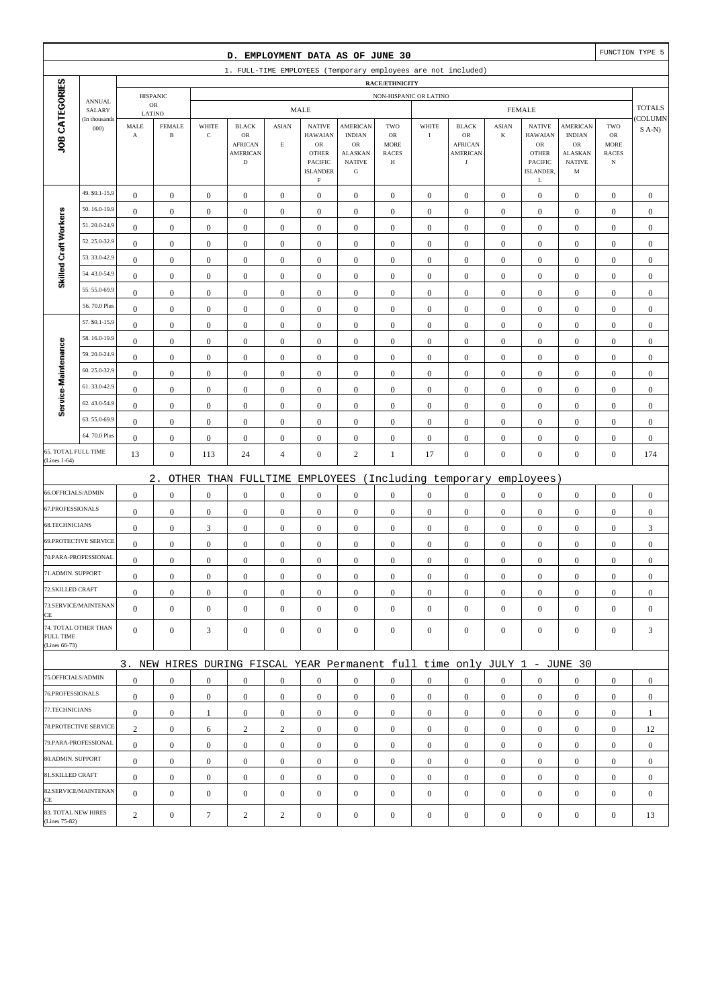|                                     |                         |                       |                               |                  | D. EMPLOYMENT DATA AS OF JUNE 30                                          |                  |                                                         |                                                        |                                        |                        |                                                |                  |                                                         |                                                 |                                                         | FUNCTION TYPE 5  |
|-------------------------------------|-------------------------|-----------------------|-------------------------------|------------------|---------------------------------------------------------------------------|------------------|---------------------------------------------------------|--------------------------------------------------------|----------------------------------------|------------------------|------------------------------------------------|------------------|---------------------------------------------------------|-------------------------------------------------|---------------------------------------------------------|------------------|
|                                     |                         |                       |                               |                  | 1. FULL-TIME EMPLOYEES (Temporary employees are not included)             |                  |                                                         |                                                        |                                        |                        |                                                |                  |                                                         |                                                 |                                                         |                  |
|                                     |                         |                       |                               |                  |                                                                           |                  |                                                         |                                                        | RACE/ETHNICITY                         |                        |                                                |                  |                                                         |                                                 |                                                         |                  |
|                                     | <b>ANNUAL</b><br>SALARY |                       | <b>HISPANIC</b><br>${\sf OR}$ |                  |                                                                           |                  | <b>MALE</b>                                             |                                                        |                                        | NON-HISPANIC OR LATINO |                                                |                  | <b>FEMALE</b>                                           |                                                 |                                                         | <b>TOTALS</b>    |
|                                     | (In thousands           | LATINO<br>MALE        | <b>FEMALE</b>                 | WHITE            | <b>BLACK</b>                                                              | <b>ASIAN</b>     | <b>NATIVE</b>                                           | AMERICAN                                               | TWO                                    | WHITE                  | <b>BLACK</b>                                   | <b>ASIAN</b>     | <b>NATIVE</b>                                           | <b>AMERICAN</b>                                 | TWO                                                     | COLUMN           |
| JOB CATEGORIES                      | 000                     | $\boldsymbol{\rm{A}}$ | $\, {\bf B}$                  | $\mathbf C$      | OR<br><b>AFRICAN</b><br><b>AMERICAN</b><br>$\mathbf D$                    | $\mathbf E$      | <b>HAWAIAN</b><br>${\sf OR}$<br><b>OTHER</b><br>PACIFIC | <b>INDIAN</b><br>OR<br><b>ALASKAN</b><br><b>NATIVE</b> | OR<br><b>MORE</b><br><b>RACES</b><br>Н | $\bf I$                | OR<br><b>AFRICAN</b><br>AMERICAN<br>$_{\rm J}$ | $\bf K$          | <b>HAWAIAN</b><br>${\sf OR}$<br><b>OTHER</b><br>PACIFIC | <b>INDIAN</b><br>OR<br>ALASKAN<br><b>NATIVE</b> | ${\rm OR}$<br><b>MORE</b><br><b>RACES</b><br>$_{\rm N}$ | $S(A-N)$         |
|                                     |                         |                       |                               |                  |                                                                           |                  | <b>ISLANDER</b><br>$\mathbf F$                          | ${\bf G}$                                              |                                        |                        |                                                |                  | ISLANDER,<br>L                                          | M                                               |                                                         |                  |
|                                     | 49. \$0.1-15.9          | $\boldsymbol{0}$      | $\boldsymbol{0}$              | $\boldsymbol{0}$ | $\boldsymbol{0}$                                                          | $\boldsymbol{0}$ | $\boldsymbol{0}$                                        | $\boldsymbol{0}$                                       | $\boldsymbol{0}$                       | $\boldsymbol{0}$       | $\boldsymbol{0}$                               | $\mathbf{0}$     | $\boldsymbol{0}$                                        | $\boldsymbol{0}$                                | $\boldsymbol{0}$                                        | $\boldsymbol{0}$ |
|                                     | 50.16.0-19.9            | $\boldsymbol{0}$      | $\boldsymbol{0}$              | $\boldsymbol{0}$ | $\boldsymbol{0}$                                                          | $\boldsymbol{0}$ | $\boldsymbol{0}$                                        | $\boldsymbol{0}$                                       | $\boldsymbol{0}$                       | $\boldsymbol{0}$       | $\boldsymbol{0}$                               | $\boldsymbol{0}$ | $\boldsymbol{0}$                                        | $\boldsymbol{0}$                                | $\boldsymbol{0}$                                        | $\boldsymbol{0}$ |
| Skilled Craft Workers               | 51.20.0-24.9            | $\mathbf{0}$          | $\boldsymbol{0}$              | $\boldsymbol{0}$ | $\boldsymbol{0}$                                                          | $\boldsymbol{0}$ | $\mathbf{0}$                                            | $\boldsymbol{0}$                                       | $\boldsymbol{0}$                       | $\boldsymbol{0}$       | $\boldsymbol{0}$                               | $\boldsymbol{0}$ | $\boldsymbol{0}$                                        | $\boldsymbol{0}$                                | $\boldsymbol{0}$                                        | $\boldsymbol{0}$ |
|                                     | 52.25.0-32.9            | $\boldsymbol{0}$      | $\boldsymbol{0}$              | $\boldsymbol{0}$ | $\boldsymbol{0}$                                                          | $\boldsymbol{0}$ | $\mathbf{0}$                                            | $\boldsymbol{0}$                                       | $\boldsymbol{0}$                       | $\boldsymbol{0}$       | $\mathbf{0}$                                   | $\boldsymbol{0}$ | $\boldsymbol{0}$                                        | $\boldsymbol{0}$                                | $\boldsymbol{0}$                                        | $\boldsymbol{0}$ |
|                                     | 53.33.0-42.9            | $\boldsymbol{0}$      | $\boldsymbol{0}$              | $\boldsymbol{0}$ | $\boldsymbol{0}$                                                          | $\boldsymbol{0}$ | $\boldsymbol{0}$                                        | $\boldsymbol{0}$                                       | $\boldsymbol{0}$                       | $\boldsymbol{0}$       | $\boldsymbol{0}$                               | $\boldsymbol{0}$ | $\boldsymbol{0}$                                        | $\boldsymbol{0}$                                | $\boldsymbol{0}$                                        | $\boldsymbol{0}$ |
|                                     | 54.43.0-54.9            | $\boldsymbol{0}$      | $\boldsymbol{0}$              | $\boldsymbol{0}$ | $\boldsymbol{0}$                                                          | $\boldsymbol{0}$ | $\boldsymbol{0}$                                        | $\boldsymbol{0}$                                       | $\boldsymbol{0}$                       | $\boldsymbol{0}$       | $\boldsymbol{0}$                               | $\boldsymbol{0}$ | $\boldsymbol{0}$                                        | $\boldsymbol{0}$                                | $\boldsymbol{0}$                                        | $\boldsymbol{0}$ |
|                                     | 55.55.0-69.9            | $\boldsymbol{0}$      | $\boldsymbol{0}$              | $\boldsymbol{0}$ | $\mathbf{0}$                                                              | $\mathbf{0}$     | $\mathbf{0}$                                            | $\boldsymbol{0}$                                       | $\boldsymbol{0}$                       | $\mathbf{0}$           | $\mathbf{0}$                                   | $\boldsymbol{0}$ | $\boldsymbol{0}$                                        | $\boldsymbol{0}$                                | $\boldsymbol{0}$                                        | $\boldsymbol{0}$ |
|                                     | 56.70.0 Plus            | $\boldsymbol{0}$      | $\boldsymbol{0}$              | $\boldsymbol{0}$ | $\boldsymbol{0}$                                                          | $\mathbf{0}$     | $\mathbf{0}$                                            | $\boldsymbol{0}$                                       | $\boldsymbol{0}$                       | $\mathbf{0}$           | $\mathbf{0}$                                   | $\boldsymbol{0}$ | $\boldsymbol{0}$                                        | $\boldsymbol{0}$                                | $\boldsymbol{0}$                                        | $\boldsymbol{0}$ |
|                                     | 57. \$0.1-15.9          | $\boldsymbol{0}$      | $\boldsymbol{0}$              | $\boldsymbol{0}$ | $\boldsymbol{0}$                                                          | $\boldsymbol{0}$ | $\mathbf{0}$                                            | $\boldsymbol{0}$                                       | $\boldsymbol{0}$                       | $\boldsymbol{0}$       | $\boldsymbol{0}$                               | $\boldsymbol{0}$ | $\boldsymbol{0}$                                        | $\boldsymbol{0}$                                | $\boldsymbol{0}$                                        | $\boldsymbol{0}$ |
|                                     | 58.16.0-19.9            | $\boldsymbol{0}$      | $\boldsymbol{0}$              | $\boldsymbol{0}$ | $\boldsymbol{0}$                                                          | $\boldsymbol{0}$ | $\mathbf{0}$                                            | $\boldsymbol{0}$                                       | $\boldsymbol{0}$                       | $\mathbf{0}$           | $\boldsymbol{0}$                               | $\boldsymbol{0}$ | $\boldsymbol{0}$                                        | $\boldsymbol{0}$                                | $\boldsymbol{0}$                                        | $\boldsymbol{0}$ |
|                                     | 59.20.0-24.9            | $\boldsymbol{0}$      | $\boldsymbol{0}$              | $\boldsymbol{0}$ | $\boldsymbol{0}$                                                          | $\boldsymbol{0}$ | $\mathbf{0}$                                            | $\boldsymbol{0}$                                       | $\boldsymbol{0}$                       | $\boldsymbol{0}$       | $\boldsymbol{0}$                               | $\boldsymbol{0}$ | $\boldsymbol{0}$                                        | $\boldsymbol{0}$                                | $\boldsymbol{0}$                                        | $\boldsymbol{0}$ |
|                                     | 60.25.0-32.9            | $\boldsymbol{0}$      | $\boldsymbol{0}$              | $\boldsymbol{0}$ | $\boldsymbol{0}$                                                          | $\boldsymbol{0}$ | $\mathbf{0}$                                            | $\boldsymbol{0}$                                       | $\boldsymbol{0}$                       | $\boldsymbol{0}$       | $\boldsymbol{0}$                               | $\boldsymbol{0}$ | $\boldsymbol{0}$                                        | $\boldsymbol{0}$                                | $\boldsymbol{0}$                                        | $\boldsymbol{0}$ |
| Service-Maintenance                 | 61.33.0-42.9            | $\boldsymbol{0}$      | $\boldsymbol{0}$              | $\boldsymbol{0}$ | $\boldsymbol{0}$                                                          | $\boldsymbol{0}$ | $\boldsymbol{0}$                                        | $\boldsymbol{0}$                                       | $\boldsymbol{0}$                       | $\boldsymbol{0}$       | $\boldsymbol{0}$                               | $\boldsymbol{0}$ | $\boldsymbol{0}$                                        | $\boldsymbol{0}$                                | $\boldsymbol{0}$                                        | $\boldsymbol{0}$ |
|                                     | 62.43.0-54.9            | $\boldsymbol{0}$      | $\boldsymbol{0}$              | $\boldsymbol{0}$ | $\boldsymbol{0}$                                                          | $\boldsymbol{0}$ | $\mathbf{0}$                                            | $\boldsymbol{0}$                                       | $\boldsymbol{0}$                       | $\boldsymbol{0}$       | $\boldsymbol{0}$                               | $\boldsymbol{0}$ | $\boldsymbol{0}$                                        | $\boldsymbol{0}$                                | $\boldsymbol{0}$                                        | $\boldsymbol{0}$ |
|                                     | 63.55.0-69.9            | $\boldsymbol{0}$      | $\boldsymbol{0}$              | $\boldsymbol{0}$ | $\boldsymbol{0}$                                                          | $\boldsymbol{0}$ | $\mathbf{0}$                                            | $\boldsymbol{0}$                                       | $\boldsymbol{0}$                       | $\boldsymbol{0}$       | $\boldsymbol{0}$                               | $\boldsymbol{0}$ | $\boldsymbol{0}$                                        | $\boldsymbol{0}$                                | $\boldsymbol{0}$                                        | $\boldsymbol{0}$ |
|                                     | 64.70.0 Plus            | $\boldsymbol{0}$      | $\boldsymbol{0}$              | $\boldsymbol{0}$ | $\boldsymbol{0}$                                                          | $\boldsymbol{0}$ | $\boldsymbol{0}$                                        | $\boldsymbol{0}$                                       | $\boldsymbol{0}$                       | $\boldsymbol{0}$       | $\boldsymbol{0}$                               | $\boldsymbol{0}$ | $\boldsymbol{0}$                                        | $\boldsymbol{0}$                                | $\boldsymbol{0}$                                        | $\boldsymbol{0}$ |
| 65. TOTAL FULL TIME<br>(Lines 1-64) |                         | 13                    | $\boldsymbol{0}$              | 113              | 24                                                                        | $\overline{4}$   | $\mathbf{0}$                                            | $\sqrt{2}$                                             | $\mathbf{1}$                           | 17                     | $\boldsymbol{0}$                               | $\boldsymbol{0}$ | $\boldsymbol{0}$                                        | $\boldsymbol{0}$                                | $\boldsymbol{0}$                                        | 174              |
|                                     |                         |                       | $2$ .                         |                  | OTHER THAN FULLTIME                                                       |                  | EMPLOYEES                                               |                                                        |                                        |                        | (Including temporary                           |                  | employees)                                              |                                                 |                                                         |                  |
| 66.OFFICIALS/ADMIN                  |                         | $\boldsymbol{0}$      | $\boldsymbol{0}$              | $\boldsymbol{0}$ | $\boldsymbol{0}$                                                          | $\boldsymbol{0}$ | $\mathbf{0}$                                            | $\boldsymbol{0}$                                       | $\boldsymbol{0}$                       | $\boldsymbol{0}$       | $\boldsymbol{0}$                               | $\boldsymbol{0}$ | $\boldsymbol{0}$                                        | $\boldsymbol{0}$                                | $\boldsymbol{0}$                                        | $\boldsymbol{0}$ |
| 67.PROFESSIONALS                    |                         | $\boldsymbol{0}$      | $\boldsymbol{0}$              | $\boldsymbol{0}$ | $\boldsymbol{0}$                                                          | $\boldsymbol{0}$ | $\boldsymbol{0}$                                        | $\boldsymbol{0}$                                       | $\boldsymbol{0}$                       | $\boldsymbol{0}$       | $\boldsymbol{0}$                               | $\boldsymbol{0}$ | $\boldsymbol{0}$                                        | $\boldsymbol{0}$                                | $\boldsymbol{0}$                                        | $\boldsymbol{0}$ |
| 68.TECHNICIANS                      |                         | $\boldsymbol{0}$      | $\boldsymbol{0}$              | 3                | $\boldsymbol{0}$                                                          | $\boldsymbol{0}$ | $\mathbf{0}$                                            | $\boldsymbol{0}$                                       | $\boldsymbol{0}$                       | $\mathbf{0}$           | $\boldsymbol{0}$                               | $\boldsymbol{0}$ | $\boldsymbol{0}$                                        | $\boldsymbol{0}$                                | $\boldsymbol{0}$                                        | 3                |
|                                     | 69.PROTECTIVE SERVICE   | $\boldsymbol{0}$      | $\boldsymbol{0}$              | $\boldsymbol{0}$ | $\boldsymbol{0}$                                                          | $\mathbf{0}$     | $\boldsymbol{0}$                                        | $\boldsymbol{0}$                                       | $\boldsymbol{0}$                       | $\boldsymbol{0}$       | $\mathbf{0}$                                   | $\boldsymbol{0}$ | $\boldsymbol{0}$                                        | $\boldsymbol{0}$                                | $\boldsymbol{0}$                                        | $\boldsymbol{0}$ |
|                                     | 70.PARA-PROFESSIONAL    | $\boldsymbol{0}$      | $\boldsymbol{0}$              | $\boldsymbol{0}$ | $\boldsymbol{0}$                                                          | $\boldsymbol{0}$ | $\mathbf{0}$                                            | $\boldsymbol{0}$                                       | $\boldsymbol{0}$                       | $\boldsymbol{0}$       | $\boldsymbol{0}$                               | $\boldsymbol{0}$ | $\boldsymbol{0}$                                        | $\boldsymbol{0}$                                | $\boldsymbol{0}$                                        | $\boldsymbol{0}$ |
| 71.ADMIN. SUPPORT                   |                         | $\boldsymbol{0}$      | $\boldsymbol{0}$              | $\boldsymbol{0}$ | $\boldsymbol{0}$                                                          | $\boldsymbol{0}$ | $\boldsymbol{0}$                                        | $\boldsymbol{0}$                                       | $\Omega$                               | $\Omega$               | $\boldsymbol{0}$                               | $\overline{0}$   | $\boldsymbol{0}$                                        | $\Omega$                                        | $\boldsymbol{0}$                                        | $\boldsymbol{0}$ |
| 72.SKILLED CRAFT                    |                         | $\boldsymbol{0}$      | $\boldsymbol{0}$              | $\boldsymbol{0}$ | $\mathbf{0}$                                                              | $\boldsymbol{0}$ | $\boldsymbol{0}$                                        | $\mathbf{0}$                                           | $\mathbf{0}$                           | $\mathbf{0}$           | $\mathbf{0}$                                   | $\mathbf{0}$     | $\boldsymbol{0}$                                        | $\boldsymbol{0}$                                | $\mathbf{0}$                                            | $\mathbf{0}$     |
| CE                                  | 73.SERVICE/MAINTENAN    | $\mathbf{0}$          | $\boldsymbol{0}$              | $\boldsymbol{0}$ | $\mathbf{0}$                                                              | $\mathbf{0}$     | $\overline{0}$                                          | $\boldsymbol{0}$                                       | $\mathbf{0}$                           | $\mathbf{0}$           | $\mathbf{0}$                                   | $\overline{0}$   | $\boldsymbol{0}$                                        | $\boldsymbol{0}$                                | $\mathbf{0}$                                            | $\mathbf{0}$     |
| <b>FULL TIME</b><br>(Lines 66-73)   | 74. TOTAL OTHER THAN    | $\mathbf{0}$          | $\boldsymbol{0}$              | 3                | $\boldsymbol{0}$                                                          | $\boldsymbol{0}$ | $\mathbf{0}$                                            | $\boldsymbol{0}$                                       | $\boldsymbol{0}$                       | $\boldsymbol{0}$       | $\mathbf{0}$                                   | $\overline{0}$   | $\mathbf{0}$                                            | $\mathbf{0}$                                    | $\mathbf{0}$                                            | 3                |
|                                     |                         |                       |                               |                  | 3. NEW HIRES DURING FISCAL YEAR Permanent full time only JULY 1 - JUNE 30 |                  |                                                         |                                                        |                                        |                        |                                                |                  |                                                         |                                                 |                                                         |                  |
| 75.OFFICIALS/ADMIN                  |                         | $\boldsymbol{0}$      | $\boldsymbol{0}$              | $\boldsymbol{0}$ | $\mathbf{0}$                                                              | $\boldsymbol{0}$ | $\mathbf{0}$                                            | $\boldsymbol{0}$                                       | $\mathbf{0}$                           | $\overline{0}$         | $\mathbf{0}$                                   | $\overline{0}$   | $\boldsymbol{0}$                                        | $\mathbf{0}$                                    | $\mathbf{0}$                                            | $\mathbf{0}$     |
| 76.PROFESSIONALS                    |                         | $\boldsymbol{0}$      | $\boldsymbol{0}$              | $\boldsymbol{0}$ | $\mathbf{0}$                                                              | $\boldsymbol{0}$ | $\overline{0}$                                          | $\mathbf{0}$                                           | $\mathbf{0}$                           | $\mathbf{0}$           | $\mathbf{0}$                                   | $\mathbf{0}$     | $\mathbf{0}$                                            | $\boldsymbol{0}$                                | $\boldsymbol{0}$                                        | $\mathbf{0}$     |
| 77.TECHNICIANS                      |                         | $\boldsymbol{0}$      | $\boldsymbol{0}$              | $\mathbf{1}$     | $\boldsymbol{0}$                                                          | $\boldsymbol{0}$ | $\boldsymbol{0}$                                        | $\boldsymbol{0}$                                       | $\boldsymbol{0}$                       | $\overline{0}$         | $\boldsymbol{0}$                               | $\overline{0}$   | $\mathbf{0}$                                            | $\boldsymbol{0}$                                | $\boldsymbol{0}$                                        | 1                |
|                                     | 78.PROTECTIVE SERVICE   | $\overline{c}$        | $\boldsymbol{0}$              | 6                | $\overline{c}$                                                            | $\overline{c}$   | $\overline{0}$                                          | $\boldsymbol{0}$                                       | $\boldsymbol{0}$                       | $\mathbf{0}$           | $\boldsymbol{0}$                               | $\overline{0}$   | $\boldsymbol{0}$                                        | $\mathbf{0}$                                    | $\mathbf{0}$                                            | 12               |
|                                     | 79.PARA-PROFESSIONAL    | $\boldsymbol{0}$      | $\boldsymbol{0}$              | $\mathbf{0}$     | $\mathbf{0}$                                                              | $\mathbf{0}$     | $\overline{0}$                                          | $\mathbf{0}$                                           | $\mathbf{0}$                           | $\mathbf{0}$           | $\mathbf{0}$                                   | $\overline{0}$   | $\mathbf{0}$                                            | $\overline{0}$                                  | $\mathbf{0}$                                            | $\mathbf{0}$     |
| 80.ADMIN. SUPPORT                   |                         | $\boldsymbol{0}$      | $\boldsymbol{0}$              | $\boldsymbol{0}$ | $\mathbf{0}$                                                              | $\mathbf{0}$     | $\overline{0}$                                          | $\mathbf{0}$                                           | $\mathbf{0}$                           | $\mathbf{0}$           | $\mathbf{0}$                                   | $\mathbf{0}$     | $\mathbf{0}$                                            | $\boldsymbol{0}$                                | $\mathbf{0}$                                            | $\mathbf{0}$     |
| 81.SKILLED CRAFT                    |                         | $\boldsymbol{0}$      | $\boldsymbol{0}$              | $\boldsymbol{0}$ | $\boldsymbol{0}$                                                          | $\boldsymbol{0}$ | $\overline{0}$                                          | $\boldsymbol{0}$                                       | $\boldsymbol{0}$                       | $\boldsymbol{0}$       | $\boldsymbol{0}$                               | $\mathbf{0}$     | $\mathbf{0}$                                            | $\boldsymbol{0}$                                | $\boldsymbol{0}$                                        | $\boldsymbol{0}$ |
| CE                                  | 82.SERVICE/MAINTENAN    | $\overline{0}$        | $\boldsymbol{0}$              | $\boldsymbol{0}$ | $\mathbf{0}$                                                              | $\mathbf{0}$     | $\overline{0}$                                          | $\boldsymbol{0}$                                       | $\mathbf{0}$                           | $\mathbf{0}$           | $\mathbf{0}$                                   | $\mathbf{0}$     | $\boldsymbol{0}$                                        | $\overline{0}$                                  | $\mathbf{0}$                                            | $\mathbf{0}$     |
| (Lines 75-82)                       | 83. TOTAL NEW HIRES     | 2                     | $\boldsymbol{0}$              | $\tau$           | $\sqrt{2}$                                                                | $\overline{2}$   | $\boldsymbol{0}$                                        | $\boldsymbol{0}$                                       | $\boldsymbol{0}$                       | $\boldsymbol{0}$       | $\boldsymbol{0}$                               | $\boldsymbol{0}$ | $\boldsymbol{0}$                                        | $\boldsymbol{0}$                                | $\boldsymbol{0}$                                        | 13               |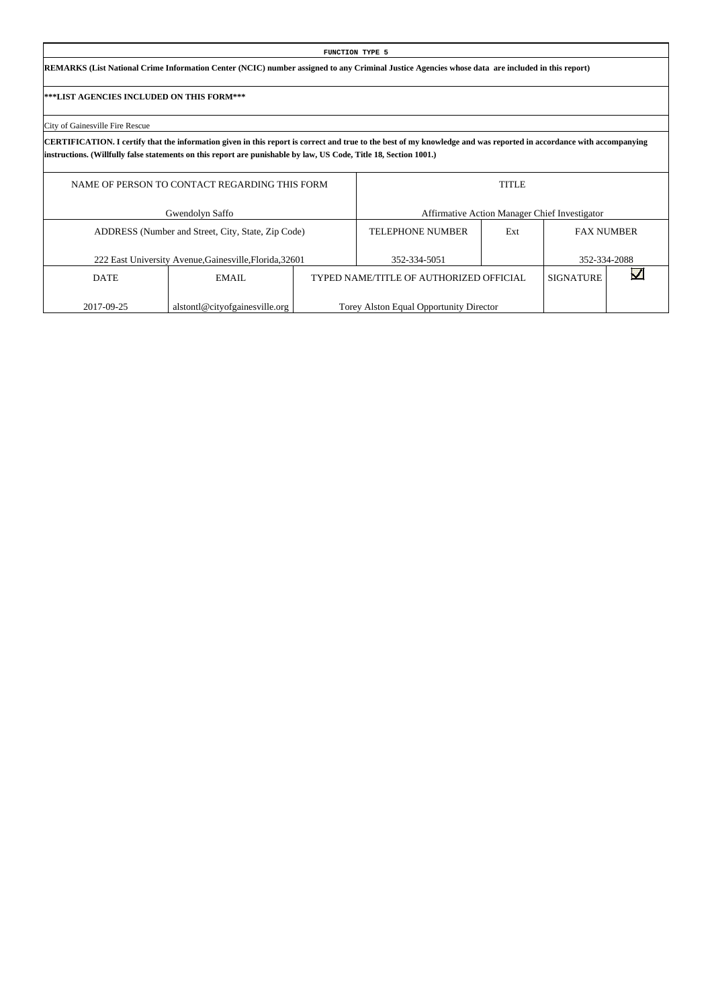# **FUNCTION TYPE 5 REMARKS (List National Crime Information Center (NCIC) number assigned to any Criminal Justice Agencies whose data are included in this report)**

# **\*\*\*LIST AGENCIES INCLUDED ON THIS FORM\*\*\***

# City of Gainesville Fire Rescue

**CERTIFICATION. I certify that the information given in this report is correct and true to the best of my knowledge and was reported in accordance with accompanying instructions. (Willfully false statements on this report are punishable by law, US Code, Title 18, Section 1001.)**

|             | NAME OF PERSON TO CONTACT REGARDING THIS FORM           |                                         | <b>TITLE</b> |                                               |  |
|-------------|---------------------------------------------------------|-----------------------------------------|--------------|-----------------------------------------------|--|
|             | Gwendolyn Saffo                                         |                                         |              | Affirmative Action Manager Chief Investigator |  |
|             | ADDRESS (Number and Street, City, State, Zip Code)      | <b>TELEPHONE NUMBER</b>                 | Ext          | <b>FAX NUMBER</b>                             |  |
|             | 222 East University Avenue, Gainesville, Florida, 32601 | 352-334-5051                            |              | 352-334-2088                                  |  |
| <b>DATE</b> | EMAIL                                                   | TYPED NAME/TITLE OF AUTHORIZED OFFICIAL |              | <b>SIGNATURE</b>                              |  |
| 2017-09-25  | alstontl@cityofgainesville.org                          | Torey Alston Equal Opportunity Director |              |                                               |  |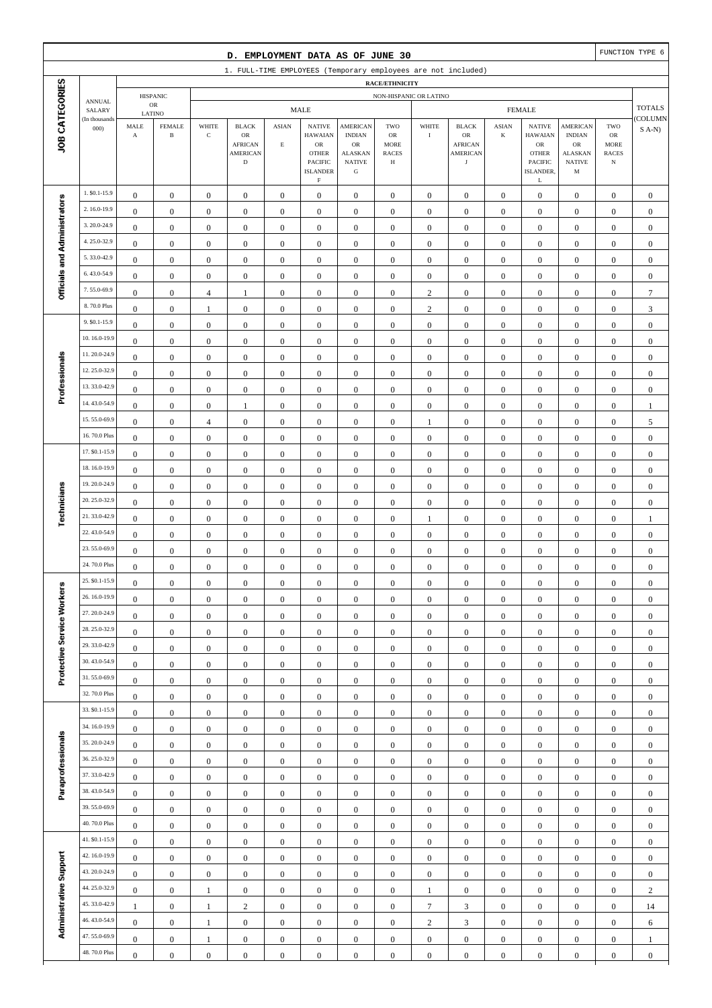|                              |                              |                                      |                                      |                                      | D. EMPLOYMENT DATA AS OF JUNE 30                                       |                                      |                                                                                              |                                                                                                 |                                               |                                      |                                                                       |                                      |                                                                                              |                                                                                       |                                                                | FUNCTION TYPE 6                      |
|------------------------------|------------------------------|--------------------------------------|--------------------------------------|--------------------------------------|------------------------------------------------------------------------|--------------------------------------|----------------------------------------------------------------------------------------------|-------------------------------------------------------------------------------------------------|-----------------------------------------------|--------------------------------------|-----------------------------------------------------------------------|--------------------------------------|----------------------------------------------------------------------------------------------|---------------------------------------------------------------------------------------|----------------------------------------------------------------|--------------------------------------|
|                              |                              |                                      |                                      |                                      | 1. FULL-TIME EMPLOYEES (Temporary employees are not included)          |                                      |                                                                                              |                                                                                                 |                                               |                                      |                                                                       |                                      |                                                                                              |                                                                                       |                                                                |                                      |
|                              |                              |                                      |                                      |                                      |                                                                        |                                      |                                                                                              |                                                                                                 | RACE/ETHNICITY                                |                                      |                                                                       |                                      |                                                                                              |                                                                                       |                                                                |                                      |
|                              | <b>ANNUAL</b><br>SALARY      |                                      | <b>HISPANIC</b><br>$_{\rm OR}$       |                                      |                                                                        |                                      | <b>MALE</b>                                                                                  |                                                                                                 | NON-HISPANIC OR LATINO                        |                                      |                                                                       |                                      | <b>FEMALE</b>                                                                                |                                                                                       |                                                                | <b>TOTALS</b>                        |
| JOB CATEGORIES               | (In thousands<br>000         | LATINO<br>MALE<br>$\mathbf A$        | <b>FEMALE</b><br>$\, {\bf B}$        | WHITE<br>$\mathbf C$                 | <b>BLACK</b><br>OR<br><b>AFRICAN</b><br><b>AMERICAN</b><br>$\mathbf D$ | <b>ASIAN</b><br>$\mathbf E$          | <b>NATIVE</b><br><b>HAWAIAN</b><br>$_{\rm OR}$<br><b>OTHER</b><br>PACIFIC<br><b>ISLANDER</b> | <b>AMERICAN</b><br><b>INDIAN</b><br>$_{\rm OR}$<br><b>ALASKAN</b><br><b>NATIVE</b><br>${\bf G}$ | TWO<br>OR<br><b>MORE</b><br><b>RACES</b><br>Н | WHITE<br>$\mathbf I$                 | <b>BLACK</b><br>OR<br><b>AFRICAN</b><br><b>AMERICAN</b><br>$_{\rm J}$ | <b>ASIAN</b><br>K                    | <b>NATIVE</b><br><b>HAWAIAN</b><br>${\rm OR}$<br><b>OTHER</b><br><b>PACIFIC</b><br>ISLANDER, | <b>AMERICAN</b><br><b>INDIAN</b><br><b>OR</b><br><b>ALASKAN</b><br><b>NATIVE</b><br>M | TWO<br>${\sf OR}$<br><b>MORE</b><br><b>RACES</b><br>$_{\rm N}$ | COLUMN<br>$S(A-N)$                   |
|                              |                              |                                      |                                      |                                      |                                                                        |                                      | $\mathbf F$                                                                                  |                                                                                                 |                                               |                                      |                                                                       |                                      | L                                                                                            |                                                                                       |                                                                |                                      |
|                              | 1. \$0.1-15.9                | $\boldsymbol{0}$                     | $\boldsymbol{0}$                     | $\boldsymbol{0}$                     | $\boldsymbol{0}$                                                       | $\boldsymbol{0}$                     | $\boldsymbol{0}$                                                                             | $\mathbf{0}$                                                                                    | $\boldsymbol{0}$                              | $\boldsymbol{0}$                     | $\boldsymbol{0}$                                                      | $\boldsymbol{0}$                     | $\boldsymbol{0}$                                                                             | $\boldsymbol{0}$                                                                      | $\boldsymbol{0}$                                               | $\mathbf{0}$                         |
|                              | 2.16.0-19.9                  | $\boldsymbol{0}$                     | $\boldsymbol{0}$                     | $\boldsymbol{0}$                     | $\boldsymbol{0}$                                                       | $\boldsymbol{0}$                     | $\boldsymbol{0}$                                                                             | $\boldsymbol{0}$                                                                                | $\boldsymbol{0}$                              | $\boldsymbol{0}$                     | $\boldsymbol{0}$                                                      | $\boldsymbol{0}$                     | $\boldsymbol{0}$                                                                             | $\boldsymbol{0}$                                                                      | $\boldsymbol{0}$                                               | $\boldsymbol{0}$                     |
|                              | 3.20.0-24.9                  | $\boldsymbol{0}$                     | $\mathbf{0}$                         | $\boldsymbol{0}$                     | $\boldsymbol{0}$                                                       | $\boldsymbol{0}$                     | $\boldsymbol{0}$                                                                             | $\boldsymbol{0}$                                                                                | $\boldsymbol{0}$                              | $\boldsymbol{0}$                     | $\boldsymbol{0}$                                                      | $\boldsymbol{0}$                     | $\boldsymbol{0}$                                                                             | $\boldsymbol{0}$                                                                      | $\boldsymbol{0}$                                               | $\boldsymbol{0}$                     |
|                              | 4.25.0-32.9                  | $\boldsymbol{0}$                     | $\mathbf{0}$                         | $\boldsymbol{0}$                     | $\boldsymbol{0}$                                                       | $\boldsymbol{0}$                     | $\boldsymbol{0}$                                                                             | $\boldsymbol{0}$                                                                                | $\mathbf{0}$                                  | $\boldsymbol{0}$                     | $\boldsymbol{0}$                                                      | $\boldsymbol{0}$                     | $\boldsymbol{0}$                                                                             | $\boldsymbol{0}$                                                                      | $\boldsymbol{0}$                                               | $\boldsymbol{0}$                     |
| Officials and Administrators | 5.33.0-42.9<br>6.43.0-54.9   | $\boldsymbol{0}$                     | $\mathbf{0}$                         | $\boldsymbol{0}$                     | $\boldsymbol{0}$                                                       | $\boldsymbol{0}$                     | $\boldsymbol{0}$                                                                             | $\boldsymbol{0}$                                                                                | $\boldsymbol{0}$                              | $\boldsymbol{0}$                     | $\boldsymbol{0}$                                                      | $\boldsymbol{0}$                     | $\boldsymbol{0}$                                                                             | $\boldsymbol{0}$                                                                      | $\boldsymbol{0}$                                               | $\boldsymbol{0}$                     |
|                              | 7.55.0-69.9                  | $\boldsymbol{0}$                     | $\boldsymbol{0}$                     | $\boldsymbol{0}$                     | $\boldsymbol{0}$                                                       | $\boldsymbol{0}$                     | $\boldsymbol{0}$                                                                             | $\boldsymbol{0}$                                                                                | $\boldsymbol{0}$                              | $\boldsymbol{0}$                     | $\boldsymbol{0}$                                                      | $\boldsymbol{0}$                     | $\boldsymbol{0}$                                                                             | $\boldsymbol{0}$                                                                      | $\boldsymbol{0}$                                               | $\boldsymbol{0}$                     |
|                              | 8.70.0 Plus                  | $\boldsymbol{0}$                     | $\boldsymbol{0}$                     | $\overline{4}$                       | $\mathbf{1}$                                                           | $\boldsymbol{0}$                     | $\boldsymbol{0}$                                                                             | $\boldsymbol{0}$                                                                                | $\boldsymbol{0}$                              | $\sqrt{2}$                           | $\boldsymbol{0}$                                                      | $\boldsymbol{0}$                     | $\boldsymbol{0}$                                                                             | $\boldsymbol{0}$                                                                      | $\boldsymbol{0}$                                               | $\boldsymbol{7}$                     |
|                              | 9. \$0.1-15.9                | $\boldsymbol{0}$                     | $\boldsymbol{0}$                     | 1                                    | $\boldsymbol{0}$                                                       | $\boldsymbol{0}$                     | $\boldsymbol{0}$                                                                             | $\boldsymbol{0}$                                                                                | $\mathbf{0}$                                  | $\overline{c}$                       | $\boldsymbol{0}$                                                      | $\boldsymbol{0}$                     | $\boldsymbol{0}$                                                                             | $\overline{0}$                                                                        | $\boldsymbol{0}$                                               | $\mathfrak{Z}$                       |
|                              | 10.16.0-19.9                 | $\boldsymbol{0}$<br>$\boldsymbol{0}$ | $\mathbf{0}$<br>$\mathbf{0}$         | $\boldsymbol{0}$<br>$\boldsymbol{0}$ | $\boldsymbol{0}$<br>$\boldsymbol{0}$                                   | $\boldsymbol{0}$<br>$\boldsymbol{0}$ | $\mathbf{0}$<br>$\mathbf{0}$                                                                 | $\boldsymbol{0}$<br>$\boldsymbol{0}$                                                            | $\boldsymbol{0}$<br>$\boldsymbol{0}$          | $\boldsymbol{0}$<br>$\mathbf{0}$     | $\boldsymbol{0}$<br>$\boldsymbol{0}$                                  | $\boldsymbol{0}$<br>$\boldsymbol{0}$ | $\boldsymbol{0}$<br>$\boldsymbol{0}$                                                         | $\boldsymbol{0}$<br>$\boldsymbol{0}$                                                  | $\boldsymbol{0}$<br>$\boldsymbol{0}$                           | $\boldsymbol{0}$<br>$\boldsymbol{0}$ |
|                              | 11.20.0-24.9                 | $\boldsymbol{0}$                     | $\mathbf{0}$                         | $\boldsymbol{0}$                     | $\boldsymbol{0}$                                                       | $\boldsymbol{0}$                     | $\mathbf{0}$                                                                                 | $\boldsymbol{0}$                                                                                | $\boldsymbol{0}$                              | $\mathbf{0}$                         | $\boldsymbol{0}$                                                      | $\boldsymbol{0}$                     | $\boldsymbol{0}$                                                                             | $\boldsymbol{0}$                                                                      | $\boldsymbol{0}$                                               | $\boldsymbol{0}$                     |
|                              | 12.25.0-32.9                 | $\boldsymbol{0}$                     | $\mathbf{0}$                         | $\boldsymbol{0}$                     | $\boldsymbol{0}$                                                       | $\boldsymbol{0}$                     | $\mathbf{0}$                                                                                 | $\boldsymbol{0}$                                                                                | $\mathbf{0}$                                  | $\boldsymbol{0}$                     | $\boldsymbol{0}$                                                      | $\boldsymbol{0}$                     | $\boldsymbol{0}$                                                                             | $\boldsymbol{0}$                                                                      | $\boldsymbol{0}$                                               | $\boldsymbol{0}$                     |
| Professionals                | 13.33.0-42.9                 | $\boldsymbol{0}$                     | $\mathbf{0}$                         | $\boldsymbol{0}$                     | $\boldsymbol{0}$                                                       | $\boldsymbol{0}$                     | $\mathbf{0}$                                                                                 | $\boldsymbol{0}$                                                                                | $\boldsymbol{0}$                              | $\boldsymbol{0}$                     | $\boldsymbol{0}$                                                      | $\boldsymbol{0}$                     | $\boldsymbol{0}$                                                                             | $\boldsymbol{0}$                                                                      | $\boldsymbol{0}$                                               | $\boldsymbol{0}$                     |
|                              | 14.43.0-54.9                 | $\boldsymbol{0}$                     | $\boldsymbol{0}$                     | $\boldsymbol{0}$                     | $\mathbf{1}$                                                           | $\boldsymbol{0}$                     | $\mathbf{0}$                                                                                 | $\boldsymbol{0}$                                                                                | $\boldsymbol{0}$                              | $\mathbf{0}$                         | $\boldsymbol{0}$                                                      | $\boldsymbol{0}$                     | $\boldsymbol{0}$                                                                             | $\boldsymbol{0}$                                                                      | $\boldsymbol{0}$                                               | 1                                    |
|                              | 15.55.0-69.9                 | $\boldsymbol{0}$                     | $\boldsymbol{0}$                     | $\overline{4}$                       | $\boldsymbol{0}$                                                       | $\boldsymbol{0}$                     | $\mathbf{0}$                                                                                 | $\boldsymbol{0}$                                                                                | $\boldsymbol{0}$                              | $\,1$                                | $\boldsymbol{0}$                                                      | $\boldsymbol{0}$                     | $\boldsymbol{0}$                                                                             | $\boldsymbol{0}$                                                                      | $\boldsymbol{0}$                                               | 5                                    |
|                              | 16.70.0 Plus                 | $\boldsymbol{0}$                     | $\boldsymbol{0}$                     | $\boldsymbol{0}$                     | $\boldsymbol{0}$                                                       | $\boldsymbol{0}$                     | $\mathbf{0}$                                                                                 | $\boldsymbol{0}$                                                                                | $\mathbf{0}$                                  | $\mathbf{0}$                         | $\boldsymbol{0}$                                                      | $\boldsymbol{0}$                     | $\boldsymbol{0}$                                                                             | $\overline{0}$                                                                        | $\boldsymbol{0}$                                               | $\boldsymbol{0}$                     |
|                              | 17. \$0.1-15.9               | $\boldsymbol{0}$                     | $\mathbf{0}$                         | $\boldsymbol{0}$                     | $\boldsymbol{0}$                                                       | $\boldsymbol{0}$                     | $\boldsymbol{0}$                                                                             | $\boldsymbol{0}$                                                                                | $\boldsymbol{0}$                              | $\boldsymbol{0}$                     | $\boldsymbol{0}$                                                      | $\boldsymbol{0}$                     | $\boldsymbol{0}$                                                                             | $\boldsymbol{0}$                                                                      | $\boldsymbol{0}$                                               | $\boldsymbol{0}$                     |
|                              | 18.16.0-19.9                 | $\boldsymbol{0}$                     | $\boldsymbol{0}$                     | $\boldsymbol{0}$                     | $\boldsymbol{0}$                                                       | $\boldsymbol{0}$                     | $\boldsymbol{0}$                                                                             | $\boldsymbol{0}$                                                                                | $\boldsymbol{0}$                              | $\mathbf{0}$                         | $\boldsymbol{0}$                                                      | $\boldsymbol{0}$                     | $\boldsymbol{0}$                                                                             | $\boldsymbol{0}$                                                                      | $\boldsymbol{0}$                                               | $\boldsymbol{0}$                     |
|                              | 19.20.0-24.9                 | $\boldsymbol{0}$                     | $\mathbf{0}$                         | $\boldsymbol{0}$                     | $\boldsymbol{0}$                                                       | $\boldsymbol{0}$                     | $\boldsymbol{0}$                                                                             | $\boldsymbol{0}$                                                                                | $\boldsymbol{0}$                              | $\boldsymbol{0}$                     | $\boldsymbol{0}$                                                      | $\boldsymbol{0}$                     | $\boldsymbol{0}$                                                                             | $\boldsymbol{0}$                                                                      | $\boldsymbol{0}$                                               | $\boldsymbol{0}$                     |
|                              | 20.25.0-32.9                 | $\boldsymbol{0}$                     | $\boldsymbol{0}$                     | $\boldsymbol{0}$                     | $\boldsymbol{0}$                                                       | $\mathbf{0}$                         | $\boldsymbol{0}$                                                                             | $\boldsymbol{0}$                                                                                | $\mathbf{0}$                                  | $\mathbf{0}$                         | $\boldsymbol{0}$                                                      | $\boldsymbol{0}$                     | $\boldsymbol{0}$                                                                             | $\boldsymbol{0}$                                                                      | $\boldsymbol{0}$                                               | $\boldsymbol{0}$                     |
| Technicians                  | 21.33.0-42.9                 | $\boldsymbol{0}$                     | $\mathbf{0}$                         | $\boldsymbol{0}$                     | $\boldsymbol{0}$                                                       | $\boldsymbol{0}$                     | $\boldsymbol{0}$                                                                             | $\boldsymbol{0}$                                                                                | $\boldsymbol{0}$                              | $\mathbf{1}$                         | $\boldsymbol{0}$                                                      | $\boldsymbol{0}$                     | $\boldsymbol{0}$                                                                             | $\boldsymbol{0}$                                                                      | $\boldsymbol{0}$                                               | $\mathbf{1}$                         |
|                              | 22.43.0-54.9                 | $\boldsymbol{0}$                     | $\boldsymbol{0}$                     | $\boldsymbol{0}$                     | $\boldsymbol{0}$                                                       | $\boldsymbol{0}$                     | $\boldsymbol{0}$                                                                             | $\boldsymbol{0}$                                                                                | $\boldsymbol{0}$                              | $\boldsymbol{0}$                     | $\boldsymbol{0}$                                                      | $\boldsymbol{0}$                     | $\boldsymbol{0}$                                                                             | $\boldsymbol{0}$                                                                      | $\boldsymbol{0}$                                               | $\boldsymbol{0}$                     |
|                              | 23.55.0-69.9                 | $\boldsymbol{0}$                     | $\mathbf{0}$                         | $\boldsymbol{0}$                     | $\boldsymbol{0}$                                                       | $\boldsymbol{0}$                     | $\boldsymbol{0}$                                                                             | $\boldsymbol{0}$                                                                                | $\boldsymbol{0}$                              | $\boldsymbol{0}$                     | $\boldsymbol{0}$                                                      | $\boldsymbol{0}$                     | $\boldsymbol{0}$                                                                             | $\boldsymbol{0}$                                                                      | $\boldsymbol{0}$                                               | $\boldsymbol{0}$                     |
|                              | 24.70.0 Plus                 | $\boldsymbol{0}$                     | $\boldsymbol{0}$                     | $\boldsymbol{0}$                     | $\boldsymbol{0}$                                                       | $\boldsymbol{0}$                     | $\mathbf{0}$                                                                                 | $\boldsymbol{0}$                                                                                | $\mathbf{0}$                                  | $\boldsymbol{0}$                     | $\boldsymbol{0}$                                                      | $\boldsymbol{0}$                     | $\boldsymbol{0}$                                                                             | $\overline{0}$                                                                        | $\boldsymbol{0}$                                               | $\boldsymbol{0}$                     |
|                              | 25. \$0.1-15.9               | $\boldsymbol{0}$                     | $\boldsymbol{0}$                     | $\boldsymbol{0}$                     | $\boldsymbol{0}$                                                       | $\boldsymbol{0}$                     | $\boldsymbol{0}$                                                                             | $\boldsymbol{0}$                                                                                | $\boldsymbol{0}$                              | $\boldsymbol{0}$                     | $\boldsymbol{0}$                                                      | $\boldsymbol{0}$                     | $\boldsymbol{0}$                                                                             | 0                                                                                     | $\bf{0}$                                                       | $\boldsymbol{0}$                     |
|                              | 26.16.0-19.9                 | $\boldsymbol{0}$                     | $\boldsymbol{0}$                     | $\boldsymbol{0}$                     | $\mathbf{0}$                                                           | $\boldsymbol{0}$                     | $\boldsymbol{0}$                                                                             | $\boldsymbol{0}$                                                                                | $\boldsymbol{0}$                              | $\boldsymbol{0}$                     | $\boldsymbol{0}$                                                      | $\mathbf{0}$                         | $\boldsymbol{0}$                                                                             | $\boldsymbol{0}$                                                                      | $\boldsymbol{0}$                                               | $\boldsymbol{0}$                     |
|                              | 27.20.0-24.9                 | $\boldsymbol{0}$                     | $\boldsymbol{0}$                     | $\boldsymbol{0}$                     | $\boldsymbol{0}$                                                       | $\boldsymbol{0}$                     | $\boldsymbol{0}$                                                                             | $\boldsymbol{0}$                                                                                | $\boldsymbol{0}$                              | $\mathbf{0}$                         | $\boldsymbol{0}$                                                      | $\mathbf{0}$                         | $\boldsymbol{0}$                                                                             | $\boldsymbol{0}$                                                                      | $\boldsymbol{0}$                                               | $\boldsymbol{0}$                     |
|                              | 28.25.0-32.9                 | $\boldsymbol{0}$                     | $\boldsymbol{0}$                     | $\boldsymbol{0}$                     | $\overline{0}$                                                         | $\mathbf{0}$                         | $\boldsymbol{0}$                                                                             | $\mathbf{0}$                                                                                    | $\boldsymbol{0}$                              | $\overline{0}$                       | $\boldsymbol{0}$                                                      | $\boldsymbol{0}$                     | $\boldsymbol{0}$                                                                             | $\boldsymbol{0}$                                                                      | $\boldsymbol{0}$                                               | $\boldsymbol{0}$                     |
|                              | 29.33.0-42.9                 | $\boldsymbol{0}$                     | $\boldsymbol{0}$                     | $\boldsymbol{0}$                     | $\boldsymbol{0}$                                                       | $\mathbf{0}$                         | $\boldsymbol{0}$                                                                             | $\boldsymbol{0}$                                                                                | $\boldsymbol{0}$                              | $\boldsymbol{0}$                     | $\boldsymbol{0}$                                                      | $\boldsymbol{0}$                     | $\boldsymbol{0}$                                                                             | $\boldsymbol{0}$                                                                      | $\boldsymbol{0}$                                               | $\boldsymbol{0}$                     |
| Protective Service Workers   | 30.43.0-54.9<br>31.55.0-69.9 | $\boldsymbol{0}$                     | $\boldsymbol{0}$                     | $\boldsymbol{0}$                     | $\boldsymbol{0}$                                                       | $\boldsymbol{0}$                     | $\boldsymbol{0}$                                                                             | $\boldsymbol{0}$                                                                                | $\boldsymbol{0}$                              | $\boldsymbol{0}$                     | $\boldsymbol{0}$                                                      | $\boldsymbol{0}$                     | $\boldsymbol{0}$                                                                             | $\boldsymbol{0}$                                                                      | $\boldsymbol{0}$                                               | $\boldsymbol{0}$                     |
|                              | 32.70.0 Plus                 | $\boldsymbol{0}$                     | $\boldsymbol{0}$                     | $\boldsymbol{0}$                     | $\boldsymbol{0}$                                                       | $\boldsymbol{0}$                     | $\boldsymbol{0}$                                                                             | $\boldsymbol{0}$                                                                                | $\boldsymbol{0}$                              | $\boldsymbol{0}$                     | $\boldsymbol{0}$                                                      | $\boldsymbol{0}$                     | $\boldsymbol{0}$                                                                             | $\boldsymbol{0}$                                                                      | $\boldsymbol{0}$                                               | $\boldsymbol{0}$                     |
|                              | 33. \$0.1-15.9               | $\boldsymbol{0}$                     | $\boldsymbol{0}$                     | $\boldsymbol{0}$                     | $\boldsymbol{0}$                                                       | $\mathbf{0}$                         | $\boldsymbol{0}$                                                                             | $\boldsymbol{0}$                                                                                | $\boldsymbol{0}$                              | $\mathbf{0}$                         | $\boldsymbol{0}$                                                      | $\boldsymbol{0}$                     | $\boldsymbol{0}$                                                                             | $\boldsymbol{0}$                                                                      | $\boldsymbol{0}$                                               | $\boldsymbol{0}$                     |
|                              | 34.16.0-19.9                 | $\boldsymbol{0}$                     | $\boldsymbol{0}$                     | $\boldsymbol{0}$                     | $\boldsymbol{0}$                                                       | $\boldsymbol{0}$                     | $\boldsymbol{0}$                                                                             | $\boldsymbol{0}$                                                                                | $\boldsymbol{0}$                              | $\boldsymbol{0}$                     | $\boldsymbol{0}$                                                      | $\boldsymbol{0}$                     | $\boldsymbol{0}$                                                                             | $\boldsymbol{0}$                                                                      | $\boldsymbol{0}$                                               | $\boldsymbol{0}$                     |
|                              | 35.20.0-24.9                 | $\boldsymbol{0}$<br>$\boldsymbol{0}$ | $\boldsymbol{0}$<br>$\boldsymbol{0}$ | $\boldsymbol{0}$<br>$\boldsymbol{0}$ | $\boldsymbol{0}$<br>$\boldsymbol{0}$                                   | $\boldsymbol{0}$<br>$\boldsymbol{0}$ | $\boldsymbol{0}$<br>$\boldsymbol{0}$                                                         | $\boldsymbol{0}$<br>$\boldsymbol{0}$                                                            | $\boldsymbol{0}$<br>$\boldsymbol{0}$          | $\boldsymbol{0}$<br>$\boldsymbol{0}$ | $\boldsymbol{0}$<br>$\boldsymbol{0}$                                  | $\boldsymbol{0}$<br>$\boldsymbol{0}$ | $\boldsymbol{0}$<br>$\boldsymbol{0}$                                                         | $\boldsymbol{0}$<br>$\boldsymbol{0}$                                                  | $\boldsymbol{0}$<br>$\boldsymbol{0}$                           | $\boldsymbol{0}$<br>$\boldsymbol{0}$ |
|                              | 36.25.0-32.9                 | $\boldsymbol{0}$                     | $\boldsymbol{0}$                     | $\boldsymbol{0}$                     | $\overline{0}$                                                         | $\mathbf{0}$                         | $\boldsymbol{0}$                                                                             | $\boldsymbol{0}$                                                                                | $\boldsymbol{0}$                              | $\overline{0}$                       | $\boldsymbol{0}$                                                      | $\boldsymbol{0}$                     | $\boldsymbol{0}$                                                                             | $\boldsymbol{0}$                                                                      | $\boldsymbol{0}$                                               | $\boldsymbol{0}$                     |
| Paraprofessionals            | 37.33.0-42.9                 | $\boldsymbol{0}$                     | $\boldsymbol{0}$                     | $\boldsymbol{0}$                     | $\boldsymbol{0}$                                                       | $\boldsymbol{0}$                     | $\boldsymbol{0}$                                                                             | $\boldsymbol{0}$                                                                                | $\boldsymbol{0}$                              | $\boldsymbol{0}$                     | $\boldsymbol{0}$                                                      | $\boldsymbol{0}$                     | $\boldsymbol{0}$                                                                             | $\boldsymbol{0}$                                                                      | $\boldsymbol{0}$                                               | $\boldsymbol{0}$                     |
|                              | 38.43.0-54.9                 | $\boldsymbol{0}$                     | $\boldsymbol{0}$                     | $\boldsymbol{0}$                     | $\boldsymbol{0}$                                                       | $\boldsymbol{0}$                     | $\boldsymbol{0}$                                                                             | $\boldsymbol{0}$                                                                                | $\boldsymbol{0}$                              | $\boldsymbol{0}$                     | $\boldsymbol{0}$                                                      | $\boldsymbol{0}$                     | $\boldsymbol{0}$                                                                             | $\boldsymbol{0}$                                                                      | $\boldsymbol{0}$                                               | $\boldsymbol{0}$                     |
|                              | 39.55.0-69.9                 | $\boldsymbol{0}$                     | $\boldsymbol{0}$                     | $\boldsymbol{0}$                     | $\boldsymbol{0}$                                                       | $\boldsymbol{0}$                     | $\boldsymbol{0}$                                                                             | $\boldsymbol{0}$                                                                                | $\boldsymbol{0}$                              | $\boldsymbol{0}$                     | $\boldsymbol{0}$                                                      | $\boldsymbol{0}$                     | $\boldsymbol{0}$                                                                             | $\boldsymbol{0}$                                                                      | $\boldsymbol{0}$                                               | $\boldsymbol{0}$                     |
|                              | 40.70.0 Plus                 | $\boldsymbol{0}$                     | $\boldsymbol{0}$                     | $\boldsymbol{0}$                     | $\boldsymbol{0}$                                                       | $\mathbf{0}$                         | $\boldsymbol{0}$                                                                             | $\boldsymbol{0}$                                                                                | $\boldsymbol{0}$                              | $\mathbf{0}$                         | $\boldsymbol{0}$                                                      | $\boldsymbol{0}$                     | $\boldsymbol{0}$                                                                             | $\boldsymbol{0}$                                                                      | $\boldsymbol{0}$                                               | $\boldsymbol{0}$                     |
|                              | 41. \$0.1-15.9               | $\boldsymbol{0}$                     | $\boldsymbol{0}$                     | $\boldsymbol{0}$                     | $\boldsymbol{0}$                                                       | $\boldsymbol{0}$                     | $\boldsymbol{0}$                                                                             | $\boldsymbol{0}$                                                                                | $\boldsymbol{0}$                              | $\boldsymbol{0}$                     | $\boldsymbol{0}$                                                      | $\boldsymbol{0}$                     | $\boldsymbol{0}$                                                                             | $\boldsymbol{0}$                                                                      | $\boldsymbol{0}$                                               | $\boldsymbol{0}$                     |
|                              | 42.16.0-19.9                 | $\boldsymbol{0}$                     | $\boldsymbol{0}$                     | $\boldsymbol{0}$                     | $\boldsymbol{0}$                                                       | $\boldsymbol{0}$                     | $\boldsymbol{0}$                                                                             | $\boldsymbol{0}$                                                                                | $\boldsymbol{0}$                              | $\boldsymbol{0}$                     | $\boldsymbol{0}$                                                      | $\boldsymbol{0}$                     | $\boldsymbol{0}$                                                                             | $\boldsymbol{0}$                                                                      | $\boldsymbol{0}$                                               | $\boldsymbol{0}$                     |
|                              | 43.20.0-24.9                 | $\boldsymbol{0}$                     | $\boldsymbol{0}$                     | $\boldsymbol{0}$                     | $\boldsymbol{0}$                                                       | $\boldsymbol{0}$                     | $\boldsymbol{0}$                                                                             | $\boldsymbol{0}$                                                                                | $\boldsymbol{0}$                              | $\mathbf{0}$                         | $\boldsymbol{0}$                                                      | $\boldsymbol{0}$                     | $\boldsymbol{0}$                                                                             | $\boldsymbol{0}$                                                                      | $\boldsymbol{0}$                                               | $\boldsymbol{0}$                     |
|                              | 44.25.0-32.9                 | $\boldsymbol{0}$                     | $\boldsymbol{0}$                     | $\,1$                                | $\boldsymbol{0}$                                                       | $\mathbf{0}$                         | $\boldsymbol{0}$                                                                             | $\boldsymbol{0}$                                                                                | $\boldsymbol{0}$                              | $\,1$                                | $\boldsymbol{0}$                                                      | $\boldsymbol{0}$                     | $\boldsymbol{0}$                                                                             | $\boldsymbol{0}$                                                                      | $\boldsymbol{0}$                                               | $\mathbf{2}$                         |
|                              | 45.33.0-42.9                 | -1                                   | $\boldsymbol{0}$                     | $\mathbf{1}$                         | $\sqrt{2}$                                                             | $\boldsymbol{0}$                     | $\boldsymbol{0}$                                                                             | $\boldsymbol{0}$                                                                                | $\boldsymbol{0}$                              | $\boldsymbol{7}$                     | $\ensuremath{\mathfrak{Z}}$                                           | $\boldsymbol{0}$                     | $\boldsymbol{0}$                                                                             | $\boldsymbol{0}$                                                                      | $\boldsymbol{0}$                                               | 14                                   |
| Administrative Support       | 46.43.0-54.9                 | $\boldsymbol{0}$                     | $\boldsymbol{0}$                     | $\mathbf{1}$                         | $\boldsymbol{0}$                                                       | $\boldsymbol{0}$                     | $\boldsymbol{0}$                                                                             | $\boldsymbol{0}$                                                                                | $\boldsymbol{0}$                              | $\sqrt{2}$                           | $\mathfrak{Z}$                                                        | $\boldsymbol{0}$                     | $\boldsymbol{0}$                                                                             | $\boldsymbol{0}$                                                                      | $\boldsymbol{0}$                                               | 6                                    |
|                              | 47.55.0-69.9                 | $\boldsymbol{0}$                     | $\boldsymbol{0}$                     | $\mathbf{1}$                         | $\boldsymbol{0}$                                                       | $\boldsymbol{0}$                     | $\boldsymbol{0}$                                                                             | $\boldsymbol{0}$                                                                                | $\boldsymbol{0}$                              | $\boldsymbol{0}$                     | $\boldsymbol{0}$                                                      | $\boldsymbol{0}$                     | $\boldsymbol{0}$                                                                             | $\boldsymbol{0}$                                                                      | $\boldsymbol{0}$                                               | $\mathbf{1}$                         |
|                              | 48.70.0 Plus                 | $\boldsymbol{0}$                     | $\boldsymbol{0}$                     | $\boldsymbol{0}$                     | $\boldsymbol{0}$                                                       | $\boldsymbol{0}$                     | $\boldsymbol{0}$                                                                             | $\boldsymbol{0}$                                                                                | $\boldsymbol{0}$                              | $\boldsymbol{0}$                     | $\boldsymbol{0}$                                                      | $\boldsymbol{0}$                     | $\boldsymbol{0}$                                                                             | $\boldsymbol{0}$                                                                      | $\boldsymbol{0}$                                               | $\boldsymbol{0}$                     |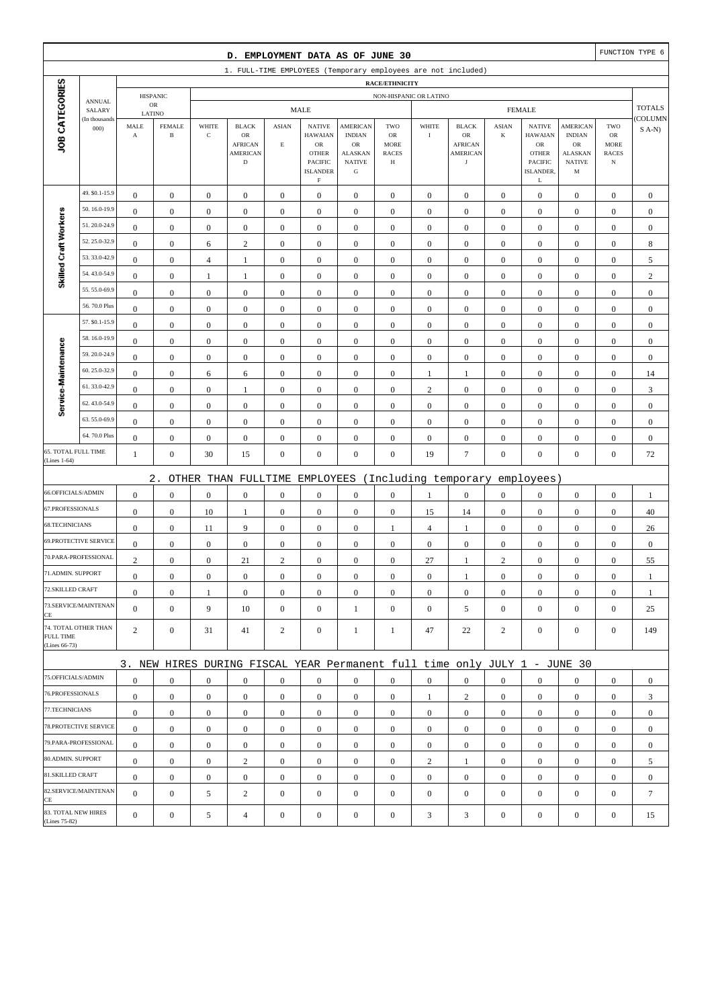|                                      |                              |                    |                                |                      | D. EMPLOYMENT DATA AS OF JUNE 30                                                |                             |                                                                                                   |                                                                                        |                                               |                  |                                                                       |                         |                                                                                              |                                                                         |                                                        | FUNCTION TYPE 6  |
|--------------------------------------|------------------------------|--------------------|--------------------------------|----------------------|---------------------------------------------------------------------------------|-----------------------------|---------------------------------------------------------------------------------------------------|----------------------------------------------------------------------------------------|-----------------------------------------------|------------------|-----------------------------------------------------------------------|-------------------------|----------------------------------------------------------------------------------------------|-------------------------------------------------------------------------|--------------------------------------------------------|------------------|
|                                      |                              |                    |                                |                      | 1. FULL-TIME EMPLOYEES (Temporary employees are not included)                   |                             |                                                                                                   |                                                                                        |                                               |                  |                                                                       |                         |                                                                                              |                                                                         |                                                        |                  |
|                                      |                              |                    |                                |                      |                                                                                 |                             |                                                                                                   |                                                                                        | RACE/ETHNICITY                                |                  |                                                                       |                         |                                                                                              |                                                                         |                                                        |                  |
|                                      | <b>ANNUAL</b>                |                    | <b>HISPANIC</b><br>$_{\rm OR}$ |                      |                                                                                 |                             | <b>MALE</b>                                                                                       |                                                                                        | NON-HISPANIC OR LATINO                        |                  |                                                                       |                         | <b>FEMALE</b>                                                                                |                                                                         |                                                        | <b>TOTALS</b>    |
|                                      | SALARY<br>(In thousands      | LATINO             |                                |                      |                                                                                 |                             |                                                                                                   |                                                                                        |                                               |                  |                                                                       |                         |                                                                                              |                                                                         |                                                        | <b>COLUMN</b>    |
| JOB CATEGORIES                       | 000)                         | MALE<br>$_{\rm A}$ | <b>FEMALE</b><br>$\, {\bf B}$  | WHITE<br>$\mathbf C$ | <b>BLACK</b><br>$_{\rm OR}$<br><b>AFRICAN</b><br><b>AMERICAN</b><br>$\mathbf D$ | <b>ASIAN</b><br>$\mathbf E$ | <b>NATIVE</b><br><b>HAWAIAN</b><br><b>OR</b><br><b>OTHER</b><br><b>PACIFIC</b><br><b>ISLANDER</b> | <b>AMERICAN</b><br><b>INDIAN</b><br>${\rm OR}$<br><b>ALASKAN</b><br><b>NATIVE</b><br>G | TWO<br>OR<br><b>MORE</b><br><b>RACES</b><br>Н | WHITE<br>$\rm I$ | <b>BLACK</b><br>OR<br><b>AFRICAN</b><br><b>AMERICAN</b><br>$_{\rm J}$ | <b>ASIAN</b><br>$\bf K$ | <b>NATIVE</b><br><b>HAWAIAN</b><br>${\sf OR}$<br><b>OTHER</b><br><b>PACIFIC</b><br>ISLANDER, | <b>AMERICAN</b><br><b>INDIAN</b><br>OR<br>ALASKAN<br><b>NATIVE</b><br>M | TWO<br>OR<br><b>MORE</b><br><b>RACES</b><br>$_{\rm N}$ | $S(A-N)$         |
|                                      | 49. \$0.1-15.9               | $\boldsymbol{0}$   | $\mathbf{0}$                   | $\boldsymbol{0}$     | $\mathbf{0}$                                                                    | $\boldsymbol{0}$            | F<br>$\boldsymbol{0}$                                                                             | $\boldsymbol{0}$                                                                       | $\boldsymbol{0}$                              | $\boldsymbol{0}$ | $\boldsymbol{0}$                                                      | $\mathbf{0}$            | L<br>$\mathbf{0}$                                                                            | $\boldsymbol{0}$                                                        | $\boldsymbol{0}$                                       | $\boldsymbol{0}$ |
|                                      | 50.16.0-19.9                 | $\boldsymbol{0}$   | $\boldsymbol{0}$               | $\boldsymbol{0}$     | $\boldsymbol{0}$                                                                | $\boldsymbol{0}$            | $\boldsymbol{0}$                                                                                  | $\boldsymbol{0}$                                                                       | $\boldsymbol{0}$                              | $\boldsymbol{0}$ | $\boldsymbol{0}$                                                      | $\boldsymbol{0}$        | $\boldsymbol{0}$                                                                             | $\boldsymbol{0}$                                                        | $\boldsymbol{0}$                                       | $\boldsymbol{0}$ |
| Skilled Craft Workers                | 51.20.0-24.9                 | $\boldsymbol{0}$   | $\mathbf{0}$                   | $\boldsymbol{0}$     | $\boldsymbol{0}$                                                                | $\boldsymbol{0}$            | $\boldsymbol{0}$                                                                                  | $\boldsymbol{0}$                                                                       | $\mathbf{0}$                                  | $\boldsymbol{0}$ | $\boldsymbol{0}$                                                      | $\boldsymbol{0}$        | $\boldsymbol{0}$                                                                             | $\boldsymbol{0}$                                                        | $\boldsymbol{0}$                                       | $\boldsymbol{0}$ |
|                                      | 52.25.0-32.9                 | $\boldsymbol{0}$   | $\boldsymbol{0}$               | 6                    | $\sqrt{2}$                                                                      | $\boldsymbol{0}$            | $\boldsymbol{0}$                                                                                  | $\boldsymbol{0}$                                                                       | $\boldsymbol{0}$                              | $\boldsymbol{0}$ | $\boldsymbol{0}$                                                      | $\boldsymbol{0}$        | $\boldsymbol{0}$                                                                             | $\boldsymbol{0}$                                                        | $\boldsymbol{0}$                                       | $\,$ 8 $\,$      |
|                                      | 53.33.0-42.9                 | $\boldsymbol{0}$   | $\boldsymbol{0}$               | $\overline{4}$       | $\mathbf{1}$                                                                    | $\boldsymbol{0}$            | $\boldsymbol{0}$                                                                                  | $\boldsymbol{0}$                                                                       | $\boldsymbol{0}$                              | $\boldsymbol{0}$ | $\boldsymbol{0}$                                                      | $\boldsymbol{0}$        | $\boldsymbol{0}$                                                                             | $\boldsymbol{0}$                                                        | $\boldsymbol{0}$                                       | 5                |
|                                      | 54.43.0-54.9                 | $\boldsymbol{0}$   | $\boldsymbol{0}$               | $\mathbf{1}$         | $\mathbf{1}$                                                                    | $\boldsymbol{0}$            | $\boldsymbol{0}$                                                                                  | $\boldsymbol{0}$                                                                       | $\boldsymbol{0}$                              | $\boldsymbol{0}$ | $\boldsymbol{0}$                                                      | $\boldsymbol{0}$        | $\boldsymbol{0}$                                                                             | $\boldsymbol{0}$                                                        | $\boldsymbol{0}$                                       | $\sqrt{2}$       |
|                                      | 55.55.0-69.9                 | $\boldsymbol{0}$   | $\mathbf{0}$                   | $\boldsymbol{0}$     | $\boldsymbol{0}$                                                                | $\boldsymbol{0}$            | $\boldsymbol{0}$                                                                                  | $\boldsymbol{0}$                                                                       | $\mathbf{0}$                                  | $\boldsymbol{0}$ | $\boldsymbol{0}$                                                      | $\boldsymbol{0}$        | $\boldsymbol{0}$                                                                             | $\boldsymbol{0}$                                                        | $\boldsymbol{0}$                                       | $\boldsymbol{0}$ |
|                                      | 56.70.0 Plus                 | $\boldsymbol{0}$   | $\boldsymbol{0}$               | $\boldsymbol{0}$     | $\boldsymbol{0}$                                                                | $\boldsymbol{0}$            | $\boldsymbol{0}$                                                                                  | $\boldsymbol{0}$                                                                       | $\boldsymbol{0}$                              | $\boldsymbol{0}$ | $\boldsymbol{0}$                                                      | $\boldsymbol{0}$        | $\boldsymbol{0}$                                                                             | $\boldsymbol{0}$                                                        | $\boldsymbol{0}$                                       | $\boldsymbol{0}$ |
|                                      | 57. \$0.1-15.9               | $\boldsymbol{0}$   | $\mathbf{0}$                   | $\boldsymbol{0}$     | $\boldsymbol{0}$                                                                | $\boldsymbol{0}$            | $\boldsymbol{0}$                                                                                  | $\mathbf{0}$                                                                           | $\boldsymbol{0}$                              | $\boldsymbol{0}$ | $\boldsymbol{0}$                                                      | $\boldsymbol{0}$        | $\boldsymbol{0}$                                                                             | $\boldsymbol{0}$                                                        | $\boldsymbol{0}$                                       | $\boldsymbol{0}$ |
|                                      | 58.16.0-19.9                 | $\boldsymbol{0}$   | $\mathbf{0}$                   | $\boldsymbol{0}$     | $\boldsymbol{0}$                                                                | $\boldsymbol{0}$            | $\boldsymbol{0}$                                                                                  | $\boldsymbol{0}$                                                                       | $\boldsymbol{0}$                              | $\boldsymbol{0}$ | $\boldsymbol{0}$                                                      | $\boldsymbol{0}$        | $\boldsymbol{0}$                                                                             | $\boldsymbol{0}$                                                        | $\boldsymbol{0}$                                       | $\boldsymbol{0}$ |
| Service-Maintenance                  | 59.20.0-24.9                 | $\boldsymbol{0}$   | $\mathbf{0}$                   | $\boldsymbol{0}$     | $\boldsymbol{0}$                                                                | $\boldsymbol{0}$            | $\boldsymbol{0}$                                                                                  | $\mathbf{0}$                                                                           | $\mathbf{0}$                                  | $\boldsymbol{0}$ | $\boldsymbol{0}$                                                      | $\boldsymbol{0}$        | $\boldsymbol{0}$                                                                             | $\boldsymbol{0}$                                                        | $\boldsymbol{0}$                                       | $\boldsymbol{0}$ |
|                                      | 60.25.0-32.9                 | $\boldsymbol{0}$   | $\boldsymbol{0}$               | 6                    | 6                                                                               | $\boldsymbol{0}$            | $\boldsymbol{0}$                                                                                  | $\boldsymbol{0}$                                                                       | $\mathbf{0}$                                  | $\mathbf{1}$     | 1                                                                     | $\boldsymbol{0}$        | $\boldsymbol{0}$                                                                             | $\boldsymbol{0}$                                                        | $\boldsymbol{0}$                                       | 14               |
|                                      | 61.33.0-42.9                 | $\boldsymbol{0}$   | $\mathbf{0}$                   | $\boldsymbol{0}$     | $\mathbf{1}$                                                                    | $\boldsymbol{0}$            | $\boldsymbol{0}$                                                                                  | $\boldsymbol{0}$                                                                       | $\boldsymbol{0}$                              | $\sqrt{2}$       | $\boldsymbol{0}$                                                      | $\boldsymbol{0}$        | $\boldsymbol{0}$                                                                             | $\boldsymbol{0}$                                                        | $\boldsymbol{0}$                                       | $\mathfrak{Z}$   |
|                                      | 62.43.0-54.9                 | $\boldsymbol{0}$   | $\mathbf{0}$                   | $\boldsymbol{0}$     | $\boldsymbol{0}$                                                                | $\boldsymbol{0}$            | $\boldsymbol{0}$                                                                                  | $\boldsymbol{0}$                                                                       | $\boldsymbol{0}$                              | $\boldsymbol{0}$ | $\boldsymbol{0}$                                                      | $\boldsymbol{0}$        | $\boldsymbol{0}$                                                                             | $\boldsymbol{0}$                                                        | $\boldsymbol{0}$                                       | $\boldsymbol{0}$ |
|                                      | 63.55.0-69.9<br>64.70.0 Plus | $\boldsymbol{0}$   | $\mathbf{0}$                   | $\boldsymbol{0}$     | $\boldsymbol{0}$                                                                | $\boldsymbol{0}$            | $\boldsymbol{0}$                                                                                  | $\mathbf{0}$                                                                           | $\mathbf{0}$                                  | $\boldsymbol{0}$ | $\boldsymbol{0}$                                                      | $\boldsymbol{0}$        | $\boldsymbol{0}$                                                                             | $\boldsymbol{0}$                                                        | $\boldsymbol{0}$                                       | $\boldsymbol{0}$ |
| 65. TOTAL FULL TIME                  |                              | $\boldsymbol{0}$   | $\mathbf{0}$                   | $\boldsymbol{0}$     | $\boldsymbol{0}$                                                                | $\boldsymbol{0}$            | $\boldsymbol{0}$                                                                                  | $\boldsymbol{0}$                                                                       | $\boldsymbol{0}$                              | $\boldsymbol{0}$ | $\boldsymbol{0}$                                                      | $\boldsymbol{0}$        | $\boldsymbol{0}$                                                                             | $\boldsymbol{0}$                                                        | $\boldsymbol{0}$                                       | $\boldsymbol{0}$ |
| (Lines 1-64)                         |                              | $\mathbf{1}$       | $\mathbf{0}$                   | 30                   | 15                                                                              | $\boldsymbol{0}$            | $\boldsymbol{0}$                                                                                  | $\boldsymbol{0}$                                                                       | $\boldsymbol{0}$                              | 19               | $\boldsymbol{7}$                                                      | $\boldsymbol{0}$        | $\boldsymbol{0}$                                                                             | $\boldsymbol{0}$                                                        | $\boldsymbol{0}$                                       | 72               |
|                                      |                              |                    | $2$ .                          |                      | OTHER THAN FULLTIME                                                             |                             | EMPLOYEES                                                                                         |                                                                                        |                                               |                  | (Including temporary                                                  |                         | employees)                                                                                   |                                                                         |                                                        |                  |
| 66.OFFICIALS/ADMIN                   |                              | $\boldsymbol{0}$   | $\boldsymbol{0}$               | $\boldsymbol{0}$     | $\boldsymbol{0}$                                                                | $\boldsymbol{0}$            | $\boldsymbol{0}$                                                                                  | $\boldsymbol{0}$                                                                       | $\boldsymbol{0}$                              | 1                | $\boldsymbol{0}$                                                      | $\boldsymbol{0}$        | $\boldsymbol{0}$                                                                             | $\boldsymbol{0}$                                                        | $\boldsymbol{0}$                                       | $\mathbf{1}$     |
| 67.PROFESSIONALS                     |                              | $\boldsymbol{0}$   | $\mathbf{0}$                   | 10                   | $\mathbf{1}$                                                                    | $\boldsymbol{0}$            | $\boldsymbol{0}$                                                                                  | $\mathbf{0}$                                                                           | $\boldsymbol{0}$                              | 15               | 14                                                                    | $\boldsymbol{0}$        | $\boldsymbol{0}$                                                                             | $\boldsymbol{0}$                                                        | $\boldsymbol{0}$                                       | 40               |
| 68.TECHNICIANS                       |                              | $\boldsymbol{0}$   | $\mathbf{0}$                   | 11                   | 9                                                                               | $\boldsymbol{0}$            | $\boldsymbol{0}$                                                                                  | $\boldsymbol{0}$                                                                       | 1                                             | $\overline{4}$   | $\mathbf{1}$                                                          | $\boldsymbol{0}$        | $\boldsymbol{0}$                                                                             | $\boldsymbol{0}$                                                        | $\boldsymbol{0}$                                       | 26               |
|                                      | 69.PROTECTIVE SERVICE        | $\boldsymbol{0}$   | $\mathbf{0}$                   | $\boldsymbol{0}$     | $\boldsymbol{0}$                                                                | $\boldsymbol{0}$            | $\boldsymbol{0}$                                                                                  | $\boldsymbol{0}$                                                                       | $\mathbf{0}$                                  | $\boldsymbol{0}$ | $\boldsymbol{0}$                                                      | $\boldsymbol{0}$        | $\boldsymbol{0}$                                                                             | $\boldsymbol{0}$                                                        | $\boldsymbol{0}$                                       | $\boldsymbol{0}$ |
|                                      | 70.PARA-PROFESSIONAL         | $\sqrt{2}$         | $\boldsymbol{0}$               | $\boldsymbol{0}$     | 21                                                                              | $\sqrt{2}$                  | $\boldsymbol{0}$                                                                                  | $\boldsymbol{0}$                                                                       | $\boldsymbol{0}$                              | 27               | 1                                                                     | $\mathbf{2}$            | $\boldsymbol{0}$                                                                             | $\boldsymbol{0}$                                                        | $\boldsymbol{0}$                                       | 55               |
| 71.ADMIN. SUPPORT                    |                              | $\boldsymbol{0}$   | $\boldsymbol{0}$               | $\boldsymbol{0}$     | $\Omega$                                                                        | $\mathbf{0}$                | $\boldsymbol{0}$                                                                                  | $\boldsymbol{0}$                                                                       | $\mathbf{0}$                                  | $\boldsymbol{0}$ | 1                                                                     | $\Omega$                | $\boldsymbol{0}$                                                                             | $\Omega$                                                                | $\boldsymbol{0}$                                       | 1                |
| 72.SKILLED CRAFT                     |                              | $\boldsymbol{0}$   | $\mathbf{0}$                   | -1                   | $\overline{0}$                                                                  | $\boldsymbol{0}$            | $\boldsymbol{0}$                                                                                  | $\boldsymbol{0}$                                                                       | $\boldsymbol{0}$                              | $\boldsymbol{0}$ | $\mathbf{0}$                                                          | $\mathbf{0}$            | $\mathbf{0}$                                                                                 | $\mathbf{0}$                                                            | $\mathbf{0}$                                           | -1               |
| CE                                   | 73.SERVICE/MAINTENAN         | $\overline{0}$     | $\mathbf{0}$                   | 9                    | 10                                                                              | $\boldsymbol{0}$            | $\overline{0}$                                                                                    | 1                                                                                      | $\overline{0}$                                | $\boldsymbol{0}$ | 5                                                                     | $\overline{0}$          | $\mathbf{0}$                                                                                 | $\boldsymbol{0}$                                                        | $\boldsymbol{0}$                                       | 25               |
| <b>FULL TIME</b><br>(Lines 66-73)    | 74. TOTAL OTHER THAN         | $\overline{2}$     | $\mathbf{0}$                   | 31                   | 41                                                                              | $\overline{c}$              | $\overline{0}$                                                                                    | 1                                                                                      | 1                                             | 47               | 22                                                                    | 2                       | $\mathbf{0}$                                                                                 | $\boldsymbol{0}$                                                        | $\mathbf{0}$                                           | 149              |
|                                      |                              |                    |                                |                      | 3. NEW HIRES DURING FISCAL YEAR Permanent full time only JULY 1 - JUNE 30       |                             |                                                                                                   |                                                                                        |                                               |                  |                                                                       |                         |                                                                                              |                                                                         |                                                        |                  |
| 75.OFFICIALS/ADMIN                   |                              | $\boldsymbol{0}$   | $\overline{0}$                 | $\mathbf{0}$         | $\overline{0}$                                                                  | $\boldsymbol{0}$            | $\overline{0}$                                                                                    | $\boldsymbol{0}$                                                                       | $\overline{0}$                                | $\mathbf{0}$     | $\boldsymbol{0}$                                                      | $\overline{0}$          | $\mathbf{0}$                                                                                 | $\overline{0}$                                                          | $\mathbf{0}$                                           | $\mathbf{0}$     |
| 76.PROFESSIONALS                     |                              | $\mathbf{0}$       | $\mathbf{0}$                   | $\boldsymbol{0}$     | $\mathbf{0}$                                                                    | $\boldsymbol{0}$            | $\mathbf{0}$                                                                                      | $\boldsymbol{0}$                                                                       | $\boldsymbol{0}$                              | 1                | 2                                                                     | $\mathbf{0}$            | $\mathbf{0}$                                                                                 | $\boldsymbol{0}$                                                        | $\mathbf{0}$                                           | 3                |
| 77.TECHNICIANS                       |                              | $\mathbf{0}$       | $\mathbf{0}$                   | $\boldsymbol{0}$     | $\overline{0}$                                                                  | $\boldsymbol{0}$            | $\mathbf{0}$                                                                                      | $\mathbf{0}$                                                                           | $\overline{0}$                                | $\mathbf{0}$     | $\boldsymbol{0}$                                                      | $\mathbf{0}$            | $\mathbf{0}$                                                                                 | $\boldsymbol{0}$                                                        | $\boldsymbol{0}$                                       | $\mathbf{0}$     |
|                                      | 78.PROTECTIVE SERVICE        | $\overline{0}$     | $\mathbf{0}$                   | $\boldsymbol{0}$     | $\overline{0}$                                                                  | $\boldsymbol{0}$            | $\mathbf{0}$                                                                                      | $\boldsymbol{0}$                                                                       | $\overline{0}$                                | $\mathbf{0}$     | $\boldsymbol{0}$                                                      | $\overline{0}$          | $\mathbf{0}$                                                                                 | $\overline{0}$                                                          | $\mathbf{0}$                                           | $\mathbf{0}$     |
|                                      | 79.PARA-PROFESSIONAL         | $\overline{0}$     | $\overline{0}$                 | $\mathbf{0}$         | $\overline{0}$                                                                  | $\boldsymbol{0}$            | $\mathbf{0}$                                                                                      | $\mathbf{0}$                                                                           | $\overline{0}$                                | $\boldsymbol{0}$ | $\mathbf{0}$                                                          | $\overline{0}$          | $\mathbf{0}$                                                                                 | $\overline{0}$                                                          | $\mathbf{0}$                                           | $\mathbf{0}$     |
| 80.ADMIN. SUPPORT                    |                              | $\boldsymbol{0}$   | $\mathbf{0}$                   | $\boldsymbol{0}$     | $\overline{c}$                                                                  | $\boldsymbol{0}$            | $\boldsymbol{0}$                                                                                  | $\boldsymbol{0}$                                                                       | $\boldsymbol{0}$                              | $\sqrt{2}$       | 1                                                                     | $\mathbf{0}$            | $\mathbf{0}$                                                                                 | $\boldsymbol{0}$                                                        | $\mathbf{0}$                                           | 5                |
| 81.SKILLED CRAFT                     |                              | $\mathbf{0}$       | $\boldsymbol{0}$               | $\boldsymbol{0}$     | $\boldsymbol{0}$                                                                | $\boldsymbol{0}$            | $\mathbf{0}$                                                                                      | $\boldsymbol{0}$                                                                       | $\boldsymbol{0}$                              | $\boldsymbol{0}$ | $\boldsymbol{0}$                                                      | $\mathbf{0}$            | $\mathbf{0}$                                                                                 | $\boldsymbol{0}$                                                        | $\boldsymbol{0}$                                       | $\boldsymbol{0}$ |
| CE                                   | 82.SERVICE/MAINTENAN         | $\Omega$           | $\mathbf{0}$                   | 5                    | $\overline{c}$                                                                  | $\boldsymbol{0}$            | $\mathbf{0}$                                                                                      | $\mathbf{0}$                                                                           | $\mathbf{0}$                                  | $\mathbf{0}$     | $\boldsymbol{0}$                                                      | $\mathbf{0}$            | $\boldsymbol{0}$                                                                             | $\boldsymbol{0}$                                                        | $\boldsymbol{0}$                                       | $\tau$           |
| 83. TOTAL NEW HIRES<br>(Lines 75-82) |                              | $\boldsymbol{0}$   | $\boldsymbol{0}$               | 5                    | $\overline{4}$                                                                  | $\boldsymbol{0}$            | $\boldsymbol{0}$                                                                                  | $\boldsymbol{0}$                                                                       | $\boldsymbol{0}$                              | $\sqrt{3}$       | 3                                                                     | $\boldsymbol{0}$        | $\boldsymbol{0}$                                                                             | $\boldsymbol{0}$                                                        | $\boldsymbol{0}$                                       | 15               |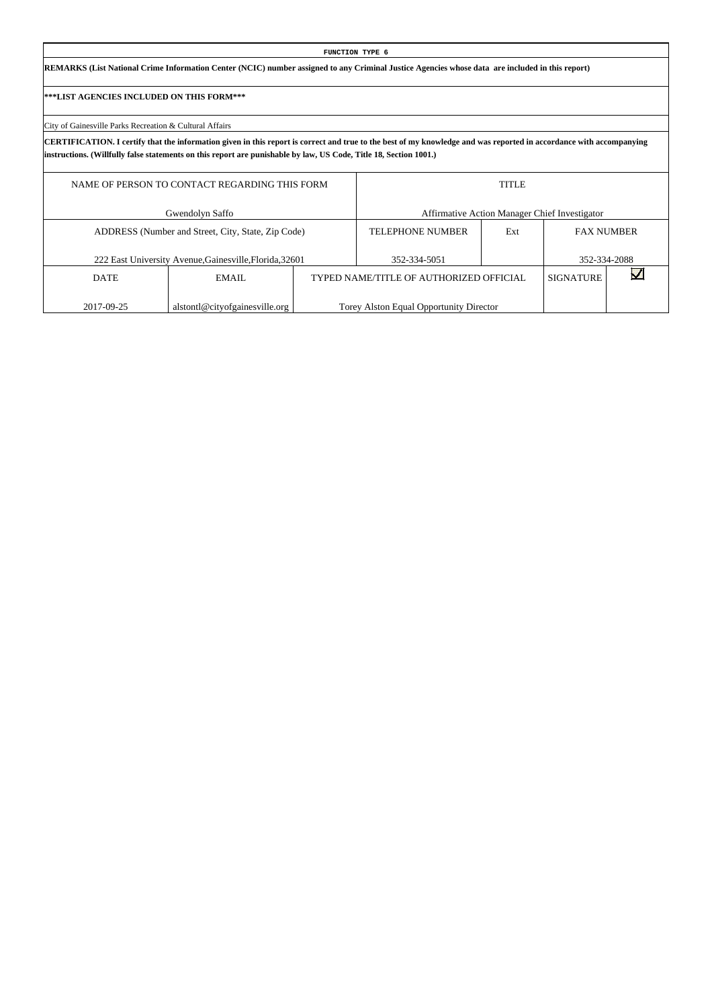# **FUNCTION TYPE 6 REMARKS (List National Crime Information Center (NCIC) number assigned to any Criminal Justice Agencies whose data are included in this report) \*\*\*LIST AGENCIES INCLUDED ON THIS FORM\*\*\*** City of Gainesville Parks Recreation & Cultural Affairs **CERTIFICATION. I certify that the information given in this report is correct and true to the best of my knowledge and was reported in accordance with accompanying instructions. (Willfully false statements on this report are punishable by law, US Code, Title 18, Section 1001.)** NAME OF PERSON TO CONTACT REGARDING THIS FORM Gwendolyn Saffo TITLE Affirmative Action Manager Chief Investigator

|             | ADDRESS (Number and Street, City, State, Zip Code)      | <b>TELEPHONE NUMBER</b>                 | Ext | <b>FAX NUMBER</b> |  |
|-------------|---------------------------------------------------------|-----------------------------------------|-----|-------------------|--|
|             | 222 East University Avenue, Gainesville, Florida, 32601 | 352-334-5051                            |     | 352-334-2088      |  |
| <b>DATE</b> | EMAIL                                                   | TYPED NAME/TITLE OF AUTHORIZED OFFICIAL |     | SIGNATURE         |  |
| 2017-09-25  | alstontl@cityofgainesville.org                          | Torey Alston Equal Opportunity Director |     |                   |  |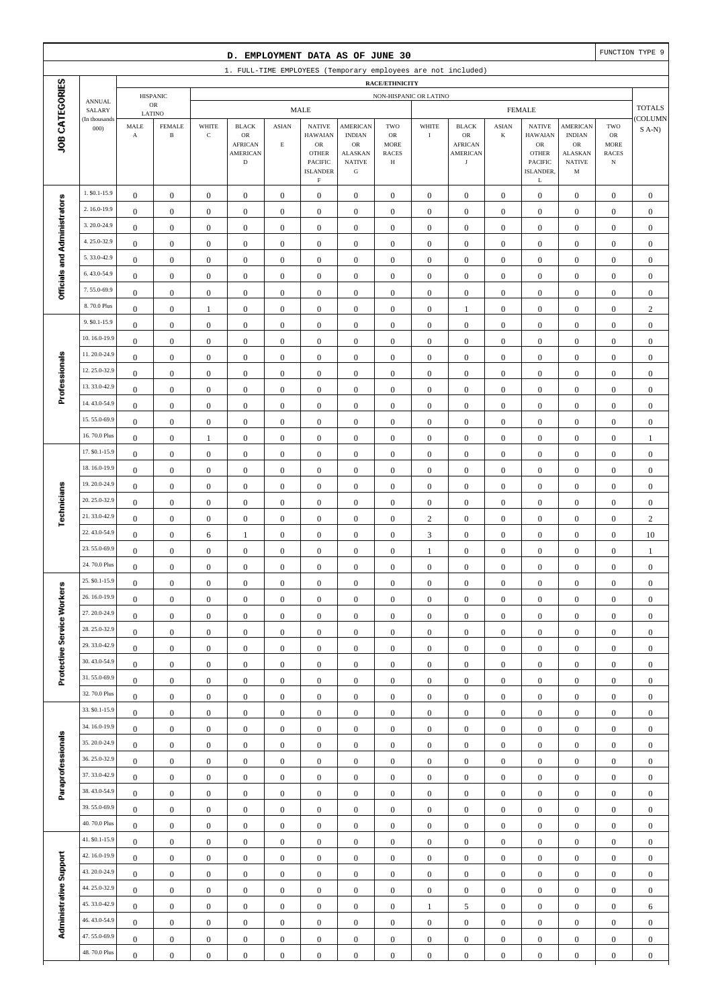|                              |                              |                                      |                                      |                                      | D. EMPLOYMENT DATA AS OF JUNE 30                              |                                      |                                      |                                      |                                      |                                      |                                      |                                  |                                      |                                 |                              | FUNCTION TYPE 9                      |
|------------------------------|------------------------------|--------------------------------------|--------------------------------------|--------------------------------------|---------------------------------------------------------------|--------------------------------------|--------------------------------------|--------------------------------------|--------------------------------------|--------------------------------------|--------------------------------------|----------------------------------|--------------------------------------|---------------------------------|------------------------------|--------------------------------------|
|                              |                              |                                      |                                      |                                      | 1. FULL-TIME EMPLOYEES (Temporary employees are not included) |                                      |                                      |                                      |                                      |                                      |                                      |                                  |                                      |                                 |                              |                                      |
|                              |                              |                                      |                                      |                                      |                                                               |                                      |                                      |                                      | RACE/ETHNICITY                       |                                      |                                      |                                  |                                      |                                 |                              |                                      |
|                              | <b>ANNUAL</b><br>SALARY      |                                      | <b>HISPANIC</b><br>$_{\rm OR}$       |                                      |                                                               |                                      | <b>MALE</b>                          |                                      | NON-HISPANIC OR LATINO               |                                      |                                      |                                  | <b>FEMALE</b>                        |                                 |                              | <b>TOTALS</b>                        |
| JOB CATEGORIES               | (In thousands<br>000         | LATINO<br>MALE                       | <b>FEMALE</b>                        | WHITE                                | <b>BLACK</b>                                                  | <b>ASIAN</b>                         | <b>NATIVE</b>                        | <b>AMERICAN</b>                      | TWO                                  | WHITE                                | <b>BLACK</b>                         | <b>ASIAN</b>                     | <b>NATIVE</b>                        | <b>AMERICAN</b>                 | TWO                          | COLUMN<br>$S(A-N)$                   |
|                              |                              | $\mathbf A$                          | $\, {\bf B}$                         | $\mathbf C$                          | OR<br><b>AFRICAN</b>                                          | $\mathbf E$                          | <b>HAWAIAN</b><br>$_{\rm OR}$        | <b>INDIAN</b><br>$_{\rm OR}$         | OR<br><b>MORE</b>                    | $\mathbf I$                          | OR<br><b>AFRICAN</b>                 | K                                | <b>HAWAIAN</b><br>${\rm OR}$         | <b>INDIAN</b><br><b>OR</b>      | ${\sf OR}$<br><b>MORE</b>    |                                      |
|                              |                              |                                      |                                      |                                      | <b>AMERICAN</b><br>$\mathbf D$                                |                                      | <b>OTHER</b><br>PACIFIC              | <b>ALASKAN</b><br><b>NATIVE</b>      | <b>RACES</b><br>Н                    |                                      | <b>AMERICAN</b><br>$_{\rm J}$        |                                  | <b>OTHER</b><br><b>PACIFIC</b>       | <b>ALASKAN</b><br><b>NATIVE</b> | <b>RACES</b><br>$_{\rm N}$   |                                      |
|                              |                              |                                      |                                      |                                      |                                                               |                                      | <b>ISLANDER</b><br>$\mathbf F$       | ${\bf G}$                            |                                      |                                      |                                      |                                  | ISLANDER,<br>L                       | M                               |                              |                                      |
|                              | 1. \$0.1-15.9                | $\boldsymbol{0}$                     | $\boldsymbol{0}$                     | $\boldsymbol{0}$                     | $\boldsymbol{0}$                                              | $\boldsymbol{0}$                     | $\boldsymbol{0}$                     | $\mathbf{0}$                         | $\boldsymbol{0}$                     | $\boldsymbol{0}$                     | $\boldsymbol{0}$                     | $\boldsymbol{0}$                 | $\boldsymbol{0}$                     | $\boldsymbol{0}$                | $\boldsymbol{0}$             | $\mathbf{0}$                         |
|                              | 2.16.0-19.9                  | $\boldsymbol{0}$                     | $\boldsymbol{0}$                     | $\boldsymbol{0}$                     | $\boldsymbol{0}$                                              | $\boldsymbol{0}$                     | $\boldsymbol{0}$                     | $\boldsymbol{0}$                     | $\boldsymbol{0}$                     | $\boldsymbol{0}$                     | $\boldsymbol{0}$                     | $\boldsymbol{0}$                 | $\boldsymbol{0}$                     | $\boldsymbol{0}$                | $\boldsymbol{0}$             | $\boldsymbol{0}$                     |
|                              | 3.20.0-24.9                  | $\boldsymbol{0}$                     | $\mathbf{0}$                         | $\boldsymbol{0}$                     | $\boldsymbol{0}$                                              | $\boldsymbol{0}$                     | $\boldsymbol{0}$                     | $\boldsymbol{0}$                     | $\boldsymbol{0}$                     | $\boldsymbol{0}$                     | $\boldsymbol{0}$                     | $\boldsymbol{0}$                 | $\boldsymbol{0}$                     | $\boldsymbol{0}$                | $\boldsymbol{0}$             | $\boldsymbol{0}$                     |
|                              | 4.25.0-32.9                  | $\boldsymbol{0}$                     | $\mathbf{0}$                         | $\boldsymbol{0}$                     | $\boldsymbol{0}$                                              | $\boldsymbol{0}$                     | $\boldsymbol{0}$                     | $\boldsymbol{0}$                     | $\mathbf{0}$                         | $\boldsymbol{0}$                     | $\boldsymbol{0}$                     | $\boldsymbol{0}$                 | $\boldsymbol{0}$                     | $\boldsymbol{0}$                | $\boldsymbol{0}$             | $\boldsymbol{0}$                     |
| Officials and Administrators | 5.33.0-42.9                  | $\boldsymbol{0}$                     | $\mathbf{0}$                         | $\boldsymbol{0}$                     | $\boldsymbol{0}$                                              | $\boldsymbol{0}$                     | $\mathbf{0}$                         | $\boldsymbol{0}$                     | $\boldsymbol{0}$                     | $\boldsymbol{0}$                     | $\boldsymbol{0}$                     | $\boldsymbol{0}$                 | $\boldsymbol{0}$                     | $\boldsymbol{0}$                | $\boldsymbol{0}$             | $\boldsymbol{0}$                     |
|                              | 6.43.0-54.9                  | $\boldsymbol{0}$                     | $\boldsymbol{0}$                     | $\boldsymbol{0}$                     | $\boldsymbol{0}$                                              | $\boldsymbol{0}$                     | $\mathbf{0}$                         | $\boldsymbol{0}$                     | $\boldsymbol{0}$                     | $\boldsymbol{0}$                     | $\boldsymbol{0}$                     | $\boldsymbol{0}$                 | $\boldsymbol{0}$                     | $\boldsymbol{0}$                | $\boldsymbol{0}$             | $\boldsymbol{0}$                     |
|                              | 7.55.0-69.9                  | $\boldsymbol{0}$                     | $\boldsymbol{0}$                     | $\boldsymbol{0}$                     | $\boldsymbol{0}$                                              | $\boldsymbol{0}$                     | $\mathbf{0}$                         | $\boldsymbol{0}$                     | $\boldsymbol{0}$                     | $\mathbf{0}$                         | $\boldsymbol{0}$                     | $\boldsymbol{0}$                 | $\boldsymbol{0}$                     | $\boldsymbol{0}$                | $\boldsymbol{0}$             | $\boldsymbol{0}$                     |
|                              | 8.70.0 Plus                  | $\boldsymbol{0}$                     | $\boldsymbol{0}$                     | 1                                    | $\boldsymbol{0}$                                              | $\boldsymbol{0}$                     | $\mathbf{0}$                         | $\boldsymbol{0}$                     | $\mathbf{0}$                         | $\mathbf{0}$                         | 1                                    | $\boldsymbol{0}$                 | $\boldsymbol{0}$                     | $\overline{0}$                  | $\boldsymbol{0}$             | $\mathbf{2}$                         |
|                              | 9. \$0.1-15.9                | $\boldsymbol{0}$                     | $\mathbf{0}$                         | $\boldsymbol{0}$                     | $\boldsymbol{0}$                                              | $\boldsymbol{0}$                     | $\mathbf{0}$                         | $\boldsymbol{0}$                     | $\boldsymbol{0}$                     | $\boldsymbol{0}$                     | $\boldsymbol{0}$                     | $\boldsymbol{0}$                 | $\boldsymbol{0}$                     | $\boldsymbol{0}$                | $\boldsymbol{0}$             | $\boldsymbol{0}$                     |
|                              | 10.16.0-19.9                 | $\boldsymbol{0}$                     | $\mathbf{0}$                         | $\boldsymbol{0}$                     | $\boldsymbol{0}$                                              | $\boldsymbol{0}$                     | $\mathbf{0}$                         | $\boldsymbol{0}$                     | $\boldsymbol{0}$                     | $\mathbf{0}$                         | $\boldsymbol{0}$                     | $\boldsymbol{0}$                 | $\boldsymbol{0}$                     | $\boldsymbol{0}$                | $\boldsymbol{0}$             | $\boldsymbol{0}$                     |
|                              | 11.20.0-24.9                 | $\boldsymbol{0}$                     | $\mathbf{0}$                         | $\boldsymbol{0}$                     | $\boldsymbol{0}$                                              | $\boldsymbol{0}$                     | $\mathbf{0}$                         | $\boldsymbol{0}$                     | $\boldsymbol{0}$                     | $\boldsymbol{0}$                     | $\boldsymbol{0}$                     | $\boldsymbol{0}$                 | $\boldsymbol{0}$                     | $\boldsymbol{0}$                | $\boldsymbol{0}$             | $\boldsymbol{0}$                     |
| Professionals                | 12.25.0-32.9                 | $\boldsymbol{0}$                     | $\mathbf{0}$                         | $\boldsymbol{0}$                     | $\boldsymbol{0}$                                              | $\boldsymbol{0}$                     | $\mathbf{0}$                         | $\boldsymbol{0}$                     | $\mathbf{0}$                         | $\boldsymbol{0}$                     | $\boldsymbol{0}$                     | $\boldsymbol{0}$                 | $\boldsymbol{0}$                     | $\boldsymbol{0}$                | $\boldsymbol{0}$             | $\boldsymbol{0}$                     |
|                              | 13.33.0-42.9                 | $\boldsymbol{0}$                     | $\mathbf{0}$                         | $\boldsymbol{0}$                     | $\boldsymbol{0}$                                              | $\boldsymbol{0}$                     | $\mathbf{0}$                         | $\boldsymbol{0}$                     | $\boldsymbol{0}$                     | $\boldsymbol{0}$                     | $\boldsymbol{0}$                     | $\boldsymbol{0}$                 | $\boldsymbol{0}$                     | $\boldsymbol{0}$                | $\boldsymbol{0}$             | $\boldsymbol{0}$                     |
|                              | 14.43.0-54.9                 | $\boldsymbol{0}$                     | $\boldsymbol{0}$                     | $\boldsymbol{0}$                     | $\boldsymbol{0}$                                              | $\boldsymbol{0}$                     | $\boldsymbol{0}$                     | $\boldsymbol{0}$                     | $\boldsymbol{0}$                     | $\mathbf{0}$                         | $\boldsymbol{0}$                     | $\boldsymbol{0}$                 | $\boldsymbol{0}$                     | $\boldsymbol{0}$                | $\boldsymbol{0}$             | $\boldsymbol{0}$                     |
|                              | 15.55.0-69.9                 | $\boldsymbol{0}$                     | $\boldsymbol{0}$                     | $\boldsymbol{0}$                     | $\boldsymbol{0}$                                              | $\boldsymbol{0}$                     | $\boldsymbol{0}$                     | $\boldsymbol{0}$                     | $\boldsymbol{0}$                     | $\mathbf{0}$                         | $\boldsymbol{0}$                     | $\boldsymbol{0}$                 | $\boldsymbol{0}$                     | $\boldsymbol{0}$                | $\boldsymbol{0}$             | $\boldsymbol{0}$                     |
|                              | 16.70.0 Plus                 | $\boldsymbol{0}$                     | $\boldsymbol{0}$                     | 1                                    | $\boldsymbol{0}$                                              | $\boldsymbol{0}$                     | $\boldsymbol{0}$                     | $\boldsymbol{0}$                     | $\mathbf{0}$                         | $\mathbf{0}$                         | $\boldsymbol{0}$                     | $\boldsymbol{0}$                 | $\boldsymbol{0}$                     | $\overline{0}$                  | $\boldsymbol{0}$             | 1                                    |
|                              | 17. \$0.1-15.9               | $\boldsymbol{0}$                     | $\mathbf{0}$                         | $\boldsymbol{0}$                     | $\boldsymbol{0}$                                              | $\boldsymbol{0}$                     | $\boldsymbol{0}$                     | $\boldsymbol{0}$                     | $\boldsymbol{0}$                     | $\boldsymbol{0}$                     | $\boldsymbol{0}$                     | $\boldsymbol{0}$                 | $\boldsymbol{0}$                     | $\boldsymbol{0}$                | $\boldsymbol{0}$             | $\boldsymbol{0}$                     |
|                              | 18.16.0-19.9                 | $\boldsymbol{0}$                     | $\boldsymbol{0}$                     | $\boldsymbol{0}$                     | $\boldsymbol{0}$                                              | $\boldsymbol{0}$                     | $\boldsymbol{0}$                     | $\boldsymbol{0}$                     | $\boldsymbol{0}$                     | $\mathbf{0}$                         | $\boldsymbol{0}$                     | $\boldsymbol{0}$                 | $\boldsymbol{0}$                     | $\boldsymbol{0}$                | $\boldsymbol{0}$             | $\boldsymbol{0}$                     |
|                              | 19.20.0-24.9                 | $\boldsymbol{0}$                     | $\mathbf{0}$                         | $\boldsymbol{0}$                     | $\boldsymbol{0}$                                              | $\boldsymbol{0}$                     | $\mathbf{0}$                         | $\boldsymbol{0}$                     | $\boldsymbol{0}$                     | $\mathbf{0}$                         | $\boldsymbol{0}$                     | $\boldsymbol{0}$                 | $\boldsymbol{0}$                     | $\boldsymbol{0}$                | $\boldsymbol{0}$             | $\boldsymbol{0}$                     |
| Technicians                  | 20.25.0-32.9                 | $\boldsymbol{0}$                     | $\boldsymbol{0}$                     | $\boldsymbol{0}$                     | $\boldsymbol{0}$                                              | $\mathbf{0}$                         | $\mathbf{0}$                         | $\boldsymbol{0}$                     | $\mathbf{0}$                         | $\boldsymbol{0}$                     | $\boldsymbol{0}$                     | $\boldsymbol{0}$                 | $\boldsymbol{0}$                     | $\boldsymbol{0}$                | $\boldsymbol{0}$             | $\boldsymbol{0}$                     |
|                              | 21.33.0-42.9                 | $\boldsymbol{0}$                     | $\mathbf{0}$                         | $\boldsymbol{0}$                     | $\boldsymbol{0}$                                              | $\boldsymbol{0}$                     | $\mathbf{0}$                         | $\boldsymbol{0}$                     | $\boldsymbol{0}$                     | $\sqrt{2}$                           | $\boldsymbol{0}$                     | $\boldsymbol{0}$                 | $\boldsymbol{0}$                     | $\boldsymbol{0}$                | $\boldsymbol{0}$             | $\sqrt{2}$                           |
|                              | 22.43.0-54.9<br>23.55.0-69.9 | $\boldsymbol{0}$                     | $\boldsymbol{0}$                     | 6                                    | $\mathbf{1}$                                                  | $\boldsymbol{0}$                     | $\boldsymbol{0}$                     | $\boldsymbol{0}$                     | $\boldsymbol{0}$                     | 3                                    | $\boldsymbol{0}$                     | $\boldsymbol{0}$                 | $\boldsymbol{0}$                     | $\boldsymbol{0}$                | $\boldsymbol{0}$             | 10                                   |
|                              | 24.70.0 Plus                 | $\boldsymbol{0}$                     | $\mathbf{0}$                         | $\boldsymbol{0}$                     | $\boldsymbol{0}$                                              | $\boldsymbol{0}$                     | $\mathbf{0}$                         | $\boldsymbol{0}$                     | $\boldsymbol{0}$                     | $\,1$                                | $\boldsymbol{0}$                     | $\boldsymbol{0}$                 | $\boldsymbol{0}$                     | $\boldsymbol{0}$                | $\boldsymbol{0}$             | $\mathbf{1}$                         |
|                              | 25. \$0.1-15.9               | $\boldsymbol{0}$                     | $\boldsymbol{0}$                     | $\boldsymbol{0}$                     | $\boldsymbol{0}$                                              | $\boldsymbol{0}$                     | $\mathbf{0}$                         | $\boldsymbol{0}$                     | $\mathbf{0}$                         | $\boldsymbol{0}$                     | $\boldsymbol{0}$                     | $\boldsymbol{0}$                 | $\boldsymbol{0}$                     | $\overline{0}$                  | $\boldsymbol{0}$             | $\boldsymbol{0}$                     |
|                              | 26.16.0-19.9                 | $\boldsymbol{0}$<br>$\boldsymbol{0}$ | $\boldsymbol{0}$<br>$\boldsymbol{0}$ | $\boldsymbol{0}$<br>$\boldsymbol{0}$ | $\boldsymbol{0}$<br>$\mathbf{0}$                              | $\boldsymbol{0}$<br>$\boldsymbol{0}$ | $\boldsymbol{0}$<br>$\boldsymbol{0}$ | $\boldsymbol{0}$<br>$\boldsymbol{0}$ | $\boldsymbol{0}$<br>$\boldsymbol{0}$ | $\boldsymbol{0}$<br>$\boldsymbol{0}$ | $\boldsymbol{0}$<br>$\boldsymbol{0}$ | $\boldsymbol{0}$<br>$\mathbf{0}$ | $\boldsymbol{0}$<br>$\boldsymbol{0}$ | 0<br>$\boldsymbol{0}$           | $\bf{0}$<br>$\boldsymbol{0}$ | $\boldsymbol{0}$<br>$\boldsymbol{0}$ |
|                              | 27.20.0-24.9                 | $\boldsymbol{0}$                     | $\boldsymbol{0}$                     | $\boldsymbol{0}$                     | $\boldsymbol{0}$                                              | $\boldsymbol{0}$                     | $\boldsymbol{0}$                     | $\boldsymbol{0}$                     | $\boldsymbol{0}$                     | $\mathbf{0}$                         | $\boldsymbol{0}$                     | $\boldsymbol{0}$                 | $\boldsymbol{0}$                     | $\boldsymbol{0}$                | $\boldsymbol{0}$             | $\boldsymbol{0}$                     |
|                              | 28.25.0-32.9                 | $\boldsymbol{0}$                     | $\boldsymbol{0}$                     | $\boldsymbol{0}$                     | $\overline{0}$                                                | $\mathbf{0}$                         | $\boldsymbol{0}$                     | $\mathbf{0}$                         | $\boldsymbol{0}$                     | $\overline{0}$                       | $\boldsymbol{0}$                     | $\boldsymbol{0}$                 | $\boldsymbol{0}$                     | $\boldsymbol{0}$                | $\boldsymbol{0}$             | $\boldsymbol{0}$                     |
|                              | 29.33.0-42.9                 | $\boldsymbol{0}$                     | $\boldsymbol{0}$                     | $\boldsymbol{0}$                     | $\boldsymbol{0}$                                              | $\mathbf{0}$                         | $\boldsymbol{0}$                     | $\boldsymbol{0}$                     | $\boldsymbol{0}$                     | $\boldsymbol{0}$                     | $\boldsymbol{0}$                     | $\boldsymbol{0}$                 | $\boldsymbol{0}$                     | $\boldsymbol{0}$                | $\boldsymbol{0}$             | $\boldsymbol{0}$                     |
|                              | 30.43.0-54.9                 | $\boldsymbol{0}$                     | $\boldsymbol{0}$                     | $\boldsymbol{0}$                     | $\boldsymbol{0}$                                              | $\boldsymbol{0}$                     | $\boldsymbol{0}$                     | $\boldsymbol{0}$                     | $\boldsymbol{0}$                     | $\boldsymbol{0}$                     | $\boldsymbol{0}$                     | $\boldsymbol{0}$                 | $\boldsymbol{0}$                     | $\boldsymbol{0}$                | $\boldsymbol{0}$             | $\boldsymbol{0}$                     |
| Protective Service Workers   | 31.55.0-69.9                 | $\boldsymbol{0}$                     | $\boldsymbol{0}$                     | $\boldsymbol{0}$                     | $\boldsymbol{0}$                                              | $\boldsymbol{0}$                     | $\boldsymbol{0}$                     | $\boldsymbol{0}$                     | $\boldsymbol{0}$                     | $\boldsymbol{0}$                     | $\boldsymbol{0}$                     | $\boldsymbol{0}$                 | $\boldsymbol{0}$                     | $\boldsymbol{0}$                | $\boldsymbol{0}$             | $\boldsymbol{0}$                     |
|                              | 32.70.0 Plus                 | $\boldsymbol{0}$                     | $\boldsymbol{0}$                     | $\boldsymbol{0}$                     | $\boldsymbol{0}$                                              | $\mathbf{0}$                         | $\boldsymbol{0}$                     | $\boldsymbol{0}$                     | $\boldsymbol{0}$                     | $\mathbf{0}$                         | $\boldsymbol{0}$                     | $\boldsymbol{0}$                 | $\boldsymbol{0}$                     | $\boldsymbol{0}$                | $\boldsymbol{0}$             | $\boldsymbol{0}$                     |
|                              | 33. \$0.1-15.9               | $\boldsymbol{0}$                     | $\boldsymbol{0}$                     | $\boldsymbol{0}$                     | $\boldsymbol{0}$                                              | $\boldsymbol{0}$                     | $\boldsymbol{0}$                     | $\boldsymbol{0}$                     | $\boldsymbol{0}$                     | $\boldsymbol{0}$                     | $\boldsymbol{0}$                     | $\boldsymbol{0}$                 | $\boldsymbol{0}$                     | $\boldsymbol{0}$                | $\boldsymbol{0}$             | $\boldsymbol{0}$                     |
|                              | 34.16.0-19.9                 | $\boldsymbol{0}$                     | $\boldsymbol{0}$                     | $\boldsymbol{0}$                     | $\boldsymbol{0}$                                              | $\boldsymbol{0}$                     | $\boldsymbol{0}$                     | $\boldsymbol{0}$                     | $\boldsymbol{0}$                     | $\boldsymbol{0}$                     | $\boldsymbol{0}$                     | $\boldsymbol{0}$                 | $\boldsymbol{0}$                     | $\boldsymbol{0}$                | $\boldsymbol{0}$             | $\boldsymbol{0}$                     |
| Paraprofessionals            | 35.20.0-24.9                 | $\boldsymbol{0}$                     | $\boldsymbol{0}$                     | $\boldsymbol{0}$                     | $\boldsymbol{0}$                                              | $\boldsymbol{0}$                     | $\boldsymbol{0}$                     | $\boldsymbol{0}$                     | $\boldsymbol{0}$                     | $\boldsymbol{0}$                     | $\boldsymbol{0}$                     | $\boldsymbol{0}$                 | $\boldsymbol{0}$                     | $\boldsymbol{0}$                | $\boldsymbol{0}$             | $\boldsymbol{0}$                     |
|                              | 36.25.0-32.9                 | $\boldsymbol{0}$                     | $\boldsymbol{0}$                     | $\boldsymbol{0}$                     | $\overline{0}$                                                | $\mathbf{0}$                         | $\boldsymbol{0}$                     | $\boldsymbol{0}$                     | $\boldsymbol{0}$                     | $\overline{0}$                       | $\boldsymbol{0}$                     | $\boldsymbol{0}$                 | $\boldsymbol{0}$                     | $\boldsymbol{0}$                | $\boldsymbol{0}$             | $\boldsymbol{0}$                     |
|                              | 37.33.0-42.9                 | $\boldsymbol{0}$                     | $\boldsymbol{0}$                     | $\boldsymbol{0}$                     | $\boldsymbol{0}$                                              | $\boldsymbol{0}$                     | $\boldsymbol{0}$                     | $\boldsymbol{0}$                     | $\boldsymbol{0}$                     | $\boldsymbol{0}$                     | $\boldsymbol{0}$                     | $\boldsymbol{0}$                 | $\boldsymbol{0}$                     | $\boldsymbol{0}$                | $\boldsymbol{0}$             | $\boldsymbol{0}$                     |
|                              | 38.43.0-54.9                 | $\boldsymbol{0}$                     | $\boldsymbol{0}$                     | $\boldsymbol{0}$                     | $\boldsymbol{0}$                                              | $\boldsymbol{0}$                     | $\boldsymbol{0}$                     | $\boldsymbol{0}$                     | $\boldsymbol{0}$                     | $\boldsymbol{0}$                     | $\boldsymbol{0}$                     | $\boldsymbol{0}$                 | $\boldsymbol{0}$                     | $\boldsymbol{0}$                | $\boldsymbol{0}$             | $\boldsymbol{0}$                     |
|                              | 39.55.0-69.9                 | $\boldsymbol{0}$                     | $\boldsymbol{0}$                     | $\boldsymbol{0}$                     | $\boldsymbol{0}$                                              | $\boldsymbol{0}$                     | $\boldsymbol{0}$                     | $\boldsymbol{0}$                     | $\boldsymbol{0}$                     | $\boldsymbol{0}$                     | $\boldsymbol{0}$                     | $\boldsymbol{0}$                 | $\boldsymbol{0}$                     | $\boldsymbol{0}$                | $\boldsymbol{0}$             | $\boldsymbol{0}$                     |
|                              | 40.70.0 Plus                 | $\boldsymbol{0}$                     | $\boldsymbol{0}$                     | $\boldsymbol{0}$                     | $\boldsymbol{0}$                                              | $\mathbf{0}$                         | $\boldsymbol{0}$                     | $\boldsymbol{0}$                     | $\boldsymbol{0}$                     | $\mathbf{0}$                         | $\boldsymbol{0}$                     | $\boldsymbol{0}$                 | $\boldsymbol{0}$                     | $\boldsymbol{0}$                | $\boldsymbol{0}$             | $\boldsymbol{0}$                     |
|                              | 41. \$0.1-15.9               | $\boldsymbol{0}$                     | $\boldsymbol{0}$                     | $\boldsymbol{0}$                     | $\boldsymbol{0}$                                              | $\boldsymbol{0}$                     | $\boldsymbol{0}$                     | $\boldsymbol{0}$                     | $\boldsymbol{0}$                     | $\boldsymbol{0}$                     | $\boldsymbol{0}$                     | $\boldsymbol{0}$                 | $\boldsymbol{0}$                     | $\boldsymbol{0}$                | $\boldsymbol{0}$             | $\boldsymbol{0}$                     |
| Administrative Support       | 42.16.0-19.9                 | $\boldsymbol{0}$                     | $\boldsymbol{0}$                     | $\boldsymbol{0}$                     | $\mathbf{0}$                                                  | $\boldsymbol{0}$                     | $\boldsymbol{0}$                     | $\boldsymbol{0}$                     | $\boldsymbol{0}$                     | $\boldsymbol{0}$                     | $\boldsymbol{0}$                     | $\boldsymbol{0}$                 | $\boldsymbol{0}$                     | $\boldsymbol{0}$                | $\boldsymbol{0}$             | $\boldsymbol{0}$                     |
|                              | 43.20.0-24.9                 | $\boldsymbol{0}$                     | $\boldsymbol{0}$                     | $\boldsymbol{0}$                     | $\boldsymbol{0}$                                              | $\boldsymbol{0}$                     | $\boldsymbol{0}$                     | $\boldsymbol{0}$                     | $\boldsymbol{0}$                     | $\boldsymbol{0}$                     | $\boldsymbol{0}$                     | $\boldsymbol{0}$                 | $\boldsymbol{0}$                     | $\boldsymbol{0}$                | $\boldsymbol{0}$             | $\boldsymbol{0}$                     |
|                              | 44.25.0-32.9                 | $\boldsymbol{0}$                     | $\boldsymbol{0}$                     | $\boldsymbol{0}$                     | $\boldsymbol{0}$                                              | $\mathbf{0}$                         | $\boldsymbol{0}$                     | $\boldsymbol{0}$                     | $\boldsymbol{0}$                     | $\mathbf{0}$                         | $\boldsymbol{0}$                     | $\boldsymbol{0}$                 | $\boldsymbol{0}$                     | $\boldsymbol{0}$                | $\boldsymbol{0}$             | $\boldsymbol{0}$                     |
|                              | 45.33.0-42.9                 | $\boldsymbol{0}$                     | $\boldsymbol{0}$                     | $\boldsymbol{0}$                     | $\boldsymbol{0}$                                              | $\boldsymbol{0}$                     | $\boldsymbol{0}$                     | $\boldsymbol{0}$                     | $\boldsymbol{0}$                     | $\mathbf{1}$                         | $\sqrt{5}$                           | $\boldsymbol{0}$                 | $\boldsymbol{0}$                     | $\boldsymbol{0}$                | $\boldsymbol{0}$             | 6                                    |
|                              | 46.43.0-54.9                 | $\boldsymbol{0}$                     | $\boldsymbol{0}$                     | $\boldsymbol{0}$                     | $\boldsymbol{0}$                                              | $\boldsymbol{0}$                     | $\boldsymbol{0}$                     | $\boldsymbol{0}$                     | $\boldsymbol{0}$                     | $\boldsymbol{0}$                     | $\boldsymbol{0}$                     | $\boldsymbol{0}$                 | $\boldsymbol{0}$                     | $\boldsymbol{0}$                | $\boldsymbol{0}$             | $\boldsymbol{0}$                     |
|                              | 47.55.0-69.9<br>48.70.0 Plus | $\boldsymbol{0}$                     | $\boldsymbol{0}$                     | $\boldsymbol{0}$                     | $\boldsymbol{0}$                                              | $\boldsymbol{0}$                     | $\boldsymbol{0}$                     | $\boldsymbol{0}$                     | $\boldsymbol{0}$                     | $\boldsymbol{0}$                     | $\boldsymbol{0}$                     | $\boldsymbol{0}$                 | $\boldsymbol{0}$                     | $\boldsymbol{0}$                | $\boldsymbol{0}$             | $\boldsymbol{0}$                     |
|                              |                              | $\boldsymbol{0}$                     | $\boldsymbol{0}$                     | $\boldsymbol{0}$                     | $\boldsymbol{0}$                                              | $\boldsymbol{0}$                     | $\boldsymbol{0}$                     | $\boldsymbol{0}$                     | $\boldsymbol{0}$                     | $\boldsymbol{0}$                     | $\boldsymbol{0}$                     | $\boldsymbol{0}$                 | $\boldsymbol{0}$                     | $\boldsymbol{0}$                | $\boldsymbol{0}$             | $\boldsymbol{0}$                     |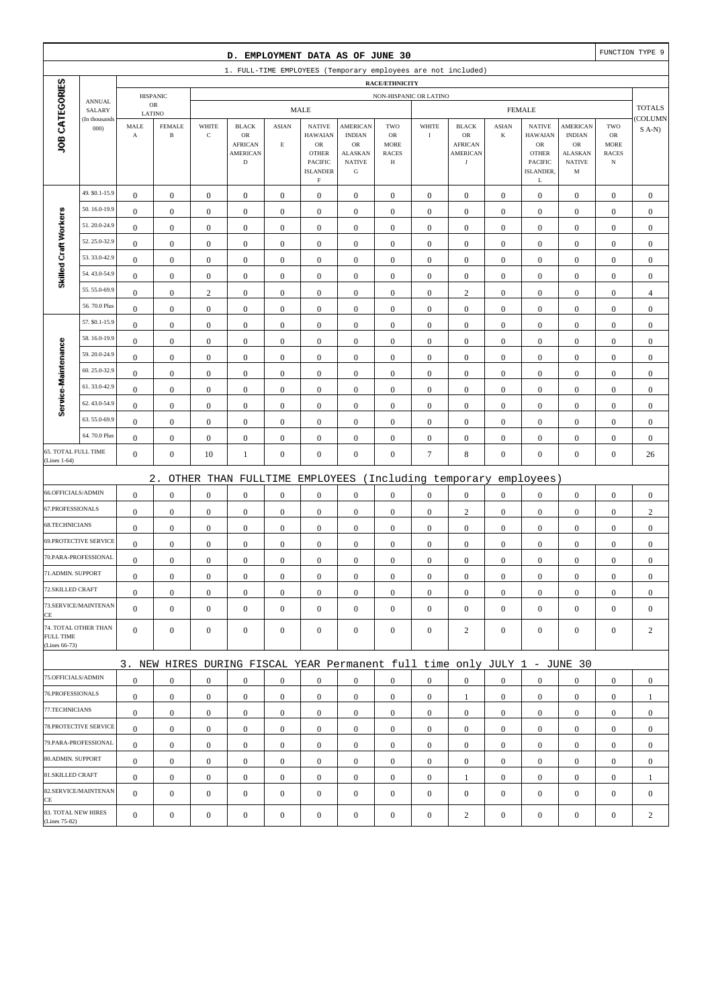|                            |                              |                                |                               |                  | D. EMPLOYMENT DATA AS OF JUNE 30                                          |                         |                                                                                      |                                                              |                                                          |                        |                                                       |                  |                                                                                  |                                                      |                                                  | FUNCTION TYPE 9  |
|----------------------------|------------------------------|--------------------------------|-------------------------------|------------------|---------------------------------------------------------------------------|-------------------------|--------------------------------------------------------------------------------------|--------------------------------------------------------------|----------------------------------------------------------|------------------------|-------------------------------------------------------|------------------|----------------------------------------------------------------------------------|------------------------------------------------------|--------------------------------------------------|------------------|
|                            |                              |                                |                               |                  | 1. FULL-TIME EMPLOYEES (Temporary employees are not included)             |                         |                                                                                      |                                                              |                                                          |                        |                                                       |                  |                                                                                  |                                                      |                                                  |                  |
|                            |                              |                                |                               |                  |                                                                           |                         |                                                                                      |                                                              | <b>RACE/ETHNICITY</b>                                    |                        |                                                       |                  |                                                                                  |                                                      |                                                  |                  |
|                            | <b>ANNUAL</b><br>SALARY      |                                | <b>HISPANIC</b><br>${\sf OR}$ |                  |                                                                           |                         | <b>MALE</b>                                                                          |                                                              |                                                          | NON-HISPANIC OR LATINO |                                                       |                  | <b>FEMALE</b>                                                                    |                                                      |                                                  | <b>TOTALS</b>    |
|                            | (In thousands                | LATINO<br>MALE                 | <b>FEMALE</b>                 | WHITE            | <b>BLACK</b>                                                              | <b>ASIAN</b>            | <b>NATIVE</b>                                                                        | <b>AMERICAN</b>                                              | TWO                                                      | WHITE                  | <b>BLACK</b>                                          | <b>ASIAN</b>     | <b>NATIVE</b>                                                                    | <b>AMERICAN</b>                                      | TWO                                              | COLUMN           |
| JOB CATEGORIES             | 000                          | $\boldsymbol{\rm{A}}$          | $\, {\bf B}$                  | $\mathbf C$      | $_{\rm OR}$<br><b>AFRICAN</b><br><b>AMERICAN</b><br>$\mathbf D$           | $\mathop{\hbox{\bf E}}$ | <b>HAWAIAN</b><br><b>OR</b><br><b>OTHER</b><br>PACIFIC<br><b>ISLANDER</b><br>$\rm F$ | <b>INDIAN</b><br>OR<br>ALASKAN<br><b>NATIVE</b><br>${\bf G}$ | <b>OR</b><br><b>MORE</b><br><b>RACES</b><br>$\, {\rm H}$ | $\rm I$                | OR<br><b>AFRICAN</b><br><b>AMERICAN</b><br>$_{\rm J}$ | $\bf K$          | <b>HAWAIAN</b><br>${\rm OR}$<br><b>OTHER</b><br><b>PACIFIC</b><br>ISLANDER,<br>L | <b>INDIAN</b><br>OR<br>ALASKAN<br><b>NATIVE</b><br>M | ${\rm OR}$<br>MORE<br><b>RACES</b><br>$_{\rm N}$ | $S$ A-N)         |
|                            | 49. \$0.1-15.9               | $\boldsymbol{0}$               | $\mathbf{0}$                  | $\boldsymbol{0}$ | $\boldsymbol{0}$                                                          | $\boldsymbol{0}$        | $\boldsymbol{0}$                                                                     | $\boldsymbol{0}$                                             | $\boldsymbol{0}$                                         | $\boldsymbol{0}$       | $\boldsymbol{0}$                                      | $\mathbf{0}$     | $\mathbf{0}$                                                                     | $\boldsymbol{0}$                                     | $\boldsymbol{0}$                                 | $\boldsymbol{0}$ |
|                            | 50.16.0-19.9                 | $\mathbf{0}$                   | $\boldsymbol{0}$              | $\boldsymbol{0}$ | $\boldsymbol{0}$                                                          | $\boldsymbol{0}$        | $\boldsymbol{0}$                                                                     | $\boldsymbol{0}$                                             | $\boldsymbol{0}$                                         | $\boldsymbol{0}$       | $\boldsymbol{0}$                                      | $\boldsymbol{0}$ | $\boldsymbol{0}$                                                                 | $\boldsymbol{0}$                                     | $\boldsymbol{0}$                                 | $\mathbf{0}$     |
| Skilled Craft Workers      | 51.20.0-24.9                 | $\mathbf{0}$                   | $\boldsymbol{0}$              | $\boldsymbol{0}$ | $\boldsymbol{0}$                                                          | $\mathbf{0}$            | $\boldsymbol{0}$                                                                     | $\mathbf{0}$                                                 | $\mathbf{0}$                                             | $\boldsymbol{0}$       | $\boldsymbol{0}$                                      | $\boldsymbol{0}$ | $\boldsymbol{0}$                                                                 | $\boldsymbol{0}$                                     | $\boldsymbol{0}$                                 | $\mathbf{0}$     |
|                            | 52.25.0-32.9                 | $\boldsymbol{0}$               | $\boldsymbol{0}$              | $\boldsymbol{0}$ | $\boldsymbol{0}$                                                          | $\boldsymbol{0}$        | $\boldsymbol{0}$                                                                     | $\boldsymbol{0}$                                             | $\boldsymbol{0}$                                         | $\boldsymbol{0}$       | $\boldsymbol{0}$                                      | $\boldsymbol{0}$ | $\boldsymbol{0}$                                                                 | $\boldsymbol{0}$                                     | $\boldsymbol{0}$                                 | $\boldsymbol{0}$ |
|                            | 53.33.0-42.9                 | $\boldsymbol{0}$               | $\boldsymbol{0}$              | $\boldsymbol{0}$ | $\boldsymbol{0}$                                                          | $\boldsymbol{0}$        | $\boldsymbol{0}$                                                                     | $\boldsymbol{0}$                                             | $\boldsymbol{0}$                                         | $\boldsymbol{0}$       | $\boldsymbol{0}$                                      | $\mathbf{0}$     | $\boldsymbol{0}$                                                                 | $\boldsymbol{0}$                                     | $\boldsymbol{0}$                                 | $\boldsymbol{0}$ |
|                            | 54.43.0-54.9                 | $\boldsymbol{0}$               | $\boldsymbol{0}$              | $\boldsymbol{0}$ | $\boldsymbol{0}$                                                          | $\boldsymbol{0}$        | $\boldsymbol{0}$                                                                     | $\boldsymbol{0}$                                             | $\boldsymbol{0}$                                         | $\boldsymbol{0}$       | $\boldsymbol{0}$                                      | $\boldsymbol{0}$ | $\boldsymbol{0}$                                                                 | $\boldsymbol{0}$                                     | $\boldsymbol{0}$                                 | $\mathbf{0}$     |
|                            | 55.55.0-69.9                 | $\mathbf{0}$                   | $\boldsymbol{0}$              | $\mathbf{2}$     | $\boldsymbol{0}$                                                          | $\mathbf{0}$            | $\boldsymbol{0}$                                                                     | $\mathbf{0}$                                                 | $\boldsymbol{0}$                                         | $\boldsymbol{0}$       | $\mathbf{2}$                                          | $\boldsymbol{0}$ | $\boldsymbol{0}$                                                                 | $\boldsymbol{0}$                                     | $\boldsymbol{0}$                                 | $\overline{4}$   |
|                            | 56.70.0 Plus                 | $\boldsymbol{0}$               | $\boldsymbol{0}$              | $\boldsymbol{0}$ | $\boldsymbol{0}$                                                          | $\boldsymbol{0}$        | $\boldsymbol{0}$                                                                     | $\boldsymbol{0}$                                             | $\boldsymbol{0}$                                         | $\boldsymbol{0}$       | $\boldsymbol{0}$                                      | $\boldsymbol{0}$ | $\boldsymbol{0}$                                                                 | $\boldsymbol{0}$                                     | $\boldsymbol{0}$                                 | $\mathbf{0}$     |
|                            | 57. \$0.1-15.9               | $\boldsymbol{0}$               | $\boldsymbol{0}$              | $\boldsymbol{0}$ | $\boldsymbol{0}$                                                          | $\boldsymbol{0}$        | $\mathbf{0}$                                                                         | $\boldsymbol{0}$                                             | $\boldsymbol{0}$                                         | $\boldsymbol{0}$       | $\boldsymbol{0}$                                      | $\mathbf{0}$     | $\boldsymbol{0}$                                                                 | $\boldsymbol{0}$                                     | $\boldsymbol{0}$                                 | $\boldsymbol{0}$ |
|                            | 58.16.0-19.9                 | $\boldsymbol{0}$               | $\boldsymbol{0}$              | $\boldsymbol{0}$ | $\boldsymbol{0}$                                                          | $\boldsymbol{0}$        | $\boldsymbol{0}$                                                                     | $\boldsymbol{0}$                                             | $\boldsymbol{0}$                                         | $\boldsymbol{0}$       | $\boldsymbol{0}$                                      | $\boldsymbol{0}$ | $\boldsymbol{0}$                                                                 | $\boldsymbol{0}$                                     | $\boldsymbol{0}$                                 | $\mathbf{0}$     |
|                            | 59.20.0-24.9                 | $\mathbf{0}$                   | $\boldsymbol{0}$              | $\boldsymbol{0}$ | $\boldsymbol{0}$                                                          | $\mathbf{0}$            | $\boldsymbol{0}$                                                                     | $\mathbf{0}$                                                 | $\mathbf{0}$                                             | $\boldsymbol{0}$       | $\boldsymbol{0}$                                      | $\boldsymbol{0}$ | $\boldsymbol{0}$                                                                 | $\boldsymbol{0}$                                     | $\boldsymbol{0}$                                 | $\mathbf{0}$     |
|                            | 60.25.0-32.9                 | $\boldsymbol{0}$               | $\boldsymbol{0}$              | $\boldsymbol{0}$ | $\boldsymbol{0}$                                                          | $\boldsymbol{0}$        | $\boldsymbol{0}$                                                                     | $\boldsymbol{0}$                                             | $\boldsymbol{0}$                                         | $\boldsymbol{0}$       | $\boldsymbol{0}$                                      | $\boldsymbol{0}$ | $\boldsymbol{0}$                                                                 | $\boldsymbol{0}$                                     | $\boldsymbol{0}$                                 | $\mathbf{0}$     |
| Service-Maintenance        | 61.33.0-42.9                 | $\boldsymbol{0}$               | $\boldsymbol{0}$              | $\boldsymbol{0}$ | $\boldsymbol{0}$                                                          | $\boldsymbol{0}$        | $\boldsymbol{0}$                                                                     | $\boldsymbol{0}$                                             | $\boldsymbol{0}$                                         | $\boldsymbol{0}$       | $\boldsymbol{0}$                                      | $\mathbf{0}$     | $\boldsymbol{0}$                                                                 | $\boldsymbol{0}$                                     | $\boldsymbol{0}$                                 | $\boldsymbol{0}$ |
|                            | 62.43.0-54.9                 | $\boldsymbol{0}$               | $\boldsymbol{0}$              | $\boldsymbol{0}$ | $\boldsymbol{0}$                                                          | $\boldsymbol{0}$        | $\boldsymbol{0}$                                                                     | $\boldsymbol{0}$                                             | $\boldsymbol{0}$                                         | $\boldsymbol{0}$       | $\boldsymbol{0}$                                      | $\boldsymbol{0}$ | $\boldsymbol{0}$                                                                 | $\boldsymbol{0}$                                     | $\boldsymbol{0}$                                 | $\mathbf{0}$     |
|                            | 63.55.0-69.9                 | $\boldsymbol{0}$               | $\boldsymbol{0}$              | $\boldsymbol{0}$ | $\boldsymbol{0}$                                                          | $\boldsymbol{0}$        | $\boldsymbol{0}$                                                                     | $\mathbf{0}$                                                 | $\boldsymbol{0}$                                         | $\boldsymbol{0}$       | $\boldsymbol{0}$                                      | $\boldsymbol{0}$ | $\boldsymbol{0}$                                                                 | $\boldsymbol{0}$                                     | $\boldsymbol{0}$                                 | $\mathbf{0}$     |
|                            | 64.70.0 Plus                 | $\boldsymbol{0}$               | $\boldsymbol{0}$              | $\boldsymbol{0}$ | $\boldsymbol{0}$                                                          | $\boldsymbol{0}$        | $\boldsymbol{0}$                                                                     | $\boldsymbol{0}$                                             | $\boldsymbol{0}$                                         | $\boldsymbol{0}$       | $\boldsymbol{0}$                                      | $\boldsymbol{0}$ | $\boldsymbol{0}$                                                                 | $\boldsymbol{0}$                                     | $\boldsymbol{0}$                                 | $\mathbf{0}$     |
|                            | 65. TOTAL FULL TIME          | $\boldsymbol{0}$               | $\boldsymbol{0}$              | 10               | $\mathbf{1}$                                                              | $\boldsymbol{0}$        | $\boldsymbol{0}$                                                                     | $\boldsymbol{0}$                                             | $\boldsymbol{0}$                                         | $\tau$                 | $\,8\,$                                               | $\boldsymbol{0}$ | $\boldsymbol{0}$                                                                 | $\mathbf{0}$                                         | $\boldsymbol{0}$                                 | 26               |
| (Lines 1-64)               |                              |                                |                               |                  |                                                                           |                         |                                                                                      |                                                              |                                                          |                        |                                                       |                  |                                                                                  |                                                      |                                                  |                  |
|                            | 66.OFFICIALS/ADMIN           |                                | $2$ .                         |                  | OTHER THAN FULLTIME                                                       |                         | EMPLOYEES                                                                            |                                                              |                                                          |                        | (Including temporary                                  |                  | employees)                                                                       |                                                      |                                                  |                  |
| 67.PROFESSIONALS           |                              | $\mathbf{0}$                   | $\boldsymbol{0}$              | $\boldsymbol{0}$ | $\boldsymbol{0}$                                                          | $\boldsymbol{0}$        | $\boldsymbol{0}$                                                                     | $\boldsymbol{0}$                                             | $\boldsymbol{0}$                                         | $\boldsymbol{0}$       | $\boldsymbol{0}$                                      | $\boldsymbol{0}$ | $\boldsymbol{0}$                                                                 | $\boldsymbol{0}$                                     | $\boldsymbol{0}$                                 | $\boldsymbol{0}$ |
| 68.TECHNICIANS             |                              | $\boldsymbol{0}$               | $\boldsymbol{0}$              | $\boldsymbol{0}$ | $\boldsymbol{0}$                                                          | $\boldsymbol{0}$        | $\boldsymbol{0}$                                                                     | $\boldsymbol{0}$                                             | $\boldsymbol{0}$                                         | $\boldsymbol{0}$       | $\sqrt{2}$                                            | $\mathbf{0}$     | $\boldsymbol{0}$                                                                 | $\boldsymbol{0}$                                     | $\boldsymbol{0}$                                 | $\sqrt{2}$       |
|                            | <b>69.PROTECTIVE SERVICE</b> | $\boldsymbol{0}$               | $\boldsymbol{0}$              | $\boldsymbol{0}$ | $\boldsymbol{0}$                                                          | $\boldsymbol{0}$        | $\boldsymbol{0}$                                                                     | $\boldsymbol{0}$                                             | $\boldsymbol{0}$                                         | $\boldsymbol{0}$       | $\boldsymbol{0}$                                      | $\boldsymbol{0}$ | $\boldsymbol{0}$                                                                 | $\boldsymbol{0}$                                     | $\boldsymbol{0}$                                 | $\mathbf{0}$     |
|                            | 70.PARA-PROFESSIONAL         | $\boldsymbol{0}$               | $\boldsymbol{0}$              | $\boldsymbol{0}$ | $\boldsymbol{0}$                                                          | $\boldsymbol{0}$        | $\boldsymbol{0}$                                                                     | $\boldsymbol{0}$                                             | $\boldsymbol{0}$                                         | $\boldsymbol{0}$       | $\boldsymbol{0}$                                      | $\mathbf{0}$     | $\mathbf{0}$                                                                     | $\boldsymbol{0}$                                     | $\boldsymbol{0}$                                 | $\mathbf{0}$     |
| 71.ADMIN. SUPPORT          |                              | $\boldsymbol{0}$               | $\boldsymbol{0}$              | $\boldsymbol{0}$ | $\boldsymbol{0}$                                                          | $\boldsymbol{0}$        | $\boldsymbol{0}$                                                                     | $\boldsymbol{0}$                                             | $\mathbf{0}$                                             | $\boldsymbol{0}$       | $\boldsymbol{0}$                                      | $\boldsymbol{0}$ | $\boldsymbol{0}$                                                                 | $\boldsymbol{0}$                                     | $\boldsymbol{0}$                                 | $\boldsymbol{0}$ |
| 72.SKILLED CRAFT           |                              | $\overline{0}$                 | $\boldsymbol{0}$              | $\boldsymbol{0}$ | $\Omega$                                                                  | $\mathbf{0}$            | $\boldsymbol{0}$                                                                     | $\boldsymbol{0}$                                             | $\Omega$                                                 | $\boldsymbol{0}$       | $\boldsymbol{0}$                                      | $\boldsymbol{0}$ | $\boldsymbol{0}$                                                                 | $\theta$                                             | $\boldsymbol{0}$                                 | $\theta$         |
|                            | 73.SERVICE/MAINTENAN         | $\mathbf{0}$<br>$\overline{0}$ | $\boldsymbol{0}$              | $\boldsymbol{0}$ | $\mathbf{0}$                                                              | $\boldsymbol{0}$        | $\boldsymbol{0}$                                                                     | $\boldsymbol{0}$                                             | $\boldsymbol{0}$                                         | $\mathbf{0}$           | $\mathbf{0}$                                          | $\mathbf{0}$     | $\mathbf{0}$                                                                     | $\overline{0}$                                       | $\mathbf{0}$                                     | $\mathbf{0}$     |
| CE                         |                              |                                | $\mathbf{0}$                  | $\boldsymbol{0}$ | $\boldsymbol{0}$                                                          | $\boldsymbol{0}$        | $\mathbf{0}$                                                                         | $\boldsymbol{0}$                                             | $\mathbf{0}$                                             | $\boldsymbol{0}$       | $\boldsymbol{0}$                                      | $\mathbf{0}$     | $\mathbf{0}$                                                                     | $\overline{0}$                                       | $\mathbf{0}$                                     | $\mathbf{0}$     |
| FULL TIME<br>(Lines 66-73) | 74. TOTAL OTHER THAN         | $\overline{0}$                 | $\mathbf{0}$                  | $\boldsymbol{0}$ | $\mathbf{0}$                                                              | $\mathbf{0}$            | $\mathbf{0}$                                                                         | $\boldsymbol{0}$                                             | $\boldsymbol{0}$                                         | $\mathbf{0}$           | $\overline{2}$                                        | $\mathbf{0}$     | $\mathbf{0}$                                                                     | $\overline{0}$                                       | $\mathbf{0}$                                     | $\overline{c}$   |
|                            |                              |                                |                               |                  | 3. NEW HIRES DURING FISCAL YEAR Permanent full time only JULY 1 - JUNE 30 |                         |                                                                                      |                                                              |                                                          |                        |                                                       |                  |                                                                                  |                                                      |                                                  |                  |
|                            | 75.OFFICIALS/ADMIN           | $\boldsymbol{0}$               | $\mathbf{0}$                  | $\boldsymbol{0}$ | $\mathbf{0}$                                                              | $\boldsymbol{0}$        | $\mathbf{0}$                                                                         | $\boldsymbol{0}$                                             | $\overline{0}$                                           | $\overline{0}$         | $\boldsymbol{0}$                                      | $\mathbf{0}$     | $\mathbf{0}$                                                                     | $\overline{0}$                                       | $\mathbf{0}$                                     | $\mathbf{0}$     |
| 76.PROFESSIONALS           |                              | $\mathbf{0}$                   | $\boldsymbol{0}$              | $\boldsymbol{0}$ | $\mathbf{0}$                                                              | $\boldsymbol{0}$        | $\mathbf{0}$                                                                         | $\boldsymbol{0}$                                             | $\boldsymbol{0}$                                         | $\mathbf{0}$           | 1                                                     | $\mathbf{0}$     | $\mathbf{0}$                                                                     | $\mathbf{0}$                                         | $\boldsymbol{0}$                                 | $\mathbf{1}$     |
| 77.TECHNICIANS             |                              | $\boldsymbol{0}$               | $\boldsymbol{0}$              | $\boldsymbol{0}$ | $\boldsymbol{0}$                                                          | $\boldsymbol{0}$        | $\boldsymbol{0}$                                                                     | $\boldsymbol{0}$                                             | $\boldsymbol{0}$                                         | $\mathbf{0}$           | $\boldsymbol{0}$                                      | $\overline{0}$   | $\mathbf{0}$                                                                     | $\boldsymbol{0}$                                     | $\boldsymbol{0}$                                 | $\boldsymbol{0}$ |
|                            | 78. PROTECTIVE SERVICE       | $\mathbf{0}$                   | $\mathbf{0}$                  | $\boldsymbol{0}$ | $\mathbf{0}$                                                              | $\boldsymbol{0}$        | $\mathbf{0}$                                                                         | $\boldsymbol{0}$                                             | $\overline{0}$                                           | $\overline{0}$         | $\boldsymbol{0}$                                      | $\mathbf{0}$     | $\mathbf{0}$                                                                     | $\overline{0}$                                       | $\overline{0}$                                   | $\boldsymbol{0}$ |
|                            | 79.PARA-PROFESSIONAL         | $\mathbf{0}$                   | $\mathbf{0}$                  | $\mathbf{0}$     | $\mathbf{0}$                                                              | $\mathbf{0}$            | $\mathbf{0}$                                                                         | $\mathbf{0}$                                                 | $\overline{0}$                                           | $\mathbf{0}$           | $\boldsymbol{0}$                                      | $\overline{0}$   | $\overline{0}$                                                                   | $\overline{0}$                                       | $\mathbf{0}$                                     | $\mathbf{0}$     |
| 80.ADMIN. SUPPORT          |                              | $\mathbf{0}$                   | $\boldsymbol{0}$              | $\boldsymbol{0}$ | $\mathbf{0}$                                                              | $\boldsymbol{0}$        | $\boldsymbol{0}$                                                                     | $\boldsymbol{0}$                                             | $\boldsymbol{0}$                                         | $\mathbf{0}$           | $\boldsymbol{0}$                                      | $\mathbf{0}$     | $\mathbf{0}$                                                                     | $\boldsymbol{0}$                                     | $\boldsymbol{0}$                                 | $\mathbf{0}$     |
| 81.SKILLED CRAFT           |                              | $\mathbf{0}$                   | $\mathbf{0}$                  | $\boldsymbol{0}$ | $\boldsymbol{0}$                                                          | $\boldsymbol{0}$        | $\mathbf{0}$                                                                         | $\boldsymbol{0}$                                             | $\boldsymbol{0}$                                         | $\boldsymbol{0}$       | 1                                                     | $\mathbf{0}$     | $\mathbf{0}$                                                                     | $\boldsymbol{0}$                                     | $\boldsymbol{0}$                                 | 1                |
| CE                         | 82.SERVICE/MAINTENAN         | $\overline{0}$                 | $\boldsymbol{0}$              | $\boldsymbol{0}$ | $\boldsymbol{0}$                                                          | $\boldsymbol{0}$        | $\boldsymbol{0}$                                                                     | $\boldsymbol{0}$                                             | $\mathbf{0}$                                             | $\boldsymbol{0}$       | $\boldsymbol{0}$                                      | $\mathbf{0}$     | $\boldsymbol{0}$                                                                 | $\overline{0}$                                       | $\mathbf{0}$                                     | $\mathbf{0}$     |
| (Lines 75-82)              | 83. TOTAL NEW HIRES          | $\mathbf{0}$                   | $\boldsymbol{0}$              | $\boldsymbol{0}$ | $\boldsymbol{0}$                                                          | $\boldsymbol{0}$        | $\boldsymbol{0}$                                                                     | $\boldsymbol{0}$                                             | $\boldsymbol{0}$                                         | $\boldsymbol{0}$       | $\sqrt{2}$                                            | $\boldsymbol{0}$ | $\boldsymbol{0}$                                                                 | $\boldsymbol{0}$                                     | $\boldsymbol{0}$                                 | $\overline{c}$   |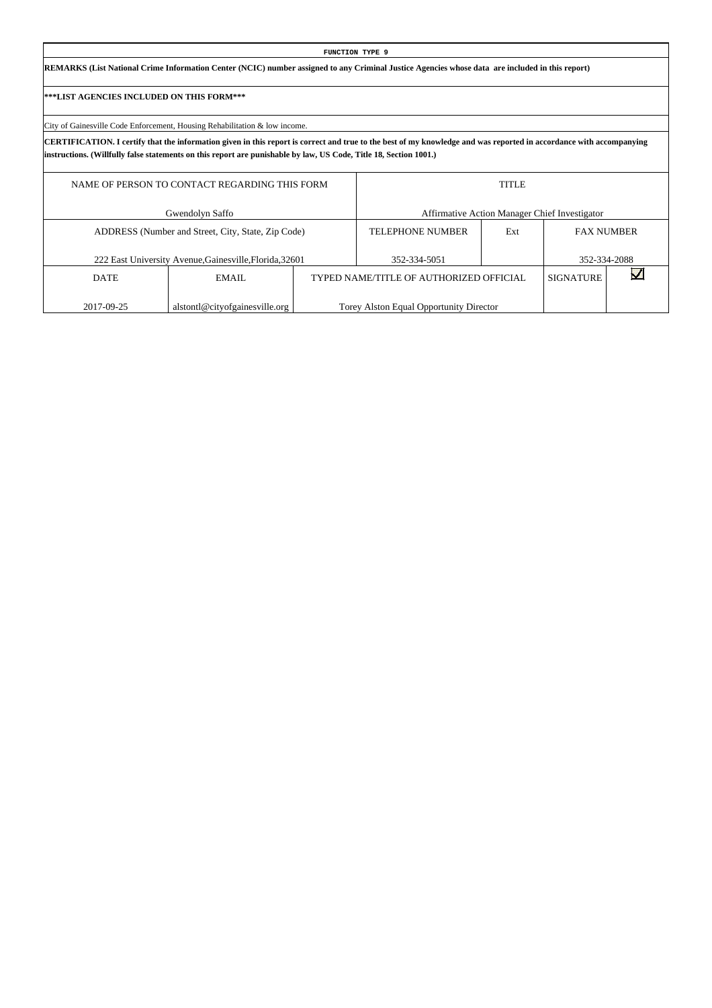|                                           |                                                                                                                   | <b>FUNCTION TYPE 9</b>                                                                                                                                              |              |                                               |  |
|-------------------------------------------|-------------------------------------------------------------------------------------------------------------------|---------------------------------------------------------------------------------------------------------------------------------------------------------------------|--------------|-----------------------------------------------|--|
|                                           |                                                                                                                   | REMARKS (List National Crime Information Center (NCIC) number assigned to any Criminal Justice Agencies whose data are included in this report)                     |              |                                               |  |
| ***LIST AGENCIES INCLUDED ON THIS FORM*** |                                                                                                                   |                                                                                                                                                                     |              |                                               |  |
|                                           | City of Gainesville Code Enforcement, Housing Rehabilitation & low income.                                        |                                                                                                                                                                     |              |                                               |  |
|                                           | instructions. (Willfully false statements on this report are punishable by law, US Code, Title 18, Section 1001.) | CERTIFICATION. I certify that the information given in this report is correct and true to the best of my knowledge and was reported in accordance with accompanying |              |                                               |  |
|                                           | NAME OF PERSON TO CONTACT REGARDING THIS FORM                                                                     |                                                                                                                                                                     | <b>TITLE</b> |                                               |  |
|                                           | Gwendolyn Saffo                                                                                                   |                                                                                                                                                                     |              | Affirmative Action Manager Chief Investigator |  |
|                                           | ADDRESS (Number and Street, City, State, Zip Code)                                                                | <b>TELEPHONE NUMBER</b>                                                                                                                                             | Ext          | <b>FAX NUMBER</b>                             |  |
|                                           | 222 East University Avenue, Gainesville, Florida, 32601                                                           | 352-334-5051                                                                                                                                                        |              | 352-334-2088                                  |  |
| <b>DATE</b>                               | <b>EMAIL</b>                                                                                                      | TYPED NAME/TITLE OF AUTHORIZED OFFICIAL                                                                                                                             |              | <b>SIGNATURE</b>                              |  |

Torey Alston Equal Opportunity Director

2017-09-25

alstontl@cityofgainesville.org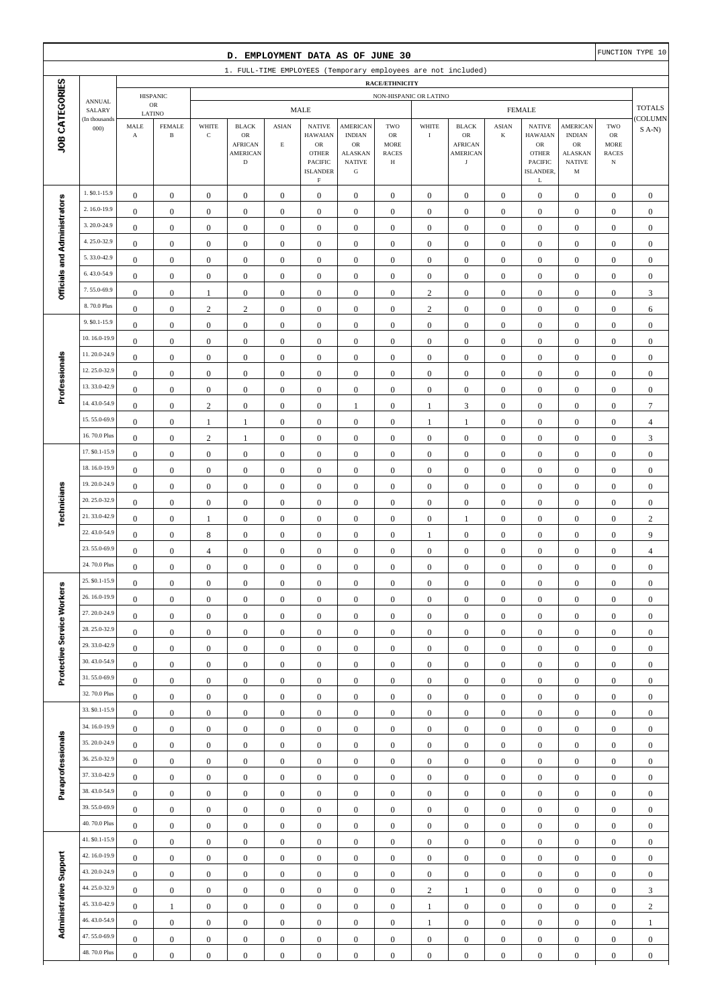|                              |                              |                                             |                               |                                      | D. EMPLOYMENT DATA AS OF JUNE 30                                       |                                      |                                                                                                                    |                                                                                |                                               |                              |                                                                               |                                   |                                                                                                      |                                                                                        |                                        | FUNCTION TYPE 10                     |
|------------------------------|------------------------------|---------------------------------------------|-------------------------------|--------------------------------------|------------------------------------------------------------------------|--------------------------------------|--------------------------------------------------------------------------------------------------------------------|--------------------------------------------------------------------------------|-----------------------------------------------|------------------------------|-------------------------------------------------------------------------------|-----------------------------------|------------------------------------------------------------------------------------------------------|----------------------------------------------------------------------------------------|----------------------------------------|--------------------------------------|
|                              |                              |                                             |                               |                                      | 1. FULL-TIME EMPLOYEES (Temporary employees are not included)          |                                      |                                                                                                                    |                                                                                |                                               |                              |                                                                               |                                   |                                                                                                      |                                                                                        |                                        |                                      |
|                              |                              |                                             | <b>HISPANIC</b>               |                                      |                                                                        |                                      |                                                                                                                    |                                                                                | RACE/ETHNICITY                                | NON-HISPANIC OR LATINO       |                                                                               |                                   |                                                                                                      |                                                                                        |                                        |                                      |
|                              | <b>ANNUAL</b><br>SALARY      |                                             | OR                            |                                      |                                                                        |                                      | MALE                                                                                                               |                                                                                |                                               |                              |                                                                               |                                   | <b>FEMALE</b>                                                                                        |                                                                                        |                                        | <b>TOTALS</b>                        |
| JOB CATEGORIES               | (In thousands<br>000)        | LATINO<br>MALE<br>$\boldsymbol{\mathrm{A}}$ | <b>FEMALE</b><br>$\, {\bf B}$ | WHITE<br>$\mathbf C$                 | <b>BLACK</b><br>OR<br><b>AFRICAN</b><br><b>AMERICAN</b><br>$\mathbf D$ | <b>ASIAN</b><br>$\mathbf E$          | <b>NATIVE</b><br><b>HAWAIAN</b><br>$_{\rm OR}$<br><b>OTHER</b><br><b>PACIFIC</b><br><b>ISLANDER</b><br>$\mathbf F$ | <b>AMERICAN</b><br><b>INDIAN</b><br>OR<br><b>ALASKAN</b><br><b>NATIVE</b><br>G | TWO<br>OR<br><b>MORE</b><br><b>RACES</b><br>Н | WHITE<br>$\;$ I              | <b>BLACK</b><br>${\sf OR}$<br><b>AFRICAN</b><br><b>AMERICAN</b><br>$_{\rm J}$ | $\operatorname{ASIAN}$<br>$\bf K$ | <b>NATIVE</b><br><b>HAWAIAN</b><br>${\sf OR}$<br><b>OTHER</b><br>PACIFIC<br>ISLANDER,<br>$\mathbf L$ | <b>AMERICAN</b><br><b>INDIAN</b><br>${\rm OR}$<br><b>ALASKAN</b><br><b>NATIVE</b><br>M | TWO<br>OR<br>MORE<br><b>RACES</b><br>N | <b>COLUMN</b><br>$S(A-N)$            |
|                              | 1. \$0.1-15.9                | $\boldsymbol{0}$                            | $\overline{0}$                | $\boldsymbol{0}$                     | $\mathbf{0}$                                                           | $\boldsymbol{0}$                     | $\mathbf{0}$                                                                                                       | $\mathbf{0}$                                                                   | $\mathbf{0}$                                  | $\boldsymbol{0}$             | $\boldsymbol{0}$                                                              | $\boldsymbol{0}$                  | $\boldsymbol{0}$                                                                                     | $\boldsymbol{0}$                                                                       | $\mathbf{0}$                           | $\boldsymbol{0}$                     |
|                              | 2.16.0-19.9                  | $\boldsymbol{0}$                            | $\boldsymbol{0}$              | $\boldsymbol{0}$                     | $\boldsymbol{0}$                                                       | $\boldsymbol{0}$                     | $\boldsymbol{0}$                                                                                                   | $\boldsymbol{0}$                                                               | $\boldsymbol{0}$                              | $\boldsymbol{0}$             | $\boldsymbol{0}$                                                              | $\boldsymbol{0}$                  | $\boldsymbol{0}$                                                                                     | $\boldsymbol{0}$                                                                       | $\mathbf{0}$                           | $\boldsymbol{0}$                     |
|                              | 3.20.0-24.9                  | $\boldsymbol{0}$                            | $\boldsymbol{0}$              | $\mathbf{0}$                         | $\mathbf{0}$                                                           | $\boldsymbol{0}$                     | $\boldsymbol{0}$                                                                                                   | $\mathbf{0}$                                                                   | $\mathbf{0}$                                  | $\boldsymbol{0}$             | $\boldsymbol{0}$                                                              | $\boldsymbol{0}$                  | $\mathbf{0}$                                                                                         | $\boldsymbol{0}$                                                                       | $\overline{0}$                         | $\mathbf{0}$                         |
|                              | 4.25.0-32.9                  | $\mathbf{0}$                                | $\boldsymbol{0}$              | $\mathbf{0}$                         | $\boldsymbol{0}$                                                       | $\boldsymbol{0}$                     | $\boldsymbol{0}$                                                                                                   | $\overline{0}$                                                                 | $\boldsymbol{0}$                              | $\boldsymbol{0}$             | $\boldsymbol{0}$                                                              | $\boldsymbol{0}$                  | $\mathbf{0}$                                                                                         | $\boldsymbol{0}$                                                                       | $\overline{0}$                         | $\mathbf{0}$                         |
| Officials and Administrators | 5.33.0-42.9                  | $\boldsymbol{0}$                            | $\boldsymbol{0}$              | $\mathbf{0}$                         | $\mathbf{0}$                                                           | $\boldsymbol{0}$                     | $\boldsymbol{0}$                                                                                                   | $\boldsymbol{0}$                                                               | $\boldsymbol{0}$                              | $\boldsymbol{0}$             | $\boldsymbol{0}$                                                              | $\mathbf{0}$                      | $\boldsymbol{0}$                                                                                     | $\boldsymbol{0}$                                                                       | $\mathbf{0}$                           | $\mathbf{0}$                         |
|                              | 6.43.0-54.9                  | $\boldsymbol{0}$                            | $\boldsymbol{0}$              | $\boldsymbol{0}$                     | $\boldsymbol{0}$                                                       | $\boldsymbol{0}$                     | $\boldsymbol{0}$                                                                                                   | $\boldsymbol{0}$                                                               | $\boldsymbol{0}$                              | $\boldsymbol{0}$             | $\boldsymbol{0}$                                                              | $\boldsymbol{0}$                  | $\boldsymbol{0}$                                                                                     | $\boldsymbol{0}$                                                                       | $\mathbf{0}$                           | $\boldsymbol{0}$                     |
|                              | 7.55.0-69.9                  | $\boldsymbol{0}$                            | $\mathbf{0}$                  | 1                                    | $\boldsymbol{0}$                                                       | $\boldsymbol{0}$                     | $\boldsymbol{0}$                                                                                                   | $\boldsymbol{0}$                                                               | $\mathbf{0}$                                  | $\boldsymbol{2}$             | $\boldsymbol{0}$                                                              | $\boldsymbol{0}$                  | $\boldsymbol{0}$                                                                                     | $\boldsymbol{0}$                                                                       | $\overline{0}$                         | 3                                    |
|                              | 8.70.0 Plus                  | $\mathbf{0}$                                | $\boldsymbol{0}$              | $\overline{c}$                       | 2                                                                      | $\boldsymbol{0}$                     | $\boldsymbol{0}$                                                                                                   | $\mathbf{0}$                                                                   | $\boldsymbol{0}$                              | $\overline{c}$               | $\boldsymbol{0}$                                                              | $\boldsymbol{0}$                  | $\mathbf{0}$                                                                                         | $\boldsymbol{0}$                                                                       | $\mathbf{0}$                           | 6                                    |
|                              | 9. \$0.1-15.9                | $\boldsymbol{0}$                            | $\boldsymbol{0}$              | $\boldsymbol{0}$                     | $\mathbf{0}$                                                           | $\boldsymbol{0}$                     | $\boldsymbol{0}$                                                                                                   | $\boldsymbol{0}$                                                               | $\mathbf{0}$                                  | $\boldsymbol{0}$             | $\boldsymbol{0}$                                                              | $\boldsymbol{0}$                  | $\boldsymbol{0}$                                                                                     | $\boldsymbol{0}$                                                                       | $\mathbf{0}$                           | $\mathbf{0}$                         |
|                              | 10.16.0-19.9                 | $\boldsymbol{0}$                            | $\mathbf{0}$                  | $\boldsymbol{0}$                     | $\boldsymbol{0}$                                                       | $\boldsymbol{0}$                     | $\boldsymbol{0}$                                                                                                   | $\boldsymbol{0}$                                                               | $\boldsymbol{0}$                              | $\boldsymbol{0}$             | $\boldsymbol{0}$                                                              | $\boldsymbol{0}$                  | $\boldsymbol{0}$                                                                                     | $\boldsymbol{0}$                                                                       | $\mathbf{0}$                           | $\boldsymbol{0}$                     |
|                              | 11.20.0-24.9                 | $\overline{0}$                              | $\boldsymbol{0}$              | $\boldsymbol{0}$                     | $\mathbf{0}$                                                           | $\boldsymbol{0}$                     | $\boldsymbol{0}$                                                                                                   | $\boldsymbol{0}$                                                               | $\mathbf{0}$                                  | $\boldsymbol{0}$             | $\boldsymbol{0}$                                                              | $\boldsymbol{0}$                  | $\mathbf{0}$                                                                                         | $\boldsymbol{0}$                                                                       | $\mathbf{0}$                           | $\mathbf{0}$                         |
|                              | 12.25.0-32.9                 | $\mathbf{0}$                                | $\boldsymbol{0}$              | $\boldsymbol{0}$                     | $\boldsymbol{0}$                                                       | $\boldsymbol{0}$                     | $\boldsymbol{0}$                                                                                                   | $\mathbf{0}$                                                                   | $\boldsymbol{0}$                              | $\boldsymbol{0}$             | $\boldsymbol{0}$                                                              | $\boldsymbol{0}$                  | $\mathbf{0}$                                                                                         | $\boldsymbol{0}$                                                                       | $\mathbf{0}$                           | $\boldsymbol{0}$                     |
| Professionals                | 13.33.0-42.9                 | $\boldsymbol{0}$                            | $\boldsymbol{0}$              | $\boldsymbol{0}$                     | $\mathbf{0}$                                                           | $\boldsymbol{0}$                     | $\boldsymbol{0}$                                                                                                   | $\boldsymbol{0}$                                                               | $\boldsymbol{0}$                              | $\boldsymbol{0}$             | $\boldsymbol{0}$                                                              | $\boldsymbol{0}$                  | $\boldsymbol{0}$                                                                                     | $\boldsymbol{0}$                                                                       | $\mathbf{0}$                           | $\boldsymbol{0}$                     |
|                              | 14.43.0-54.9                 | $\boldsymbol{0}$                            | $\boldsymbol{0}$              | $\sqrt{2}$                           | $\boldsymbol{0}$                                                       | $\boldsymbol{0}$                     | $\boldsymbol{0}$                                                                                                   | 1                                                                              | $\boldsymbol{0}$                              | $\mathbf{1}$                 | $\mathfrak{Z}$                                                                | $\boldsymbol{0}$                  | $\boldsymbol{0}$                                                                                     | $\boldsymbol{0}$                                                                       | $\boldsymbol{0}$                       | $\boldsymbol{7}$                     |
|                              | 15.55.0-69.9                 | $\mathbf{0}$                                | $\boldsymbol{0}$              | 1                                    | 1                                                                      | $\boldsymbol{0}$                     | $\boldsymbol{0}$                                                                                                   | $\mathbf{0}$                                                                   | $\mathbf{0}$                                  | 1                            | 1                                                                             | $\boldsymbol{0}$                  | $\mathbf{0}$                                                                                         | $\boldsymbol{0}$                                                                       | $\overline{0}$                         | $\overline{4}$                       |
|                              | 16.70.0 Plus                 | $\overline{0}$                              | $\boldsymbol{0}$              | $\overline{c}$                       | 1                                                                      | $\boldsymbol{0}$                     | $\boldsymbol{0}$                                                                                                   | $\overline{0}$                                                                 | $\boldsymbol{0}$                              | $\boldsymbol{0}$             | $\boldsymbol{0}$                                                              | $\boldsymbol{0}$                  | $\mathbf{0}$                                                                                         | $\boldsymbol{0}$                                                                       | $\overline{0}$                         | $\mathfrak{Z}$                       |
|                              | 17. \$0.1-15.9               | $\boldsymbol{0}$                            | $\boldsymbol{0}$              | $\mathbf{0}$                         | $\mathbf{0}$                                                           | $\boldsymbol{0}$                     | $\boldsymbol{0}$                                                                                                   | $\boldsymbol{0}$                                                               | $\boldsymbol{0}$                              | $\boldsymbol{0}$             | $\boldsymbol{0}$                                                              | $\mathbf{0}$                      | $\boldsymbol{0}$                                                                                     | $\boldsymbol{0}$                                                                       | $\mathbf{0}$                           | $\mathbf{0}$                         |
|                              | 18.16.0-19.9                 | $\boldsymbol{0}$                            | $\boldsymbol{0}$              | $\boldsymbol{0}$                     | $\boldsymbol{0}$                                                       | $\boldsymbol{0}$                     | $\boldsymbol{0}$                                                                                                   | $\boldsymbol{0}$                                                               | $\boldsymbol{0}$                              | $\boldsymbol{0}$             | $\boldsymbol{0}$                                                              | $\boldsymbol{0}$                  | $\boldsymbol{0}$                                                                                     | $\boldsymbol{0}$                                                                       | $\boldsymbol{0}$                       | $\boldsymbol{0}$                     |
|                              | 19.20.0-24.9<br>20.25.0-32.9 | $\overline{0}$                              | $\boldsymbol{0}$              | $\boldsymbol{0}$                     | $\mathbf{0}$                                                           | $\boldsymbol{0}$                     | $\boldsymbol{0}$                                                                                                   | $\boldsymbol{0}$                                                               | $\mathbf{0}$                                  | $\boldsymbol{0}$             | $\boldsymbol{0}$                                                              | $\boldsymbol{0}$                  | $\mathbf{0}$                                                                                         | $\boldsymbol{0}$                                                                       | $\mathbf{0}$                           | $\mathbf{0}$                         |
| Technicians                  | 21.33.0-42.9                 | $\boldsymbol{0}$                            | $\boldsymbol{0}$              | $\boldsymbol{0}$                     | $\boldsymbol{0}$                                                       | $\boldsymbol{0}$                     | $\boldsymbol{0}$                                                                                                   | $\boldsymbol{0}$                                                               | $\boldsymbol{0}$                              | $\boldsymbol{0}$             | $\boldsymbol{0}$                                                              | $\boldsymbol{0}$                  | $\boldsymbol{0}$                                                                                     | $\boldsymbol{0}$                                                                       | $\mathbf{0}$                           | $\boldsymbol{0}$                     |
|                              | 22.43.0-54.9                 | $\boldsymbol{0}$                            | $\boldsymbol{0}$              | 1                                    | $\boldsymbol{0}$                                                       | $\boldsymbol{0}$                     | $\boldsymbol{0}$                                                                                                   | $\boldsymbol{0}$                                                               | $\boldsymbol{0}$                              | $\boldsymbol{0}$             | 1                                                                             | $\boldsymbol{0}$                  | $\boldsymbol{0}$                                                                                     | $\boldsymbol{0}$                                                                       | $\mathbf{0}$                           | $\sqrt{2}$                           |
|                              | 23.55.0-69.9                 | $\boldsymbol{0}$                            | $\boldsymbol{0}$              | 8                                    | $\boldsymbol{0}$                                                       | $\boldsymbol{0}$                     | $\boldsymbol{0}$                                                                                                   | $\boldsymbol{0}$                                                               | $\boldsymbol{0}$                              | 1                            | $\boldsymbol{0}$                                                              | $\boldsymbol{0}$                  | $\boldsymbol{0}$                                                                                     | $\boldsymbol{0}$                                                                       | $\mathbf{0}$                           | 9                                    |
|                              | 24.70.0 Plus                 | $\boldsymbol{0}$                            | $\boldsymbol{0}$              | $\overline{4}$                       | $\boldsymbol{0}$                                                       | $\boldsymbol{0}$                     | $\boldsymbol{0}$                                                                                                   | $\boldsymbol{0}$                                                               | $\boldsymbol{0}$                              | $\boldsymbol{0}$             | $\boldsymbol{0}$                                                              | $\boldsymbol{0}$                  | $\boldsymbol{0}$                                                                                     | $\mathbf{0}$                                                                           | $\mathbf{0}$                           | $\overline{4}$                       |
|                              | 25. \$0.1-15.9               | $\boldsymbol{0}$                            | $\boldsymbol{0}$              | $\boldsymbol{0}$                     | $\boldsymbol{0}$                                                       | $\boldsymbol{0}$                     | $\boldsymbol{0}$                                                                                                   | $\mathbf{0}$                                                                   | $\boldsymbol{0}$                              | $\mathbf{0}$                 | $\boldsymbol{0}$                                                              | $\boldsymbol{0}$                  | $\boldsymbol{0}$                                                                                     | $\boldsymbol{0}$                                                                       | $\mathbf{0}$                           | $\boldsymbol{0}$                     |
| Protective Service Workers   | 26.16.0-19.9                 | $\boldsymbol{0}$<br>$\boldsymbol{0}$        | $\bf{0}$<br>$\boldsymbol{0}$  | $\boldsymbol{0}$<br>$\boldsymbol{0}$ | $\boldsymbol{0}$<br>$\boldsymbol{0}$                                   | $\boldsymbol{0}$<br>$\boldsymbol{0}$ | $\boldsymbol{0}$<br>$\boldsymbol{0}$                                                                               | 0<br>$\boldsymbol{0}$                                                          | $\boldsymbol{0}$<br>$\boldsymbol{0}$          | $\bf{0}$<br>$\boldsymbol{0}$ | $\boldsymbol{0}$<br>$\boldsymbol{0}$                                          | 0<br>$\boldsymbol{0}$             | $\boldsymbol{0}$<br>$\boldsymbol{0}$                                                                 | $\boldsymbol{0}$<br>$\boldsymbol{0}$                                                   | 0<br>$\boldsymbol{0}$                  | $\boldsymbol{0}$<br>$\boldsymbol{0}$ |
|                              | 27.20.0-24.9                 | $\overline{0}$                              | $\boldsymbol{0}$              | $\boldsymbol{0}$                     | $\boldsymbol{0}$                                                       | $\boldsymbol{0}$                     | $\boldsymbol{0}$                                                                                                   | $\boldsymbol{0}$                                                               | $\boldsymbol{0}$                              | $\boldsymbol{0}$             | $\boldsymbol{0}$                                                              | $\boldsymbol{0}$                  | $\boldsymbol{0}$                                                                                     | $\boldsymbol{0}$                                                                       | $\boldsymbol{0}$                       | $\boldsymbol{0}$                     |
|                              | 28.25.0-32.9                 | $\mathbf{0}$                                | $\boldsymbol{0}$              | $\boldsymbol{0}$                     | $\boldsymbol{0}$                                                       | $\boldsymbol{0}$                     | $\boldsymbol{0}$                                                                                                   | $\overline{0}$                                                                 | $\boldsymbol{0}$                              | $\boldsymbol{0}$             | $\boldsymbol{0}$                                                              | $\boldsymbol{0}$                  | $\boldsymbol{0}$                                                                                     | $\boldsymbol{0}$                                                                       | $\overline{0}$                         | $\boldsymbol{0}$                     |
|                              | 29.33.0-42.9                 | $\boldsymbol{0}$                            | $\boldsymbol{0}$              | $\boldsymbol{0}$                     | $\boldsymbol{0}$                                                       | $\boldsymbol{0}$                     | $\boldsymbol{0}$                                                                                                   | $\overline{0}$                                                                 | $\boldsymbol{0}$                              | $\boldsymbol{0}$             | $\boldsymbol{0}$                                                              | $\boldsymbol{0}$                  | $\boldsymbol{0}$                                                                                     | $\boldsymbol{0}$                                                                       | $\overline{0}$                         | $\boldsymbol{0}$                     |
|                              | 30.43.0-54.9                 | $\boldsymbol{0}$                            | $\boldsymbol{0}$              | $\boldsymbol{0}$                     | $\boldsymbol{0}$                                                       | $\boldsymbol{0}$                     | $\boldsymbol{0}$                                                                                                   | $\boldsymbol{0}$                                                               | $\boldsymbol{0}$                              | $\boldsymbol{0}$             | $\boldsymbol{0}$                                                              | $\boldsymbol{0}$                  | $\boldsymbol{0}$                                                                                     | $\boldsymbol{0}$                                                                       | $\boldsymbol{0}$                       | $\boldsymbol{0}$                     |
|                              | 31.55.0-69.9                 | $\mathbf{0}$                                | $\boldsymbol{0}$              | $\boldsymbol{0}$                     | $\boldsymbol{0}$                                                       | $\boldsymbol{0}$                     | $\boldsymbol{0}$                                                                                                   | $\mathbf{0}$                                                                   | $\boldsymbol{0}$                              | $\boldsymbol{0}$             | $\boldsymbol{0}$                                                              | $\boldsymbol{0}$                  | $\boldsymbol{0}$                                                                                     | $\boldsymbol{0}$                                                                       | $\boldsymbol{0}$                       | $\boldsymbol{0}$                     |
|                              | 32.70.0 Plus                 | $\mathbf{0}$                                | $\mathbf{0}$                  | $\boldsymbol{0}$                     | $\boldsymbol{0}$                                                       | $\boldsymbol{0}$                     | $\boldsymbol{0}$                                                                                                   | $\overline{0}$                                                                 | $\boldsymbol{0}$                              | $\boldsymbol{0}$             | $\boldsymbol{0}$                                                              | $\boldsymbol{0}$                  | $\boldsymbol{0}$                                                                                     | $\boldsymbol{0}$                                                                       | $\mathbf{0}$                           | $\boldsymbol{0}$                     |
|                              | 33. \$0.1-15.9               | $\boldsymbol{0}$                            | $\boldsymbol{0}$              | $\boldsymbol{0}$                     | $\boldsymbol{0}$                                                       | $\boldsymbol{0}$                     | $\boldsymbol{0}$                                                                                                   | $\boldsymbol{0}$                                                               | $\boldsymbol{0}$                              | $\boldsymbol{0}$             | $\boldsymbol{0}$                                                              | $\boldsymbol{0}$                  | $\boldsymbol{0}$                                                                                     | $\boldsymbol{0}$                                                                       | $\overline{0}$                         | $\boldsymbol{0}$                     |
|                              | 34. 16.0-19.9                | $\boldsymbol{0}$                            | $\boldsymbol{0}$              | $\boldsymbol{0}$                     | $\boldsymbol{0}$                                                       | $\boldsymbol{0}$                     | $\boldsymbol{0}$                                                                                                   | $\boldsymbol{0}$                                                               | $\boldsymbol{0}$                              | $\boldsymbol{0}$             | $\boldsymbol{0}$                                                              | $\boldsymbol{0}$                  | $\boldsymbol{0}$                                                                                     | $\boldsymbol{0}$                                                                       | $\boldsymbol{0}$                       | $\boldsymbol{0}$                     |
| Paraprofessionals            | 35.20.0-24.9                 | $\overline{0}$                              | $\boldsymbol{0}$              | $\boldsymbol{0}$                     | $\boldsymbol{0}$                                                       | $\boldsymbol{0}$                     | $\boldsymbol{0}$                                                                                                   | $\mathbf{0}$                                                                   | $\boldsymbol{0}$                              | $\boldsymbol{0}$             | $\boldsymbol{0}$                                                              | $\boldsymbol{0}$                  | $\boldsymbol{0}$                                                                                     | $\boldsymbol{0}$                                                                       | $\mathbf{0}$                           | $\boldsymbol{0}$                     |
|                              | 36.25.0-32.9                 | $\mathbf{0}$                                | $\boldsymbol{0}$              | $\boldsymbol{0}$                     | $\boldsymbol{0}$                                                       | $\boldsymbol{0}$                     | $\boldsymbol{0}$                                                                                                   | $\overline{0}$                                                                 | $\boldsymbol{0}$                              | $\boldsymbol{0}$             | $\boldsymbol{0}$                                                              | $\boldsymbol{0}$                  | $\boldsymbol{0}$                                                                                     | $\boldsymbol{0}$                                                                       | $\mathbf{0}$                           | $\boldsymbol{0}$                     |
|                              | 37.33.0-42.9                 | $\boldsymbol{0}$                            | $\boldsymbol{0}$              | $\boldsymbol{0}$                     | $\boldsymbol{0}$                                                       | $\boldsymbol{0}$                     | $\boldsymbol{0}$                                                                                                   | $\mathbf{0}$                                                                   | $\boldsymbol{0}$                              | $\boldsymbol{0}$             | $\boldsymbol{0}$                                                              | $\boldsymbol{0}$                  | $\boldsymbol{0}$                                                                                     | $\boldsymbol{0}$                                                                       | $\overline{0}$                         | $\boldsymbol{0}$                     |
|                              | 38.43.0-54.9                 | $\boldsymbol{0}$                            | $\boldsymbol{0}$              | $\boldsymbol{0}$                     | $\boldsymbol{0}$                                                       | $\boldsymbol{0}$                     | $\boldsymbol{0}$                                                                                                   | $\boldsymbol{0}$                                                               | $\boldsymbol{0}$                              | $\boldsymbol{0}$             | $\boldsymbol{0}$                                                              | $\boldsymbol{0}$                  | $\boldsymbol{0}$                                                                                     | $\boldsymbol{0}$                                                                       | $\boldsymbol{0}$                       | $\boldsymbol{0}$                     |
|                              | 39.55.0-69.9                 | $\mathbf{0}$                                | $\mathbf{0}$                  | $\boldsymbol{0}$                     | $\boldsymbol{0}$                                                       | $\boldsymbol{0}$                     | $\boldsymbol{0}$                                                                                                   | $\mathbf{0}$                                                                   | $\boldsymbol{0}$                              | $\boldsymbol{0}$             | $\boldsymbol{0}$                                                              | $\boldsymbol{0}$                  | $\boldsymbol{0}$                                                                                     | $\boldsymbol{0}$                                                                       | $\boldsymbol{0}$                       | $\boldsymbol{0}$                     |
|                              | 40.70.0 Plus                 | $\mathbf{0}$                                | $\boldsymbol{0}$              | $\boldsymbol{0}$                     | $\boldsymbol{0}$                                                       | $\boldsymbol{0}$                     | $\boldsymbol{0}$                                                                                                   | $\overline{0}$                                                                 | $\boldsymbol{0}$                              | $\boldsymbol{0}$             | $\boldsymbol{0}$                                                              | $\boldsymbol{0}$                  | $\boldsymbol{0}$                                                                                     | $\boldsymbol{0}$                                                                       | $\overline{0}$                         | $\boldsymbol{0}$                     |
|                              | 41. \$0.1-15.9               | $\boldsymbol{0}$                            | $\boldsymbol{0}$              | $\boldsymbol{0}$                     | $\boldsymbol{0}$                                                       | $\boldsymbol{0}$                     | $\boldsymbol{0}$                                                                                                   | $\boldsymbol{0}$                                                               | $\boldsymbol{0}$                              | $\boldsymbol{0}$             | $\boldsymbol{0}$                                                              | $\boldsymbol{0}$                  | $\boldsymbol{0}$                                                                                     | $\boldsymbol{0}$                                                                       | $\mathbf{0}$                           | $\boldsymbol{0}$                     |
|                              | 42. 16.0-19.9                | $\boldsymbol{0}$                            | $\boldsymbol{0}$              | $\boldsymbol{0}$                     | $\boldsymbol{0}$                                                       | $\boldsymbol{0}$                     | $\boldsymbol{0}$                                                                                                   | $\boldsymbol{0}$                                                               | $\boldsymbol{0}$                              | $\boldsymbol{0}$             | $\boldsymbol{0}$                                                              | $\boldsymbol{0}$                  | $\boldsymbol{0}$                                                                                     | $\boldsymbol{0}$                                                                       | $\boldsymbol{0}$                       | $\boldsymbol{0}$                     |
|                              | 43.20.0-24.9                 | $\overline{0}$                              | $\boldsymbol{0}$              | $\boldsymbol{0}$                     | $\boldsymbol{0}$                                                       | $\boldsymbol{0}$                     | $\boldsymbol{0}$                                                                                                   | $\overline{0}$                                                                 | $\boldsymbol{0}$                              | $\boldsymbol{0}$             | $\boldsymbol{0}$                                                              | $\boldsymbol{0}$                  | $\boldsymbol{0}$                                                                                     | $\boldsymbol{0}$                                                                       | $\mathbf{0}$                           | $\mathbf{0}$                         |
|                              | 44.25.0-32.9                 | $\mathbf{0}$                                | $\mathbf{0}$                  | $\boldsymbol{0}$                     | $\boldsymbol{0}$                                                       | $\boldsymbol{0}$                     | $\boldsymbol{0}$                                                                                                   | $\overline{0}$                                                                 | $\boldsymbol{0}$                              | $\overline{c}$               | $\mathbf{1}$                                                                  | $\boldsymbol{0}$                  | $\boldsymbol{0}$                                                                                     | $\boldsymbol{0}$                                                                       | $\overline{0}$                         | $\mathfrak{Z}$                       |
|                              | 45.33.0-42.9                 | $\boldsymbol{0}$                            | $\mathbf{1}$                  | $\boldsymbol{0}$                     | $\boldsymbol{0}$                                                       | $\boldsymbol{0}$                     | $\boldsymbol{0}$                                                                                                   | $\boldsymbol{0}$                                                               | $\boldsymbol{0}$                              | $\mathbf{1}$                 | $\boldsymbol{0}$                                                              | $\boldsymbol{0}$                  | $\boldsymbol{0}$                                                                                     | $\boldsymbol{0}$                                                                       | $\overline{0}$                         | $\sqrt{2}$                           |
| Administrative Support       | 46.43.0-54.9                 | $\boldsymbol{0}$                            | $\boldsymbol{0}$              | $\boldsymbol{0}$                     | $\boldsymbol{0}$                                                       | $\boldsymbol{0}$                     | $\boldsymbol{0}$                                                                                                   | $\boldsymbol{0}$                                                               | $\boldsymbol{0}$                              | 1                            | $\boldsymbol{0}$                                                              | $\boldsymbol{0}$                  | $\boldsymbol{0}$                                                                                     | $\boldsymbol{0}$                                                                       | $\boldsymbol{0}$                       | $\mathbf{1}$                         |
|                              | 47.55.0-69.9                 | $\boldsymbol{0}$                            | $\boldsymbol{0}$              | $\boldsymbol{0}$                     | $\boldsymbol{0}$                                                       | $\boldsymbol{0}$                     | $\boldsymbol{0}$                                                                                                   | $\boldsymbol{0}$                                                               | $\boldsymbol{0}$                              | $\boldsymbol{0}$             | $\boldsymbol{0}$                                                              | $\boldsymbol{0}$                  | $\boldsymbol{0}$                                                                                     | $\boldsymbol{0}$                                                                       | $\boldsymbol{0}$                       | $\boldsymbol{0}$                     |
|                              | 48.70.0 Plus                 | $\boldsymbol{0}$                            | $\boldsymbol{0}$              | $\boldsymbol{0}$                     | $\boldsymbol{0}$                                                       | $\boldsymbol{0}$                     | $\boldsymbol{0}$                                                                                                   | $\mathbf{0}$                                                                   | $\boldsymbol{0}$                              | $\boldsymbol{0}$             | $\boldsymbol{0}$                                                              | $\boldsymbol{0}$                  | $\mathbf{0}$                                                                                         | $\boldsymbol{0}$                                                                       | $\mathbf{0}$                           | $\boldsymbol{0}$                     |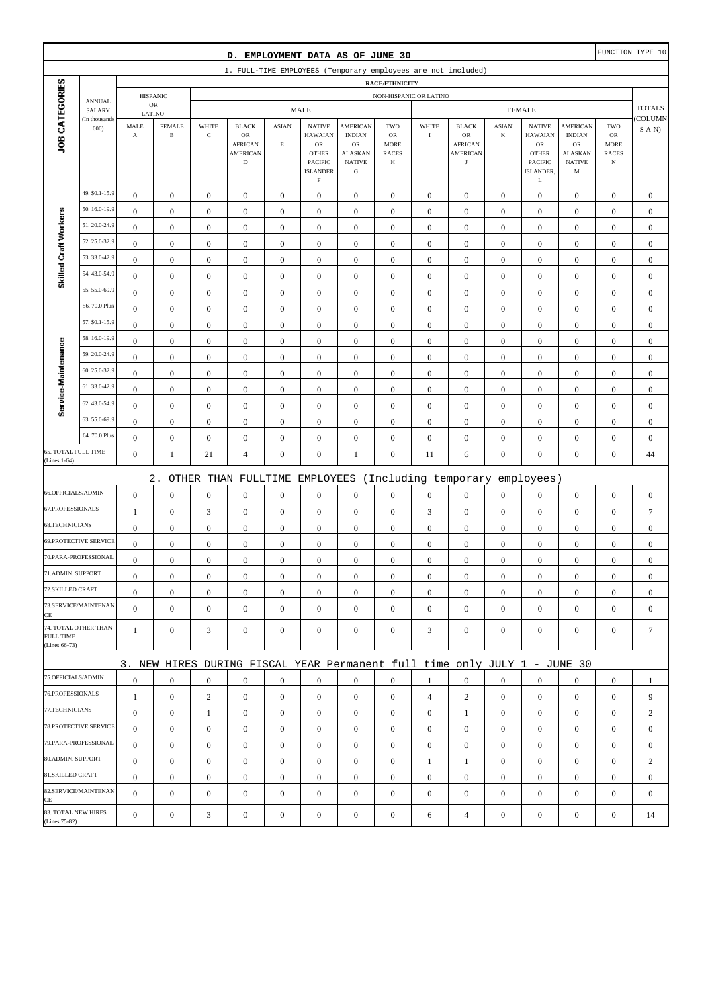|                                      |                              |                               |                               |                      | D. EMPLOYMENT DATA AS OF JUNE 30                                                |                             |                                                                                            |                                                                                 |                                                               |                  |                                                                       |                         |                                                                                              |                                                                         |                                                         | FUNCTION TYPE 10 |
|--------------------------------------|------------------------------|-------------------------------|-------------------------------|----------------------|---------------------------------------------------------------------------------|-----------------------------|--------------------------------------------------------------------------------------------|---------------------------------------------------------------------------------|---------------------------------------------------------------|------------------|-----------------------------------------------------------------------|-------------------------|----------------------------------------------------------------------------------------------|-------------------------------------------------------------------------|---------------------------------------------------------|------------------|
|                                      |                              |                               |                               |                      | 1. FULL-TIME EMPLOYEES (Temporary employees are not included)                   |                             |                                                                                            |                                                                                 |                                                               |                  |                                                                       |                         |                                                                                              |                                                                         |                                                         |                  |
|                                      |                              |                               |                               |                      |                                                                                 |                             |                                                                                            |                                                                                 | <b>RACE/ETHNICITY</b>                                         |                  |                                                                       |                         |                                                                                              |                                                                         |                                                         |                  |
|                                      | <b>ANNUAL</b>                |                               | <b>HISPANIC</b><br>${\sf OR}$ |                      |                                                                                 |                             | <b>MALE</b>                                                                                |                                                                                 | NON-HISPANIC OR LATINO                                        |                  |                                                                       |                         | <b>FEMALE</b>                                                                                |                                                                         |                                                         | <b>TOTALS</b>    |
|                                      | SALARY<br>(In thousands      | LATINO                        |                               |                      |                                                                                 |                             |                                                                                            |                                                                                 |                                                               |                  |                                                                       |                         |                                                                                              |                                                                         |                                                         | (COLUMN          |
| JOB CATEGORIES                       | 000                          | MALE<br>$\boldsymbol{\rm{A}}$ | <b>FEMALE</b><br>$\, {\bf B}$ | WHITE<br>$\mathbf C$ | <b>BLACK</b><br>$_{\rm OR}$<br><b>AFRICAN</b><br><b>AMERICAN</b><br>$\mathbf D$ | <b>ASIAN</b><br>$\mathbf E$ | <b>NATIVE</b><br><b>HAWAIAN</b><br><b>OR</b><br><b>OTHER</b><br>PACIFIC<br><b>ISLANDER</b> | <b>AMERICAN</b><br><b>INDIAN</b><br>OR<br>ALASKAN<br><b>NATIVE</b><br>${\bf G}$ | TWO<br><b>OR</b><br><b>MORE</b><br><b>RACES</b><br>$_{\rm H}$ | WHITE<br>$\rm I$ | <b>BLACK</b><br>OR<br><b>AFRICAN</b><br><b>AMERICAN</b><br>$_{\rm J}$ | <b>ASIAN</b><br>$\bf K$ | <b>NATIVE</b><br><b>HAWAIAN</b><br>${\rm OR}$<br><b>OTHER</b><br><b>PACIFIC</b><br>ISLANDER, | <b>AMERICAN</b><br><b>INDIAN</b><br>OR<br>ALASKAN<br><b>NATIVE</b><br>M | TWO<br>${\rm OR}$<br>MORE<br><b>RACES</b><br>$_{\rm N}$ | $S$ A-N)         |
|                                      | 49. \$0.1-15.9               | $\boldsymbol{0}$              | $\boldsymbol{0}$              | $\boldsymbol{0}$     | $\boldsymbol{0}$                                                                | $\boldsymbol{0}$            | $\rm F$<br>$\boldsymbol{0}$                                                                | $\boldsymbol{0}$                                                                | $\boldsymbol{0}$                                              | $\boldsymbol{0}$ | $\boldsymbol{0}$                                                      | $\mathbf{0}$            | L<br>$\boldsymbol{0}$                                                                        | $\boldsymbol{0}$                                                        | $\boldsymbol{0}$                                        | $\boldsymbol{0}$ |
|                                      | 50.16.0-19.9                 | $\mathbf{0}$                  | $\boldsymbol{0}$              | $\boldsymbol{0}$     | $\boldsymbol{0}$                                                                | $\boldsymbol{0}$            | $\boldsymbol{0}$                                                                           | $\boldsymbol{0}$                                                                | $\boldsymbol{0}$                                              | $\boldsymbol{0}$ | $\boldsymbol{0}$                                                      | $\boldsymbol{0}$        | $\boldsymbol{0}$                                                                             | $\boldsymbol{0}$                                                        | $\boldsymbol{0}$                                        | $\mathbf{0}$     |
| Skilled Craft Workers                | 51.20.0-24.9                 | $\mathbf{0}$                  | $\boldsymbol{0}$              | $\boldsymbol{0}$     | $\boldsymbol{0}$                                                                | $\mathbf{0}$                | $\boldsymbol{0}$                                                                           | $\mathbf{0}$                                                                    | $\mathbf{0}$                                                  | $\boldsymbol{0}$ | $\boldsymbol{0}$                                                      | $\boldsymbol{0}$        | $\boldsymbol{0}$                                                                             | $\boldsymbol{0}$                                                        | $\boldsymbol{0}$                                        | $\mathbf{0}$     |
|                                      | 52.25.0-32.9                 | $\bf{0}$                      | $\boldsymbol{0}$              | $\boldsymbol{0}$     | $\boldsymbol{0}$                                                                | $\boldsymbol{0}$            | $\boldsymbol{0}$                                                                           | $\boldsymbol{0}$                                                                | $\boldsymbol{0}$                                              | $\boldsymbol{0}$ | $\boldsymbol{0}$                                                      | $\boldsymbol{0}$        | $\boldsymbol{0}$                                                                             | $\boldsymbol{0}$                                                        | $\boldsymbol{0}$                                        | $\boldsymbol{0}$ |
|                                      | 53.33.0-42.9                 | $\boldsymbol{0}$              | $\boldsymbol{0}$              | $\boldsymbol{0}$     | $\boldsymbol{0}$                                                                | $\boldsymbol{0}$            | $\boldsymbol{0}$                                                                           | $\boldsymbol{0}$                                                                | $\boldsymbol{0}$                                              | $\boldsymbol{0}$ | $\boldsymbol{0}$                                                      | $\mathbf{0}$            | $\boldsymbol{0}$                                                                             | $\boldsymbol{0}$                                                        | $\boldsymbol{0}$                                        | $\boldsymbol{0}$ |
|                                      | 54.43.0-54.9                 | $\boldsymbol{0}$              | $\boldsymbol{0}$              | $\boldsymbol{0}$     | $\boldsymbol{0}$                                                                | $\boldsymbol{0}$            | $\boldsymbol{0}$                                                                           | $\boldsymbol{0}$                                                                | $\boldsymbol{0}$                                              | $\boldsymbol{0}$ | $\boldsymbol{0}$                                                      | $\boldsymbol{0}$        | $\boldsymbol{0}$                                                                             | $\boldsymbol{0}$                                                        | $\boldsymbol{0}$                                        | $\mathbf{0}$     |
|                                      | 55.55.0-69.9                 | $\mathbf{0}$                  | $\boldsymbol{0}$              | $\boldsymbol{0}$     | $\boldsymbol{0}$                                                                | $\mathbf{0}$                | $\boldsymbol{0}$                                                                           | $\mathbf{0}$                                                                    | $\boldsymbol{0}$                                              | $\boldsymbol{0}$ | $\boldsymbol{0}$                                                      | $\boldsymbol{0}$        | $\boldsymbol{0}$                                                                             | $\boldsymbol{0}$                                                        | $\boldsymbol{0}$                                        | $\mathbf{0}$     |
|                                      | 56.70.0 Plus                 | $\boldsymbol{0}$              | $\boldsymbol{0}$              | $\boldsymbol{0}$     | $\boldsymbol{0}$                                                                | $\boldsymbol{0}$            | $\boldsymbol{0}$                                                                           | $\boldsymbol{0}$                                                                | $\boldsymbol{0}$                                              | $\boldsymbol{0}$ | $\boldsymbol{0}$                                                      | $\boldsymbol{0}$        | $\boldsymbol{0}$                                                                             | $\boldsymbol{0}$                                                        | $\boldsymbol{0}$                                        | $\boldsymbol{0}$ |
|                                      | 57. \$0.1-15.9               | $\boldsymbol{0}$              | $\boldsymbol{0}$              | $\boldsymbol{0}$     | $\boldsymbol{0}$                                                                | $\boldsymbol{0}$            | $\mathbf{0}$                                                                               | $\boldsymbol{0}$                                                                | $\boldsymbol{0}$                                              | $\boldsymbol{0}$ | $\boldsymbol{0}$                                                      | $\mathbf{0}$            | $\boldsymbol{0}$                                                                             | $\boldsymbol{0}$                                                        | $\boldsymbol{0}$                                        | $\boldsymbol{0}$ |
|                                      | 58.16.0-19.9                 | $\boldsymbol{0}$              | $\boldsymbol{0}$              | $\boldsymbol{0}$     | $\boldsymbol{0}$                                                                | $\boldsymbol{0}$            | $\boldsymbol{0}$                                                                           | $\boldsymbol{0}$                                                                | $\boldsymbol{0}$                                              | $\boldsymbol{0}$ | $\boldsymbol{0}$                                                      | $\boldsymbol{0}$        | $\boldsymbol{0}$                                                                             | $\boldsymbol{0}$                                                        | $\boldsymbol{0}$                                        | $\boldsymbol{0}$ |
| Service-Maintenance                  | 59.20.0-24.9                 | $\mathbf{0}$                  | $\boldsymbol{0}$              | $\boldsymbol{0}$     | $\boldsymbol{0}$                                                                | $\mathbf{0}$                | $\boldsymbol{0}$                                                                           | $\boldsymbol{0}$                                                                | $\mathbf{0}$                                                  | $\boldsymbol{0}$ | $\boldsymbol{0}$                                                      | $\boldsymbol{0}$        | $\boldsymbol{0}$                                                                             | $\boldsymbol{0}$                                                        | $\boldsymbol{0}$                                        | $\mathbf{0}$     |
|                                      | 60.25.0-32.9                 | $\boldsymbol{0}$              | $\boldsymbol{0}$              | $\boldsymbol{0}$     | $\boldsymbol{0}$                                                                | $\boldsymbol{0}$            | $\boldsymbol{0}$                                                                           | $\boldsymbol{0}$                                                                | $\boldsymbol{0}$                                              | $\boldsymbol{0}$ | $\boldsymbol{0}$                                                      | $\boldsymbol{0}$        | $\boldsymbol{0}$                                                                             | $\boldsymbol{0}$                                                        | $\boldsymbol{0}$                                        | $\mathbf{0}$     |
|                                      | 61.33.0-42.9                 | $\boldsymbol{0}$              | $\boldsymbol{0}$              | $\boldsymbol{0}$     | $\boldsymbol{0}$                                                                | $\boldsymbol{0}$            | $\boldsymbol{0}$                                                                           | $\boldsymbol{0}$                                                                | $\boldsymbol{0}$                                              | $\boldsymbol{0}$ | $\boldsymbol{0}$                                                      | $\mathbf{0}$            | $\boldsymbol{0}$                                                                             | $\boldsymbol{0}$                                                        | $\boldsymbol{0}$                                        | $\boldsymbol{0}$ |
|                                      | 62.43.0-54.9                 | $\bf{0}$                      | $\boldsymbol{0}$              | $\boldsymbol{0}$     | $\boldsymbol{0}$                                                                | $\boldsymbol{0}$            | $\boldsymbol{0}$                                                                           | $\boldsymbol{0}$                                                                | $\boldsymbol{0}$                                              | $\boldsymbol{0}$ | $\boldsymbol{0}$                                                      | $\boldsymbol{0}$        | $\boldsymbol{0}$                                                                             | $\boldsymbol{0}$                                                        | $\boldsymbol{0}$                                        | $\mathbf{0}$     |
|                                      | 63.55.0-69.9                 | $\boldsymbol{0}$              | $\boldsymbol{0}$              | $\boldsymbol{0}$     | $\boldsymbol{0}$                                                                | $\boldsymbol{0}$            | $\boldsymbol{0}$                                                                           | $\boldsymbol{0}$                                                                | $\boldsymbol{0}$                                              | $\boldsymbol{0}$ | $\boldsymbol{0}$                                                      | $\boldsymbol{0}$        | $\boldsymbol{0}$                                                                             | $\boldsymbol{0}$                                                        | $\boldsymbol{0}$                                        | $\mathbf{0}$     |
|                                      | 64.70.0 Plus                 | $\boldsymbol{0}$              | $\boldsymbol{0}$              | $\boldsymbol{0}$     | $\boldsymbol{0}$                                                                | $\boldsymbol{0}$            | $\boldsymbol{0}$                                                                           | $\boldsymbol{0}$                                                                | $\boldsymbol{0}$                                              | $\boldsymbol{0}$ | $\boldsymbol{0}$                                                      | $\boldsymbol{0}$        | $\boldsymbol{0}$                                                                             | $\boldsymbol{0}$                                                        | $\boldsymbol{0}$                                        | $\mathbf{0}$     |
| 65. TOTAL FULL TIME<br>(Lines 1-64)  |                              | $\boldsymbol{0}$              | $\mathbf{1}$                  | 21                   | $\overline{4}$                                                                  | $\boldsymbol{0}$            | $\boldsymbol{0}$                                                                           | $\mathbf{1}$                                                                    | $\boldsymbol{0}$                                              | 11               | 6                                                                     | $\boldsymbol{0}$        | $\boldsymbol{0}$                                                                             | $\mathbf{0}$                                                            | $\boldsymbol{0}$                                        | 44               |
|                                      |                              |                               | $2$ .                         |                      | OTHER THAN FULLTIME                                                             |                             | EMPLOYEES                                                                                  |                                                                                 |                                                               |                  | (Including temporary                                                  |                         | employees)                                                                                   |                                                                         |                                                         |                  |
| 66.OFFICIALS/ADMIN                   |                              | $\boldsymbol{0}$              | $\boldsymbol{0}$              | $\boldsymbol{0}$     | $\boldsymbol{0}$                                                                | $\boldsymbol{0}$            | $\boldsymbol{0}$                                                                           | $\boldsymbol{0}$                                                                | $\boldsymbol{0}$                                              | $\boldsymbol{0}$ | $\boldsymbol{0}$                                                      | $\boldsymbol{0}$        | $\boldsymbol{0}$                                                                             | $\boldsymbol{0}$                                                        | $\boldsymbol{0}$                                        | $\boldsymbol{0}$ |
| 67.PROFESSIONALS                     |                              | 1                             | $\boldsymbol{0}$              | $\mathfrak{Z}$       | $\boldsymbol{0}$                                                                | $\boldsymbol{0}$            | $\boldsymbol{0}$                                                                           | $\boldsymbol{0}$                                                                | $\boldsymbol{0}$                                              | $\mathfrak{Z}$   | $\boldsymbol{0}$                                                      | $\mathbf{0}$            | $\boldsymbol{0}$                                                                             | $\boldsymbol{0}$                                                        | $\boldsymbol{0}$                                        | $\overline{7}$   |
| 68.TECHNICIANS                       |                              | $\boldsymbol{0}$              | $\boldsymbol{0}$              | $\boldsymbol{0}$     | $\boldsymbol{0}$                                                                | $\boldsymbol{0}$            | $\boldsymbol{0}$                                                                           | $\boldsymbol{0}$                                                                | $\boldsymbol{0}$                                              | $\boldsymbol{0}$ | $\boldsymbol{0}$                                                      | $\boldsymbol{0}$        | $\boldsymbol{0}$                                                                             | $\boldsymbol{0}$                                                        | $\boldsymbol{0}$                                        | $\boldsymbol{0}$ |
|                                      | <b>69.PROTECTIVE SERVICE</b> | $\boldsymbol{0}$              | $\boldsymbol{0}$              | $\boldsymbol{0}$     | $\boldsymbol{0}$                                                                | $\boldsymbol{0}$            | $\boldsymbol{0}$                                                                           | $\mathbf{0}$                                                                    | $\boldsymbol{0}$                                              | $\boldsymbol{0}$ | $\boldsymbol{0}$                                                      | $\mathbf{0}$            | $\mathbf{0}$                                                                                 | $\boldsymbol{0}$                                                        | $\boldsymbol{0}$                                        | $\mathbf{0}$     |
|                                      | 70.PARA-PROFESSIONAL         | $\boldsymbol{0}$              | $\boldsymbol{0}$              | $\boldsymbol{0}$     | $\boldsymbol{0}$                                                                | $\boldsymbol{0}$            | $\boldsymbol{0}$                                                                           | $\mathbf{0}$                                                                    | $\mathbf{0}$                                                  | $\boldsymbol{0}$ | $\boldsymbol{0}$                                                      | $\boldsymbol{0}$        | $\boldsymbol{0}$                                                                             | $\boldsymbol{0}$                                                        | $\boldsymbol{0}$                                        | $\mathbf{0}$     |
| 71.ADMIN. SUPPORT                    |                              | $\boldsymbol{0}$              | $\boldsymbol{0}$              | $\Omega$             | $\Omega$                                                                        | $\mathbf{0}$                | $\boldsymbol{0}$                                                                           | $\boldsymbol{0}$                                                                | $\mathbf{0}$                                                  | $\boldsymbol{0}$ | $\boldsymbol{0}$                                                      | $\boldsymbol{0}$        | $\boldsymbol{0}$                                                                             | $\theta$                                                                | $\boldsymbol{0}$                                        | $\theta$         |
| 72.SKILLED CRAFT                     |                              | $\mathbf{0}$                  | $\boldsymbol{0}$              | $\boldsymbol{0}$     | $\mathbf{0}$                                                                    | $\boldsymbol{0}$            | $\boldsymbol{0}$                                                                           | $\boldsymbol{0}$                                                                | $\boldsymbol{0}$                                              | $\mathbf{0}$     | $\mathbf{0}$                                                          | $\mathbf{0}$            | $\mathbf{0}$                                                                                 | $\mathbf{0}$                                                            | $\overline{0}$                                          | $\mathbf{0}$     |
| CE                                   | 73.SERVICE/MAINTENAN         | $\overline{0}$                | $\mathbf{0}$                  | $\boldsymbol{0}$     | $\boldsymbol{0}$                                                                | $\mathbf{0}$                | $\overline{0}$                                                                             | $\mathbf{0}$                                                                    | $\boldsymbol{0}$                                              | $\boldsymbol{0}$ | $\boldsymbol{0}$                                                      | $\mathbf{0}$            | $\mathbf{0}$                                                                                 | $\overline{0}$                                                          | $\mathbf{0}$                                            | $\mathbf{0}$     |
| <b>FULL TIME</b><br>(Lines 66-73)    | 74. TOTAL OTHER THAN         | $\mathbf{1}$                  | $\mathbf{0}$                  | 3                    | $\mathbf{0}$                                                                    | $\mathbf{0}$                | $\mathbf{0}$                                                                               | $\boldsymbol{0}$                                                                | $\overline{0}$                                                | 3                | $\boldsymbol{0}$                                                      | $\mathbf{0}$            | $\mathbf{0}$                                                                                 | $\overline{0}$                                                          | $\mathbf{0}$                                            | $7\phantom{.0}$  |
|                                      |                              |                               |                               |                      | 3. NEW HIRES DURING FISCAL YEAR Permanent full time only JULY 1 - JUNE 30       |                             |                                                                                            |                                                                                 |                                                               |                  |                                                                       |                         |                                                                                              |                                                                         |                                                         |                  |
| 75.OFFICIALS/ADMIN                   |                              | $\boldsymbol{0}$              | $\mathbf{0}$                  | $\boldsymbol{0}$     | $\mathbf{0}$                                                                    | $\mathbf{0}$                | $\mathbf{0}$                                                                               | $\mathbf{0}$                                                                    | $\overline{0}$                                                | 1                | $\boldsymbol{0}$                                                      | $\mathbf{0}$            | $\mathbf{0}$                                                                                 | $\overline{0}$                                                          | $\mathbf{0}$                                            | 1                |
| 76.PROFESSIONALS                     |                              | $\mathbf{1}$                  | $\boldsymbol{0}$              | $\overline{c}$       | $\boldsymbol{0}$                                                                | $\boldsymbol{0}$            | $\mathbf{0}$                                                                               | $\boldsymbol{0}$                                                                | $\boldsymbol{0}$                                              | $\overline{4}$   | $\overline{c}$                                                        | $\mathbf{0}$            | $\mathbf{0}$                                                                                 | $\mathbf{0}$                                                            | $\mathbf{0}$                                            | 9                |
| 77.TECHNICIANS                       |                              | $\boldsymbol{0}$              | $\boldsymbol{0}$              | $\mathbf{1}$         | $\mathbf{0}$                                                                    | $\boldsymbol{0}$            | $\boldsymbol{0}$                                                                           | $\boldsymbol{0}$                                                                | $\boldsymbol{0}$                                              | $\overline{0}$   | 1                                                                     | $\overline{0}$          | $\mathbf{0}$                                                                                 | $\boldsymbol{0}$                                                        | $\boldsymbol{0}$                                        | $\overline{c}$   |
|                                      | 78. PROTECTIVE SERVICE       | $\mathbf{0}$                  | $\mathbf{0}$                  | $\boldsymbol{0}$     | $\boldsymbol{0}$                                                                | $\boldsymbol{0}$            | $\mathbf{0}$                                                                               | $\boldsymbol{0}$                                                                | $\overline{0}$                                                | $\overline{0}$   | $\boldsymbol{0}$                                                      | $\overline{0}$          | $\mathbf{0}$                                                                                 | $\overline{0}$                                                          | $\overline{0}$                                          | $\mathbf{0}$     |
|                                      | 79.PARA-PROFESSIONAL         | $\overline{0}$                | $\mathbf{0}$                  | $\mathbf{0}$         | $\mathbf{0}$                                                                    | $\mathbf{0}$                | $\boldsymbol{0}$                                                                           | $\mathbf{0}$                                                                    | $\overline{0}$                                                | $\mathbf{0}$     | $\boldsymbol{0}$                                                      | $\overline{0}$          | $\overline{0}$                                                                               | $\overline{0}$                                                          | $\mathbf{0}$                                            | $\boldsymbol{0}$ |
| 80.ADMIN. SUPPORT                    |                              | $\mathbf{0}$                  | $\boldsymbol{0}$              | $\boldsymbol{0}$     | $\boldsymbol{0}$                                                                | $\mathbf{0}$                | $\boldsymbol{0}$                                                                           | $\boldsymbol{0}$                                                                | $\boldsymbol{0}$                                              | 1                | 1                                                                     | $\mathbf{0}$            | $\mathbf{0}$                                                                                 | $\boldsymbol{0}$                                                        | $\boldsymbol{0}$                                        | $\overline{c}$   |
| 81.SKILLED CRAFT                     |                              | $\mathbf{0}$                  | $\mathbf{0}$                  | $\boldsymbol{0}$     | $\boldsymbol{0}$                                                                | $\boldsymbol{0}$            | $\boldsymbol{0}$                                                                           | $\boldsymbol{0}$                                                                | $\boldsymbol{0}$                                              | $\boldsymbol{0}$ | $\boldsymbol{0}$                                                      | $\overline{0}$          | $\mathbf{0}$                                                                                 | $\boldsymbol{0}$                                                        | $\boldsymbol{0}$                                        | $\boldsymbol{0}$ |
| CE                                   | 82.SERVICE/MAINTENAN         | $\overline{0}$                | $\boldsymbol{0}$              | $\boldsymbol{0}$     | $\boldsymbol{0}$                                                                | $\mathbf{0}$                | $\boldsymbol{0}$                                                                           | $\mathbf{0}$                                                                    | $\mathbf{0}$                                                  | $\boldsymbol{0}$ | $\boldsymbol{0}$                                                      | $\mathbf{0}$            | $\mathbf{0}$                                                                                 | $\overline{0}$                                                          | $\mathbf{0}$                                            | $\mathbf{0}$     |
| 83. TOTAL NEW HIRES<br>(Lines 75-82) |                              | $\mathbf{0}$                  | $\boldsymbol{0}$              | 3                    | $\boldsymbol{0}$                                                                | $\boldsymbol{0}$            | $\boldsymbol{0}$                                                                           | $\boldsymbol{0}$                                                                | $\boldsymbol{0}$                                              | 6                | $\overline{4}$                                                        | $\boldsymbol{0}$        | $\boldsymbol{0}$                                                                             | $\boldsymbol{0}$                                                        | $\boldsymbol{0}$                                        | 14               |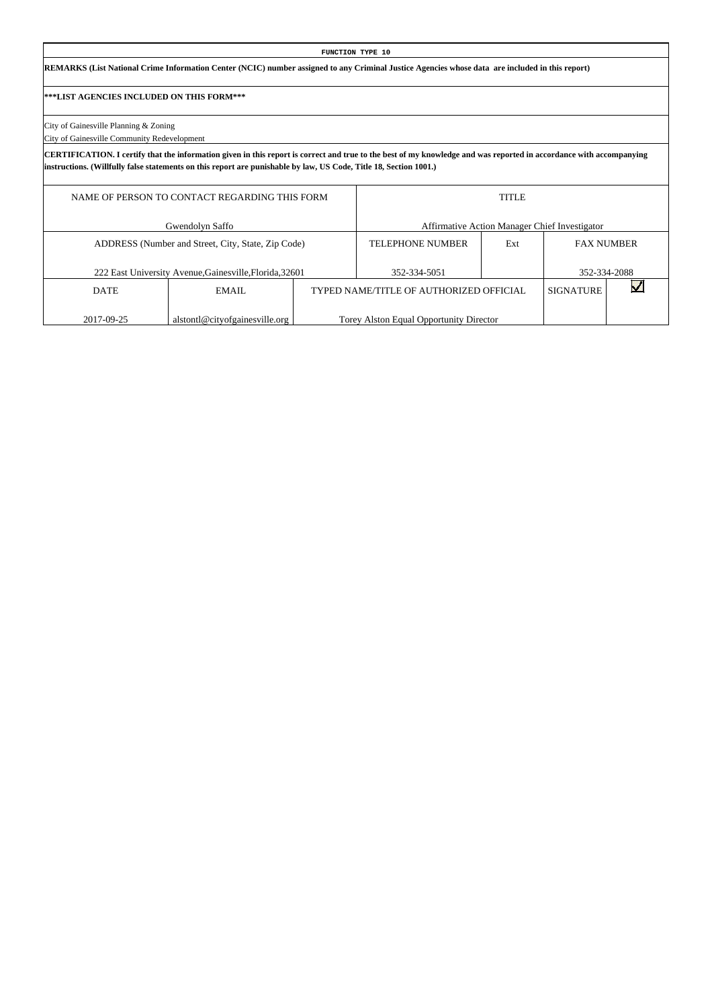#### **FUNCTION TYPE 10**

**REMARKS (List National Crime Information Center (NCIC) number assigned to any Criminal Justice Agencies whose data are included in this report)**

#### **\*\*\*LIST AGENCIES INCLUDED ON THIS FORM\*\*\***

City of Gainesville Planning & Zoning

City of Gainesville Community Redevelopment

**CERTIFICATION. I certify that the information given in this report is correct and true to the best of my knowledge and was reported in accordance with accompanying instructions. (Willfully false statements on this report are punishable by law, US Code, Title 18, Section 1001.)**

|             | NAME OF PERSON TO CONTACT REGARDING THIS FORM           |                                         | <b>TITLE</b> |                                               |  |
|-------------|---------------------------------------------------------|-----------------------------------------|--------------|-----------------------------------------------|--|
|             | Gwendolyn Saffo                                         |                                         |              | Affirmative Action Manager Chief Investigator |  |
|             | ADDRESS (Number and Street, City, State, Zip Code)      | <b>TELEPHONE NUMBER</b>                 | Ext          | <b>FAX NUMBER</b>                             |  |
|             | 222 East University Avenue, Gainesville, Florida, 32601 | 352-334-5051                            |              | 352-334-2088                                  |  |
| <b>DATE</b> | EMAIL                                                   | TYPED NAME/TITLE OF AUTHORIZED OFFICIAL |              | <b>SIGNATURE</b>                              |  |
| 2017-09-25  | alstontl@cityofgainesville.org                          | Torey Alston Equal Opportunity Director |              |                                               |  |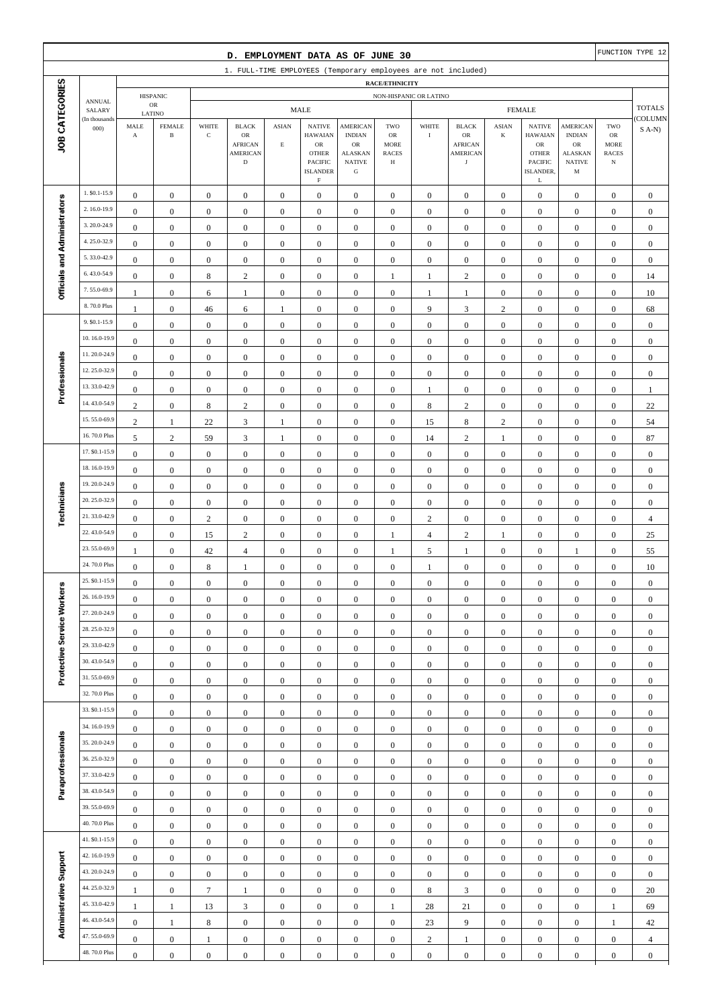|                              |                                |                                  |                                      |                                      | D. EMPLOYMENT DATA AS OF JUNE 30                                       |                                      |                                                                                                           |                                                                                |                                               |                                      |                                                                       |                                      |                                                                                    |                                                                                |                                        | FUNCTION TYPE 12                     |
|------------------------------|--------------------------------|----------------------------------|--------------------------------------|--------------------------------------|------------------------------------------------------------------------|--------------------------------------|-----------------------------------------------------------------------------------------------------------|--------------------------------------------------------------------------------|-----------------------------------------------|--------------------------------------|-----------------------------------------------------------------------|--------------------------------------|------------------------------------------------------------------------------------|--------------------------------------------------------------------------------|----------------------------------------|--------------------------------------|
|                              |                                |                                  |                                      |                                      | 1. FULL-TIME EMPLOYEES (Temporary employees are not included)          |                                      |                                                                                                           |                                                                                |                                               |                                      |                                                                       |                                      |                                                                                    |                                                                                |                                        |                                      |
|                              |                                |                                  | <b>HISPANIC</b>                      |                                      |                                                                        |                                      |                                                                                                           |                                                                                | <b>RACE/ETHNICITY</b>                         | NON-HISPANIC OR LATINO               |                                                                       |                                      |                                                                                    |                                                                                |                                        |                                      |
|                              | <b>ANNUAL</b><br>SALARY        | LATINO                           | OR                                   |                                      |                                                                        |                                      | <b>MALE</b>                                                                                               |                                                                                |                                               |                                      |                                                                       |                                      | <b>FEMALE</b>                                                                      |                                                                                |                                        | <b>TOTALS</b>                        |
| JOB CATEGORIES               | (In thousands<br>000)          | MALE<br>$\mathbf A$              | <b>FEMALE</b><br>$\, {\bf B}$        | WHITE<br>$\mathbf C$                 | <b>BLACK</b><br>OR<br><b>AFRICAN</b><br><b>AMERICAN</b><br>$\mathbf D$ | ASIAN<br>$\mathbf E$                 | <b>NATIVE</b><br><b>HAWAIAN</b><br>OR<br><b>OTHER</b><br><b>PACIFIC</b><br><b>ISLANDER</b><br>$\mathbf F$ | <b>AMERICAN</b><br><b>INDIAN</b><br>OR<br><b>ALASKAN</b><br><b>NATIVE</b><br>G | TWO<br>OR<br><b>MORE</b><br><b>RACES</b><br>Н | WHITE<br>$\bf{I}$                    | <b>BLACK</b><br>OR<br><b>AFRICAN</b><br><b>AMERICAN</b><br>$_{\rm J}$ | <b>ASIAN</b><br>K                    | <b>NATIVE</b><br><b>HAWAIAN</b><br>OR<br><b>OTHER</b><br>PACIFIC<br>ISLANDER,<br>L | <b>AMERICAN</b><br><b>INDIAN</b><br>OR<br><b>ALASKAN</b><br><b>NATIVE</b><br>M | TWO<br>OR<br>MORE<br><b>RACES</b><br>N | <b>COLUMN</b><br>$S(A-N)$            |
|                              | 1. \$0.1-15.9                  | $\boldsymbol{0}$                 | $\mathbf{0}$                         | $\boldsymbol{0}$                     | $\boldsymbol{0}$                                                       | $\boldsymbol{0}$                     | $\mathbf{0}$                                                                                              | $\mathbf{0}$                                                                   | $\boldsymbol{0}$                              | $\boldsymbol{0}$                     | $\boldsymbol{0}$                                                      | $\boldsymbol{0}$                     | $\mathbf{0}$                                                                       | $\boldsymbol{0}$                                                               | $\overline{0}$                         | $\mathbf{0}$                         |
|                              | 2.16.0-19.9                    | $\mathbf{0}$                     | $\boldsymbol{0}$                     | $\boldsymbol{0}$                     | $\boldsymbol{0}$                                                       | $\mathbf{0}$                         | $\boldsymbol{0}$                                                                                          | $\mathbf{0}$                                                                   | $\boldsymbol{0}$                              | $\boldsymbol{0}$                     | $\boldsymbol{0}$                                                      | $\mathbf{0}$                         | $\mathbf{0}$                                                                       | $\boldsymbol{0}$                                                               | $\mathbf{0}$                           | $\mathbf{0}$                         |
|                              | 3.20.0-24.9                    | $\boldsymbol{0}$                 | $\boldsymbol{0}$                     | $\mathbf{0}$                         | $\boldsymbol{0}$                                                       | $\boldsymbol{0}$                     | $\boldsymbol{0}$                                                                                          | $\mathbf{0}$                                                                   | $\boldsymbol{0}$                              | $\mathbf{0}$                         | $\boldsymbol{0}$                                                      | $\boldsymbol{0}$                     | $\mathbf{0}$                                                                       | $\boldsymbol{0}$                                                               | $\mathbf{0}$                           | $\mathbf{0}$                         |
|                              | 4.25.0-32.9                    | $\mathbf{0}$                     | $\overline{0}$                       | $\boldsymbol{0}$                     | $\mathbf{0}$                                                           | $\mathbf{0}$                         | $\mathbf{0}$                                                                                              | $\mathbf{0}$                                                                   | $\boldsymbol{0}$                              | $\mathbf{0}$                         | $\mathbf{0}$                                                          | $\boldsymbol{0}$                     | $\mathbf{0}$                                                                       | $\boldsymbol{0}$                                                               | $\overline{0}$                         | $\mathbf{0}$                         |
|                              | 5.33.0-42.9                    | $\boldsymbol{0}$                 | $\boldsymbol{0}$                     | $\mathbf{0}$                         | $\mathbf{0}$                                                           | $\boldsymbol{0}$                     | $\mathbf{0}$                                                                                              | $\mathbf{0}$                                                                   | $\boldsymbol{0}$                              | $\boldsymbol{0}$                     | $\boldsymbol{0}$                                                      | $\boldsymbol{0}$                     | $\boldsymbol{0}$                                                                   | $\boldsymbol{0}$                                                               | $\overline{0}$                         | $\mathbf{0}$                         |
|                              | 6.43.0-54.9                    | $\boldsymbol{0}$                 | $\boldsymbol{0}$                     | 8                                    | 2                                                                      | $\boldsymbol{0}$                     | $\boldsymbol{0}$                                                                                          | $\mathbf{0}$                                                                   | 1                                             | -1                                   | $\mathbf{2}$                                                          | $\boldsymbol{0}$                     | $\mathbf{0}$                                                                       | $\boldsymbol{0}$                                                               | $\mathbf{0}$                           | 14                                   |
| Officials and Administrators | 7.55.0-69.9                    | -1                               | $\boldsymbol{0}$                     | 6                                    | 1                                                                      | $\boldsymbol{0}$                     | $\mathbf{0}$                                                                                              | $\mathbf{0}$                                                                   | $\mathbf{0}$                                  | 1                                    | 1                                                                     | $\boldsymbol{0}$                     | $\boldsymbol{0}$                                                                   | $\boldsymbol{0}$                                                               | $\mathbf{0}$                           | 10                                   |
|                              | 8.70.0 Plus                    | 1                                | $\overline{0}$                       | 46                                   | 6                                                                      | 1                                    | $\mathbf{0}$                                                                                              | $\overline{0}$                                                                 | $\boldsymbol{0}$                              | 9                                    | 3                                                                     | $\overline{c}$                       | $\mathbf{0}$                                                                       | $\boldsymbol{0}$                                                               | $\overline{0}$                         | 68                                   |
|                              | 9. \$0.1-15.9                  | $\boldsymbol{0}$                 | $\overline{0}$                       | $\mathbf{0}$                         | $\mathbf{0}$                                                           | $\boldsymbol{0}$                     | $\boldsymbol{0}$                                                                                          | $\overline{0}$                                                                 | $\boldsymbol{0}$                              | $\boldsymbol{0}$                     | $\boldsymbol{0}$                                                      | $\boldsymbol{0}$                     | $\boldsymbol{0}$                                                                   | $\boldsymbol{0}$                                                               | $\overline{0}$                         | $\mathbf{0}$                         |
|                              | 10.16.0-19.9                   | $\mathbf{0}$                     | $\boldsymbol{0}$                     | $\mathbf{0}$                         | $\boldsymbol{0}$                                                       | $\boldsymbol{0}$                     | $\boldsymbol{0}$                                                                                          | $\mathbf{0}$                                                                   | $\mathbf{0}$                                  | $\boldsymbol{0}$                     | $\boldsymbol{0}$                                                      | $\mathbf{0}$                         | $\mathbf{0}$                                                                       | $\boldsymbol{0}$                                                               | $\mathbf{0}$                           | $\mathbf{0}$                         |
|                              | 11.20.0-24.9                   | $\mathbf{0}$                     | $\boldsymbol{0}$                     | $\mathbf{0}$                         | $\mathbf{0}$                                                           | $\boldsymbol{0}$                     | $\mathbf{0}$                                                                                              | $\boldsymbol{0}$                                                               | $\boldsymbol{0}$                              | $\mathbf{0}$                         | $\mathbf{0}$                                                          | $\boldsymbol{0}$                     | $\boldsymbol{0}$                                                                   | $\boldsymbol{0}$                                                               | $\mathbf{0}$                           | $\mathbf{0}$                         |
| Professionals                | 12.25.0-32.9                   | $\mathbf{0}$                     | $\overline{0}$                       | $\mathbf{0}$                         | $\mathbf{0}$                                                           | $\boldsymbol{0}$                     | $\mathbf{0}$                                                                                              | $\mathbf{0}$                                                                   | $\boldsymbol{0}$                              | $\mathbf{0}$                         | $\mathbf{0}$                                                          | $\mathbf{0}$                         | $\mathbf{0}$                                                                       | $\boldsymbol{0}$                                                               | $\overline{0}$                         | $\boldsymbol{0}$                     |
|                              | 13.33.0-42.9                   | $\boldsymbol{0}$                 | $\boldsymbol{0}$                     | $\mathbf{0}$                         | $\mathbf{0}$                                                           | $\boldsymbol{0}$                     | $\mathbf{0}$                                                                                              | $\mathbf{0}$                                                                   | $\boldsymbol{0}$                              | -1                                   | $\boldsymbol{0}$                                                      | $\boldsymbol{0}$                     | $\boldsymbol{0}$                                                                   | $\boldsymbol{0}$                                                               | $\overline{0}$                         | $\mathbf{1}$                         |
|                              | 14.43.0-54.9                   | $\mathbf{2}$                     | $\boldsymbol{0}$                     | 8                                    | $\overline{c}$                                                         | $\boldsymbol{0}$                     | $\boldsymbol{0}$                                                                                          | $\mathbf{0}$                                                                   | $\boldsymbol{0}$                              | $\,8\,$                              | $\sqrt{2}$                                                            | $\boldsymbol{0}$                     | $\mathbf{0}$                                                                       | $\boldsymbol{0}$                                                               | $\mathbf{0}$                           | 22                                   |
|                              | 15.55.0-69.9                   | $\overline{c}$                   | $\mathbf{1}$                         | 22                                   | 3                                                                      | $\mathbf{1}$                         | $\boldsymbol{0}$                                                                                          | $\mathbf{0}$                                                                   | $\mathbf{0}$                                  | 15                                   | $\,$ 8 $\,$                                                           | $\sqrt{2}$                           | $\mathbf{0}$                                                                       | $\boldsymbol{0}$                                                               | $\mathbf{0}$                           | 54                                   |
|                              | 16.70.0 Plus                   | 5                                | 2                                    | 59                                   | 3                                                                      | 1                                    | $\mathbf{0}$                                                                                              | $\mathbf{0}$                                                                   | $\boldsymbol{0}$                              | 14                                   | $\overline{c}$                                                        | 1                                    | $\mathbf{0}$                                                                       | $\boldsymbol{0}$                                                               | $\overline{0}$                         | 87                                   |
|                              | 17. \$0.1-15.9                 | $\boldsymbol{0}$                 | $\mathbf{0}$                         | $\mathbf{0}$                         | $\boldsymbol{0}$                                                       | $\boldsymbol{0}$                     | $\mathbf{0}$                                                                                              | $\overline{0}$                                                                 | $\mathbf{0}$                                  | $\mathbf{0}$                         | $\mathbf{0}$                                                          | $\boldsymbol{0}$                     | $\boldsymbol{0}$                                                                   | $\boldsymbol{0}$                                                               | $\overline{0}$                         | $\mathbf{0}$                         |
|                              | 18.16.0-19.9                   | $\mathbf{0}$                     | $\overline{0}$                       | $\mathbf{0}$                         | $\boldsymbol{0}$                                                       | $\boldsymbol{0}$                     | $\mathbf{0}$                                                                                              | $\mathbf{0}$                                                                   | $\boldsymbol{0}$                              | $\overline{0}$                       | $\boldsymbol{0}$                                                      | $\boldsymbol{0}$                     | $\mathbf{0}$                                                                       | $\boldsymbol{0}$                                                               | $\mathbf{0}$                           | $\mathbf{0}$                         |
|                              | 19.20.0-24.9                   | $\mathbf{0}$                     | $\boldsymbol{0}$                     | $\mathbf{0}$                         | $\mathbf{0}$                                                           | $\boldsymbol{0}$                     | $\boldsymbol{0}$                                                                                          | $\mathbf{0}$                                                                   | $\boldsymbol{0}$                              | $\mathbf{0}$                         | $\boldsymbol{0}$                                                      | $\boldsymbol{0}$                     | $\boldsymbol{0}$                                                                   | $\boldsymbol{0}$                                                               | $\mathbf{0}$                           | $\mathbf{0}$                         |
| Technicians                  | 20.25.0-32.9                   | $\mathbf{0}$                     | $\overline{0}$                       | $\mathbf{0}$                         | $\overline{0}$                                                         | $\boldsymbol{0}$                     | $\boldsymbol{0}$                                                                                          | $\overline{0}$                                                                 | $\boldsymbol{0}$                              | $\overline{0}$                       | $\mathbf{0}$                                                          | $\boldsymbol{0}$                     | $\mathbf{0}$                                                                       | $\boldsymbol{0}$                                                               | $\overline{0}$                         | $\mathbf{0}$                         |
|                              | 21.33.0-42.9                   | $\boldsymbol{0}$                 | $\boldsymbol{0}$                     | $\sqrt{2}$                           | $\mathbf{0}$                                                           | $\boldsymbol{0}$                     | $\boldsymbol{0}$                                                                                          | $\overline{0}$                                                                 | $\boldsymbol{0}$                              | 2                                    | $\boldsymbol{0}$                                                      | $\boldsymbol{0}$                     | $\boldsymbol{0}$                                                                   | $\boldsymbol{0}$                                                               | $\overline{0}$                         | $\overline{4}$                       |
|                              | 22.43.0-54.9                   | $\mathbf{0}$                     | $\boldsymbol{0}$                     | 15                                   | 2                                                                      | $\boldsymbol{0}$                     | $\boldsymbol{0}$                                                                                          | $\mathbf{0}$                                                                   | 1                                             | $\overline{4}$                       | $\mathbf{2}$                                                          | 1                                    | $\mathbf{0}$                                                                       | $\boldsymbol{0}$                                                               | $\mathbf{0}$                           | 25                                   |
|                              | 23.55.0-69.9                   | 1                                | $\mathbf{0}$                         | 42                                   | 4                                                                      | $\boldsymbol{0}$                     | $\boldsymbol{0}$                                                                                          | $\overline{0}$                                                                 | 1                                             | 5                                    | 1                                                                     | $\boldsymbol{0}$                     | $\boldsymbol{0}$                                                                   | 1                                                                              | $\overline{0}$                         | 55                                   |
|                              | 24.70.0 Plus                   | $\boldsymbol{0}$                 | $\mathbf{0}$                         | $\,$ 8 $\,$                          | -1                                                                     | $\boldsymbol{0}$                     | $\boldsymbol{0}$                                                                                          | $\overline{0}$                                                                 | $\boldsymbol{0}$                              | 1                                    | $\mathbf{0}$                                                          | $\boldsymbol{0}$                     | $\overline{0}$                                                                     | $\boldsymbol{0}$                                                               | $\mathbf{0}$                           | 10                                   |
|                              | 25. \$0.1-15.9<br>26.16.0-19.9 | $\boldsymbol{0}$                 | $\bf{0}$                             | $\bf{0}$                             | $\boldsymbol{0}$                                                       | $\boldsymbol{0}$                     | $\boldsymbol{0}$                                                                                          | 0                                                                              | $\boldsymbol{0}$                              | $\boldsymbol{0}$                     | 0                                                                     | $\boldsymbol{0}$                     | $\boldsymbol{0}$                                                                   | $\boldsymbol{0}$                                                               | $\boldsymbol{0}$                       | $\boldsymbol{0}$                     |
|                              | 27.20.0-24.9                   | $\boldsymbol{0}$                 | $\overline{0}$                       | $\boldsymbol{0}$                     | $\boldsymbol{0}$                                                       | $\boldsymbol{0}$                     | $\boldsymbol{0}$                                                                                          | $\overline{0}$                                                                 | $\boldsymbol{0}$                              | $\overline{0}$                       | $\boldsymbol{0}$                                                      | $\mathbf{0}$                         | $\boldsymbol{0}$                                                                   | $\boldsymbol{0}$                                                               | $\overline{0}$                         | $\boldsymbol{0}$                     |
|                              | 28.25.0-32.9                   | $\overline{0}$                   | $\overline{0}$                       | $\boldsymbol{0}$                     | $\boldsymbol{0}$                                                       | $\boldsymbol{0}$                     | $\boldsymbol{0}$                                                                                          | $\boldsymbol{0}$                                                               | $\boldsymbol{0}$                              | $\boldsymbol{0}$                     | $\boldsymbol{0}$                                                      | $\boldsymbol{0}$                     | $\mathbf{0}$                                                                       | $\boldsymbol{0}$                                                               | $\boldsymbol{0}$                       | $\boldsymbol{0}$                     |
| Protective Service Workers   | 29.33.0-42.9                   | $\mathbf{0}$                     | $\boldsymbol{0}$                     | $\boldsymbol{0}$                     | $\mathbf{0}$                                                           | $\boldsymbol{0}$                     | $\mathbf{0}$                                                                                              | $\overline{0}$                                                                 | $\boldsymbol{0}$                              | $\mathbf{0}$                         | $\boldsymbol{0}$                                                      | $\overline{0}$                       | $\mathbf{0}$                                                                       | $\boldsymbol{0}$                                                               | $\overline{0}$                         | $\boldsymbol{0}$                     |
|                              | 30.43.0-54.9                   | $\boldsymbol{0}$<br>$\mathbf{0}$ | $\mathbf{0}$                         | $\boldsymbol{0}$                     | $\boldsymbol{0}$                                                       | $\boldsymbol{0}$                     | $\boldsymbol{0}$<br>$\boldsymbol{0}$                                                                      | $\mathbf{0}$<br>$\boldsymbol{0}$                                               | $\boldsymbol{0}$                              | $\boldsymbol{0}$                     | $\boldsymbol{0}$                                                      | $\boldsymbol{0}$                     | $\boldsymbol{0}$                                                                   | $\boldsymbol{0}$                                                               | $\overline{0}$<br>$\mathbf{0}$         | $\boldsymbol{0}$<br>$\boldsymbol{0}$ |
|                              | 31.55.0-69.9                   | $\mathbf{0}$                     | $\boldsymbol{0}$<br>$\boldsymbol{0}$ | $\boldsymbol{0}$<br>$\boldsymbol{0}$ | $\boldsymbol{0}$<br>$\boldsymbol{0}$                                   | $\boldsymbol{0}$                     | $\boldsymbol{0}$                                                                                          | $\boldsymbol{0}$                                                               | $\boldsymbol{0}$<br>$\boldsymbol{0}$          | $\boldsymbol{0}$<br>$\boldsymbol{0}$ | $\boldsymbol{0}$<br>$\boldsymbol{0}$                                  | $\boldsymbol{0}$<br>$\boldsymbol{0}$ | $\boldsymbol{0}$<br>$\boldsymbol{0}$                                               | $\boldsymbol{0}$<br>$\boldsymbol{0}$                                           | $\boldsymbol{0}$                       | $\boldsymbol{0}$                     |
|                              | 32.70.0 Plus                   | $\overline{0}$                   | $\boldsymbol{0}$                     | $\boldsymbol{0}$                     | $\boldsymbol{0}$                                                       | $\boldsymbol{0}$<br>$\boldsymbol{0}$ | $\mathbf{0}$                                                                                              | $\overline{0}$                                                                 | $\boldsymbol{0}$                              | $\boldsymbol{0}$                     | $\boldsymbol{0}$                                                      | $\mathbf{0}$                         | $\mathbf{0}$                                                                       | $\boldsymbol{0}$                                                               | $\overline{0}$                         | $\boldsymbol{0}$                     |
|                              | 33. \$0.1-15.9                 | $\mathbf{0}$                     | $\boldsymbol{0}$                     | $\boldsymbol{0}$                     | $\mathbf{0}$                                                           | $\boldsymbol{0}$                     | $\boldsymbol{0}$                                                                                          | $\mathbf{0}$                                                                   | $\boldsymbol{0}$                              | $\boldsymbol{0}$                     | $\boldsymbol{0}$                                                      | $\boldsymbol{0}$                     | $\boldsymbol{0}$                                                                   | $\boldsymbol{0}$                                                               | $\overline{0}$                         | $\boldsymbol{0}$                     |
|                              | 34.16.0-19.9                   | $\boldsymbol{0}$                 | $\boldsymbol{0}$                     | $\boldsymbol{0}$                     | $\boldsymbol{0}$                                                       | $\boldsymbol{0}$                     | $\boldsymbol{0}$                                                                                          | $\boldsymbol{0}$                                                               | $\boldsymbol{0}$                              | $\boldsymbol{0}$                     | $\boldsymbol{0}$                                                      | $\boldsymbol{0}$                     | $\boldsymbol{0}$                                                                   | $\boldsymbol{0}$                                                               | $\boldsymbol{0}$                       | $\boldsymbol{0}$                     |
|                              | 35.20.0-24.9                   | $\mathbf{0}$                     | $\boldsymbol{0}$                     | $\boldsymbol{0}$                     | $\boldsymbol{0}$                                                       | $\boldsymbol{0}$                     | $\boldsymbol{0}$                                                                                          | $\boldsymbol{0}$                                                               | $\boldsymbol{0}$                              | $\boldsymbol{0}$                     | $\boldsymbol{0}$                                                      | $\boldsymbol{0}$                     | $\boldsymbol{0}$                                                                   | $\boldsymbol{0}$                                                               | $\boldsymbol{0}$                       | $\boldsymbol{0}$                     |
| Paraprofessionals            | 36.25.0-32.9                   | $\mathbf{0}$                     | $\boldsymbol{0}$                     | $\boldsymbol{0}$                     | $\mathbf{0}$                                                           | $\boldsymbol{0}$                     | $\boldsymbol{0}$                                                                                          | $\overline{0}$                                                                 | $\boldsymbol{0}$                              | $\boldsymbol{0}$                     | $\boldsymbol{0}$                                                      | $\boldsymbol{0}$                     | $\mathbf{0}$                                                                       | $\boldsymbol{0}$                                                               | $\overline{0}$                         | $\boldsymbol{0}$                     |
|                              | 37.33.0-42.9                   | $\mathbf{0}$                     | $\mathbf{0}$                         | $\boldsymbol{0}$                     | $\boldsymbol{0}$                                                       | $\boldsymbol{0}$                     | $\boldsymbol{0}$                                                                                          | $\mathbf{0}$                                                                   | $\boldsymbol{0}$                              | $\boldsymbol{0}$                     | $\boldsymbol{0}$                                                      | $\boldsymbol{0}$                     | $\boldsymbol{0}$                                                                   | $\boldsymbol{0}$                                                               | $\overline{0}$                         | $\boldsymbol{0}$                     |
|                              | 38.43.0-54.9                   | $\mathbf{0}$                     | $\boldsymbol{0}$                     | $\boldsymbol{0}$                     | $\boldsymbol{0}$                                                       | $\boldsymbol{0}$                     | $\boldsymbol{0}$                                                                                          | $\boldsymbol{0}$                                                               | $\boldsymbol{0}$                              | $\boldsymbol{0}$                     | $\boldsymbol{0}$                                                      | $\boldsymbol{0}$                     | $\boldsymbol{0}$                                                                   | $\boldsymbol{0}$                                                               | $\mathbf{0}$                           | $\boldsymbol{0}$                     |
|                              | 39.55.0-69.9                   | $\mathbf{0}$                     | $\boldsymbol{0}$                     | $\boldsymbol{0}$                     | $\boldsymbol{0}$                                                       | $\boldsymbol{0}$                     | $\boldsymbol{0}$                                                                                          | $\boldsymbol{0}$                                                               | $\boldsymbol{0}$                              | $\boldsymbol{0}$                     | $\boldsymbol{0}$                                                      | $\boldsymbol{0}$                     | $\boldsymbol{0}$                                                                   | $\boldsymbol{0}$                                                               | $\boldsymbol{0}$                       | $\boldsymbol{0}$                     |
|                              | 40.70.0 Plus                   | $\overline{0}$                   | $\boldsymbol{0}$                     | $\boldsymbol{0}$                     | $\mathbf{0}$                                                           | $\boldsymbol{0}$                     | $\mathbf{0}$                                                                                              | $\overline{0}$                                                                 | $\boldsymbol{0}$                              | $\mathbf{0}$                         | $\boldsymbol{0}$                                                      | $\mathbf{0}$                         | $\mathbf{0}$                                                                       | $\boldsymbol{0}$                                                               | $\overline{0}$                         | $\boldsymbol{0}$                     |
|                              | 41. \$0.1-15.9                 | $\mathbf{0}$                     | $\boldsymbol{0}$                     | $\boldsymbol{0}$                     | $\boldsymbol{0}$                                                       | $\boldsymbol{0}$                     | $\boldsymbol{0}$                                                                                          | $\mathbf{0}$                                                                   | $\boldsymbol{0}$                              | $\boldsymbol{0}$                     | $\boldsymbol{0}$                                                      | $\boldsymbol{0}$                     | $\boldsymbol{0}$                                                                   | $\boldsymbol{0}$                                                               | $\overline{0}$                         | $\boldsymbol{0}$                     |
|                              | 42. 16.0-19.9                  | $\boldsymbol{0}$                 | $\boldsymbol{0}$                     | $\boldsymbol{0}$                     | $\boldsymbol{0}$                                                       | $\boldsymbol{0}$                     | $\boldsymbol{0}$                                                                                          | $\boldsymbol{0}$                                                               | $\boldsymbol{0}$                              | $\boldsymbol{0}$                     | $\boldsymbol{0}$                                                      | $\boldsymbol{0}$                     | $\boldsymbol{0}$                                                                   | $\boldsymbol{0}$                                                               | $\boldsymbol{0}$                       | $\boldsymbol{0}$                     |
|                              | 43.20.0-24.9                   | $\mathbf{0}$                     | $\boldsymbol{0}$                     | $\boldsymbol{0}$                     | $\boldsymbol{0}$                                                       | $\boldsymbol{0}$                     | $\mathbf{0}$                                                                                              | $\boldsymbol{0}$                                                               | $\boldsymbol{0}$                              | $\boldsymbol{0}$                     | $\boldsymbol{0}$                                                      | $\boldsymbol{0}$                     | $\boldsymbol{0}$                                                                   | $\boldsymbol{0}$                                                               | $\boldsymbol{0}$                       | $\boldsymbol{0}$                     |
|                              | 44.25.0-32.9                   | $\mathbf{1}$                     | $\boldsymbol{0}$                     | $\tau$                               | 1                                                                      | $\boldsymbol{0}$                     | $\mathbf{0}$                                                                                              | $\overline{0}$                                                                 | $\boldsymbol{0}$                              | 8                                    | $\sqrt{3}$                                                            | $\boldsymbol{0}$                     | $\mathbf{0}$                                                                       | $\boldsymbol{0}$                                                               | $\overline{0}$                         | 20                                   |
|                              | 45.33.0-42.9                   | $\mathbf{1}$                     | $\mathbf{1}$                         | 13                                   | 3                                                                      | $\boldsymbol{0}$                     | $\boldsymbol{0}$                                                                                          | $\boldsymbol{0}$                                                               | $\mathbf{1}$                                  | 28                                   | 21                                                                    | $\boldsymbol{0}$                     | $\boldsymbol{0}$                                                                   | $\boldsymbol{0}$                                                               | $\mathbf{1}$                           | 69                                   |
| Administrative Support       | 46.43.0-54.9                   | $\boldsymbol{0}$                 | $\mathbf{1}$                         | $\,8\,$                              | $\boldsymbol{0}$                                                       | $\boldsymbol{0}$                     | $\boldsymbol{0}$                                                                                          | $\boldsymbol{0}$                                                               | $\boldsymbol{0}$                              | 23                                   | 9                                                                     | $\boldsymbol{0}$                     | $\boldsymbol{0}$                                                                   | $\boldsymbol{0}$                                                               | $\mathbf{1}$                           | 42                                   |
|                              | 47.55.0-69.9                   | $\mathbf{0}$                     | $\boldsymbol{0}$                     | $\mathbf{1}$                         | $\boldsymbol{0}$                                                       | $\boldsymbol{0}$                     | $\boldsymbol{0}$                                                                                          | $\mathbf{0}$                                                                   | $\boldsymbol{0}$                              | $\overline{c}$                       | $\mathbf{1}$                                                          | $\boldsymbol{0}$                     | $\boldsymbol{0}$                                                                   | $\boldsymbol{0}$                                                               | $\boldsymbol{0}$                       | $\overline{4}$                       |
|                              | 48.70.0 Plus                   | $\mathbf{0}$                     | $\boldsymbol{0}$                     | $\boldsymbol{0}$                     | $\boldsymbol{0}$                                                       | $\boldsymbol{0}$                     | $\boldsymbol{0}$                                                                                          | $\boldsymbol{0}$                                                               | $\boldsymbol{0}$                              | $\boldsymbol{0}$                     | $\boldsymbol{0}$                                                      | $\boldsymbol{0}$                     | $\boldsymbol{0}$                                                                   | $\boldsymbol{0}$                                                               | $\mathbf{0}$                           | $\boldsymbol{0}$                     |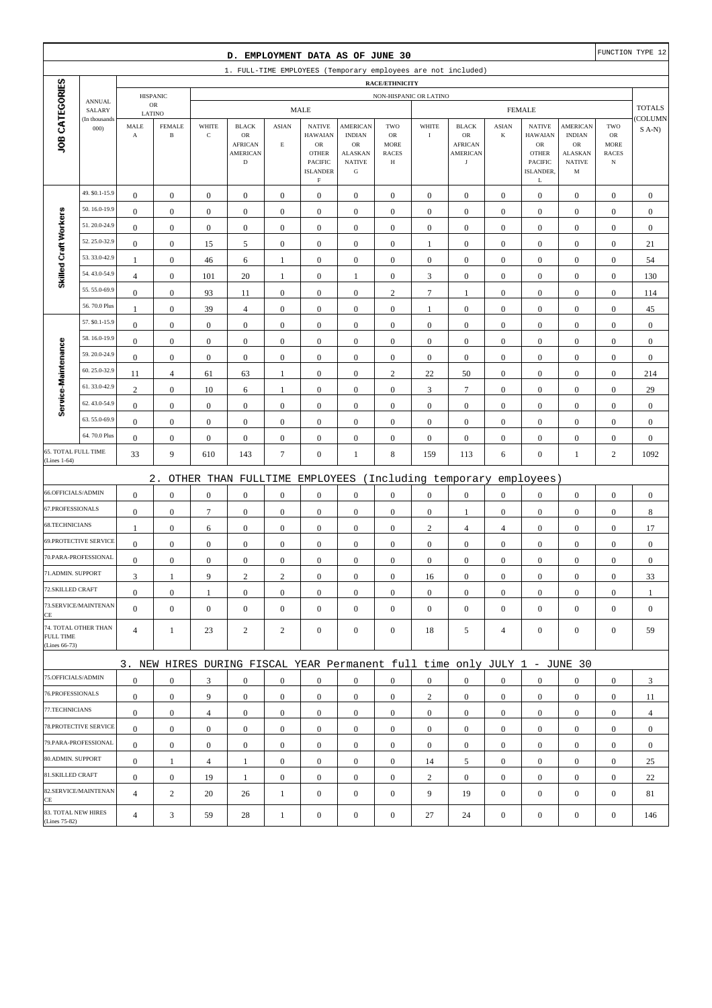|                                     |                              |                               |                               |                  | D. EMPLOYMENT DATA AS OF JUNE 30                                          |                  |                                              |                                       |                                   |                  |                                  |                  |                                              |                                |                                           | FUNCTION TYPE 12 |
|-------------------------------------|------------------------------|-------------------------------|-------------------------------|------------------|---------------------------------------------------------------------------|------------------|----------------------------------------------|---------------------------------------|-----------------------------------|------------------|----------------------------------|------------------|----------------------------------------------|--------------------------------|-------------------------------------------|------------------|
|                                     |                              |                               |                               |                  | 1. FULL-TIME EMPLOYEES (Temporary employees are not included)             |                  |                                              |                                       |                                   |                  |                                  |                  |                                              |                                |                                           |                  |
|                                     |                              |                               |                               |                  |                                                                           |                  |                                              |                                       | RACE/ETHNICITY                    |                  |                                  |                  |                                              |                                |                                           |                  |
|                                     | <b>ANNUAL</b><br>SALARY      |                               | <b>HISPANIC</b><br>${\sf OR}$ |                  |                                                                           |                  | <b>MALE</b>                                  |                                       | NON-HISPANIC OR LATINO            |                  |                                  |                  | <b>FEMALE</b>                                |                                |                                           | <b>TOTALS</b>    |
|                                     | (In thousands                | LATINO                        | <b>FEMALE</b>                 | WHITE            | <b>BLACK</b>                                                              | <b>ASIAN</b>     | <b>NATIVE</b>                                | AMERICAN                              | TWO                               | WHITE            | <b>BLACK</b>                     | <b>ASIAN</b>     | <b>NATIVE</b>                                | AMERICAN                       | TWO                                       | COLUMN           |
| JOB CATEGORIES                      | 000                          | MALE<br>$\boldsymbol{\rm{A}}$ | $\, {\bf B}$                  | $\mathbf C$      | OR<br><b>AFRICAN</b><br><b>AMERICAN</b>                                   | $\mathbf E$      | <b>HAWAIAN</b><br>${\sf OR}$<br><b>OTHER</b> | <b>INDIAN</b><br>OR<br><b>ALASKAN</b> | OR<br><b>MORE</b><br><b>RACES</b> | $\bf I$          | OR<br><b>AFRICAN</b><br>AMERICAN | $\bf K$          | <b>HAWAIAN</b><br>${\sf OR}$<br><b>OTHER</b> | <b>INDIAN</b><br>OR<br>ALASKAN | ${\rm OR}$<br><b>MORE</b><br><b>RACES</b> | $S(A-N)$         |
|                                     |                              |                               |                               |                  | $\mathbf D$                                                               |                  | PACIFIC<br><b>ISLANDER</b><br>$\mathbf F$    | <b>NATIVE</b><br>${\bf G}$            | Н                                 |                  | $_{\rm J}$                       |                  | PACIFIC<br>ISLANDER,<br>L                    | <b>NATIVE</b><br>M             | $_{\rm N}$                                |                  |
|                                     | 49. \$0.1-15.9               | $\boldsymbol{0}$              | $\boldsymbol{0}$              | $\boldsymbol{0}$ | $\boldsymbol{0}$                                                          | $\boldsymbol{0}$ | $\boldsymbol{0}$                             | $\boldsymbol{0}$                      | $\boldsymbol{0}$                  | $\boldsymbol{0}$ | $\boldsymbol{0}$                 | $\mathbf{0}$     | $\boldsymbol{0}$                             | $\boldsymbol{0}$               | $\boldsymbol{0}$                          | $\boldsymbol{0}$ |
|                                     | 50.16.0-19.9                 | $\boldsymbol{0}$              | $\boldsymbol{0}$              | $\boldsymbol{0}$ | $\boldsymbol{0}$                                                          | $\boldsymbol{0}$ | $\boldsymbol{0}$                             | $\boldsymbol{0}$                      | $\boldsymbol{0}$                  | $\boldsymbol{0}$ | $\boldsymbol{0}$                 | $\boldsymbol{0}$ | $\boldsymbol{0}$                             | $\boldsymbol{0}$               | $\boldsymbol{0}$                          | $\boldsymbol{0}$ |
| Skilled Craft Workers               | 51.20.0-24.9                 | $\mathbf{0}$                  | $\boldsymbol{0}$              | $\boldsymbol{0}$ | $\boldsymbol{0}$                                                          | $\boldsymbol{0}$ | $\mathbf{0}$                                 | $\boldsymbol{0}$                      | $\boldsymbol{0}$                  | $\mathbf{0}$     | $\mathbf{0}$                     | $\boldsymbol{0}$ | $\boldsymbol{0}$                             | $\boldsymbol{0}$               | $\boldsymbol{0}$                          | $\boldsymbol{0}$ |
|                                     | 52.25.0-32.9                 | $\boldsymbol{0}$              | $\boldsymbol{0}$              | 15               | 5                                                                         | $\boldsymbol{0}$ | $\mathbf{0}$                                 | $\boldsymbol{0}$                      | $\boldsymbol{0}$                  | $\mathbf{1}$     | $\mathbf{0}$                     | $\boldsymbol{0}$ | $\boldsymbol{0}$                             | $\boldsymbol{0}$               | $\boldsymbol{0}$                          | 21               |
|                                     | 53.33.0-42.9                 | 1                             | $\boldsymbol{0}$              | 46               | 6                                                                         | 1                | $\boldsymbol{0}$                             | $\boldsymbol{0}$                      | $\boldsymbol{0}$                  | $\boldsymbol{0}$ | $\boldsymbol{0}$                 | $\boldsymbol{0}$ | $\boldsymbol{0}$                             | $\boldsymbol{0}$               | $\boldsymbol{0}$                          | 54               |
|                                     | 54.43.0-54.9                 | $\overline{4}$                | $\boldsymbol{0}$              | 101              | 20                                                                        | $\mathbf{1}$     | $\boldsymbol{0}$                             | $\mathbf{1}$                          | $\boldsymbol{0}$                  | 3                | $\boldsymbol{0}$                 | $\boldsymbol{0}$ | $\boldsymbol{0}$                             | $\boldsymbol{0}$               | $\boldsymbol{0}$                          | 130              |
|                                     | 55.55.0-69.9                 | $\boldsymbol{0}$              | $\boldsymbol{0}$              | 93               | 11                                                                        | $\mathbf{0}$     | $\mathbf{0}$                                 | $\boldsymbol{0}$                      | $\boldsymbol{2}$                  | $\boldsymbol{7}$ | 1                                | $\boldsymbol{0}$ | $\boldsymbol{0}$                             | $\boldsymbol{0}$               | $\boldsymbol{0}$                          | 114              |
|                                     | 56.70.0 Plus                 | $\mathbf{1}$                  | $\boldsymbol{0}$              | 39               | $\overline{4}$                                                            | $\mathbf{0}$     | $\mathbf{0}$                                 | $\boldsymbol{0}$                      | $\boldsymbol{0}$                  | $\mathbf{1}$     | $\mathbf{0}$                     | $\boldsymbol{0}$ | $\boldsymbol{0}$                             | $\boldsymbol{0}$               | $\boldsymbol{0}$                          | 45               |
|                                     | 57. \$0.1-15.9               | $\boldsymbol{0}$              | $\boldsymbol{0}$              | $\boldsymbol{0}$ | $\boldsymbol{0}$                                                          | $\boldsymbol{0}$ | $\mathbf{0}$                                 | $\boldsymbol{0}$                      | $\boldsymbol{0}$                  | $\boldsymbol{0}$ | $\boldsymbol{0}$                 | $\boldsymbol{0}$ | $\boldsymbol{0}$                             | $\boldsymbol{0}$               | $\boldsymbol{0}$                          | $\boldsymbol{0}$ |
|                                     | 58.16.0-19.9                 | $\boldsymbol{0}$              | $\boldsymbol{0}$              | $\boldsymbol{0}$ | $\boldsymbol{0}$                                                          | $\boldsymbol{0}$ | $\mathbf{0}$                                 | $\boldsymbol{0}$                      | $\boldsymbol{0}$                  | $\mathbf{0}$     | $\boldsymbol{0}$                 | $\boldsymbol{0}$ | $\boldsymbol{0}$                             | $\boldsymbol{0}$               | $\boldsymbol{0}$                          | $\boldsymbol{0}$ |
|                                     | 59.20.0-24.9                 | $\boldsymbol{0}$              | $\boldsymbol{0}$              | $\boldsymbol{0}$ | $\boldsymbol{0}$                                                          | $\boldsymbol{0}$ | $\mathbf{0}$                                 | $\boldsymbol{0}$                      | $\boldsymbol{0}$                  | $\boldsymbol{0}$ | $\mathbf{0}$                     | $\boldsymbol{0}$ | $\boldsymbol{0}$                             | $\boldsymbol{0}$               | $\boldsymbol{0}$                          | $\boldsymbol{0}$ |
|                                     | 60.25.0-32.9                 | 11                            | 4                             | 61               | 63                                                                        | $\mathbf{1}$     | $\boldsymbol{0}$                             | $\boldsymbol{0}$                      | $\overline{c}$                    | $22\,$           | 50                               | $\boldsymbol{0}$ | $\boldsymbol{0}$                             | $\boldsymbol{0}$               | $\boldsymbol{0}$                          | 214              |
|                                     | 61.33.0-42.9                 | $\mathbf{2}$                  | $\boldsymbol{0}$              | $10\,$           | 6                                                                         | $\mathbf{1}$     | $\boldsymbol{0}$                             | $\boldsymbol{0}$                      | $\boldsymbol{0}$                  | 3                | $\tau$                           | $\boldsymbol{0}$ | $\boldsymbol{0}$                             | $\boldsymbol{0}$               | $\boldsymbol{0}$                          | 29               |
| Service-Maintenance                 | 62.43.0-54.9                 | $\boldsymbol{0}$              | $\boldsymbol{0}$              | $\boldsymbol{0}$ | $\boldsymbol{0}$                                                          | $\boldsymbol{0}$ | $\mathbf{0}$                                 | $\boldsymbol{0}$                      | $\boldsymbol{0}$                  | $\boldsymbol{0}$ | $\boldsymbol{0}$                 | $\boldsymbol{0}$ | $\boldsymbol{0}$                             | $\boldsymbol{0}$               | $\boldsymbol{0}$                          | $\boldsymbol{0}$ |
|                                     | 63.55.0-69.9                 | $\boldsymbol{0}$              | $\boldsymbol{0}$              | $\boldsymbol{0}$ | $\boldsymbol{0}$                                                          | $\boldsymbol{0}$ | $\mathbf{0}$                                 | $\boldsymbol{0}$                      | $\boldsymbol{0}$                  | $\boldsymbol{0}$ | $\boldsymbol{0}$                 | $\boldsymbol{0}$ | $\boldsymbol{0}$                             | $\boldsymbol{0}$               | $\boldsymbol{0}$                          | $\boldsymbol{0}$ |
|                                     | 64.70.0 Plus                 | $\boldsymbol{0}$              | $\boldsymbol{0}$              | $\boldsymbol{0}$ | $\boldsymbol{0}$                                                          | $\boldsymbol{0}$ | $\boldsymbol{0}$                             | $\boldsymbol{0}$                      | $\boldsymbol{0}$                  | $\boldsymbol{0}$ | $\boldsymbol{0}$                 | $\boldsymbol{0}$ | $\boldsymbol{0}$                             | $\boldsymbol{0}$               | $\boldsymbol{0}$                          | $\boldsymbol{0}$ |
| 65. TOTAL FULL TIME<br>(Lines 1-64) |                              | 33                            | 9                             | 610              | 143                                                                       | $\tau$           | $\mathbf{0}$                                 | $\mathbf{1}$                          | 8                                 | 159              | 113                              | 6                | $\boldsymbol{0}$                             | $\mathbf{1}$                   | $\overline{c}$                            | 1092             |
|                                     |                              |                               | $2$ .                         |                  | OTHER THAN FULLTIME                                                       |                  | EMPLOYEES                                    |                                       |                                   |                  | (Including temporary             |                  | employees)                                   |                                |                                           |                  |
| 66.OFFICIALS/ADMIN                  |                              | $\boldsymbol{0}$              | $\boldsymbol{0}$              | $\boldsymbol{0}$ | $\boldsymbol{0}$                                                          | $\boldsymbol{0}$ | $\mathbf{0}$                                 | $\boldsymbol{0}$                      | $\boldsymbol{0}$                  | $\boldsymbol{0}$ | $\boldsymbol{0}$                 | $\boldsymbol{0}$ | $\boldsymbol{0}$                             | $\boldsymbol{0}$               | $\boldsymbol{0}$                          | $\boldsymbol{0}$ |
| 67.PROFESSIONALS                    |                              | $\boldsymbol{0}$              | $\boldsymbol{0}$              | $\boldsymbol{7}$ | $\boldsymbol{0}$                                                          | $\boldsymbol{0}$ | $\boldsymbol{0}$                             | $\boldsymbol{0}$                      | $\boldsymbol{0}$                  | $\boldsymbol{0}$ | 1                                | $\boldsymbol{0}$ | $\boldsymbol{0}$                             | $\boldsymbol{0}$               | $\boldsymbol{0}$                          | $\,$ 8 $\,$      |
| 68.TECHNICIANS                      |                              | $\mathbf{1}$                  | $\boldsymbol{0}$              | 6                | $\boldsymbol{0}$                                                          | $\boldsymbol{0}$ | $\mathbf{0}$                                 | $\boldsymbol{0}$                      | $\boldsymbol{0}$                  | $\sqrt{2}$       | $\overline{4}$                   | $\overline{4}$   | $\boldsymbol{0}$                             | $\boldsymbol{0}$               | $\boldsymbol{0}$                          | 17               |
|                                     | <b>69.PROTECTIVE SERVICE</b> | $\boldsymbol{0}$              | $\boldsymbol{0}$              | $\boldsymbol{0}$ | $\boldsymbol{0}$                                                          | $\mathbf{0}$     | $\boldsymbol{0}$                             | $\boldsymbol{0}$                      | $\boldsymbol{0}$                  | $\boldsymbol{0}$ | $\mathbf{0}$                     | $\boldsymbol{0}$ | $\boldsymbol{0}$                             | $\boldsymbol{0}$               | $\boldsymbol{0}$                          | $\boldsymbol{0}$ |
|                                     | 70.PARA-PROFESSIONAL         | $\boldsymbol{0}$              | $\boldsymbol{0}$              | $\boldsymbol{0}$ | $\boldsymbol{0}$                                                          | $\boldsymbol{0}$ | $\mathbf{0}$                                 | $\boldsymbol{0}$                      | $\boldsymbol{0}$                  | $\boldsymbol{0}$ | $\boldsymbol{0}$                 | $\boldsymbol{0}$ | $\boldsymbol{0}$                             | $\boldsymbol{0}$               | $\boldsymbol{0}$                          | $\boldsymbol{0}$ |
| 71.ADMIN. SUPPORT                   |                              | $\overline{3}$                | 1                             | 9                | $\overline{c}$                                                            | $\overline{c}$   | $\boldsymbol{0}$                             | $\boldsymbol{0}$                      | $\Omega$                          | 16               | $\Omega$                         | $\overline{0}$   | $\boldsymbol{0}$                             | $\Omega$                       | $\boldsymbol{0}$                          | 33               |
| 72.SKILLED CRAFT                    |                              | $\boldsymbol{0}$              | $\boldsymbol{0}$              | 1                | $\mathbf{0}$                                                              | $\boldsymbol{0}$ | $\boldsymbol{0}$                             | $\mathbf{0}$                          | $\mathbf{0}$                      | $\mathbf{0}$     | $\mathbf{0}$                     | $\mathbf{0}$     | $\boldsymbol{0}$                             | $\boldsymbol{0}$               | $\mathbf{0}$                              | 1                |
| CE                                  | 73.SERVICE/MAINTENAN         | $\mathbf{0}$                  | $\boldsymbol{0}$              | $\boldsymbol{0}$ | $\mathbf{0}$                                                              | $\mathbf{0}$     | $\overline{0}$                               | $\boldsymbol{0}$                      | $\mathbf{0}$                      | $\mathbf{0}$     | $\mathbf{0}$                     | $\mathbf{0}$     | $\boldsymbol{0}$                             | $\boldsymbol{0}$               | $\mathbf{0}$                              | $\mathbf{0}$     |
| <b>FULL TIME</b><br>(Lines 66-73)   | 74. TOTAL OTHER THAN         | $\overline{4}$                | $\mathbf{1}$                  | 23               | $\overline{c}$                                                            | $\overline{2}$   | $\boldsymbol{0}$                             | $\boldsymbol{0}$                      | $\mathbf{0}$                      | 18               | 5                                | 4                | $\mathbf{0}$                                 | $\boldsymbol{0}$               | $\mathbf{0}$                              | 59               |
|                                     |                              |                               |                               |                  | 3. NEW HIRES DURING FISCAL YEAR Permanent full time only JULY 1 - JUNE 30 |                  |                                              |                                       |                                   |                  |                                  |                  |                                              |                                |                                           |                  |
| 75.OFFICIALS/ADMIN                  |                              | $\boldsymbol{0}$              | $\boldsymbol{0}$              | 3                | $\mathbf{0}$                                                              | $\mathbf{0}$     | $\mathbf{0}$                                 | $\mathbf{0}$                          | $\mathbf{0}$                      | $\overline{0}$   | $\mathbf{0}$                     | $\overline{0}$   | $\boldsymbol{0}$                             | $\mathbf{0}$                   | $\mathbf{0}$                              | 3                |
| 76.PROFESSIONALS                    |                              | $\boldsymbol{0}$              | $\boldsymbol{0}$              | 9                | $\mathbf{0}$                                                              | $\boldsymbol{0}$ | $\overline{0}$                               | $\mathbf{0}$                          | $\boldsymbol{0}$                  | $\overline{c}$   | $\mathbf{0}$                     | $\mathbf{0}$     | $\mathbf{0}$                                 | $\boldsymbol{0}$               | $\mathbf{0}$                              | 11               |
| 77.TECHNICIANS                      |                              | $\boldsymbol{0}$              | $\boldsymbol{0}$              | $\overline{4}$   | $\mathbf{0}$                                                              | $\boldsymbol{0}$ | $\overline{0}$                               | $\boldsymbol{0}$                      | $\boldsymbol{0}$                  | $\overline{0}$   | $\boldsymbol{0}$                 | $\overline{0}$   | $\mathbf{0}$                                 | $\boldsymbol{0}$               | $\boldsymbol{0}$                          | $\overline{4}$   |
|                                     | 78. PROTECTIVE SERVICE       | $\overline{0}$                | $\boldsymbol{0}$              | $\boldsymbol{0}$ | $\mathbf{0}$                                                              | $\boldsymbol{0}$ | $\overline{0}$                               | $\boldsymbol{0}$                      | $\boldsymbol{0}$                  | $\mathbf{0}$     | $\boldsymbol{0}$                 | $\overline{0}$   | $\boldsymbol{0}$                             | $\mathbf{0}$                   | $\mathbf{0}$                              | $\mathbf{0}$     |
|                                     | 79.PARA-PROFESSIONAL         | $\boldsymbol{0}$              | $\boldsymbol{0}$              | $\mathbf{0}$     | $\mathbf{0}$                                                              | $\overline{0}$   | $\boldsymbol{0}$                             | $\mathbf{0}$                          | $\mathbf{0}$                      | $\overline{0}$   | $\mathbf{0}$                     | $\mathbf{0}$     | $\mathbf{0}$                                 | $\overline{0}$                 | $\boldsymbol{0}$                          | $\mathbf{0}$     |
| 80.ADMIN. SUPPORT                   |                              | $\boldsymbol{0}$              | $\mathbf{1}$                  | 4                | 1                                                                         | $\boldsymbol{0}$ | $\boldsymbol{0}$                             | $\mathbf{0}$                          | $\mathbf{0}$                      | 14               | 5                                | $\mathbf{0}$     | $\mathbf{0}$                                 | $\boldsymbol{0}$               | $\mathbf{0}$                              | 25               |
| 81.SKILLED CRAFT                    |                              | $\boldsymbol{0}$              | $\boldsymbol{0}$              | 19               | 1                                                                         | $\boldsymbol{0}$ | $\overline{0}$                               | $\boldsymbol{0}$                      | $\boldsymbol{0}$                  | $\overline{2}$   | $\boldsymbol{0}$                 | $\overline{0}$   | $\mathbf{0}$                                 | $\boldsymbol{0}$               | $\boldsymbol{0}$                          | 22               |
| CE                                  | 82.SERVICE/MAINTENAN         | $\overline{4}$                | $\overline{c}$                | 20               | 26                                                                        | $\mathbf{1}$     | $\mathbf{0}$                                 | $\boldsymbol{0}$                      | $\mathbf{0}$                      | 9                | 19                               | $\mathbf{0}$     | $\boldsymbol{0}$                             | $\overline{0}$                 | $\mathbf{0}$                              | 81               |
| (Lines 75-82)                       | 83. TOTAL NEW HIRES          | $\overline{4}$                | 3                             | 59               | 28                                                                        | $\mathbf{1}$     | $\boldsymbol{0}$                             | $\boldsymbol{0}$                      | $\boldsymbol{0}$                  | 27               | 24                               | $\boldsymbol{0}$ | $\boldsymbol{0}$                             | $\boldsymbol{0}$               | $\boldsymbol{0}$                          | 146              |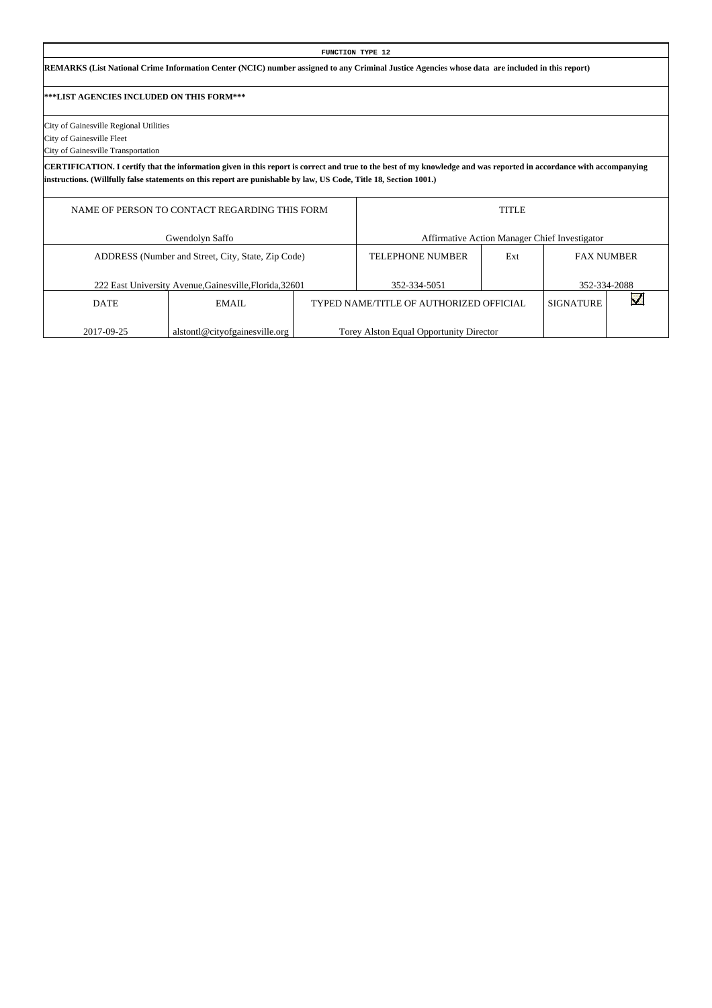#### **FUNCTION TYPE 12 REMARKS (List National Crime Information Center (NCIC) number assigned to any Criminal Justice Agencies whose data are included in this report) \*\*\*LIST AGENCIES INCLUDED ON THIS FORM\*\*\*** City of Gainesville Regional Utilities City of Gainesville Fleet City of Gainesville Transportation **CERTIFICATION. I certify that the information given in this report is correct and true to the best of my knowledge and was reported in accordance with accompanying instructions. (Willfully false statements on this report are punishable by law, US Code, Title 18, Section 1001.)** NAME OF PERSON TO CONTACT REGARDING THIS FORM TITLE Gwendolyn Saffo Affirmative Action Manager Chief Investigator ADDRESS (Number and Street, City, State, Zip Code) TELEPHONE NUMBER Ext FAX NUMBER 222 East University Avenue,Gainesville,Florida,32601 352-334-5051 352-334-2088  $\blacktriangledown$ DATE EMAIL TYPED NAME/TITLE OF AUTHORIZED OFFICIAL SIGNATURE

Torey Alston Equal Opportunity Director

2017-09-25

alstontl@cityofgainesville.org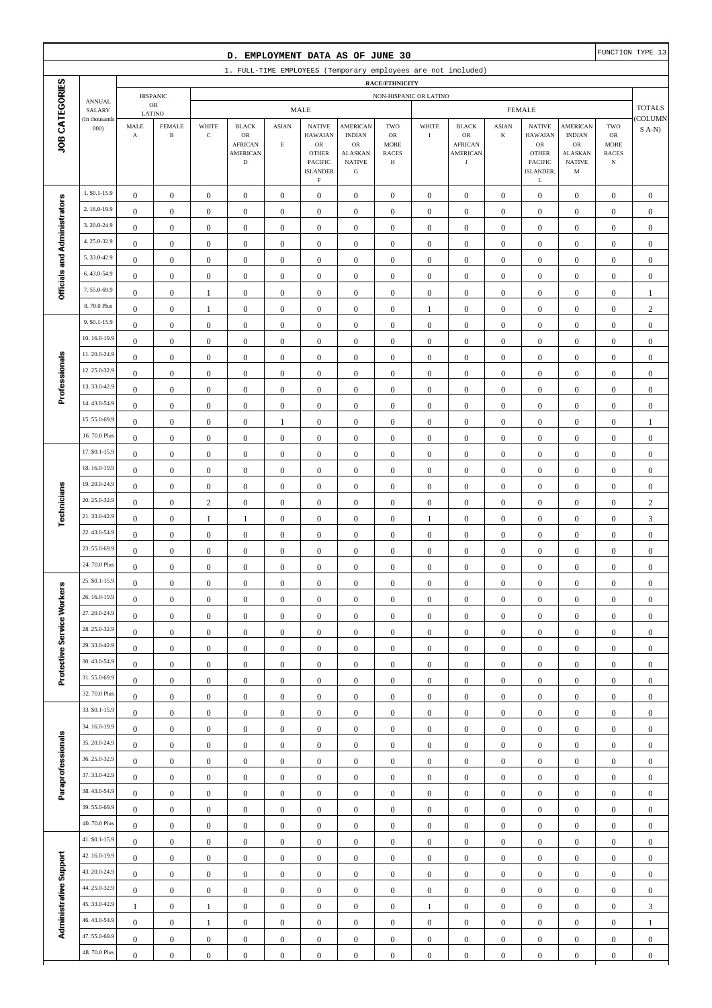|                              |                              |                                      |                                      |                                      | D. EMPLOYMENT DATA AS OF JUNE 30                                       |                                      |                                                                                              |                                                                                                 |                                               |                                  |                                                                       |                                      |                                                                                              |                                                                                       |                                                                | FUNCTION TYPE 13                     |
|------------------------------|------------------------------|--------------------------------------|--------------------------------------|--------------------------------------|------------------------------------------------------------------------|--------------------------------------|----------------------------------------------------------------------------------------------|-------------------------------------------------------------------------------------------------|-----------------------------------------------|----------------------------------|-----------------------------------------------------------------------|--------------------------------------|----------------------------------------------------------------------------------------------|---------------------------------------------------------------------------------------|----------------------------------------------------------------|--------------------------------------|
|                              |                              |                                      |                                      |                                      | 1. FULL-TIME EMPLOYEES (Temporary employees are not included)          |                                      |                                                                                              |                                                                                                 |                                               |                                  |                                                                       |                                      |                                                                                              |                                                                                       |                                                                |                                      |
|                              | <b>ANNUAL</b><br>SALARY      |                                      |                                      | RACE/ETHNICITY                       |                                                                        |                                      |                                                                                              |                                                                                                 |                                               |                                  |                                                                       |                                      |                                                                                              |                                                                                       |                                                                |                                      |
| JOB CATEGORIES               |                              | <b>HISPANIC</b><br>$_{\rm OR}$       |                                      |                                      | NON-HISPANIC OR LATINO<br><b>MALE</b>                                  |                                      |                                                                                              |                                                                                                 |                                               |                                  | <b>FEMALE</b>                                                         |                                      |                                                                                              |                                                                                       |                                                                | <b>TOTALS</b>                        |
|                              | (In thousands<br>000         | LATINO<br>MALE<br>$\mathbf A$        | <b>FEMALE</b><br>$\, {\bf B}$        | WHITE<br>$\mathbf C$                 | <b>BLACK</b><br>OR<br><b>AFRICAN</b><br><b>AMERICAN</b><br>$\mathbf D$ | <b>ASIAN</b><br>$\mathbf E$          | <b>NATIVE</b><br><b>HAWAIAN</b><br>$_{\rm OR}$<br><b>OTHER</b><br>PACIFIC<br><b>ISLANDER</b> | <b>AMERICAN</b><br><b>INDIAN</b><br>$_{\rm OR}$<br><b>ALASKAN</b><br><b>NATIVE</b><br>${\bf G}$ | TWO<br>OR<br><b>MORE</b><br><b>RACES</b><br>Н | WHITE<br>$\bf{I}$                | <b>BLACK</b><br>OR<br><b>AFRICAN</b><br><b>AMERICAN</b><br>$_{\rm J}$ | <b>ASIAN</b><br>K                    | <b>NATIVE</b><br><b>HAWAIAN</b><br>${\rm OR}$<br><b>OTHER</b><br><b>PACIFIC</b><br>ISLANDER, | <b>AMERICAN</b><br><b>INDIAN</b><br><b>OR</b><br><b>ALASKAN</b><br><b>NATIVE</b><br>M | TWO<br>${\sf OR}$<br><b>MORE</b><br><b>RACES</b><br>$_{\rm N}$ | COLUMN<br>$S(A-N)$                   |
|                              | 1. \$0.1-15.9                |                                      |                                      |                                      |                                                                        |                                      | $\mathbf F$                                                                                  |                                                                                                 |                                               |                                  |                                                                       |                                      | L                                                                                            |                                                                                       |                                                                |                                      |
|                              | 2.16.0-19.9                  | $\boldsymbol{0}$                     | $\boldsymbol{0}$                     | $\boldsymbol{0}$                     | $\boldsymbol{0}$                                                       | $\boldsymbol{0}$                     | $\boldsymbol{0}$                                                                             | $\mathbf{0}$                                                                                    | $\boldsymbol{0}$                              | $\boldsymbol{0}$                 | $\boldsymbol{0}$                                                      | $\boldsymbol{0}$                     | $\boldsymbol{0}$                                                                             | $\boldsymbol{0}$                                                                      | $\boldsymbol{0}$                                               | $\mathbf{0}$                         |
|                              | 3.20.0-24.9                  | $\boldsymbol{0}$                     | $\boldsymbol{0}$                     | $\boldsymbol{0}$                     | $\boldsymbol{0}$                                                       | $\boldsymbol{0}$                     | $\boldsymbol{0}$                                                                             | $\boldsymbol{0}$                                                                                | $\boldsymbol{0}$                              | $\boldsymbol{0}$                 | $\boldsymbol{0}$                                                      | $\boldsymbol{0}$                     | $\boldsymbol{0}$                                                                             | $\boldsymbol{0}$                                                                      | $\boldsymbol{0}$                                               | $\boldsymbol{0}$                     |
|                              | 4.25.0-32.9                  | $\boldsymbol{0}$                     | $\mathbf{0}$                         | $\boldsymbol{0}$                     | $\boldsymbol{0}$                                                       | $\boldsymbol{0}$                     | $\boldsymbol{0}$                                                                             | $\boldsymbol{0}$                                                                                | $\boldsymbol{0}$                              | $\boldsymbol{0}$                 | $\boldsymbol{0}$                                                      | $\boldsymbol{0}$                     | $\boldsymbol{0}$                                                                             | $\boldsymbol{0}$                                                                      | $\boldsymbol{0}$                                               | $\boldsymbol{0}$                     |
|                              | 5.33.0-42.9                  | $\boldsymbol{0}$                     | $\mathbf{0}$                         | $\boldsymbol{0}$                     | $\boldsymbol{0}$                                                       | $\mathbf{0}$                         | $\boldsymbol{0}$                                                                             | $\boldsymbol{0}$                                                                                | $\mathbf{0}$                                  | $\boldsymbol{0}$                 | $\boldsymbol{0}$                                                      | $\boldsymbol{0}$                     | $\boldsymbol{0}$                                                                             | $\boldsymbol{0}$                                                                      | $\boldsymbol{0}$                                               | $\boldsymbol{0}$                     |
|                              | 6.43.0-54.9                  | $\boldsymbol{0}$                     | $\mathbf{0}$                         | $\boldsymbol{0}$                     | $\boldsymbol{0}$                                                       | $\boldsymbol{0}$                     | $\boldsymbol{0}$                                                                             | $\boldsymbol{0}$                                                                                | $\boldsymbol{0}$                              | $\boldsymbol{0}$                 | $\boldsymbol{0}$                                                      | $\boldsymbol{0}$                     | $\boldsymbol{0}$                                                                             | $\boldsymbol{0}$                                                                      | $\boldsymbol{0}$                                               | $\boldsymbol{0}$                     |
| Officials and Administrators | 7.55.0-69.9                  | $\boldsymbol{0}$<br>$\boldsymbol{0}$ | $\boldsymbol{0}$                     | $\boldsymbol{0}$                     | $\boldsymbol{0}$                                                       | $\boldsymbol{0}$<br>$\boldsymbol{0}$ | $\boldsymbol{0}$<br>$\boldsymbol{0}$                                                         | $\boldsymbol{0}$                                                                                | $\boldsymbol{0}$                              | $\boldsymbol{0}$                 | $\boldsymbol{0}$                                                      | $\boldsymbol{0}$<br>$\boldsymbol{0}$ | $\boldsymbol{0}$                                                                             | $\boldsymbol{0}$                                                                      | $\boldsymbol{0}$                                               | $\boldsymbol{0}$                     |
|                              | 8.70.0 Plus                  | $\boldsymbol{0}$                     | $\boldsymbol{0}$<br>$\boldsymbol{0}$ | 1<br>1                               | $\boldsymbol{0}$<br>$\boldsymbol{0}$                                   | $\boldsymbol{0}$                     | $\boldsymbol{0}$                                                                             | $\boldsymbol{0}$<br>$\boldsymbol{0}$                                                            | $\boldsymbol{0}$<br>$\mathbf{0}$              | $\boldsymbol{0}$<br>$\mathbf{1}$ | $\boldsymbol{0}$<br>$\boldsymbol{0}$                                  | $\boldsymbol{0}$                     | $\boldsymbol{0}$<br>$\boldsymbol{0}$                                                         | $\boldsymbol{0}$<br>$\overline{0}$                                                    | $\boldsymbol{0}$<br>$\boldsymbol{0}$                           | $\mathbf{1}$<br>$\mathbf{2}$         |
|                              | 9. \$0.1-15.9                | $\boldsymbol{0}$                     | $\mathbf{0}$                         | $\boldsymbol{0}$                     | $\boldsymbol{0}$                                                       | $\boldsymbol{0}$                     | $\boldsymbol{0}$                                                                             | $\boldsymbol{0}$                                                                                | $\boldsymbol{0}$                              | $\boldsymbol{0}$                 | $\boldsymbol{0}$                                                      | $\boldsymbol{0}$                     | $\boldsymbol{0}$                                                                             | $\boldsymbol{0}$                                                                      | $\boldsymbol{0}$                                               | $\boldsymbol{0}$                     |
| Professionals                | 10.16.0-19.9                 | $\boldsymbol{0}$                     | $\mathbf{0}$                         | $\boldsymbol{0}$                     | $\boldsymbol{0}$                                                       | $\boldsymbol{0}$                     | $\boldsymbol{0}$                                                                             | $\boldsymbol{0}$                                                                                | $\boldsymbol{0}$                              | $\mathbf{0}$                     | $\boldsymbol{0}$                                                      | $\boldsymbol{0}$                     | $\boldsymbol{0}$                                                                             | $\boldsymbol{0}$                                                                      | $\boldsymbol{0}$                                               | $\boldsymbol{0}$                     |
|                              | 11.20.0-24.9                 | $\boldsymbol{0}$                     | $\mathbf{0}$                         | $\boldsymbol{0}$                     | $\boldsymbol{0}$                                                       | $\boldsymbol{0}$                     | $\boldsymbol{0}$                                                                             | $\boldsymbol{0}$                                                                                | $\boldsymbol{0}$                              | $\boldsymbol{0}$                 | $\boldsymbol{0}$                                                      | $\boldsymbol{0}$                     | $\boldsymbol{0}$                                                                             | $\boldsymbol{0}$                                                                      | $\boldsymbol{0}$                                               | $\boldsymbol{0}$                     |
|                              | 12.25.0-32.9                 | $\boldsymbol{0}$                     | $\boldsymbol{0}$                     | $\boldsymbol{0}$                     | $\boldsymbol{0}$                                                       | $\mathbf{0}$                         | $\boldsymbol{0}$                                                                             | $\boldsymbol{0}$                                                                                | $\mathbf{0}$                                  | $\boldsymbol{0}$                 | $\boldsymbol{0}$                                                      | $\boldsymbol{0}$                     | $\boldsymbol{0}$                                                                             | $\boldsymbol{0}$                                                                      | $\boldsymbol{0}$                                               | $\boldsymbol{0}$                     |
|                              | 13.33.0-42.9                 | $\boldsymbol{0}$                     | $\mathbf{0}$                         | $\boldsymbol{0}$                     | $\boldsymbol{0}$                                                       | $\boldsymbol{0}$                     | $\boldsymbol{0}$                                                                             | $\boldsymbol{0}$                                                                                | $\boldsymbol{0}$                              | $\boldsymbol{0}$                 | $\boldsymbol{0}$                                                      | $\boldsymbol{0}$                     | $\boldsymbol{0}$                                                                             | $\boldsymbol{0}$                                                                      | $\boldsymbol{0}$                                               | $\boldsymbol{0}$                     |
|                              | 14.43.0-54.9                 | $\boldsymbol{0}$                     | $\boldsymbol{0}$                     | $\boldsymbol{0}$                     | $\boldsymbol{0}$                                                       | $\boldsymbol{0}$                     | $\boldsymbol{0}$                                                                             | $\boldsymbol{0}$                                                                                | $\boldsymbol{0}$                              | $\mathbf{0}$                     | $\boldsymbol{0}$                                                      | $\boldsymbol{0}$                     | $\boldsymbol{0}$                                                                             | $\boldsymbol{0}$                                                                      | $\boldsymbol{0}$                                               | $\boldsymbol{0}$                     |
|                              | 15.55.0-69.9                 | $\boldsymbol{0}$                     | $\boldsymbol{0}$                     | $\boldsymbol{0}$                     | $\boldsymbol{0}$                                                       | 1                                    | $\boldsymbol{0}$                                                                             | $\boldsymbol{0}$                                                                                | $\boldsymbol{0}$                              | $\mathbf{0}$                     | $\boldsymbol{0}$                                                      | $\boldsymbol{0}$                     | $\boldsymbol{0}$                                                                             | $\boldsymbol{0}$                                                                      | $\boldsymbol{0}$                                               | $\mathbf{1}$                         |
|                              | 16.70.0 Plus                 | $\boldsymbol{0}$                     | $\boldsymbol{0}$                     | $\boldsymbol{0}$                     | $\boldsymbol{0}$                                                       | $\mathbf{0}$                         | $\boldsymbol{0}$                                                                             | $\boldsymbol{0}$                                                                                | $\mathbf{0}$                                  | $\mathbf{0}$                     | $\boldsymbol{0}$                                                      | $\boldsymbol{0}$                     | $\boldsymbol{0}$                                                                             | $\overline{0}$                                                                        | $\boldsymbol{0}$                                               | $\boldsymbol{0}$                     |
|                              | 17. \$0.1-15.9               | $\boldsymbol{0}$                     | $\mathbf{0}$                         | $\boldsymbol{0}$                     | $\boldsymbol{0}$                                                       | $\boldsymbol{0}$                     | $\boldsymbol{0}$                                                                             | $\boldsymbol{0}$                                                                                | $\boldsymbol{0}$                              | $\boldsymbol{0}$                 | $\boldsymbol{0}$                                                      | $\boldsymbol{0}$                     | $\boldsymbol{0}$                                                                             | $\boldsymbol{0}$                                                                      | $\boldsymbol{0}$                                               | $\boldsymbol{0}$                     |
|                              | 18.16.0-19.9                 | $\boldsymbol{0}$                     | $\boldsymbol{0}$                     | $\boldsymbol{0}$                     | $\boldsymbol{0}$                                                       | $\boldsymbol{0}$                     | $\boldsymbol{0}$                                                                             | $\boldsymbol{0}$                                                                                | $\boldsymbol{0}$                              | $\boldsymbol{0}$                 | $\boldsymbol{0}$                                                      | $\boldsymbol{0}$                     | $\boldsymbol{0}$                                                                             | $\boldsymbol{0}$                                                                      | $\boldsymbol{0}$                                               | $\boldsymbol{0}$                     |
|                              | 19.20.0-24.9                 | $\boldsymbol{0}$                     | $\mathbf{0}$                         | $\boldsymbol{0}$                     | $\boldsymbol{0}$                                                       | $\boldsymbol{0}$                     | $\mathbf{0}$                                                                                 | $\boldsymbol{0}$                                                                                | $\boldsymbol{0}$                              | $\boldsymbol{0}$                 | $\boldsymbol{0}$                                                      | $\boldsymbol{0}$                     | $\boldsymbol{0}$                                                                             | $\boldsymbol{0}$                                                                      | $\boldsymbol{0}$                                               | $\boldsymbol{0}$                     |
|                              | 20.25.0-32.9                 | $\boldsymbol{0}$                     | $\mathbf{0}$                         | $\mathbf{2}$                         | $\boldsymbol{0}$                                                       | $\mathbf{0}$                         | $\mathbf{0}$                                                                                 | $\boldsymbol{0}$                                                                                | $\mathbf{0}$                                  | $\mathbf{0}$                     | $\boldsymbol{0}$                                                      | $\boldsymbol{0}$                     | $\boldsymbol{0}$                                                                             | $\boldsymbol{0}$                                                                      | $\boldsymbol{0}$                                               | $\overline{2}$                       |
| Technicians                  | 21.33.0-42.9                 | $\boldsymbol{0}$                     | $\mathbf{0}$                         | $\mathbf{1}$                         | $\mathbf{1}$                                                           | $\boldsymbol{0}$                     | $\mathbf{0}$                                                                                 | $\boldsymbol{0}$                                                                                | $\boldsymbol{0}$                              | $\mathbf{1}$                     | $\boldsymbol{0}$                                                      | $\boldsymbol{0}$                     | $\boldsymbol{0}$                                                                             | $\boldsymbol{0}$                                                                      | $\boldsymbol{0}$                                               | $\mathfrak{Z}$                       |
|                              | 22.43.0-54.9                 | $\boldsymbol{0}$                     | $\boldsymbol{0}$                     | $\boldsymbol{0}$                     | $\boldsymbol{0}$                                                       | $\boldsymbol{0}$                     | $\boldsymbol{0}$                                                                             | $\boldsymbol{0}$                                                                                | $\boldsymbol{0}$                              | $\boldsymbol{0}$                 | $\boldsymbol{0}$                                                      | $\boldsymbol{0}$                     | $\boldsymbol{0}$                                                                             | $\boldsymbol{0}$                                                                      | $\boldsymbol{0}$                                               | $\boldsymbol{0}$                     |
|                              | 23.55.0-69.9                 | $\boldsymbol{0}$                     | $\mathbf{0}$                         | $\boldsymbol{0}$                     | $\boldsymbol{0}$                                                       | $\boldsymbol{0}$                     | $\boldsymbol{0}$                                                                             | $\boldsymbol{0}$                                                                                | $\boldsymbol{0}$                              | $\boldsymbol{0}$                 | $\boldsymbol{0}$                                                      | $\boldsymbol{0}$                     | $\boldsymbol{0}$                                                                             | $\boldsymbol{0}$                                                                      | $\boldsymbol{0}$                                               | $\boldsymbol{0}$                     |
|                              | 24.70.0 Plus                 | $\boldsymbol{0}$                     | $\boldsymbol{0}$                     | $\boldsymbol{0}$                     | $\boldsymbol{0}$                                                       | $\boldsymbol{0}$                     | $\boldsymbol{0}$                                                                             | $\boldsymbol{0}$                                                                                | $\mathbf{0}$                                  | $\boldsymbol{0}$                 | $\boldsymbol{0}$                                                      | $\boldsymbol{0}$                     | $\boldsymbol{0}$                                                                             | $\overline{0}$                                                                        | $\boldsymbol{0}$                                               | $\boldsymbol{0}$                     |
|                              | 25. \$0.1-15.9               | $\boldsymbol{0}$                     | $\boldsymbol{0}$                     | $\boldsymbol{0}$                     | $\boldsymbol{0}$                                                       | $\boldsymbol{0}$                     | $\boldsymbol{0}$                                                                             | $\bf{0}$                                                                                        | $\boldsymbol{0}$                              | $\boldsymbol{0}$                 | $\boldsymbol{0}$                                                      | $\boldsymbol{0}$                     | $\boldsymbol{0}$                                                                             | 0                                                                                     | $\bf{0}$                                                       | $\boldsymbol{0}$                     |
|                              | 26.16.0-19.9                 | $\boldsymbol{0}$                     | $\boldsymbol{0}$                     | $\boldsymbol{0}$                     | $\mathbf{0}$                                                           | $\boldsymbol{0}$                     | $\boldsymbol{0}$                                                                             | $\boldsymbol{0}$                                                                                | $\boldsymbol{0}$                              | $\boldsymbol{0}$                 | $\boldsymbol{0}$                                                      | $\mathbf{0}$                         | $\boldsymbol{0}$                                                                             | $\boldsymbol{0}$                                                                      | $\boldsymbol{0}$                                               | $\boldsymbol{0}$                     |
|                              | 27.20.0-24.9                 | $\boldsymbol{0}$                     | $\boldsymbol{0}$                     | $\boldsymbol{0}$                     | $\boldsymbol{0}$                                                       | $\boldsymbol{0}$                     | $\boldsymbol{0}$                                                                             | $\boldsymbol{0}$                                                                                | $\boldsymbol{0}$                              | $\boldsymbol{0}$                 | $\boldsymbol{0}$                                                      | $\mathbf{0}$                         | $\boldsymbol{0}$                                                                             | $\boldsymbol{0}$                                                                      | $\boldsymbol{0}$                                               | $\boldsymbol{0}$                     |
| Protective Service Workers   | 28.25.0-32.9<br>29.33.0-42.9 | $\boldsymbol{0}$                     | $\boldsymbol{0}$                     | $\boldsymbol{0}$                     | $\overline{0}$                                                         | $\mathbf{0}$                         | $\boldsymbol{0}$                                                                             | $\mathbf{0}$                                                                                    | $\boldsymbol{0}$                              | $\overline{0}$                   | $\boldsymbol{0}$                                                      | $\boldsymbol{0}$                     | $\boldsymbol{0}$                                                                             | $\boldsymbol{0}$                                                                      | $\boldsymbol{0}$                                               | $\boldsymbol{0}$                     |
|                              | 30.43.0-54.9                 | $\boldsymbol{0}$                     | $\boldsymbol{0}$                     | $\boldsymbol{0}$                     | $\boldsymbol{0}$                                                       | $\mathbf{0}$                         | $\boldsymbol{0}$                                                                             | $\boldsymbol{0}$                                                                                | $\boldsymbol{0}$                              | $\boldsymbol{0}$                 | $\boldsymbol{0}$                                                      | $\boldsymbol{0}$                     | $\boldsymbol{0}$                                                                             | $\boldsymbol{0}$                                                                      | $\boldsymbol{0}$                                               | $\boldsymbol{0}$                     |
|                              | 31.55.0-69.9                 | $\boldsymbol{0}$                     | $\boldsymbol{0}$                     | $\boldsymbol{0}$                     | $\boldsymbol{0}$                                                       | $\boldsymbol{0}$                     | $\boldsymbol{0}$                                                                             | $\boldsymbol{0}$                                                                                | $\boldsymbol{0}$                              | $\boldsymbol{0}$                 | $\boldsymbol{0}$                                                      | $\boldsymbol{0}$                     | $\boldsymbol{0}$                                                                             | $\boldsymbol{0}$                                                                      | $\boldsymbol{0}$                                               | $\boldsymbol{0}$                     |
|                              | 32.70.0 Plus                 | $\boldsymbol{0}$                     | $\boldsymbol{0}$                     | $\boldsymbol{0}$                     | $\boldsymbol{0}$                                                       | $\boldsymbol{0}$                     | $\boldsymbol{0}$                                                                             | $\boldsymbol{0}$                                                                                | $\boldsymbol{0}$                              | $\boldsymbol{0}$                 | $\boldsymbol{0}$                                                      | $\boldsymbol{0}$                     | $\boldsymbol{0}$                                                                             | $\boldsymbol{0}$                                                                      | $\boldsymbol{0}$                                               | $\boldsymbol{0}$                     |
|                              | 33. \$0.1-15.9               | $\boldsymbol{0}$<br>$\boldsymbol{0}$ | $\boldsymbol{0}$<br>$\boldsymbol{0}$ | $\boldsymbol{0}$<br>$\boldsymbol{0}$ | $\boldsymbol{0}$<br>$\boldsymbol{0}$                                   | $\mathbf{0}$<br>$\boldsymbol{0}$     | $\boldsymbol{0}$<br>$\boldsymbol{0}$                                                         | $\boldsymbol{0}$<br>$\boldsymbol{0}$                                                            | $\boldsymbol{0}$                              | $\mathbf{0}$<br>$\boldsymbol{0}$ | $\boldsymbol{0}$<br>$\boldsymbol{0}$                                  | $\boldsymbol{0}$<br>$\boldsymbol{0}$ | $\boldsymbol{0}$<br>$\boldsymbol{0}$                                                         | $\boldsymbol{0}$                                                                      | $\boldsymbol{0}$                                               | $\boldsymbol{0}$<br>$\boldsymbol{0}$ |
|                              | 34.16.0-19.9                 | $\boldsymbol{0}$                     | $\boldsymbol{0}$                     | $\boldsymbol{0}$                     | $\boldsymbol{0}$                                                       | $\boldsymbol{0}$                     | $\boldsymbol{0}$                                                                             | $\boldsymbol{0}$                                                                                | $\boldsymbol{0}$<br>$\boldsymbol{0}$          | $\boldsymbol{0}$                 | $\boldsymbol{0}$                                                      | $\boldsymbol{0}$                     | $\boldsymbol{0}$                                                                             | $\boldsymbol{0}$<br>$\boldsymbol{0}$                                                  | $\boldsymbol{0}$<br>$\boldsymbol{0}$                           | $\boldsymbol{0}$                     |
|                              | 35.20.0-24.9                 | $\boldsymbol{0}$                     | $\boldsymbol{0}$                     | $\boldsymbol{0}$                     | $\boldsymbol{0}$                                                       | $\boldsymbol{0}$                     | $\boldsymbol{0}$                                                                             | $\boldsymbol{0}$                                                                                | $\boldsymbol{0}$                              | $\boldsymbol{0}$                 | $\boldsymbol{0}$                                                      | $\boldsymbol{0}$                     | $\boldsymbol{0}$                                                                             | $\boldsymbol{0}$                                                                      | $\boldsymbol{0}$                                               | $\boldsymbol{0}$                     |
| Paraprofessionals            | 36.25.0-32.9                 | $\boldsymbol{0}$                     | $\boldsymbol{0}$                     | $\boldsymbol{0}$                     | $\overline{0}$                                                         | $\mathbf{0}$                         | $\boldsymbol{0}$                                                                             | $\boldsymbol{0}$                                                                                | $\boldsymbol{0}$                              | $\overline{0}$                   | $\boldsymbol{0}$                                                      | $\boldsymbol{0}$                     | $\boldsymbol{0}$                                                                             | $\boldsymbol{0}$                                                                      | $\boldsymbol{0}$                                               | $\boldsymbol{0}$                     |
|                              | 37.33.0-42.9                 | $\boldsymbol{0}$                     | $\boldsymbol{0}$                     | $\boldsymbol{0}$                     | $\boldsymbol{0}$                                                       | $\boldsymbol{0}$                     | $\boldsymbol{0}$                                                                             | $\boldsymbol{0}$                                                                                | $\boldsymbol{0}$                              | $\boldsymbol{0}$                 | $\boldsymbol{0}$                                                      | $\boldsymbol{0}$                     | $\boldsymbol{0}$                                                                             | $\boldsymbol{0}$                                                                      | $\boldsymbol{0}$                                               | $\boldsymbol{0}$                     |
|                              | 38.43.0-54.9                 | $\boldsymbol{0}$                     | $\boldsymbol{0}$                     | $\boldsymbol{0}$                     | $\boldsymbol{0}$                                                       | $\boldsymbol{0}$                     | $\boldsymbol{0}$                                                                             | $\boldsymbol{0}$                                                                                | $\boldsymbol{0}$                              | $\boldsymbol{0}$                 | $\boldsymbol{0}$                                                      | $\boldsymbol{0}$                     | $\boldsymbol{0}$                                                                             | $\boldsymbol{0}$                                                                      | $\boldsymbol{0}$                                               | $\boldsymbol{0}$                     |
|                              | 39.55.0-69.9                 | $\boldsymbol{0}$                     | $\boldsymbol{0}$                     | $\boldsymbol{0}$                     | $\boldsymbol{0}$                                                       | $\boldsymbol{0}$                     | $\boldsymbol{0}$                                                                             | $\boldsymbol{0}$                                                                                | $\boldsymbol{0}$                              | $\boldsymbol{0}$                 | $\boldsymbol{0}$                                                      | $\boldsymbol{0}$                     | $\boldsymbol{0}$                                                                             | $\boldsymbol{0}$                                                                      | $\boldsymbol{0}$                                               | $\boldsymbol{0}$                     |
|                              | 40.70.0 Plus                 | $\boldsymbol{0}$                     | $\boldsymbol{0}$                     | $\boldsymbol{0}$                     | $\boldsymbol{0}$                                                       | $\mathbf{0}$                         | $\boldsymbol{0}$                                                                             | $\boldsymbol{0}$                                                                                | $\boldsymbol{0}$                              | $\mathbf{0}$                     | $\boldsymbol{0}$                                                      | $\boldsymbol{0}$                     | $\boldsymbol{0}$                                                                             | $\boldsymbol{0}$                                                                      | $\boldsymbol{0}$                                               | $\boldsymbol{0}$                     |
|                              | 41. \$0.1-15.9               | $\boldsymbol{0}$                     | $\boldsymbol{0}$                     | $\boldsymbol{0}$                     | $\boldsymbol{0}$                                                       | $\boldsymbol{0}$                     | $\boldsymbol{0}$                                                                             | $\boldsymbol{0}$                                                                                | $\boldsymbol{0}$                              | $\boldsymbol{0}$                 | $\boldsymbol{0}$                                                      | $\boldsymbol{0}$                     | $\boldsymbol{0}$                                                                             | $\boldsymbol{0}$                                                                      | $\boldsymbol{0}$                                               | $\boldsymbol{0}$                     |
|                              | 42.16.0-19.9                 | $\boldsymbol{0}$                     | $\boldsymbol{0}$                     | $\boldsymbol{0}$                     | $\boldsymbol{0}$                                                       | $\boldsymbol{0}$                     | $\boldsymbol{0}$                                                                             | $\boldsymbol{0}$                                                                                | $\boldsymbol{0}$                              | $\boldsymbol{0}$                 | $\boldsymbol{0}$                                                      | $\boldsymbol{0}$                     | $\boldsymbol{0}$                                                                             | $\boldsymbol{0}$                                                                      | $\boldsymbol{0}$                                               | $\boldsymbol{0}$                     |
| Administrative Support       | 43.20.0-24.9                 | $\boldsymbol{0}$                     | $\boldsymbol{0}$                     | $\boldsymbol{0}$                     | $\boldsymbol{0}$                                                       | $\boldsymbol{0}$                     | $\boldsymbol{0}$                                                                             | $\boldsymbol{0}$                                                                                | $\boldsymbol{0}$                              | $\boldsymbol{0}$                 | $\boldsymbol{0}$                                                      | $\boldsymbol{0}$                     | $\boldsymbol{0}$                                                                             | $\boldsymbol{0}$                                                                      | $\boldsymbol{0}$                                               | $\boldsymbol{0}$                     |
|                              | 44.25.0-32.9                 | $\boldsymbol{0}$                     | $\boldsymbol{0}$                     | $\boldsymbol{0}$                     | $\boldsymbol{0}$                                                       | $\mathbf{0}$                         | $\boldsymbol{0}$                                                                             | $\boldsymbol{0}$                                                                                | $\boldsymbol{0}$                              | $\mathbf{0}$                     | $\boldsymbol{0}$                                                      | $\boldsymbol{0}$                     | $\boldsymbol{0}$                                                                             | $\boldsymbol{0}$                                                                      | $\boldsymbol{0}$                                               | $\boldsymbol{0}$                     |
|                              | 45.33.0-42.9                 | -1                                   | $\boldsymbol{0}$                     | $\mathbf{1}$                         | $\boldsymbol{0}$                                                       | $\boldsymbol{0}$                     | $\boldsymbol{0}$                                                                             | $\boldsymbol{0}$                                                                                | $\boldsymbol{0}$                              | $\mathbf{1}$                     | $\boldsymbol{0}$                                                      | $\boldsymbol{0}$                     | $\boldsymbol{0}$                                                                             | $\boldsymbol{0}$                                                                      | $\boldsymbol{0}$                                               | 3                                    |
|                              | 46.43.0-54.9                 | $\boldsymbol{0}$                     | $\boldsymbol{0}$                     | $\mathbf{1}$                         | $\boldsymbol{0}$                                                       | $\boldsymbol{0}$                     | $\boldsymbol{0}$                                                                             | $\boldsymbol{0}$                                                                                | $\boldsymbol{0}$                              | $\boldsymbol{0}$                 | $\boldsymbol{0}$                                                      | $\boldsymbol{0}$                     | $\boldsymbol{0}$                                                                             | $\boldsymbol{0}$                                                                      | $\boldsymbol{0}$                                               | $\mathbf{1}$                         |
|                              | 47.55.0-69.9                 | $\boldsymbol{0}$                     | $\boldsymbol{0}$                     | $\boldsymbol{0}$                     | $\boldsymbol{0}$                                                       | $\boldsymbol{0}$                     | $\boldsymbol{0}$                                                                             | $\boldsymbol{0}$                                                                                | $\boldsymbol{0}$                              | $\boldsymbol{0}$                 | $\boldsymbol{0}$                                                      | $\boldsymbol{0}$                     | $\boldsymbol{0}$                                                                             | $\boldsymbol{0}$                                                                      | $\boldsymbol{0}$                                               | $\boldsymbol{0}$                     |
|                              | 48.70.0 Plus                 | $\boldsymbol{0}$                     | $\boldsymbol{0}$                     | $\boldsymbol{0}$                     | $\boldsymbol{0}$                                                       | $\boldsymbol{0}$                     | $\boldsymbol{0}$                                                                             | $\boldsymbol{0}$                                                                                | $\boldsymbol{0}$                              | $\boldsymbol{0}$                 | $\boldsymbol{0}$                                                      | $\boldsymbol{0}$                     | $\boldsymbol{0}$                                                                             | $\boldsymbol{0}$                                                                      | $\boldsymbol{0}$                                               | $\boldsymbol{0}$                     |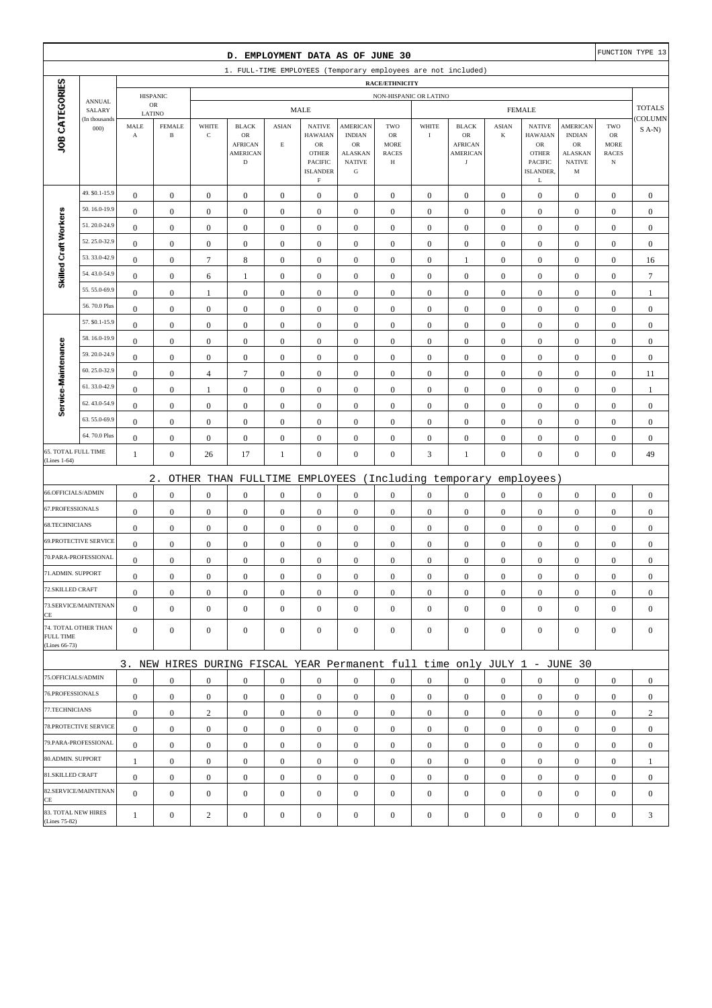| D. EMPLOYMENT DATA AS OF JUNE 30     |                              |                               |                               |                                                        |                                                                           |                         |                                                 |                                                 |                                                          |                  | FUNCTION TYPE 13                                      |                  |                                                                |                                                                    |                                                  |                  |
|--------------------------------------|------------------------------|-------------------------------|-------------------------------|--------------------------------------------------------|---------------------------------------------------------------------------|-------------------------|-------------------------------------------------|-------------------------------------------------|----------------------------------------------------------|------------------|-------------------------------------------------------|------------------|----------------------------------------------------------------|--------------------------------------------------------------------|--------------------------------------------------|------------------|
|                                      |                              |                               |                               |                                                        | 1. FULL-TIME EMPLOYEES (Temporary employees are not included)             |                         |                                                 |                                                 |                                                          |                  |                                                       |                  |                                                                |                                                                    |                                                  |                  |
|                                      |                              | <b>RACE/ETHNICITY</b>         |                               |                                                        |                                                                           |                         |                                                 |                                                 |                                                          |                  |                                                       |                  |                                                                |                                                                    |                                                  |                  |
| JOB CATEGORIES                       | <b>ANNUAL</b><br>SALARY      | <b>HISPANIC</b><br>${\sf OR}$ |                               | NON-HISPANIC OR LATINO<br><b>MALE</b><br><b>FEMALE</b> |                                                                           |                         |                                                 |                                                 |                                                          |                  |                                                       |                  |                                                                | <b>TOTALS</b>                                                      |                                                  |                  |
|                                      | (In thousands                | LATINO                        |                               | WHITE                                                  | <b>BLACK</b>                                                              | <b>ASIAN</b>            | <b>NATIVE</b>                                   | <b>AMERICAN</b>                                 | TWO                                                      | WHITE            | <b>BLACK</b>                                          | <b>ASIAN</b>     | <b>NATIVE</b>                                                  |                                                                    | TWO                                              | COLUMN           |
|                                      | 000                          | MALE<br>$\boldsymbol{\rm{A}}$ | <b>FEMALE</b><br>$\, {\bf B}$ | $\mathbf C$                                            | $_{\rm OR}$<br><b>AFRICAN</b><br><b>AMERICAN</b><br>$\mathbf D$           | $\mathop{\hbox{\bf E}}$ | <b>HAWAIAN</b><br>OR<br><b>OTHER</b><br>PACIFIC | <b>INDIAN</b><br>OR<br>ALASKAN<br><b>NATIVE</b> | <b>OR</b><br><b>MORE</b><br><b>RACES</b><br>$\, {\rm H}$ | $\rm I$          | OR<br><b>AFRICAN</b><br><b>AMERICAN</b><br>$_{\rm J}$ | $\bf K$          | <b>HAWAIAN</b><br>${\rm OR}$<br><b>OTHER</b><br><b>PACIFIC</b> | <b>AMERICAN</b><br><b>INDIAN</b><br>OR<br>ALASKAN<br><b>NATIVE</b> | ${\rm OR}$<br>MORE<br><b>RACES</b><br>$_{\rm N}$ | $S$ A-N)         |
|                                      |                              |                               |                               |                                                        |                                                                           |                         | <b>ISLANDER</b><br>$\mathbf F$                  | ${\bf G}$                                       |                                                          |                  |                                                       |                  | ISLANDER,<br>L                                                 | M                                                                  |                                                  |                  |
|                                      | 49. \$0.1-15.9               | $\boldsymbol{0}$              | $\mathbf{0}$                  | $\boldsymbol{0}$                                       | $\boldsymbol{0}$                                                          | $\boldsymbol{0}$        | $\boldsymbol{0}$                                | $\boldsymbol{0}$                                | $\boldsymbol{0}$                                         | $\boldsymbol{0}$ | $\boldsymbol{0}$                                      | $\mathbf{0}$     | $\mathbf{0}$                                                   | $\boldsymbol{0}$                                                   | $\boldsymbol{0}$                                 | $\boldsymbol{0}$ |
|                                      | 50.16.0-19.9                 | $\mathbf{0}$                  | $\boldsymbol{0}$              | $\boldsymbol{0}$                                       | $\boldsymbol{0}$                                                          | $\boldsymbol{0}$        | $\boldsymbol{0}$                                | $\boldsymbol{0}$                                | $\boldsymbol{0}$                                         | $\boldsymbol{0}$ | $\boldsymbol{0}$                                      | $\boldsymbol{0}$ | $\boldsymbol{0}$                                               | $\boldsymbol{0}$                                                   | $\boldsymbol{0}$                                 | $\mathbf{0}$     |
|                                      | 51.20.0-24.9                 | $\mathbf{0}$                  | $\boldsymbol{0}$              | $\boldsymbol{0}$                                       | $\boldsymbol{0}$                                                          | $\mathbf{0}$            | $\boldsymbol{0}$                                | $\boldsymbol{0}$                                | $\mathbf{0}$                                             | $\boldsymbol{0}$ | $\boldsymbol{0}$                                      | $\boldsymbol{0}$ | $\boldsymbol{0}$                                               | $\boldsymbol{0}$                                                   | $\boldsymbol{0}$                                 | $\mathbf{0}$     |
|                                      | 52.25.0-32.9                 | $\bf{0}$                      | $\boldsymbol{0}$              | $\boldsymbol{0}$                                       | $\boldsymbol{0}$                                                          | $\boldsymbol{0}$        | $\boldsymbol{0}$                                | $\boldsymbol{0}$                                | $\boldsymbol{0}$                                         | $\boldsymbol{0}$ | $\boldsymbol{0}$                                      | $\boldsymbol{0}$ | $\boldsymbol{0}$                                               | $\boldsymbol{0}$                                                   | $\boldsymbol{0}$                                 | $\boldsymbol{0}$ |
| Skilled Craft Workers                | 53.33.0-42.9                 | $\boldsymbol{0}$              | $\boldsymbol{0}$              | $\boldsymbol{7}$                                       | 8                                                                         | $\boldsymbol{0}$        | $\boldsymbol{0}$                                | $\boldsymbol{0}$                                | $\boldsymbol{0}$                                         | $\boldsymbol{0}$ | 1                                                     | $\boldsymbol{0}$ | $\boldsymbol{0}$                                               | $\boldsymbol{0}$                                                   | $\boldsymbol{0}$                                 | 16               |
|                                      | 54.43.0-54.9                 | $\boldsymbol{0}$              | $\boldsymbol{0}$              | 6                                                      | $\mathbf{1}$                                                              | $\boldsymbol{0}$        | $\boldsymbol{0}$                                | $\boldsymbol{0}$                                | $\boldsymbol{0}$                                         | $\boldsymbol{0}$ | $\boldsymbol{0}$                                      | $\boldsymbol{0}$ | $\boldsymbol{0}$                                               | $\boldsymbol{0}$                                                   | $\boldsymbol{0}$                                 | $\boldsymbol{7}$ |
|                                      | 55.55.0-69.9                 | $\mathbf{0}$                  | $\boldsymbol{0}$              | 1                                                      | $\boldsymbol{0}$                                                          | $\mathbf{0}$            | $\boldsymbol{0}$                                | $\mathbf{0}$                                    | $\boldsymbol{0}$                                         | $\boldsymbol{0}$ | $\boldsymbol{0}$                                      | $\boldsymbol{0}$ | $\boldsymbol{0}$                                               | $\boldsymbol{0}$                                                   | $\boldsymbol{0}$                                 | $\mathbf{1}$     |
|                                      | 56.70.0 Plus                 | $\boldsymbol{0}$              | $\boldsymbol{0}$              | $\boldsymbol{0}$                                       | $\boldsymbol{0}$                                                          | $\boldsymbol{0}$        | $\boldsymbol{0}$                                | $\boldsymbol{0}$                                | $\boldsymbol{0}$                                         | $\boldsymbol{0}$ | $\boldsymbol{0}$                                      | $\boldsymbol{0}$ | $\boldsymbol{0}$                                               | $\boldsymbol{0}$                                                   | $\boldsymbol{0}$                                 | $\boldsymbol{0}$ |
| Service-Maintenance                  | 57. \$0.1-15.9               | $\boldsymbol{0}$              | $\boldsymbol{0}$              | $\boldsymbol{0}$                                       | $\boldsymbol{0}$                                                          | $\boldsymbol{0}$        | $\mathbf{0}$                                    | $\boldsymbol{0}$                                | $\boldsymbol{0}$                                         | $\boldsymbol{0}$ | $\boldsymbol{0}$                                      | $\mathbf{0}$     | $\boldsymbol{0}$                                               | $\boldsymbol{0}$                                                   | $\boldsymbol{0}$                                 | $\boldsymbol{0}$ |
|                                      | 58.16.0-19.9                 | $\boldsymbol{0}$              | $\boldsymbol{0}$              | $\boldsymbol{0}$                                       | $\boldsymbol{0}$                                                          | $\boldsymbol{0}$        | $\boldsymbol{0}$                                | $\boldsymbol{0}$                                | $\boldsymbol{0}$                                         | $\boldsymbol{0}$ | $\boldsymbol{0}$                                      | $\boldsymbol{0}$ | $\boldsymbol{0}$                                               | $\boldsymbol{0}$                                                   | $\boldsymbol{0}$                                 | $\boldsymbol{0}$ |
|                                      | 59.20.0-24.9                 | $\mathbf{0}$                  | $\boldsymbol{0}$              | $\boldsymbol{0}$                                       | $\boldsymbol{0}$                                                          | $\mathbf{0}$            | $\boldsymbol{0}$                                | $\boldsymbol{0}$                                | $\mathbf{0}$                                             | $\boldsymbol{0}$ | $\boldsymbol{0}$                                      | $\boldsymbol{0}$ | $\boldsymbol{0}$                                               | $\boldsymbol{0}$                                                   | $\boldsymbol{0}$                                 | $\boldsymbol{0}$ |
|                                      | 60.25.0-32.9                 | $\bf{0}$                      | $\boldsymbol{0}$              | $\overline{4}$                                         | $\boldsymbol{7}$                                                          | $\boldsymbol{0}$        | $\boldsymbol{0}$                                | $\boldsymbol{0}$                                | $\boldsymbol{0}$                                         | $\boldsymbol{0}$ | $\boldsymbol{0}$                                      | $\boldsymbol{0}$ | $\boldsymbol{0}$                                               | $\boldsymbol{0}$                                                   | $\boldsymbol{0}$                                 | 11               |
|                                      | 61.33.0-42.9                 | $\boldsymbol{0}$              | $\boldsymbol{0}$              | $\mathbf{1}$                                           | $\boldsymbol{0}$                                                          | $\boldsymbol{0}$        | $\boldsymbol{0}$                                | $\boldsymbol{0}$                                | $\boldsymbol{0}$                                         | $\boldsymbol{0}$ | $\boldsymbol{0}$                                      | $\boldsymbol{0}$ | $\boldsymbol{0}$                                               | $\boldsymbol{0}$                                                   | $\boldsymbol{0}$                                 | $\mathbf{1}$     |
|                                      | 62.43.0-54.9                 | $\bf{0}$                      | $\boldsymbol{0}$              | $\boldsymbol{0}$                                       | $\boldsymbol{0}$                                                          | $\boldsymbol{0}$        | $\boldsymbol{0}$                                | $\boldsymbol{0}$                                | $\boldsymbol{0}$                                         | $\boldsymbol{0}$ | $\boldsymbol{0}$                                      | $\boldsymbol{0}$ | $\boldsymbol{0}$                                               | $\boldsymbol{0}$                                                   | $\boldsymbol{0}$                                 | $\boldsymbol{0}$ |
|                                      | 63.55.0-69.9                 | $\boldsymbol{0}$              | $\boldsymbol{0}$              | $\boldsymbol{0}$                                       | $\boldsymbol{0}$                                                          | $\boldsymbol{0}$        | $\boldsymbol{0}$                                | $\boldsymbol{0}$                                | $\boldsymbol{0}$                                         | $\boldsymbol{0}$ | $\boldsymbol{0}$                                      | $\boldsymbol{0}$ | $\boldsymbol{0}$                                               | $\boldsymbol{0}$                                                   | $\boldsymbol{0}$                                 | $\mathbf{0}$     |
|                                      | 64.70.0 Plus                 | $\boldsymbol{0}$              | $\boldsymbol{0}$              | $\boldsymbol{0}$                                       | $\boldsymbol{0}$                                                          | $\boldsymbol{0}$        | $\boldsymbol{0}$                                | $\boldsymbol{0}$                                | $\boldsymbol{0}$                                         | $\boldsymbol{0}$ | $\boldsymbol{0}$                                      | $\boldsymbol{0}$ | $\boldsymbol{0}$                                               | $\boldsymbol{0}$                                                   | $\boldsymbol{0}$                                 | $\mathbf{0}$     |
| 65. TOTAL FULL TIME<br>(Lines 1-64)  |                              | $\mathbf{1}$                  | $\boldsymbol{0}$              | 26                                                     | 17                                                                        | 1                       | $\boldsymbol{0}$                                | $\boldsymbol{0}$                                | $\boldsymbol{0}$                                         | $\mathfrak{Z}$   | $\mathbf{1}$                                          | $\boldsymbol{0}$ | $\boldsymbol{0}$                                               | $\overline{0}$                                                     | $\boldsymbol{0}$                                 | 49               |
|                                      |                              |                               | $2$ .                         |                                                        | OTHER THAN FULLTIME                                                       |                         | EMPLOYEES                                       |                                                 |                                                          |                  | (Including temporary                                  |                  | employees)                                                     |                                                                    |                                                  |                  |
| 66.OFFICIALS/ADMIN                   |                              | $\mathbf{0}$                  | $\boldsymbol{0}$              | $\boldsymbol{0}$                                       | $\boldsymbol{0}$                                                          | $\boldsymbol{0}$        | $\boldsymbol{0}$                                | $\boldsymbol{0}$                                | $\boldsymbol{0}$                                         | $\boldsymbol{0}$ | $\boldsymbol{0}$                                      | $\boldsymbol{0}$ | $\boldsymbol{0}$                                               | $\boldsymbol{0}$                                                   | $\boldsymbol{0}$                                 | $\boldsymbol{0}$ |
| 67.PROFESSIONALS                     |                              | $\boldsymbol{0}$              | $\boldsymbol{0}$              | $\boldsymbol{0}$                                       | $\boldsymbol{0}$                                                          | $\boldsymbol{0}$        | $\boldsymbol{0}$                                | $\boldsymbol{0}$                                | $\boldsymbol{0}$                                         | $\boldsymbol{0}$ | $\boldsymbol{0}$                                      | $\mathbf{0}$     | $\boldsymbol{0}$                                               | $\boldsymbol{0}$                                                   | $\boldsymbol{0}$                                 | $\boldsymbol{0}$ |
| 68.TECHNICIANS                       |                              | $\boldsymbol{0}$              | $\boldsymbol{0}$              | $\boldsymbol{0}$                                       | $\boldsymbol{0}$                                                          | $\boldsymbol{0}$        | $\boldsymbol{0}$                                | $\boldsymbol{0}$                                | $\boldsymbol{0}$                                         | $\boldsymbol{0}$ | $\boldsymbol{0}$                                      | $\boldsymbol{0}$ | $\boldsymbol{0}$                                               | $\boldsymbol{0}$                                                   | $\boldsymbol{0}$                                 | $\mathbf{0}$     |
|                                      | <b>69.PROTECTIVE SERVICE</b> | $\boldsymbol{0}$              | $\boldsymbol{0}$              | $\boldsymbol{0}$                                       | $\boldsymbol{0}$                                                          | $\boldsymbol{0}$        | $\boldsymbol{0}$                                | $\boldsymbol{0}$                                | $\mathbf{0}$                                             | $\boldsymbol{0}$ | $\boldsymbol{0}$                                      | $\mathbf{0}$     | $\mathbf{0}$                                                   | $\boldsymbol{0}$                                                   | $\boldsymbol{0}$                                 | $\mathbf{0}$     |
|                                      | 70.PARA-PROFESSIONAL         | $\boldsymbol{0}$              | $\boldsymbol{0}$              | $\boldsymbol{0}$                                       | $\boldsymbol{0}$                                                          | $\boldsymbol{0}$        | $\boldsymbol{0}$                                | $\boldsymbol{0}$                                | $\mathbf{0}$                                             | $\boldsymbol{0}$ | $\boldsymbol{0}$                                      | $\boldsymbol{0}$ | $\boldsymbol{0}$                                               | $\boldsymbol{0}$                                                   | $\boldsymbol{0}$                                 | $\mathbf{0}$     |
| 71.ADMIN. SUPPORT                    |                              | $\overline{0}$                | $\boldsymbol{0}$              | $\boldsymbol{0}$                                       | $\Omega$                                                                  | $\mathbf{0}$            | $\boldsymbol{0}$                                | $\boldsymbol{0}$                                | $\Omega$                                                 | $\boldsymbol{0}$ | $\boldsymbol{0}$                                      | $\boldsymbol{0}$ | $\boldsymbol{0}$                                               | $\theta$                                                           | $\boldsymbol{0}$                                 | $\theta$         |
| 72.SKILLED CRAFT                     |                              | $\mathbf{0}$                  | $\boldsymbol{0}$              | $\boldsymbol{0}$                                       | $\mathbf{0}$                                                              | $\boldsymbol{0}$        | $\boldsymbol{0}$                                | $\boldsymbol{0}$                                | $\boldsymbol{0}$                                         | $\mathbf{0}$     | $\mathbf{0}$                                          | $\mathbf{0}$     | $\mathbf{0}$                                                   | $\mathbf{0}$                                                       | $\mathbf{0}$                                     | $\mathbf{0}$     |
| CE                                   | 73.SERVICE/MAINTENAN         | $\overline{0}$                | $\mathbf{0}$                  | $\boldsymbol{0}$                                       | $\boldsymbol{0}$                                                          | $\boldsymbol{0}$        | $\mathbf{0}$                                    | $\boldsymbol{0}$                                | $\mathbf{0}$                                             | $\boldsymbol{0}$ | $\boldsymbol{0}$                                      | $\mathbf{0}$     | $\mathbf{0}$                                                   | $\overline{0}$                                                     | $\mathbf{0}$                                     | $\mathbf{0}$     |
| FULL TIME<br>(Lines 66-73)           | 74. TOTAL OTHER THAN         | $\overline{0}$                | $\mathbf{0}$                  | $\boldsymbol{0}$                                       | $\mathbf{0}$                                                              | $\mathbf{0}$            | $\mathbf{0}$                                    | $\boldsymbol{0}$                                | $\boldsymbol{0}$                                         | $\mathbf{0}$     | $\boldsymbol{0}$                                      | $\mathbf{0}$     | $\mathbf{0}$                                                   | $\overline{0}$                                                     | $\mathbf{0}$                                     | $\mathbf{0}$     |
|                                      |                              |                               |                               |                                                        | 3. NEW HIRES DURING FISCAL YEAR Permanent full time only JULY 1 - JUNE 30 |                         |                                                 |                                                 |                                                          |                  |                                                       |                  |                                                                |                                                                    |                                                  |                  |
| 75.OFFICIALS/ADMIN                   |                              | $\boldsymbol{0}$              | $\mathbf{0}$                  | $\boldsymbol{0}$                                       | $\mathbf{0}$                                                              | $\mathbf{0}$            | $\mathbf{0}$                                    | $\mathbf{0}$                                    | $\overline{0}$                                           | $\overline{0}$   | $\boldsymbol{0}$                                      | $\mathbf{0}$     | $\mathbf{0}$                                                   | $\overline{0}$                                                     | $\mathbf{0}$                                     | $\boldsymbol{0}$ |
| 76.PROFESSIONALS                     |                              | $\mathbf{0}$                  | $\boldsymbol{0}$              | $\boldsymbol{0}$                                       | $\boldsymbol{0}$                                                          | $\boldsymbol{0}$        | $\mathbf{0}$                                    | $\boldsymbol{0}$                                | $\boldsymbol{0}$                                         | $\mathbf{0}$     | $\mathbf{0}$                                          | $\mathbf{0}$     | $\mathbf{0}$                                                   | $\mathbf{0}$                                                       | $\mathbf{0}$                                     | $\mathbf{0}$     |
| 77.TECHNICIANS                       |                              | $\boldsymbol{0}$              | $\boldsymbol{0}$              | $\overline{2}$                                         | $\mathbf{0}$                                                              | $\boldsymbol{0}$        | $\boldsymbol{0}$                                | $\boldsymbol{0}$                                | $\boldsymbol{0}$                                         | $\mathbf{0}$     | $\boldsymbol{0}$                                      | $\overline{0}$   | $\mathbf{0}$                                                   | $\boldsymbol{0}$                                                   | $\boldsymbol{0}$                                 | $\overline{c}$   |
| 78.PROTECTIVE SERVICE                |                              | $\mathbf{0}$                  | $\mathbf{0}$                  | $\boldsymbol{0}$                                       | $\mathbf{0}$                                                              | $\boldsymbol{0}$        | $\mathbf{0}$                                    | $\boldsymbol{0}$                                | $\overline{0}$                                           | $\overline{0}$   | $\boldsymbol{0}$                                      | $\mathbf{0}$     | $\mathbf{0}$                                                   | $\overline{0}$                                                     | $\overline{0}$                                   | $\mathbf{0}$     |
| 79.PARA-PROFESSIONAL                 |                              | $\mathbf{0}$                  | $\mathbf{0}$                  | $\mathbf{0}$                                           | $\mathbf{0}$                                                              | $\mathbf{0}$            | $\mathbf{0}$                                    | $\mathbf{0}$                                    | $\overline{0}$                                           | $\mathbf{0}$     | $\boldsymbol{0}$                                      | $\overline{0}$   | $\overline{0}$                                                 | $\overline{0}$                                                     | $\mathbf{0}$                                     | $\mathbf{0}$     |
| 80.ADMIN. SUPPORT                    |                              | $\mathbf{1}$                  | $\bf{0}$                      | $\boldsymbol{0}$                                       | $\mathbf{0}$                                                              | $\boldsymbol{0}$        | $\boldsymbol{0}$                                | $\boldsymbol{0}$                                | $\boldsymbol{0}$                                         | $\mathbf{0}$     | $\boldsymbol{0}$                                      | $\mathbf{0}$     | $\mathbf{0}$                                                   | $\boldsymbol{0}$                                                   | $\boldsymbol{0}$                                 | $\mathbf{1}$     |
| 81.SKILLED CRAFT                     |                              | $\mathbf{0}$                  | $\mathbf{0}$                  | $\boldsymbol{0}$                                       | $\boldsymbol{0}$                                                          | $\boldsymbol{0}$        | $\mathbf{0}$                                    | $\boldsymbol{0}$                                | $\boldsymbol{0}$                                         | $\boldsymbol{0}$ | $\boldsymbol{0}$                                      | $\mathbf{0}$     | $\mathbf{0}$                                                   | $\boldsymbol{0}$                                                   | $\boldsymbol{0}$                                 | $\boldsymbol{0}$ |
| CE                                   | 82.SERVICE/MAINTENAN         | $\mathbf{0}$                  | $\boldsymbol{0}$              | $\boldsymbol{0}$                                       | $\boldsymbol{0}$                                                          | $\boldsymbol{0}$        | $\boldsymbol{0}$                                | $\boldsymbol{0}$                                | $\mathbf{0}$                                             | $\boldsymbol{0}$ | $\boldsymbol{0}$                                      | $\mathbf{0}$     | $\boldsymbol{0}$                                               | $\overline{0}$                                                     | $\mathbf{0}$                                     | $\mathbf{0}$     |
| 83. TOTAL NEW HIRES<br>(Lines 75-82) |                              | $\mathbf{1}$                  | $\boldsymbol{0}$              | $\boldsymbol{2}$                                       | $\boldsymbol{0}$                                                          | $\boldsymbol{0}$        | $\boldsymbol{0}$                                | $\boldsymbol{0}$                                | $\boldsymbol{0}$                                         | $\boldsymbol{0}$ | $\boldsymbol{0}$                                      | $\boldsymbol{0}$ | $\boldsymbol{0}$                                               | $\boldsymbol{0}$                                                   | $\boldsymbol{0}$                                 | 3                |